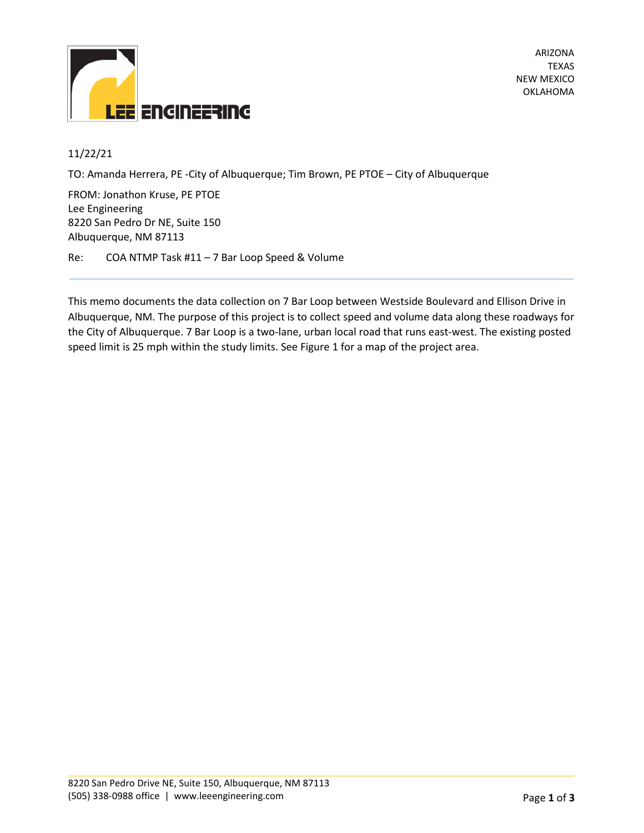

ARIZONA TEXAS NEW MEXICO OKLAHOMA

## 11/22/21

TO: Amanda Herrera, PE -City of Albuquerque; Tim Brown, PE PTOE – City of Albuquerque

FROM: Jonathon Kruse, PE PTOE Lee Engineering 8220 San Pedro Dr NE, Suite 150 Albuquerque, NM 87113

Re: COA NTMP Task #11 – 7 Bar Loop Speed & Volume

This memo documents the data collection on 7 Bar Loop between Westside Boulevard and Ellison Drive in Albuquerque, NM. The purpose of this project is to collect speed and volume data along these roadways for the City of Albuquerque. 7 Bar Loop is a two-lane, urban local road that runs east-west. The existing posted speed limit is 25 mph within the study limits. See Figure 1 for a map of the project area.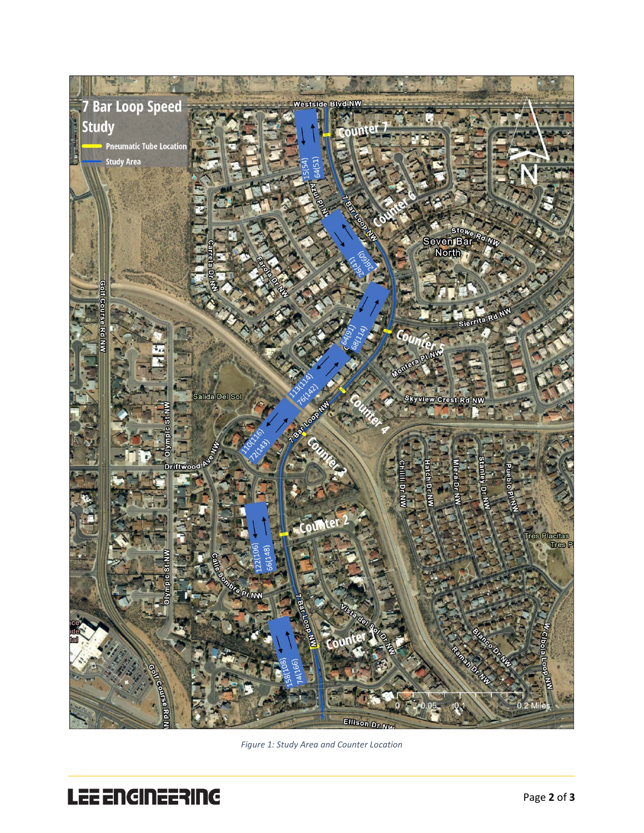

*Figure 1: Study Area and Counter Location*

# LEE ENGINEERING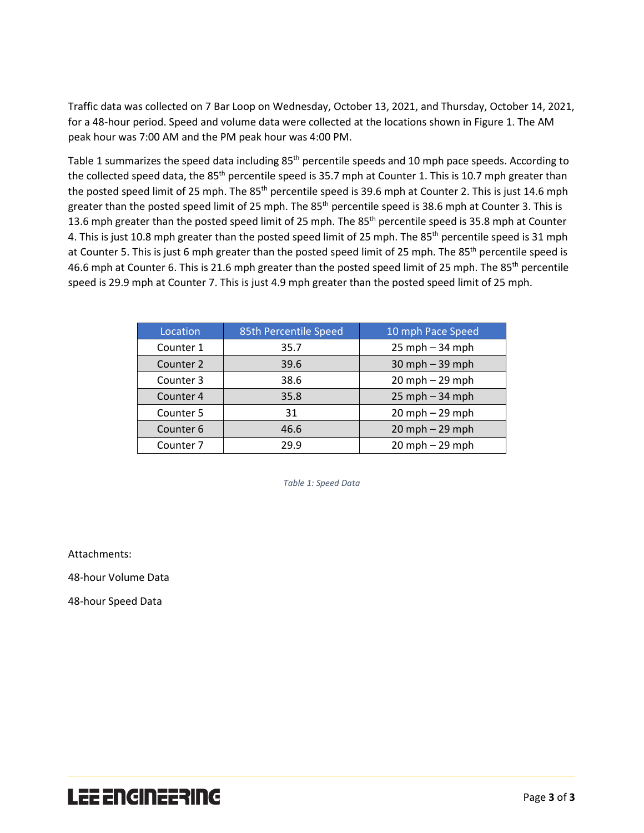Traffic data was collected on 7 Bar Loop on Wednesday, October 13, 2021, and Thursday, October 14, 2021, for a 48-hour period. Speed and volume data were collected at the locations shown in Figure 1. The AM peak hour was 7:00 AM and the PM peak hour was 4:00 PM.

Table 1 summarizes the speed data including 85<sup>th</sup> percentile speeds and 10 mph pace speeds. According to the collected speed data, the 85<sup>th</sup> percentile speed is 35.7 mph at Counter 1. This is 10.7 mph greater than the posted speed limit of 25 mph. The 85<sup>th</sup> percentile speed is 39.6 mph at Counter 2. This is just 14.6 mph greater than the posted speed limit of 25 mph. The 85<sup>th</sup> percentile speed is 38.6 mph at Counter 3. This is 13.6 mph greater than the posted speed limit of 25 mph. The 85<sup>th</sup> percentile speed is 35.8 mph at Counter 4. This is just 10.8 mph greater than the posted speed limit of 25 mph. The 85<sup>th</sup> percentile speed is 31 mph at Counter 5. This is just 6 mph greater than the posted speed limit of 25 mph. The 85<sup>th</sup> percentile speed is 46.6 mph at Counter 6. This is 21.6 mph greater than the posted speed limit of 25 mph. The 85<sup>th</sup> percentile speed is 29.9 mph at Counter 7. This is just 4.9 mph greater than the posted speed limit of 25 mph.

| Location  | 85th Percentile Speed | 10 mph Pace Speed  |
|-----------|-----------------------|--------------------|
| Counter 1 | 35.7                  | $25$ mph $-34$ mph |
| Counter 2 | 39.6                  | $30$ mph $-39$ mph |
| Counter 3 | 38.6                  | $20$ mph $-29$ mph |
| Counter 4 | 35.8                  | $25$ mph $-34$ mph |
| Counter 5 | 31                    | $20$ mph $-29$ mph |
| Counter 6 | 46.6                  | $20$ mph $-29$ mph |
| Counter 7 | 29.9                  | 20 mph - 29 mph    |

*Table 1: Speed Data*

Attachments:

48-hour Volume Data

48-hour Speed Data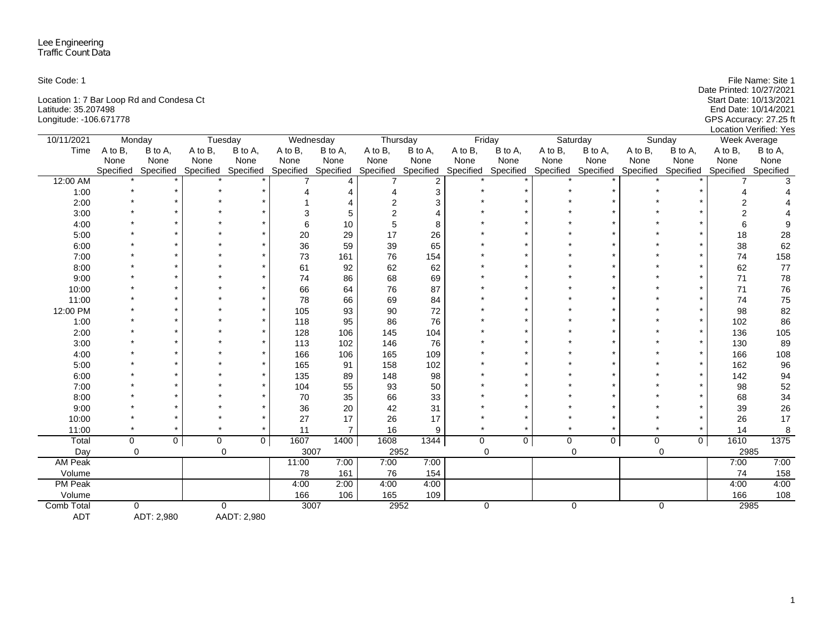| Site Code: 1                             | File Name: Site 1        |
|------------------------------------------|--------------------------|
|                                          | Date Printed: 10/27/2021 |
| Location 1: 7 Bar Loop Rd and Condesa Ct | Start Date: 10/13/2021   |
| Latitude: 35.207498                      | End Date: 10/14/2021     |
| Longitude: -106.671778                   | GPS Accuracy: 27.25 ft   |
|                                          | Location Verified: Yes   |

| 10/11/2021     | Monday      |                |         | Tuesday                       | Wednesday |                | Thursday      |                |         | Friday              |             | Saturday            |         | Sunday                        | Week Average |           |
|----------------|-------------|----------------|---------|-------------------------------|-----------|----------------|---------------|----------------|---------|---------------------|-------------|---------------------|---------|-------------------------------|--------------|-----------|
| Time           | A to B,     | B to A,        | A to B, | B to A,                       | A to B,   | B to A,        | A to B,       | B to A,        | A to B, | B to A,             | A to B,     | B to A,             | A to B, | B to A,                       | A to B,      | B to A,   |
|                | None        | None           | None    | None                          | None      | None           | None          | None           | None    | None                | None        | None                | None    | None                          | None         | None      |
|                | Specified   | Specified      |         | Specified Specified Specified |           | Specified      | Specified     | Specified      |         | Specified Specified |             | Specified Specified |         | Specified Specified Specified |              | Specified |
| 12:00 AM       |             |                |         |                               |           |                |               | $\overline{2}$ |         |                     |             |                     |         |                               |              |           |
| 1:00           |             |                |         |                               |           | 4              |               | 3              |         |                     |             |                     |         |                               |              |           |
| 2:00           |             |                |         |                               |           |                | 2             | 3              |         |                     |             |                     |         |                               |              |           |
| 3:00           |             |                |         |                               |           | 5              | $\mathcal{P}$ |                |         |                     |             |                     |         |                               |              |           |
| 4:00           |             |                |         |                               |           | 10             | 5             | 8              |         |                     |             |                     |         |                               |              |           |
| 5:00           |             |                |         |                               | 20        | 29             | 17            | 26             |         |                     |             |                     |         |                               | 18           | 28        |
| 6:00           |             |                |         |                               | 36        | 59             | 39            | 65             |         |                     |             |                     |         |                               | 38           | 62        |
| 7:00           |             |                |         |                               | 73        | 161            | 76            | 154            |         |                     |             |                     |         |                               | 74           | 158       |
| 8:00           |             |                |         |                               | 61        | 92             | 62            | 62             |         |                     |             |                     |         |                               | 62           | $77$      |
| 9:00           |             |                |         |                               | 74        | 86             | 68            | 69             |         |                     |             |                     |         |                               | 71           | 78        |
| 10:00          |             |                |         |                               | 66        | 64             | 76            | 87             |         |                     |             |                     |         |                               | 71           | 76        |
| 11:00          |             |                |         |                               | 78        | 66             | 69            | 84             |         |                     |             |                     |         |                               | 74           | 75        |
| 12:00 PM       |             |                |         |                               | 105       | 93             | 90            | 72             |         |                     |             |                     |         |                               | 98           | 82        |
| 1:00           |             |                |         |                               | 118       | 95             | 86            | 76             |         |                     |             |                     |         |                               | 102          | 86        |
| 2:00           |             |                |         |                               | 128       | 106            | 145           | 104            |         |                     |             |                     |         |                               | 136          | 105       |
| 3:00           |             |                |         |                               | 113       | 102            | 146           | 76             |         |                     |             |                     |         |                               | 130          | 89        |
| 4:00           |             |                |         |                               | 166       | 106            | 165           | 109            |         |                     |             |                     |         |                               | 166          | 108       |
| 5:00           |             |                |         |                               | 165       | 91             | 158           | 102            |         |                     |             |                     |         |                               | 162          | 96        |
| 6:00           |             |                |         |                               | 135       | 89             | 148           | 98             |         |                     |             |                     |         |                               | 142          | 94        |
| 7:00           |             |                |         |                               | 104       | 55             | 93            | 50             |         |                     |             |                     |         |                               | 98           | 52        |
| 8:00           |             |                |         |                               | 70        | 35             | 66            | 33             |         |                     |             |                     |         |                               | 68           | 34        |
| 9:00           |             |                |         |                               | 36        | 20             | 42            | 31             |         |                     |             |                     |         |                               | 39           | 26        |
| 10:00          |             |                |         |                               | 27        | 17             | 26            | 17             |         |                     |             |                     |         |                               | 26           | 17        |
| 11:00          |             |                |         |                               | 11        | $\overline{7}$ | 16            | 9              |         |                     |             |                     |         |                               | 14           | 8         |
| Total          | $\mathbf 0$ | $\overline{0}$ | 0       | $\mathbf{0}$                  | 1607      | 1400           | 1608          | 1344           | 0       | $\overline{0}$      | $\mathbf 0$ | $\mathbf 0$         | 0       | $\mathbf{0}$                  | 1610         | 1375      |
| Day            | $\Omega$    |                |         | $\mathbf 0$                   | 3007      |                | 2952          |                |         | 0                   |             | $\Omega$            |         | $\mathbf 0$                   | 2985         |           |
| <b>AM Peak</b> |             |                |         |                               | 11:00     | 7:00           | 7:00          | 7:00           |         |                     |             |                     |         |                               | 7:00         | 7:00      |
| Volume         |             |                |         |                               | 78        | 161            | 76            | 154            |         |                     |             |                     |         |                               | 74           | 158       |
| <b>PM Peak</b> |             |                |         |                               | 4:00      | 2:00           | 4:00          | 4:00           |         |                     |             |                     |         |                               | 4:00         | 4:00      |
| Volume         |             |                |         |                               | 166       | 106            | 165           | 109            |         |                     |             |                     |         |                               | 166          | $108$     |
| Comb Total     |             | $\Omega$       |         | $\mathbf 0$                   | 3007      |                | 2952          |                |         | 0                   |             | $\mathbf 0$         |         | $\mathbf 0$                   | 2985         |           |
| <b>ADT</b>     |             | ADT: 2,980     |         | AADT: 2,980                   |           |                |               |                |         |                     |             |                     |         |                               |              |           |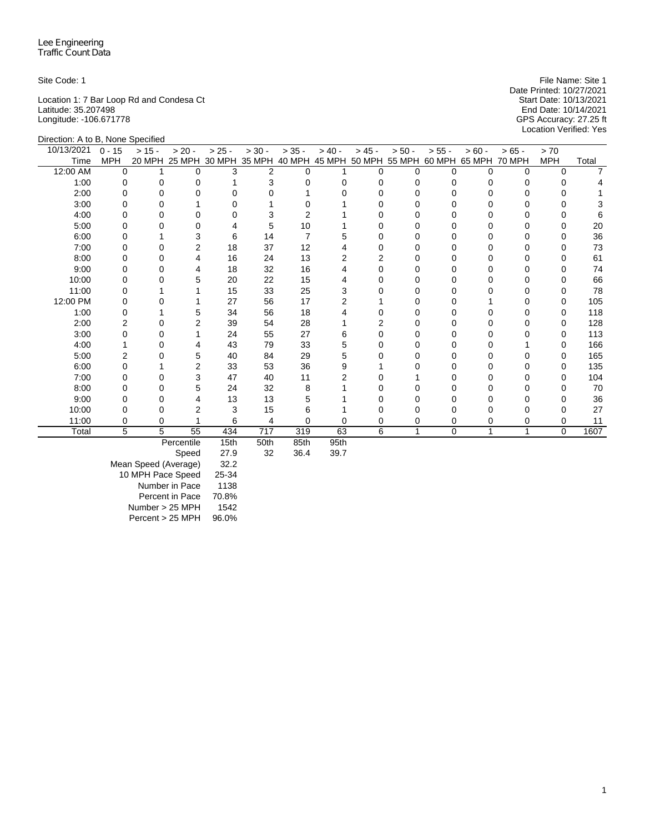Location 1: 7 Bar Loop Rd and Condesa Ct Start Date: 10/13/2021 Latitude: 35.207498 End Date: 10/14/2021 Longitude: -106.671778 GPS Accuracy: 27.25 ft

Direction: A to B, None Specified

Site Code: 1 File Name: Site 1 File Name: Site 1 File Name: Site 1 File Name: Site 1 Date Printed: 10/27/2021<br>Start Date: 10/13/2021 Location Verified: Yes

| 10/13/2021 | $0 - 15$   | $> 15 -$ | $> 20 -$   | $> 25 -$ | $> 30 -$ | $> 35 -$ | $> 40 -$ | $> 45 -$       | $> 50 -$                                                                     | $> 55 -$ | $> 60 -$     | $> 65 -$ | > 70       |       |
|------------|------------|----------|------------|----------|----------|----------|----------|----------------|------------------------------------------------------------------------------|----------|--------------|----------|------------|-------|
| Time       | <b>MPH</b> |          |            |          |          |          |          |                | 20 MPH 25 MPH 30 MPH 35 MPH 40 MPH 45 MPH 50 MPH 55 MPH 60 MPH 65 MPH 70 MPH |          |              |          | <b>MPH</b> | Total |
| 12:00 AM   | $\Omega$   |          | O          | 3        | 2        | 0        |          | 0              |                                                                              | U        | <sup>0</sup> | 0        | $\Omega$   |       |
| 1:00       | 0          |          | U          |          |          |          |          | 0              |                                                                              |          |              |          |            |       |
| 2:00       | O          |          |            |          |          |          |          |                |                                                                              |          |              |          |            |       |
| 3:00       | O          |          |            |          |          |          |          | O              |                                                                              |          |              |          |            |       |
| 4:00       | o          |          |            |          |          |          |          |                |                                                                              |          |              |          |            |       |
| 5:00       | O          |          |            |          | 5        | 10       |          |                |                                                                              |          |              |          |            | 20    |
| 6:00       | O          |          | 3          | 6        | 14       |          |          | O              |                                                                              |          |              |          | O          | 36    |
| 7:00       | 0          |          | 2          | 18       | 37       | 12       |          |                |                                                                              |          |              |          |            | 73    |
| 8:00       | U          |          |            | 16       | 24       | 13       |          |                |                                                                              |          |              |          |            | 61    |
| 9:00       | O          |          | 4          | 18       | 32       | 16       |          | O              |                                                                              |          |              |          | O          | 74    |
| 10:00      |            |          | 5          | 20       | 22       | 15       |          |                |                                                                              |          |              |          |            | 66    |
| 11:00      | O          |          |            | 15       | 33       | 25       |          |                |                                                                              |          |              |          |            | 78    |
| 12:00 PM   | U          |          |            | 27       | 56       | 17       |          |                |                                                                              |          |              |          | O          | 105   |
| 1:00       | U          |          | 5          | 34       | 56       | 18       |          |                |                                                                              |          |              |          |            | 118   |
| 2:00       | 2          |          | 2          | 39       | 54       | 28       |          | $\overline{2}$ |                                                                              |          |              |          |            | 128   |
| 3:00       |            |          |            | 24       | 55       | 27       |          |                |                                                                              |          |              |          |            | 113   |
| 4:00       |            |          |            | 43       | 79       | 33       |          |                |                                                                              |          |              |          |            | 166   |
| 5:00       | 2          |          | 5          | 40       | 84       | 29       |          |                |                                                                              |          |              |          |            | 165   |
| 6:00       |            |          | 2          | 33       | 53       | 36       |          |                |                                                                              |          |              |          |            | 135   |
| 7:00       | U          |          | 3          | 47       | 40       | 11       |          |                |                                                                              |          |              |          | $\Omega$   | 104   |
| 8:00       | 0          |          | 5          | 24       | 32       | 8        |          |                |                                                                              |          |              |          |            | 70    |
| 9:00       |            |          |            | 13       | 13       |          |          |                |                                                                              |          |              |          |            | 36    |
| 10:00      |            |          |            | 3        | 15       | ь        |          |                |                                                                              |          |              |          |            | 27    |
| 11:00      | 0          |          |            | 6        | 4        |          |          | 0              |                                                                              | 0        | 0            | 0        | 0          | 11    |
| Total      | 5          | 5        | 55         | 434      | 717      | 319      | 63       | 6              | 1                                                                            | $\Omega$ | -1           |          | $\Omega$   | 1607  |
|            |            |          | Percentile | 15th     | 50th     | 85th     | 95th     |                |                                                                              |          |              |          |            |       |

Percentile 15th 50th 85th 95th

Speed

Mean Speed (Average) 32.2 10 MPH Pace Speed 25-34 Number in Pace 1138 Percent in Pace 70.8% Number > 25 MPH 1542<br>Percent > 25 MPH 96.0%  $Percent > 25 MPH$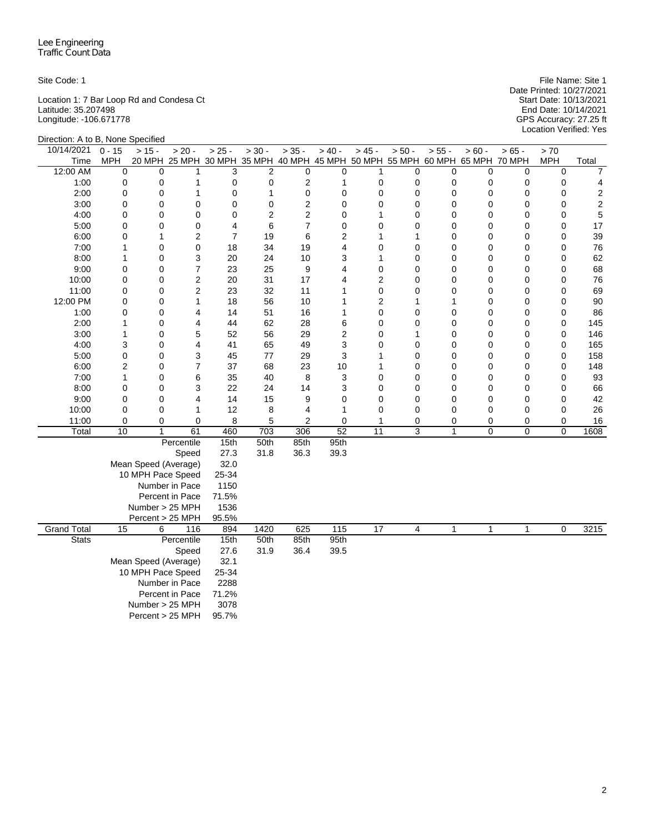Location 1: 7 Bar Loop Rd and Condesa Ct Start Date: 10/13/2021 Latitude: 35.207498 End Date: 10/14/2021 Longitude: -106.671778 GPS Accuracy: 27.25 ft

Site Code: 1 File Name: Site 1 File Name: Site 1 File Name: Site 1 File Name: Site 1 Date Printed: 10/27/2021 Start Date: 10/13/2021<br>End Date: 10/14/2021<br>GPS Accuracy: 27.25 ft<br>Location Verified: Yes

| Direction: A to B, None Specified |                      |                      |                                                                              |                |                |                         |                |                               |                            |                            |                  |              |                  |                         |
|-----------------------------------|----------------------|----------------------|------------------------------------------------------------------------------|----------------|----------------|-------------------------|----------------|-------------------------------|----------------------------|----------------------------|------------------|--------------|------------------|-------------------------|
| 10/14/2021                        | $0 - 15$             | $> 15 -$             | $> 20 -$                                                                     | $> 25 -$       | $> 30 -$       | $> 35 -$                | $> 40 -$       | $> 45 -$                      | $> 50 -$                   | $> 55 -$                   | $> 60 -$         | $>65 -$      | > 70             |                         |
| Time                              | <b>MPH</b>           |                      | 20 MPH 25 MPH 30 MPH 35 MPH 40 MPH 45 MPH 50 MPH 55 MPH 60 MPH 65 MPH 70 MPH |                |                |                         |                |                               |                            |                            |                  |              | <b>MPH</b>       | Total                   |
| 12:00 AM                          | 0                    | 0                    | 1                                                                            | 3              | 2              | $\mathbf 0$             | $\mathbf 0$    | 1                             | 0                          | 0                          | $\mathbf 0$      | $\mathbf 0$  | $\mathbf 0$      | $\overline{7}$          |
| 1:00                              | $\mathbf 0$          | 0                    | 1                                                                            | 0              | 0              | $\overline{2}$          | $\mathbf{1}$   | $\mathbf 0$                   | 0                          | 0                          | 0                | $\pmb{0}$    | $\mathbf 0$      | 4                       |
| 2:00                              | $\mathbf 0$          | 0                    | 1                                                                            | 0              | $\mathbf{1}$   | $\mathbf 0$             | $\mathbf 0$    | $\mathbf 0$                   | $\mathbf 0$                | $\mathbf 0$                | 0                | $\mathbf 0$  | $\mathbf 0$      | $\overline{\mathbf{c}}$ |
| 3:00                              | 0                    | 0                    | $\mathbf 0$                                                                  | 0              | 0              | $\overline{\mathbf{c}}$ | $\mathbf 0$    | 0                             | 0                          | $\mathbf 0$                | 0                | $\mathbf 0$  | 0                | $\boldsymbol{2}$        |
| 4:00                              | $\mathbf 0$          | $\mathbf 0$          | $\mathbf 0$                                                                  | $\mathbf 0$    | $\overline{2}$ | $\overline{c}$          | 0              | 1                             | $\mathbf 0$                | 0                          | 0                | $\mathbf 0$  | $\mathbf 0$      | 5                       |
| 5:00                              | 0                    | $\mathbf 0$          | 0                                                                            | 4              | 6              | $\overline{7}$          | $\mathbf 0$    | $\mathbf 0$                   | 0                          | 0                          | 0                | 0            | $\mathbf 0$      | 17                      |
| 6:00                              | 0                    | 1                    | $\overline{c}$                                                               | $\overline{7}$ | 19             | 6                       | $\overline{c}$ | 1                             | 1                          | $\mathbf 0$                | 0                | $\mathbf 0$  | $\mathbf 0$      | 39                      |
| 7:00                              | 1                    | 0                    | 0                                                                            | 18             | 34             | 19                      | 4              | 0                             | 0                          | 0                          | 0                | 0            | $\mathbf 0$      | 76                      |
| 8:00                              | 1                    | 0                    | 3<br>$\overline{7}$                                                          | 20             | 24             | 10                      | 3              | 1                             | 0                          | 0                          | 0                | 0            | 0                | 62                      |
| 9:00                              | $\mathbf 0$          | $\mathbf 0$          |                                                                              | 23             | 25             | 9                       | $\overline{4}$ | $\mathbf 0$                   | 0                          | $\mathbf 0$                | 0                | $\mathbf 0$  | $\mathbf 0$      | 68                      |
| 10:00<br>11:00                    | 0<br>0               | $\mathbf 0$          | $\overline{c}$<br>$\overline{2}$                                             | 20<br>23       | 31<br>32       | 17<br>11                | 4<br>1         | $\overline{2}$<br>$\mathbf 0$ | $\mathbf 0$<br>$\mathbf 0$ | $\mathbf 0$<br>$\mathbf 0$ | 0<br>$\mathbf 0$ | $\mathbf 0$  | 0<br>$\mathbf 0$ | 76<br>69                |
| 12:00 PM                          | 0                    | 0<br>0               | 1                                                                            | 18             | 56             | 10                      | 1              | 2                             | 1                          | 1                          | 0                | 0<br>0       | $\mathbf 0$      | 90                      |
| 1:00                              | 0                    | 0                    | 4                                                                            | 14             | 51             | 16                      | 1              | $\mathbf 0$                   | $\mathbf 0$                | $\mathbf 0$                | 0                | 0            | $\mathbf 0$      | 86                      |
| 2:00                              | 1                    | 0                    | $\overline{4}$                                                               | 44             | 62             | 28                      | 6              | 0                             | $\mathbf 0$                | $\mathbf 0$                | 0                | $\pmb{0}$    | $\mathbf 0$      | 145                     |
| 3:00                              | 1                    | 0                    | 5                                                                            | 52             | 56             | 29                      | $\overline{c}$ | 0                             | 1                          | $\mathbf 0$                | 0                | $\mathbf 0$  | $\mathbf 0$      | 146                     |
| 4:00                              | 3                    | 0                    | $\overline{4}$                                                               | 41             | 65             | 49                      | 3              | 0                             | $\mathbf 0$                | $\mathbf 0$                | 0                | $\mathbf 0$  | $\mathbf 0$      | 165                     |
| 5:00                              | 0                    | 0                    | 3                                                                            | 45             | 77             | 29                      | 3              | 1                             | 0                          | $\mathbf 0$                | 0                | 0            | $\mathbf 0$      | 158                     |
| 6:00                              | $\overline{2}$       | 0                    | $\overline{7}$                                                               | 37             | 68             | 23                      | 10             | 1                             | 0                          | $\mathbf 0$                | 0                | $\mathbf 0$  | $\mathbf 0$      | 148                     |
| 7:00                              | 1                    | 0                    | 6                                                                            | 35             | 40             | 8                       | 3              | 0                             | 0                          | 0                          | 0                | 0            | $\mathbf 0$      | 93                      |
| 8:00                              | 0                    | 0                    | 3                                                                            | 22             | 24             | 14                      | 3              | $\mathbf 0$                   | 0                          | 0                          | 0                | 0            | $\mathbf 0$      | 66                      |
| 9:00                              | 0                    | 0                    | 4                                                                            | 14             | 15             | 9                       | $\mathbf 0$    | $\mathbf 0$                   | 0                          | 0                          | 0                | 0            | $\mathbf 0$      | 42                      |
| 10:00                             | 0                    | 0                    | $\mathbf{1}$                                                                 | 12             | 8              | 4                       | 1              | $\mathbf 0$                   | 0                          | 0                          | 0                | 0            | 0                | 26                      |
| 11:00                             | 0                    | $\mathbf 0$          | 0                                                                            | 8              | 5              | $\overline{2}$          | $\mathbf 0$    | 1                             | 0                          | 0                          | 0                | 0            | 0                | 16                      |
| Total                             | 10                   | $\mathbf{1}$         | 61                                                                           | 460            | 703            | 306                     | 52             | 11                            | 3                          | 1                          | 0                | 0            | $\mathbf 0$      | 1608                    |
|                                   |                      |                      | Percentile                                                                   | 15th           | 50th           | 85th                    | 95th           |                               |                            |                            |                  |              |                  |                         |
|                                   |                      |                      | Speed                                                                        | 27.3           | 31.8           | 36.3                    | 39.3           |                               |                            |                            |                  |              |                  |                         |
|                                   |                      | Mean Speed (Average) |                                                                              | 32.0           |                |                         |                |                               |                            |                            |                  |              |                  |                         |
|                                   |                      | 10 MPH Pace Speed    |                                                                              | 25-34          |                |                         |                |                               |                            |                            |                  |              |                  |                         |
|                                   |                      |                      | Number in Pace                                                               | 1150           |                |                         |                |                               |                            |                            |                  |              |                  |                         |
|                                   |                      |                      | Percent in Pace                                                              | 71.5%          |                |                         |                |                               |                            |                            |                  |              |                  |                         |
|                                   |                      | Number > 25 MPH      |                                                                              | 1536           |                |                         |                |                               |                            |                            |                  |              |                  |                         |
|                                   |                      | Percent > 25 MPH     |                                                                              | 95.5%          |                |                         |                |                               |                            |                            |                  |              |                  |                         |
| <b>Grand Total</b>                | 15                   | 6                    | 116                                                                          | 894            | 1420           | 625                     | 115            | $\overline{17}$               | $\overline{4}$             | $\mathbf{1}$               | $\mathbf{1}$     | $\mathbf{1}$ | $\mathbf 0$      | 3215                    |
| <b>Stats</b>                      |                      |                      | Percentile                                                                   | 15th<br>27.6   | 50th           | 85th                    | 95th           |                               |                            |                            |                  |              |                  |                         |
|                                   | Speed                |                      |                                                                              |                | 31.9           | 36.4                    | 39.5           |                               |                            |                            |                  |              |                  |                         |
|                                   | Mean Speed (Average) |                      |                                                                              |                |                |                         |                |                               |                            |                            |                  |              |                  |                         |
| 10 MPH Pace Speed                 |                      |                      |                                                                              | 25-34          |                |                         |                |                               |                            |                            |                  |              |                  |                         |
| Number in Pace<br>Percent in Pace |                      |                      |                                                                              | 2288           |                |                         |                |                               |                            |                            |                  |              |                  |                         |
|                                   |                      |                      |                                                                              | 71.2%          |                |                         |                |                               |                            |                            |                  |              |                  |                         |
|                                   |                      | Number > 25 MPH      |                                                                              | 3078           |                |                         |                |                               |                            |                            |                  |              |                  |                         |
|                                   |                      | Percent > 25 MPH     |                                                                              | 95.7%          |                |                         |                |                               |                            |                            |                  |              |                  |                         |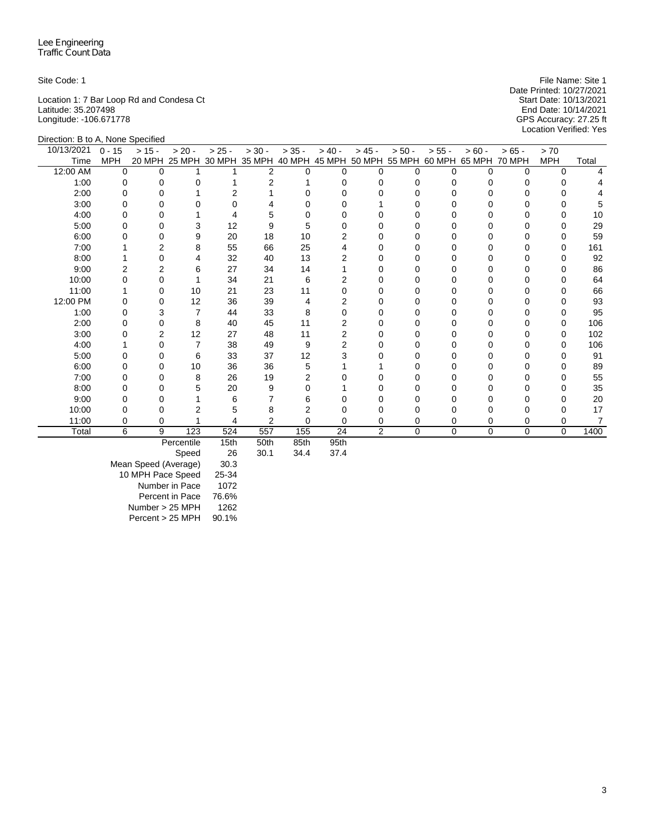Location 1: 7 Bar Loop Rd and Condesa Ct Start Date: 10/13/2021 Latitude: 35.207498 End Date: 10/14/2021 Longitude: -106.671778 GPS Accuracy: 27.25 ft

Direction: B to A, None Specified

Site Code: 1 File Name: Site 1 File Name: Site 1 File Name: Site 1 File Name: Site 1 Date Printed: 10/27/2021<br>Start Date: 10/13/2021 Location Verified: Yes

| 10/13/2021 | $0 - 15$   | $> 15 -$ | $> 20 -$          | $> 25 -$ | $> 30 -$ | $> 35 -$  | $> 40 -$  | $> 45 -$       | $> 50 -$    | $> 55 -$ | $> 60 -$                                                                     | $> 65 -$    | > 70         |       |
|------------|------------|----------|-------------------|----------|----------|-----------|-----------|----------------|-------------|----------|------------------------------------------------------------------------------|-------------|--------------|-------|
| Time       | <b>MPH</b> |          |                   |          |          |           |           |                |             |          | 20 MPH 25 MPH 30 MPH 35 MPH 40 MPH 45 MPH 50 MPH 55 MPH 60 MPH 65 MPH 70 MPH |             | <b>MPH</b>   | Total |
| 12:00 AM   | $\Omega$   | $\Omega$ |                   |          | 2        | 0         | ŋ         | U              | n           |          | O                                                                            | $\Omega$    | $\Omega$     |       |
| 1:00       | 0          |          |                   |          |          |           |           |                |             |          |                                                                              |             |              |       |
| 2:00       | O          |          |                   |          |          |           |           |                |             |          |                                                                              |             |              |       |
| 3:00       | U          |          |                   |          |          |           |           |                |             |          |                                                                              |             | $\Omega$     |       |
| 4:00       |            |          |                   |          |          |           |           |                |             |          |                                                                              |             |              | 10    |
| 5:00       |            |          | 3                 | 12       |          |           |           |                |             |          |                                                                              |             |              | 29    |
| 6:00       |            |          | 9                 | 20       | 18       | 10        |           |                |             |          |                                                                              |             | 0            | 59    |
| 7:00       |            |          | 8                 | 55       | 66       | 25        |           |                |             |          |                                                                              |             | <sup>0</sup> | 161   |
| 8:00       |            |          |                   | 32       | 40       | 13        |           |                |             |          |                                                                              |             |              | 92    |
| 9:00       | 2          |          | 6                 | 27       | 34       | 14        |           |                |             |          |                                                                              |             | <sup>0</sup> | 86    |
| 10:00      |            |          |                   | 34       | 21       | 6         |           |                |             |          |                                                                              |             |              | 64    |
| 11:00      |            | $\Omega$ | 10                | 21       | 23       | 11        |           |                |             |          |                                                                              |             |              | 66    |
| 12:00 PM   |            |          | 12                | 36       | 39       | 4         |           |                |             |          |                                                                              |             |              | 93    |
| 1:00       |            |          |                   | 44       | 33       | 8         |           |                |             |          |                                                                              |             |              | 95    |
| 2:00       | 0          |          | 8                 | 40       | 45       | 11        |           |                |             |          |                                                                              |             | 0            | 106   |
| 3:00       |            | 2        | 12                | 27       | 48       | 11        |           |                |             |          |                                                                              |             | 0            | 102   |
| 4:00       |            |          |                   | 38       | 49       | 9         |           |                |             |          |                                                                              |             | O            | 106   |
| 5:00       |            |          | 6                 | 33       | 37       | 12        |           |                |             |          |                                                                              |             | <sup>0</sup> | 91    |
| 6:00       |            |          | 10                | 36       | 36       | 5         |           |                |             |          |                                                                              |             |              | 89    |
| 7:00       |            |          | 8                 | 26       | 19       |           |           |                |             |          |                                                                              |             |              | 55    |
| 8:00       | 0          |          | 5                 | 20       | 9        |           |           |                |             |          |                                                                              |             | <sup>0</sup> | 35    |
| 9:00       |            |          |                   | 6        |          | 6         |           |                |             |          |                                                                              |             |              | 20    |
| 10:00      |            |          |                   |          |          |           |           |                |             |          |                                                                              |             | 0            | 17    |
| 11:00      | 0          | 0        |                   |          | 2        | 0         | 0         | 0              | 0           | 0        | 0                                                                            | 0           | 0            |       |
| Total      | 6          | 9        | 123               | 524      | 557      | 155       | 24        | $\overline{2}$ | $\mathbf 0$ | 0        | $\mathbf 0$                                                                  | $\mathbf 0$ | 0            | 1400  |
|            |            |          | <b>Dorcontilo</b> | 1Fth     | $F$ Oth  | $QE_{th}$ | $QE_{th}$ |                |             |          |                                                                              |             |              |       |

Percentile 15th 50th 85th 95th

Speed

Mean Speed (Average) 30.3 10 MPH Pace Speed 25-34 Number in Pace 1072 Percent in Pace 76.6% Number > 25 MPH 1262<br>Percent > 25 MPH 90.1%  $Percent > 25 MPH$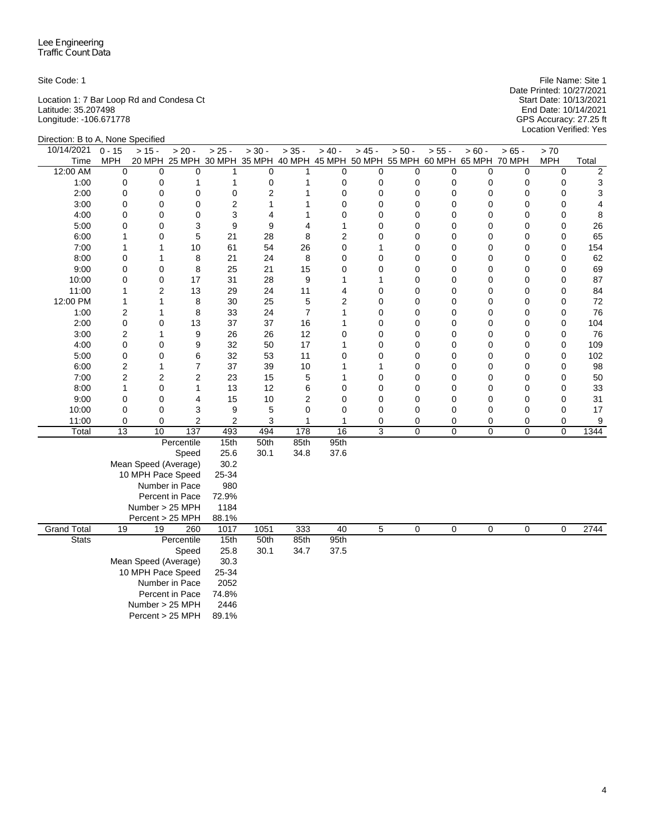Location 1: 7 Bar Loop Rd and Condesa Ct Start Date: 10/13/2021 Latitude: 35.207498 End Date: 10/14/2021 Longitude: -106.671778 GPS Accuracy: 27.25 ft

Site Code: 1 File Name: Site 1 File Name: Site 1 File Name: Site 1 File Name: Site 1 Date Printed: 10/27/2021 Start Date: 10/13/2021<br>End Date: 10/14/2021<br>GPS Accuracy: 27.25 ft<br>Location Verified: Yes

| Direction: B to A, None Specified |                      |                      |                                                                              |                |                |                |                 |                |          |                |                |                  |                  |          |
|-----------------------------------|----------------------|----------------------|------------------------------------------------------------------------------|----------------|----------------|----------------|-----------------|----------------|----------|----------------|----------------|------------------|------------------|----------|
| 10/14/2021                        | $0 - 15$             | $> 15 -$             | $> 20 -$                                                                     | $> 25 -$       | $> 30 -$       | $> 35 -$       | $> 40 -$        | $> 45 -$       | $> 50 -$ | $> 55 -$       | $> 60 -$       | $> 65 -$         | > 70             |          |
| Time                              | <b>MPH</b>           |                      | 20 MPH 25 MPH 30 MPH 35 MPH 40 MPH 45 MPH 50 MPH 55 MPH 60 MPH 65 MPH 70 MPH |                |                |                |                 |                |          |                |                |                  | <b>MPH</b>       | Total    |
| 12:00 AM                          | 0                    | $\Omega$             | $\Omega$                                                                     | 1              | 0              | 1              | 0               | 0              | 0        | $\mathbf 0$    | $\Omega$       | $\mathbf 0$      | $\mathbf 0$      | 2        |
| 1:00                              | 0                    | 0                    | 1                                                                            | 1              | 0              | 1              | 0               | 0              | 0        | 0              | 0              | 0                | 0                | 3        |
| 2:00                              | 0                    | 0                    | 0                                                                            | $\mathbf 0$    | $\overline{2}$ | 1              | 0               | 0              | 0        | 0              | 0              | $\mathbf 0$      | $\mathbf 0$      | 3        |
| 3:00                              | 0                    | 0                    | 0                                                                            | $\overline{2}$ | $\mathbf{1}$   | 1              | $\overline{0}$  | $\overline{0}$ | 0        | 0              | 0              | $\mathbf 0$      | $\mathbf 0$      | 4        |
| 4:00                              | 0                    | 0                    | 0                                                                            | 3              | 4              | 1              | 0               | $\overline{0}$ | 0        | 0              | 0              | $\mathbf 0$      | $\mathbf 0$      | 8        |
| 5:00                              | 0                    | 0                    | 3                                                                            | 9              | 9              | 4              | 1               | $\overline{0}$ | 0        | 0              | 0              | 0                | $\mathbf 0$      | 26       |
| 6:00                              | $\mathbf{1}$         | 0                    | 5                                                                            | 21             | 28             | 8              | 2               | $\overline{0}$ | 0        | 0              | 0              | $\mathbf 0$      | $\mathbf 0$      | 65       |
| 7:00                              | 1                    | 1                    | 10                                                                           | 61             | 54             | 26             | 0               | 1              | 0        | 0              | 0              | $\mathbf 0$      | $\mathbf 0$      | 154      |
| 8:00                              | 0                    | 1                    | 8                                                                            | 21             | 24             | 8              | 0               | 0              | 0        | 0              | 0              | 0                | $\mathbf 0$      | 62       |
| 9:00                              | 0                    | 0                    | 8                                                                            | 25             | 21             | 15             | 0               | 0              | 0        | 0              | 0              | $\mathbf 0$      | $\mathbf 0$      | 69       |
| 10:00                             | 0<br>1               | 0<br>$\overline{2}$  | 17                                                                           | 31             | 28             | 9<br>11        | 1               | 1              | 0        | 0              | 0              | $\mathbf 0$      | $\mathbf 0$      | 87       |
| 11:00<br>12:00 PM                 | 1                    | 1                    | 13<br>8                                                                      | 29<br>30       | 24<br>25       | 5              | 4<br>2          | 0<br>0         | 0<br>0   | 0<br>0         | 0<br>0         | 0<br>$\mathbf 0$ | 0<br>$\mathbf 0$ | 84<br>72 |
| 1:00                              | $\overline{c}$       | 1                    | 8                                                                            | 33             | 24             | $\overline{7}$ | 1               | 0              | 0        | 0              | 0              | 0                | 0                | 76       |
| 2:00                              | 0                    | 0                    | 13                                                                           | 37             | 37             | 16             | 1               | 0              | 0        | 0              | 0              | 0                | $\mathbf 0$      | 104      |
| 3:00                              | $\overline{c}$       | 1                    | 9                                                                            | 26             | 26             | 12             | 0               | $\overline{0}$ | 0        | 0              | 0              | $\mathbf 0$      | $\mathbf 0$      | 76       |
| 4:00                              | 0                    | 0                    | 9                                                                            | 32             | 50             | 17             | 1               | 0              | 0        | $\mathbf 0$    | $\Omega$       | $\mathbf 0$      | $\mathbf 0$      | 109      |
| 5:00                              | 0                    | 0                    | 6                                                                            | 32             | 53             | 11             | 0               | 0              | 0        | 0              | 0              | 0                | $\mathbf 0$      | 102      |
| 6:00                              | $\overline{c}$       | 1                    | 7                                                                            | 37             | 39             | 10             | 1               | 1              | 0        | $\mathbf 0$    | 0              | 0                | $\mathbf 0$      | 98       |
| 7:00                              | $\overline{2}$       | 2                    | $\overline{2}$                                                               | 23             | 15             | 5              | 1               | 0              | 0        | $\mathbf 0$    | 0              | $\mathbf 0$      | 0                | 50       |
| 8:00                              | $\mathbf{1}$         | 0                    | $\mathbf{1}$                                                                 | 13             | 12             | 6              | 0               | 0              | 0        | 0              | 0              | 0                | $\mathbf 0$      | 33       |
| 9:00                              | 0                    | 0                    | 4                                                                            | 15             | 10             | 2              | 0               | 0              | 0        | 0              | 0              | 0                | $\mathbf 0$      | 31       |
| 10:00                             | 0                    | 0                    | 3                                                                            | 9              | 5              | $\mathbf 0$    | 0               | 0              | 0        | 0              | 0              | 0                | 0                | 17       |
| 11:00                             | 0                    | 0                    | $\overline{c}$                                                               | $\overline{c}$ | 3              | 1              | 1               | 0              | 0        | 0              | 0              | 0                | 0                | 9        |
| Total                             | $\overline{13}$      | $\overline{10}$      | $\overline{137}$                                                             | 493            | 494            | 178            | $\overline{16}$ | $\overline{3}$ | 0        | $\overline{0}$ | $\overline{0}$ | $\pmb{0}$        | $\Omega$         | 1344     |
|                                   |                      |                      | Percentile                                                                   | 15th           | 50th           | 85th           | 95th            |                |          |                |                |                  |                  |          |
|                                   |                      |                      | Speed                                                                        | 25.6           | 30.1           | 34.8           | 37.6            |                |          |                |                |                  |                  |          |
|                                   |                      | Mean Speed (Average) |                                                                              | 30.2           |                |                |                 |                |          |                |                |                  |                  |          |
|                                   |                      | 10 MPH Pace Speed    |                                                                              | 25-34          |                |                |                 |                |          |                |                |                  |                  |          |
|                                   |                      |                      | Number in Pace                                                               | 980            |                |                |                 |                |          |                |                |                  |                  |          |
|                                   |                      |                      | Percent in Pace                                                              | 72.9%          |                |                |                 |                |          |                |                |                  |                  |          |
|                                   |                      | Number > 25 MPH      |                                                                              | 1184           |                |                |                 |                |          |                |                |                  |                  |          |
|                                   |                      | Percent > 25 MPH     |                                                                              | 88.1%          |                |                |                 |                |          |                |                |                  |                  |          |
| <b>Grand Total</b>                | 19                   | 19                   | 260                                                                          | 1017           | 1051           | 333            | 40              | 5              | 0        | 0              | 0              | 0                | 0                | 2744     |
| <b>Stats</b>                      |                      |                      | Percentile                                                                   | 15th<br>25.8   | 50th           | 85th           | 95th            |                |          |                |                |                  |                  |          |
|                                   | Speed                |                      |                                                                              |                | 30.1           | 34.7           | 37.5            |                |          |                |                |                  |                  |          |
|                                   | Mean Speed (Average) |                      |                                                                              |                |                |                |                 |                |          |                |                |                  |                  |          |
|                                   | 10 MPH Pace Speed    |                      |                                                                              |                |                |                |                 |                |          |                |                |                  |                  |          |
| Number in Pace<br>Percent in Pace |                      |                      |                                                                              | 2052           |                |                |                 |                |          |                |                |                  |                  |          |
|                                   |                      |                      |                                                                              | 74.8%          |                |                |                 |                |          |                |                |                  |                  |          |
|                                   |                      | Number > 25 MPH      |                                                                              | 2446<br>89.1%  |                |                |                 |                |          |                |                |                  |                  |          |
|                                   | Percent > 25 MPH     |                      |                                                                              |                |                |                |                 |                |          |                |                |                  |                  |          |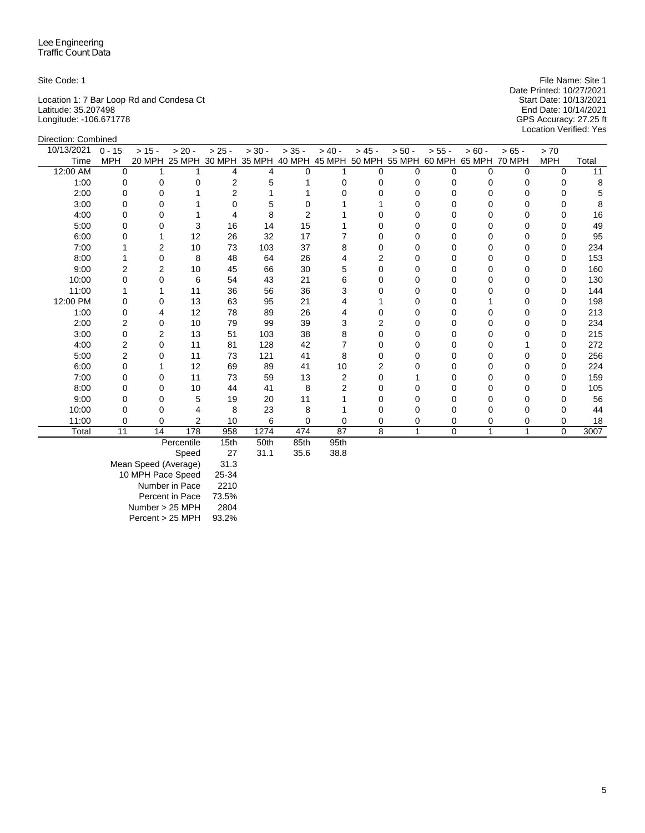Direction: Combined

Location 1: 7 Bar Loop Rd and Condesa Ct Start Date: 10/13/2021 Latitude: 35.207498 End Date: 10/14/2021 Longitude: -106.671778 GPS Accuracy: 27.25 ft

Site Code: 1 File Name: Site 1 File Name: Site 1 File Name: Site 1 File Name: Site 1 Date Printed: 10/27/2021<br>Start Date: 10/13/2021 Location Verified: Yes

| 10/13/2021 | $0 - 15$       | $> 15 -$ | $> 20 -$                                                                     | $> 25 -$ | $> 30 -$ | $> 35 -$ | $> 40 -$ | $> 45 -$ | $> 50 -$ | $> 55 -$ | $> 60 -$ | $> 65 -$ | > 70         |       |
|------------|----------------|----------|------------------------------------------------------------------------------|----------|----------|----------|----------|----------|----------|----------|----------|----------|--------------|-------|
| Time       | <b>MPH</b>     |          | 20 MPH 25 MPH 30 MPH 35 MPH 40 MPH 45 MPH 50 MPH 55 MPH 60 MPH 65 MPH 70 MPH |          |          |          |          |          |          |          |          |          | <b>MPH</b>   | Total |
| 12:00 AM   | $\Omega$       |          |                                                                              | 4        | 4        | 0        |          | U        | U        | 0        | $\Omega$ | $\Omega$ | O            | 11    |
| 1:00       | 0              |          |                                                                              | 2        |          |          |          |          |          |          | O        |          |              | 8     |
| 2:00       |                |          |                                                                              | 2        |          |          |          |          |          |          |          |          |              |       |
| 3:00       |                |          |                                                                              |          |          |          |          |          |          |          |          |          |              |       |
| 4:00       |                |          |                                                                              |          | 8        |          |          |          |          |          |          |          |              | 16    |
| 5:00       |                |          | 3                                                                            | 16       | 14       | 15       |          |          |          |          |          |          |              | 49    |
| 6:00       |                |          | 12                                                                           | 26       | 32       | 17       |          |          |          |          | U        |          | $\Omega$     | 95    |
| 7:00       |                |          | 10                                                                           | 73       | 103      | 37       |          |          |          |          |          |          |              | 234   |
| 8:00       |                |          | 8                                                                            | 48       | 64       | 26       |          |          |          |          |          |          |              | 153   |
| 9:00       | 2              | 2        | 10                                                                           | 45       | 66       | 30       |          |          | O        | O        |          |          | <sup>0</sup> | 160   |
| 10:00      |                |          | 6                                                                            | 54       | 43       | 21       |          |          |          |          |          |          |              | 130   |
| 11:00      |                |          | 11                                                                           | 36       | 56       | 36       |          |          |          |          |          |          |              | 144   |
| 12:00 PM   |                |          | 13                                                                           | 63       | 95       | 21       |          |          |          | U        |          |          | O            | 198   |
| 1:00       |                |          | 12                                                                           | 78       | 89       | 26       |          |          |          |          |          |          |              | 213   |
| 2:00       |                | 0        | 10                                                                           | 79       | 99       | 39       |          |          |          |          |          |          |              | 234   |
| 3:00       |                | 2        | 13                                                                           | 51       | 103      | 38       |          |          |          |          |          |          | O            | 215   |
| 4:00       |                | 0        | 11                                                                           | 81       | 128      | 42       |          |          |          |          |          |          |              | 272   |
| 5:00       | $\overline{2}$ |          | 11                                                                           | 73       | 121      | 41       | 8        |          |          |          |          |          |              | 256   |
| 6:00       |                |          | 12                                                                           | 69       | 89       | 41       | 10       |          |          |          |          |          | $\Omega$     | 224   |
| 7:00       |                | $\Omega$ | 11                                                                           | 73       | 59       | 13       | 2        |          |          |          |          |          | 0            | 159   |
| 8:00       |                |          | 10                                                                           | 44       | 41       | 8        |          |          |          |          |          |          | 0            | 105   |
| 9:00       |                |          | 5                                                                            | 19       | 20       | 11       |          |          |          |          |          |          |              | 56    |
| 10:00      |                |          |                                                                              | 8        | 23       | 8        |          |          |          |          |          |          |              | 44    |
| 11:00      | 0              | 0        | $\overline{2}$                                                               | 10       | 6        | 0        |          |          | 0        | 0        | 0        | 0        | 0            | 18    |
| Total      | 11             | 14       | 178                                                                          | 958      | 1274     | 474      | 87       | 8        |          | $\Omega$ | 1        | 1        | 0            | 3007  |
|            |                |          | Percentile                                                                   | 15th     | 50th     | 85th     | 95th     |          |          |          |          |          |              |       |

Percentile 15th 50th 85th 95th

Speed

Mean Speed (Average) 31.3 10 MPH Pace Speed 25-34 Number in Pace 2210 Percent in Pace 73.5%<br>umber > 25 MPH 2804  $Number > 25 MPH$ Percent > 25 MPH 93.2%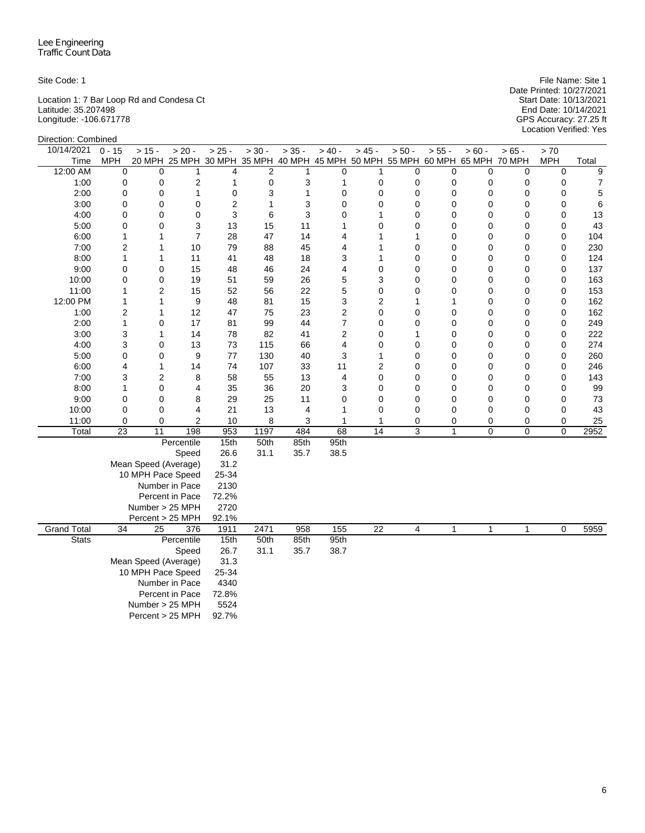Direction: Combined

Location 1: 7 Bar Loop Rd and Condesa Ct Start Date: 10/13/2021 Latitude: 35.207498 End Date: 10/14/2021 Longitude: -106.671778 GPS Accuracy: 27.25 ft

Site Code: 1 File Name: Site 1 File Name: Site 1 File Name: Site 1 File Name: Site 1 Date Printed: 10/27/2021 Start Date: 10/13/2021<br>End Date: 10/14/2021<br>GPS Accuracy: 27.25 ft<br>Location Verified: Yes

| <b>DIICONOLI. COLIIDIIIGU</b> |                 |                         |                                                                              |          |                |          |                |                 |              |              |          |          |             |             |
|-------------------------------|-----------------|-------------------------|------------------------------------------------------------------------------|----------|----------------|----------|----------------|-----------------|--------------|--------------|----------|----------|-------------|-------------|
| 10/14/2021                    | $0 - 15$        | $> 15 -$                | $> 20 -$                                                                     | $> 25 -$ | $> 30 -$       | $> 35 -$ | $> 40 -$       | $> 45 -$        | $> 50 -$     | $> 55 -$     | $> 60 -$ | $>65 -$  | $>70$       |             |
| Time                          | <b>MPH</b>      |                         | 20 MPH 25 MPH 30 MPH 35 MPH 40 MPH 45 MPH 50 MPH 55 MPH 60 MPH 65 MPH 70 MPH |          |                |          |                |                 |              |              |          |          | <b>MPH</b>  | Total       |
| 12:00 AM                      | $\mathbf 0$     | $\Omega$                | 1                                                                            | 4        | $\overline{2}$ | 1        | $\Omega$       | 1               | $\Omega$     | $\Omega$     | $\Omega$ | $\Omega$ | $\Omega$    | 9           |
| 1:00                          | 0               | 0                       | 2                                                                            | 1        | 0              | 3        | 1              | 0               | 0            | 0            | 0        | 0        | 0           | 7           |
| 2:00                          | $\mathbf 0$     | 0                       | 1                                                                            | 0        | 3              | 1        | 0              | 0               | 0            | $\mathbf 0$  | 0        | 0        | 0           | $\,$ 5 $\,$ |
| 3:00                          | 0               | $\mathbf 0$             | 0                                                                            | 2        | 1              | 3        | 0              | 0               | 0            | 0            | 0        | 0        | 0           | 6           |
| 4:00                          | 0               | $\mathbf 0$             | 0                                                                            | 3        | 6              | 3        | 0              | 1               | 0            | 0            | 0        | 0        | 0           | 13          |
| 5:00                          | $\mathbf 0$     | $\mathbf 0$             | 3                                                                            | 13       | 15             | 11       | 1              | 0               | $\mathbf 0$  | 0            | 0        | 0        | 0           | 43          |
| 6:00                          | $\mathbf{1}$    | 1                       | $\overline{7}$                                                               | 28       | 47             | 14       | 4              | 1               | $\mathbf{1}$ | 0            | 0        | 0        | 0           | 104         |
| 7:00                          | $\overline{2}$  | 1                       | 10                                                                           | 79       | 88             | 45       | 4              | 1               | $\mathbf 0$  | 0            | $\Omega$ | 0        | 0           | 230         |
| 8:00                          | 1               | 1                       | 11                                                                           | 41       | 48             | 18       | 3              | 1               | $\mathbf 0$  | 0            | 0        | 0        | 0           | 124         |
| 9:00                          | 0               | 0                       | 15                                                                           | 48       | 46             | 24       | 4              | 0               | $\mathbf 0$  | 0            | 0        | 0        | 0           | 137         |
| 10:00                         | 0               | 0                       | 19                                                                           | 51       | 59             | 26       | 5              | 3               | 0            | 0            | $\Omega$ | 0        | 0           | 163         |
| 11:00                         | $\mathbf{1}$    | $\overline{\mathbf{c}}$ | 15                                                                           | 52       | 56             | 22       | 5              | 0               | 0            | 0            | 0        | 0        | 0           | 153         |
| 12:00 PM                      | $\mathbf{1}$    | $\mathbf{1}$            | 9                                                                            | 48       | 81             | 15       | 3              | 2               | $\mathbf{1}$ | 1            | 0        | 0        | 0           | 162         |
| 1:00                          | 2               | $\mathbf{1}$            | 12                                                                           | 47       | 75             | 23       | $\overline{c}$ | 0               | 0            | 0            | 0        | 0        | 0           | 162         |
| 2:00                          | $\mathbf{1}$    | 0                       | 17                                                                           | 81       | 99             | 44       | $\overline{7}$ | 0               | 0            | 0            | 0        | 0        | 0           | 249         |
| 3:00                          | 3               | 1                       | 14                                                                           | 78       | 82             | 41       | $\overline{c}$ | 0               | 1            | 0            | 0        | 0        | 0           | 222         |
| 4:00                          | 3               | 0                       | 13                                                                           | 73       | 115            | 66       | 4              | 0               | 0            | 0            | 0        | 0        | 0           | 274         |
| 5:00                          | 0               | $\mathbf 0$             | 9                                                                            | 77       | 130            | 40       | 3              | 1               | $\mathbf 0$  | 0            | $\Omega$ | 0        | 0           | 260         |
| 6:00                          | 4               | 1                       | 14                                                                           | 74       | 107            | 33       | 11             | $\overline{2}$  | 0            | 0            | 0        | 0        | 0           | 246         |
| 7:00                          | 3               | $\overline{2}$          | 8                                                                            | 58       | 55             | 13       | 4              | $\mathbf 0$     | $\mathbf 0$  | 0            | $\Omega$ | 0        | 0           | 143         |
| 8:00                          | 1               | $\mathbf 0$             | 4                                                                            | 35       | 36             | 20       | 3              | 0               | 0            | 0            | $\Omega$ | 0        | 0           | 99          |
| 9:00                          | 0               | $\mathbf 0$             | 8                                                                            | 29       | 25             | 11       | 0              | 0               | 0            | 0            | 0        | 0        | 0           | 73          |
| 10:00                         | $\mathbf 0$     | $\mathbf 0$             | $\overline{4}$                                                               | 21       | 13             | 4        | 1              | 0               | 0            | 0            | 0        | 0        | 0           | 43          |
| 11:00                         | 0               | $\mathbf 0$             | $\overline{2}$                                                               | 10       | 8              | 3        | 1              | 1               | 0            | 0            | 0        | 0        | 0           | 25          |
| Total                         | $\overline{23}$ | 11                      | 198                                                                          | 953      | 1197           | 484      | 68             | 14              | 3            | $\mathbf{1}$ | 0        | 0        | $\mathbf 0$ | 2952        |
|                               |                 |                         | Percentile                                                                   | 15th     | 50th           | 85th     | 95th           |                 |              |              |          |          |             |             |
|                               |                 |                         | Speed                                                                        | 26.6     | 31.1           | 35.7     | 38.5           |                 |              |              |          |          |             |             |
|                               |                 | Mean Speed (Average)    |                                                                              | 31.2     |                |          |                |                 |              |              |          |          |             |             |
|                               |                 | 10 MPH Pace Speed       |                                                                              | 25-34    |                |          |                |                 |              |              |          |          |             |             |
|                               |                 |                         | Number in Pace                                                               | 2130     |                |          |                |                 |              |              |          |          |             |             |
|                               |                 |                         | Percent in Pace                                                              | 72.2%    |                |          |                |                 |              |              |          |          |             |             |
|                               |                 | Number > 25 MPH         |                                                                              | 2720     |                |          |                |                 |              |              |          |          |             |             |
|                               |                 | Percent > 25 MPH        |                                                                              | 92.1%    |                |          |                |                 |              |              |          |          |             |             |
| <b>Grand Total</b>            | $\overline{34}$ | 25                      | 376                                                                          | 1911     | 2471           | 958      | 155            | $\overline{22}$ | 4            | 1            | 1        | 1        | 0           | 5959        |
| <b>Stats</b>                  |                 |                         | Percentile                                                                   | 15th     | 50th           | 85th     | 95th           |                 |              |              |          |          |             |             |
|                               |                 |                         | Speed                                                                        | 26.7     | 31.1           | 35.7     | 38.7           |                 |              |              |          |          |             |             |
|                               |                 | Mean Speed (Average)    |                                                                              | 31.3     |                |          |                |                 |              |              |          |          |             |             |
|                               |                 | 10 MPH Pace Speed       |                                                                              | 25-34    |                |          |                |                 |              |              |          |          |             |             |
|                               |                 |                         | Number in Pace                                                               | 4340     |                |          |                |                 |              |              |          |          |             |             |
|                               |                 |                         | Percent in Pace                                                              | 72.8%    |                |          |                |                 |              |              |          |          |             |             |
|                               |                 | Number > 25 MPH         |                                                                              | 5524     |                |          |                |                 |              |              |          |          |             |             |
|                               |                 | Percent > 25 MPH        |                                                                              | 92.7%    |                |          |                |                 |              |              |          |          |             |             |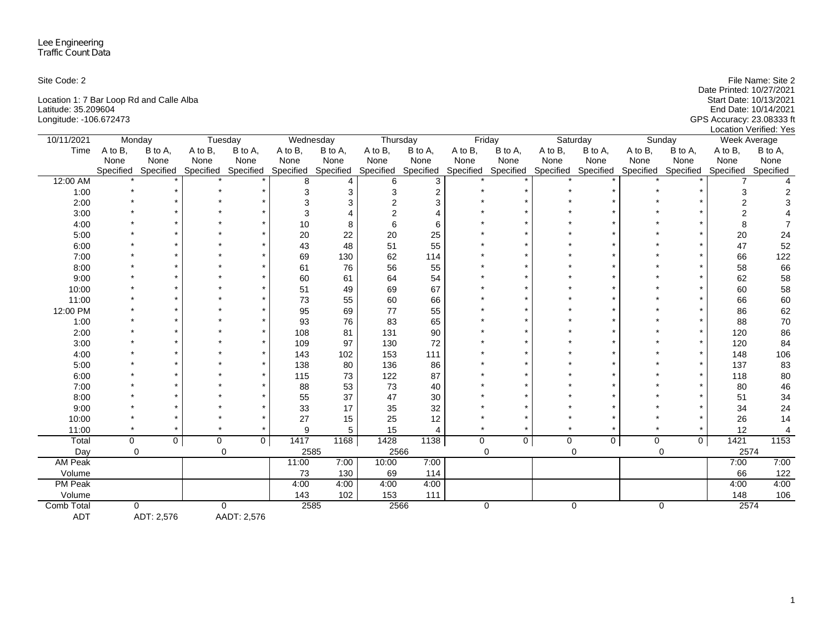| Site Code: 2                             | File Name: Site 2         |
|------------------------------------------|---------------------------|
|                                          | Date Printed: 10/27/2021  |
| Location 1: 7 Bar Loop Rd and Calle Alba | Start Date: 10/13/2021    |
| Latitude: 35.209604                      | End Date: 10/14/2021      |
| Longitude: -106.672473                   | GPS Accuracy: 23.08333 ft |
|                                          | Location Verified: Yes    |

| 10/11/2021     | Monday      |                |             | Tuesday             |           | Wednesday | Thursday  |                | Friday      |                     |           | Saturday  |         | Sunday              | Week Average |                |
|----------------|-------------|----------------|-------------|---------------------|-----------|-----------|-----------|----------------|-------------|---------------------|-----------|-----------|---------|---------------------|--------------|----------------|
| Time           | A to B,     | B to A,        | A to B,     | B to A,             | A to B,   | B to A,   | A to B,   | B to A,        | A to B,     | B to A,             | A to B,   | B to A,   | A to B, | B to A,             | A to B,      | B to A.        |
|                | None        | None           | None        | None                | None      | None      | None      | None           | None        | None                | None      | None      | None    | None                | None         | None           |
|                | Specified   | Specified      |             | Specified Specified | Specified | Specified | Specified | Specified      |             | Specified Specified | Specified | Specified |         | Specified Specified | Specified    | Specified      |
| 12:00 AM       |             |                |             |                     | 8         |           | 6         | 3              |             |                     |           |           |         |                     |              |                |
| 1:00           |             |                |             |                     | 3         | 3         | 3         | $\overline{2}$ |             |                     |           |           |         |                     |              | 2              |
| 2:00           |             |                |             |                     | 3         | 3         |           | 3              |             |                     |           |           |         |                     |              |                |
| 3:00           |             |                |             |                     | 3         |           |           |                |             |                     |           |           |         |                     |              |                |
| 4:00           |             |                |             |                     | 10        | 8         | 6         | 6              |             |                     |           |           |         |                     | 8            |                |
| 5:00           |             |                |             |                     | 20        | 22        | 20        | 25             |             |                     |           |           |         |                     | 20           | 24             |
| 6:00           |             |                |             |                     | 43        | 48        | 51        | 55             |             |                     |           |           |         |                     | 47           | 52             |
| 7:00           |             |                |             |                     | 69        | 130       | 62        | 114            |             |                     |           |           |         |                     | 66           | 122            |
| 8:00           |             |                |             |                     | 61        | 76        | 56        | 55             |             |                     |           |           |         |                     | 58           | 66             |
| 9:00           |             |                |             |                     | 60        | 61        | 64        | 54             |             |                     |           |           |         |                     | 62           | 58             |
| 10:00          |             |                |             |                     | 51        | 49        | 69        | 67             |             |                     |           |           |         |                     | 60           | 58             |
| 11:00          |             |                |             |                     | 73        | 55        | 60        | 66             |             |                     |           |           |         |                     | 66           | 60             |
| 12:00 PM       |             |                |             |                     | 95        | 69        | 77        | 55             |             |                     |           |           |         |                     | 86           | 62             |
| 1:00           |             |                |             |                     | 93        | 76        | 83        | 65             |             |                     |           |           |         |                     | 88           | $70\,$         |
| 2:00           |             |                |             |                     | 108       | 81        | 131       | 90             |             |                     |           |           |         |                     | 120          | 86             |
| 3:00           |             |                |             |                     | 109       | 97        | 130       | 72             |             |                     |           |           |         |                     | 120          | 84             |
| 4:00           |             |                |             |                     | 143       | 102       | 153       | 111            |             |                     |           |           |         |                     | 148          | 106            |
| 5:00           |             |                |             |                     | 138       | 80        | 136       | 86             |             |                     |           |           |         |                     | 137          | 83             |
| 6:00           |             |                |             |                     | 115       | 73        | 122       | 87             |             |                     |           |           |         |                     | 118          | 80             |
| 7:00           |             |                |             |                     | 88        | 53        | 73        | 40             |             |                     |           |           |         |                     | 80           | 46             |
| 8:00           |             |                |             |                     | 55        | 37        | 47        | 30             |             |                     |           |           |         |                     | 51           | 34             |
| 9:00           |             |                |             |                     | 33        | 17        | 35        | 32             |             |                     |           |           |         |                     | 34           | 24             |
| 10:00          |             |                |             |                     | 27        | 15        | 25        | 12             |             |                     |           |           |         |                     | 26           | 14             |
| 11:00          |             |                |             |                     | 9         | 5         | 15        | Δ              |             |                     |           |           |         |                     | 12           | $\overline{4}$ |
| Total          | $\mathbf 0$ | 0 <sup>1</sup> | $\mathbf 0$ | $\overline{0}$      | 1417      | 1168      | 1428      | 1138           | $\mathbf 0$ | 0                   | 0         | 0         | 0       | $\mathbf 0$         | 1421         | 1153           |
| Day            | $\Omega$    |                |             | $\mathbf 0$         |           | 2585      | 2566      |                |             | $\mathbf 0$         |           | $\Omega$  |         | $\mathbf 0$         | 2574         |                |
| <b>AM Peak</b> |             |                |             |                     | 11:00     | 7:00      | 10:00     | 7:00           |             |                     |           |           |         |                     | 7:00         | 7:00           |
| Volume         |             |                |             |                     | 73        | 130       | 69        | 114            |             |                     |           |           |         |                     | 66           | 122            |
| <b>PM Peak</b> |             |                |             |                     | 4:00      | 4:00      | 4:00      | 4:00           |             |                     |           |           |         |                     | 4:00         | 4:00           |
| Volume         |             |                |             |                     | 143       | 102       | 153       | 111            |             |                     |           |           |         |                     | 148          | 106            |
| Comb Total     |             | $\Omega$       |             | $\mathbf 0$         | 2585      |           | 2566      |                |             | $\mathbf 0$         |           | 0         |         | 0                   | 2574         |                |
| <b>ADT</b>     |             | ADT: 2,576     |             | AADT: 2,576         |           |           |           |                |             |                     |           |           |         |                     |              |                |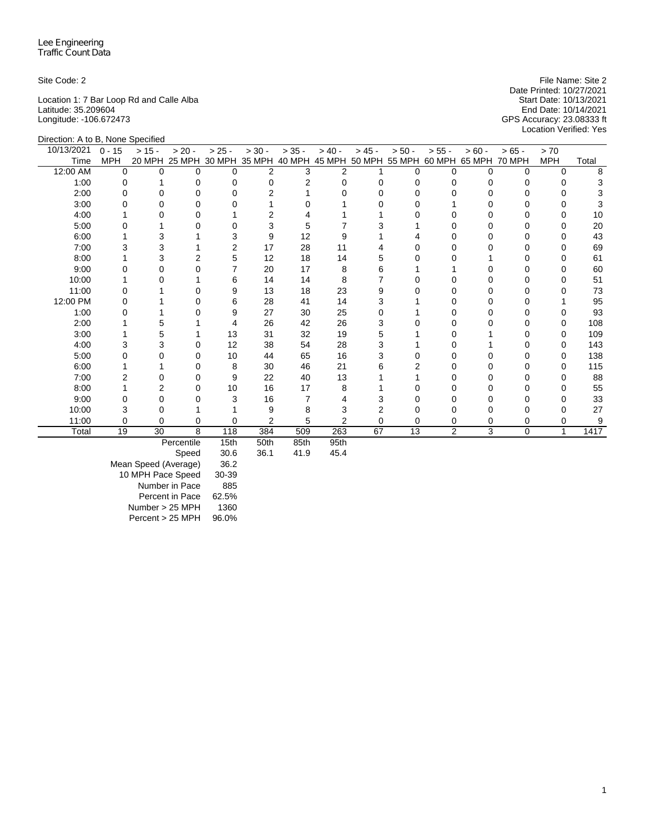Location 1: 7 Bar Loop Rd and Calle Alba Start Date: 10/13/2021 Latitude: 35.209604 End Date: 10/14/2021 Longitude: -106.672473 GPS Accuracy: 23.08333 ft

Site Code: 2 File Name: Site 2 File Name: Site 2 Date Printed: 10/27/2021<br>Start Date: 10/13/2021 Location Verified: Yes

|            | Direction: A to B, None Specified |          |            |          |                             |          |                                    |          |          |                |               |          |            |       |
|------------|-----------------------------------|----------|------------|----------|-----------------------------|----------|------------------------------------|----------|----------|----------------|---------------|----------|------------|-------|
| 10/13/2021 | $0 - 15$                          | $> 15 -$ | $> 20 -$   | $> 25 -$ | $> 30 -$                    | $> 35 -$ | $> 40 -$                           | $> 45 -$ | $> 50 -$ | $> 55 -$       | $> 60 -$      | $>65 -$  | > 70       |       |
| Time       | <b>MPH</b>                        |          |            |          | 20 MPH 25 MPH 30 MPH 35 MPH |          | 40 MPH 45 MPH 50 MPH 55 MPH 60 MPH |          |          |                | 65 MPH 70 MPH |          | <b>MPH</b> | Total |
| 12:00 AM   | $\Omega$                          | $\Omega$ | $\Omega$   | $\Omega$ | 2                           | 3        | $\overline{2}$                     |          | 0        | $\Omega$       | $\Omega$      | $\Omega$ | $\Omega$   | 8     |
| 1:00       | 0                                 |          | $\Omega$   | 0        | $\Omega$                    | 2        | $\Omega$                           | $\Omega$ |          | 0              |               | 0        | 0          |       |
| 2:00       | 0                                 |          | $\Omega$   |          | 2                           |          |                                    | $\Omega$ |          | n              |               | 0        |            |       |
| 3:00       |                                   |          | 0          |          |                             |          |                                    |          |          |                |               |          |            |       |
| 4:00       |                                   |          | O          |          | 2                           |          |                                    |          |          |                |               |          | O          | 10    |
| 5:00       |                                   |          | O          |          | 3                           | 5        |                                    | 3        |          | Ω              |               | 0        | O          | 20    |
| 6:00       |                                   | 3        |            | 3        | 9                           | 12       | 9                                  |          |          |                |               | 0        |            | 43    |
| 7:00       | 3                                 | 3        |            | 2        | 17                          | 28       | 11                                 |          |          | <sup>0</sup>   |               | 0        | O          | 69    |
| 8:00       |                                   | 3        | 2          | 5        | 12                          | 18       | 14                                 | 5        |          |                |               | 0        | $\Omega$   | 61    |
| 9:00       |                                   |          | $\Omega$   | 7        | 20                          | 17       | 8                                  | 6        |          |                |               |          | O          | 60    |
| 10:00      |                                   |          |            | 6        | 14                          | 14       | 8                                  |          |          |                |               | 0        | O          | 51    |
| 11:00      |                                   |          | O          | 9        | 13                          | 18       | 23                                 | 9        |          | Ω              |               |          |            | 73    |
| 12:00 PM   |                                   |          | O          | 6        | 28                          | 41       | 14                                 | 3        |          | Ω              |               |          |            | 95    |
| 1:00       |                                   |          | 0          | 9        | 27                          | 30       | 25                                 | $\Omega$ |          |                |               | 0        |            | 93    |
| 2:00       |                                   | 5        |            | 4        | 26                          | 42       | 26                                 | 3        |          | 0              |               | 0        | 0          | 108   |
| 3:00       |                                   | 5        |            | 13       | 31                          | 32       | 19                                 | 5        |          |                |               |          | 0          | 109   |
| 4:00       | 3                                 | 3        | 0          | 12       | 38                          | 54       | 28                                 | 3        |          |                |               |          | O          | 143   |
| 5:00       | 0                                 | 0        | $\Omega$   | 10       | 44                          | 65       | 16                                 | 3        |          | 0              |               | 0        | 0          | 138   |
| 6:00       |                                   |          | 0          | 8        | 30                          | 46       | 21                                 | 6        |          | Ω              |               | 0        | 0          | 115   |
| 7:00       |                                   | O        | 0          | 9        | 22                          | 40       | 13                                 |          |          | n              |               | 0        | O          | 88    |
| 8:00       |                                   | 2        | $\Omega$   | 10       | 16                          | 17       | 8                                  |          |          |                |               | 0        | 0          | 55    |
| 9:00       | ი                                 | 0        | O          | 3        | 16                          | 7        | 4                                  | 3        |          | n              |               | 0        | ∩          | 33    |
| 10:00      | 3                                 | 0        |            |          | 9                           | 8        | 3                                  |          |          |                |               | 0        |            | 27    |
| 11:00      | 0                                 | $\Omega$ | 0          | 0        | $\overline{2}$              | 5        | $\overline{2}$                     | $\Omega$ | 0        | 0              | 0             | 0        | 0          | 9     |
| Total      | 19                                | 30       | 8          | 118      | 384                         | 509      | 263                                | 67       | 13       | $\overline{c}$ | 3             | $\Omega$ | 1          | 1417  |
|            |                                   |          | Percentile | 15th     | 50th                        | 85th     | 95th                               |          |          |                |               |          |            |       |

Speed 30.6 36.1 41.9 45.4

Mean Speed (Average) 36.2 10 MPH Pace Speed 30-39 Number in Pace 885 Percent in Pace 62.5% Number > 25 MPH 1360<br>Percent > 25 MPH 96.0%  $Percent > 25 MPH$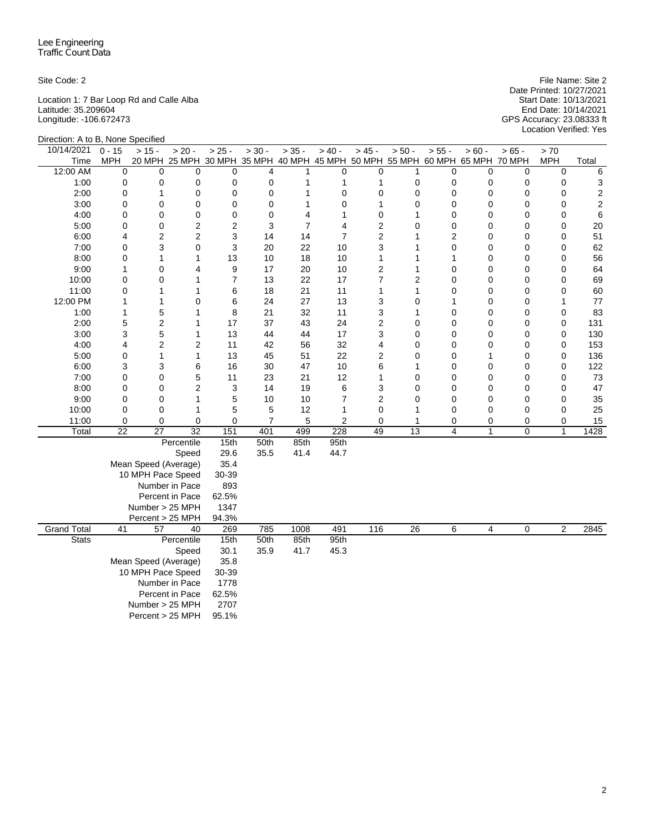Location 1: 7 Bar Loop Rd and Calle Alba Start Date: 10/13/2021 Latitude: 35.209604 End Date: 10/14/2021 Longitude: -106.672473 GPS Accuracy: 23.08333 ft

Site Code: 2 File Name: Site 2 Date Printed: 10/27/2021 Location Verified: Yes

| Direction: A to B, None Specified |              |                      |                                                                              |                |                |                |                |                         |                 |                |                |                  |                             |                         |
|-----------------------------------|--------------|----------------------|------------------------------------------------------------------------------|----------------|----------------|----------------|----------------|-------------------------|-----------------|----------------|----------------|------------------|-----------------------------|-------------------------|
| 10/14/2021                        | $0 - 15$     | $> 15 -$             | $> 20 -$                                                                     | $> 25 -$       | $> 30 -$       | $> 35 -$       | $> 40 -$       | $> 45 -$                | $> 50 -$        | $> 55 -$       | $> 60 -$       | $> 65 -$         | > 70                        |                         |
| Time                              | MPH          |                      | 20 MPH 25 MPH 30 MPH 35 MPH 40 MPH 45 MPH 50 MPH 55 MPH 60 MPH 65 MPH 70 MPH |                |                |                |                |                         |                 |                |                |                  | <b>MPH</b>                  | Total                   |
| 12:00 AM                          | 0            | $\mathbf 0$          | $\Omega$                                                                     | $\mathbf 0$    | $\overline{4}$ | 1              | 0              | 0                       | 1               | $\mathbf 0$    | 0              | $\mathbf 0$      | $\mathbf 0$                 | 6                       |
| 1:00                              | 0            | 0                    | 0                                                                            | 0              | 0              | 1              | 1              | 1                       | 0               | 0              | 0              | 0                | 0                           | 3                       |
| 2:00                              | 0            | 1                    | 0                                                                            | $\mathbf 0$    | $\mathbf 0$    | 1              | 0              | 0                       | 0               | $\mathbf 0$    | 0              | $\mathbf 0$      | $\mathbf 0$                 | $\sqrt{2}$              |
| 3:00                              | 0            | 0                    | 0                                                                            | 0              | $\mathbf 0$    | 1              | 0              | 1                       | 0               | 0              | 0              | 0                | 0                           | $\overline{\mathbf{c}}$ |
| 4:00                              | 0            | 0                    | 0                                                                            | $\mathbf 0$    | 0              | 4              | 1              | 0                       | 1               | 0              | 0              | 0                | 0                           | 6                       |
| 5:00                              | 0            | 0                    | $\overline{2}$                                                               | $\overline{2}$ | 3              | $\overline{7}$ | 4              | 2                       | 0               | 0              | 0              | 0                | $\mathbf 0$                 | 20                      |
| 6:00                              | 4            | 2                    | $\overline{2}$                                                               | 3              | 14             | 14             | $\overline{7}$ | $\overline{c}$          | 1               | $\overline{c}$ | 0              | $\mathbf 0$      | $\mathbf 0$                 | 51                      |
| 7:00                              | 0            | 3                    | 0                                                                            | 3              | 20             | 22             | 10             | 3                       | 1               | 0              | 0              | 0                | $\mathbf 0$                 | 62                      |
| 8:00                              | 0            | 1                    | 1                                                                            | 13             | 10             | 18             | 10             | 1                       | $\mathbf{1}$    | 1              | 0              | $\mathbf 0$      | $\mathbf 0$                 | 56                      |
| 9:00                              | $\mathbf{1}$ | 0                    | 4                                                                            | 9              | 17             | 20             | 10             | $\overline{\mathbf{c}}$ | 1               | 0              | 0              | $\mathbf 0$      | $\mathbf 0$                 | 64                      |
| 10:00                             | 0            | 0                    | 1                                                                            | $\overline{7}$ | 13             | 22<br>21       | 17             | 7                       | $\overline{c}$  | 0              | 0              | $\mathbf 0$      | $\mathbf 0$                 | 69                      |
| 11:00                             | 0<br>1       | 1<br>1               | $\mathbf{1}$<br>0                                                            | 6<br>6         | 18<br>24       | 27             | 11<br>13       | 1<br>3                  | 1<br>0          | 0<br>1         | 0<br>0         | 0<br>$\mathbf 0$ | $\mathbf 0$<br>$\mathbf{1}$ | 60<br>77                |
| 12:00 PM                          | 1            |                      | 1                                                                            |                | 21             | 32             | 11             |                         | 1               | 0              | 0              | $\mathbf 0$      | $\mathbf 0$                 | 83                      |
| 1:00<br>2:00                      | 5            | 5<br>2               | 1                                                                            | 8<br>17        | 37             | 43             | 24             | 3<br>$\overline{c}$     | 0               | 0              | 0              | 0                | $\mathbf 0$                 | 131                     |
| 3:00                              | 3            | 5                    | $\mathbf{1}$                                                                 | 13             | 44             | 44             | 17             | 3                       | 0               | $\mathbf 0$    | 0              | $\mathbf 0$      | $\mathbf 0$                 | 130                     |
| 4:00                              | 4            | 2                    | $\overline{2}$                                                               | 11             | 42             | 56             | 32             | 4                       | 0               | 0              | 0              | $\mathbf 0$      | $\mathbf 0$                 | 153                     |
| 5:00                              | 0            | 1                    | $\mathbf{1}$                                                                 | 13             | 45             | 51             | 22             | 2                       | 0               | 0              | $\mathbf{1}$   | 0                | $\mathbf 0$                 | 136                     |
| 6:00                              | 3            | 3                    | 6                                                                            | 16             | 30             | 47             | 10             | 6                       | 1               | 0              | 0              | $\mathbf 0$      | $\mathbf 0$                 | 122                     |
| 7:00                              | 0            | 0                    | 5                                                                            | 11             | 23             | 21             | 12             | 1                       | 0               | 0              | 0              | $\mathbf 0$      | $\mathbf 0$                 | 73                      |
| 8:00                              | 0            | 0                    | $\overline{2}$                                                               | 3              | 14             | 19             | 6              | 3                       | 0               | 0              | 0              | 0                | 0                           | 47                      |
| 9:00                              | 0            | 0                    | $\mathbf{1}$                                                                 | 5              | 10             | 10             | $\overline{7}$ | 2                       | 0               | 0              | 0              | $\mathbf 0$      | 0                           | 35                      |
| 10:00                             | 0            | 0                    | $\mathbf{1}$                                                                 | 5              | 5              | 12             | 1              | 0                       | 1               | $\mathbf 0$    | 0              | 0                | $\mathbf 0$                 | 25                      |
| 11:00                             | 0            | $\mathbf 0$          | 0                                                                            | $\mathbf 0$    | $\overline{7}$ | 5              | 2              | 0                       | 1               | 0              | 0              | 0                | $\mathbf 0$                 | 15                      |
| Total                             | 22           | 27                   | 32                                                                           | 151            | 401            | 499            | 228            | 49                      | 13              | 4              | $\mathbf{1}$   | $\mathbf 0$      | $\mathbf{1}$                | 1428                    |
|                                   |              |                      | Percentile                                                                   | 15th           | 50th           | 85th           | 95th           |                         |                 |                |                |                  |                             |                         |
|                                   |              |                      | Speed                                                                        | 29.6           | 35.5           | 41.4           | 44.7           |                         |                 |                |                |                  |                             |                         |
|                                   |              | Mean Speed (Average) |                                                                              | 35.4           |                |                |                |                         |                 |                |                |                  |                             |                         |
|                                   |              | 10 MPH Pace Speed    |                                                                              | 30-39          |                |                |                |                         |                 |                |                |                  |                             |                         |
|                                   |              |                      | Number in Pace                                                               | 893            |                |                |                |                         |                 |                |                |                  |                             |                         |
|                                   |              |                      | Percent in Pace                                                              | 62.5%          |                |                |                |                         |                 |                |                |                  |                             |                         |
|                                   |              | Number > 25 MPH      |                                                                              | 1347           |                |                |                |                         |                 |                |                |                  |                             |                         |
|                                   |              | Percent > 25 MPH     |                                                                              | 94.3%          |                |                |                |                         |                 |                |                |                  |                             |                         |
| <b>Grand Total</b>                | 41           | 57                   | 40                                                                           | 269            | 785            | 1008           | 491            | 116                     | $\overline{26}$ | 6              | $\overline{4}$ | 0                | 2                           | 2845                    |
| <b>Stats</b>                      |              |                      | Percentile                                                                   | 15th           | 50th           | 85th           | 95th           |                         |                 |                |                |                  |                             |                         |
|                                   |              |                      | Speed                                                                        | 30.1           | 35.9           | 41.7           | 45.3           |                         |                 |                |                |                  |                             |                         |
|                                   |              | Mean Speed (Average) |                                                                              | 35.8           |                |                |                |                         |                 |                |                |                  |                             |                         |
|                                   |              | 10 MPH Pace Speed    |                                                                              | 30-39          |                |                |                |                         |                 |                |                |                  |                             |                         |
|                                   |              |                      | Number in Pace                                                               | 1778           |                |                |                |                         |                 |                |                |                  |                             |                         |
|                                   |              |                      | Percent in Pace                                                              | 62.5%          |                |                |                |                         |                 |                |                |                  |                             |                         |
|                                   |              | Number > 25 MPH      |                                                                              | 2707           |                |                |                |                         |                 |                |                |                  |                             |                         |
|                                   |              | Percent > 25 MPH     |                                                                              | 95.1%          |                |                |                |                         |                 |                |                |                  |                             |                         |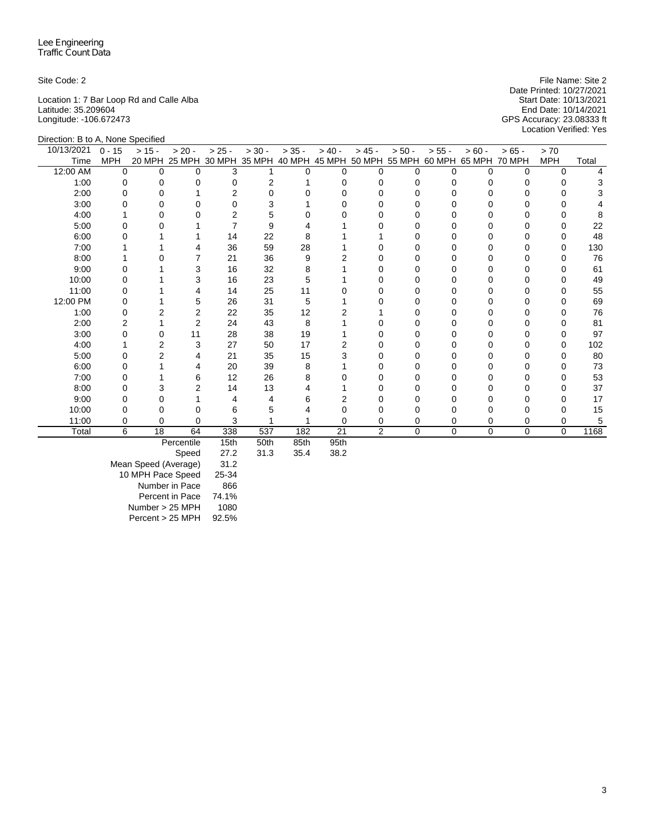Location 1: 7 Bar Loop Rd and Calle Alba Start Date: 10/13/2021 Latitude: 35.209604 End Date: 10/14/2021 Longitude: -106.672473 GPS Accuracy: 23.08333 ft

Site Code: 2 File Name: Site 2 File Name: Site 2 Date Printed: 10/27/2021<br>Start Date: 10/13/2021 Location Verified: Yes

| Direction: B to A, None Specified |            |          |                      |          |          |          |                  |          |                                    |          |             |               |              |       |
|-----------------------------------|------------|----------|----------------------|----------|----------|----------|------------------|----------|------------------------------------|----------|-------------|---------------|--------------|-------|
| 10/13/2021                        | $0 - 15$   | $> 15 -$ | $> 20 -$             | $> 25 -$ | $> 30 -$ | $> 35 -$ | $> 40 -$         | $> 45 -$ | $> 50 -$                           | $> 55 -$ | $> 60 -$    | $> 65 -$      | > 70         |       |
| Time                              | <b>MPH</b> |          | 20 MPH 25 MPH 30 MPH |          | 35 MPH   |          |                  |          | 40 MPH 45 MPH 50 MPH 55 MPH 60 MPH |          | 65 MPH      | <b>70 MPH</b> | <b>MPH</b>   | Total |
| 12:00 AM                          | $\Omega$   | $\Omega$ | $\Omega$             | 3        |          | $\Omega$ | $\Omega$         | $\Omega$ | U                                  | O        | $\Omega$    | $\Omega$      | $\Omega$     |       |
| 1:00                              | $\Omega$   |          | 0                    | U        | 2        |          | n                | 0        |                                    | 0        |             | U             |              |       |
| 2:00                              | O          |          |                      |          |          |          |                  |          |                                    |          |             |               |              |       |
| 3:00                              |            |          | 0                    |          | 3        |          |                  | O        |                                    |          |             |               |              |       |
| 4:00                              |            |          | O                    | 2        | 5        |          |                  |          |                                    |          |             |               |              |       |
| 5:00                              |            |          |                      |          | 9        |          |                  |          |                                    | n        |             |               |              | 22    |
| 6:00                              |            |          |                      | 14       | 22       | 8        |                  |          |                                    |          |             |               |              | 48    |
| 7:00                              |            |          |                      | 36       | 59       | 28       |                  |          |                                    | ი        |             |               |              | 130   |
| 8:00                              |            |          |                      | 21       | 36       | 9        |                  |          |                                    | U        |             |               |              | 76    |
| 9:00                              |            |          | 3                    | 16       | 32       | 8        |                  | O        |                                    |          |             |               |              | 61    |
| 10:00                             | O          |          | 3                    | 16       | 23       | 5        |                  | ი        |                                    | U        | O           | U             | O            | 49    |
| 11:00                             |            |          |                      | 14       | 25       | 11       |                  |          |                                    |          |             |               |              | 55    |
| 12:00 PM                          |            |          | 5                    | 26       | 31       | 5        |                  |          |                                    |          |             |               |              | 69    |
| 1:00                              | O          |          | 2                    | 22       | 35       | 12       |                  |          |                                    | U        | O           | U             | <sup>0</sup> | 76    |
| 2:00                              |            |          | $\overline{2}$       | 24       | 43       | 8        |                  |          |                                    | ი        |             |               |              | 81    |
| 3:00                              | O          | U        | 11                   | 28       | 38       | 19       |                  |          |                                    | n        |             |               |              | 97    |
| 4:00                              |            | 2        | 3                    | 27       | 50       | 17       |                  |          |                                    |          |             |               |              | 102   |
| 5:00                              |            |          | 4                    | 21       | 35       | 15       |                  |          |                                    |          |             |               |              | 80    |
| 6:00                              |            |          | 4                    | 20       | 39       | 8        |                  |          |                                    | Ω        |             |               |              | 73    |
| 7:00                              |            |          | 6                    | 12       | 26       | 8        |                  |          |                                    |          |             |               |              | 53    |
| 8:00                              | O          |          | $\overline{2}$       | 14       | 13       |          |                  | O        |                                    | U        | O           |               | U            | 37    |
| 9:00                              |            |          |                      |          |          | 6        |                  |          |                                    |          |             |               |              | 17    |
| 10:00                             |            |          | O                    | 6        |          |          |                  |          |                                    |          |             |               |              | 15    |
| 11:00                             | 0          | 0        | $\Omega$             | 3        |          |          | 0                | 0        |                                    | 0        | 0           | 0             | 0            | 5     |
| Total                             | 6          | 18       | 64                   | 338      | 537      | 182      | 21               | 2        | 0                                  | $\Omega$ | $\mathbf 0$ | 0             | $\Omega$     | 1168  |
|                                   |            |          | Percentile           | 15th     | 50th     | 85th     | Q <sub>5th</sub> |          |                                    |          |             |               |              |       |

Percentile 15th 50th 85th 95th

Speed

Mean Speed (Average) 31.2 10 MPH Pace Speed 25-34 Number in Pace 866 Percent in Pace 74.1% Number > 25 MPH 1080 Percent > 25 MPH 92.5%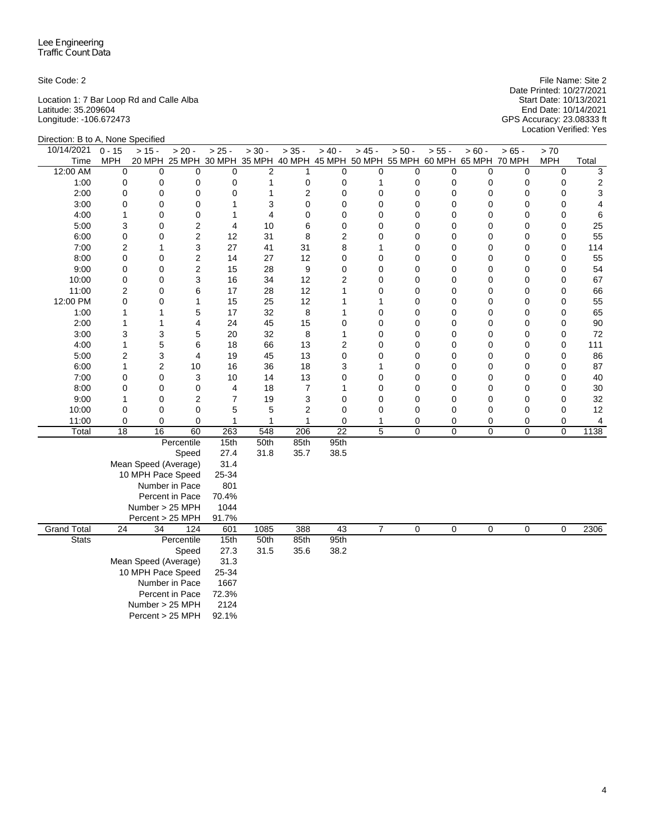Location 1: 7 Bar Loop Rd and Calle Alba Start Date: 10/13/2021 Latitude: 35.209604 End Date: 10/14/2021 Longitude: -106.672473 GPS Accuracy: 23.08333 ft

Site Code: 2 File Name: Site 2 Date Printed: 10/27/2021 Start Date: 10/13/2021<br>
Start Date: 10/14/2021<br>
End Date: 10/14/2021<br>
GPS Accuracy: 23.08333 ft<br>
Location Verified: Yes

| Direction: B to A, None Specified |                     |                      |                                                                              |                |                |                  |             |                |          |             |             |                  |                            |          |
|-----------------------------------|---------------------|----------------------|------------------------------------------------------------------------------|----------------|----------------|------------------|-------------|----------------|----------|-------------|-------------|------------------|----------------------------|----------|
| 10/14/2021                        | $0 - 15$            | $> 15 -$             | $> 20 -$                                                                     | $> 25 -$       | $> 30 -$       | $> 35 -$         | $> 40 -$    | $> 45 -$       | $> 50 -$ | $> 55 -$    | $> 60 -$    | $> 65 -$         | > 70                       |          |
| Time                              | MPH                 |                      | 20 MPH 25 MPH 30 MPH 35 MPH 40 MPH 45 MPH 50 MPH 55 MPH 60 MPH 65 MPH 70 MPH |                |                |                  |             |                |          |             |             |                  | <b>MPH</b>                 | Total    |
| 12:00 AM                          | 0                   | $\mathbf 0$          | $\Omega$                                                                     | 0              | $\overline{2}$ | 1                | 0           | 0              | 0        | $\mathbf 0$ | 0           | $\mathbf 0$      | $\mathbf 0$                | 3        |
| 1:00                              | 0                   | 0                    | 0                                                                            | $\pmb{0}$      | $\mathbf{1}$   | $\pmb{0}$        | 0           | 1              | 0        | 0           | 0           | 0                | 0                          | 2        |
| 2:00                              | 0                   | 0                    | 0                                                                            | 0              | $\mathbf{1}$   | $\overline{2}$   | $\mathbf 0$ | 0              | 0        | 0           | 0           | $\mathbf 0$      | $\mathbf 0$                | 3        |
| 3:00                              | 0                   | 0                    | 0                                                                            | 1              | 3              | 0                | 0           | 0              | 0        | 0           | 0           | 0                | 0                          | 4        |
| 4:00                              | 1                   | 0                    | 0                                                                            | 1              | $\overline{4}$ | $\Omega$         | 0           | $\Omega$       | 0        | 0           | 0           | 0                | 0                          | 6        |
| 5:00                              | 3                   | 0                    | $\overline{2}$                                                               | $\overline{4}$ | 10             | 6                | 0           | 0              | 0        | $\mathbf 0$ | 0           | 0                | $\mathbf 0$                | 25       |
| 6:00                              | 0                   | 0                    | $\overline{c}$                                                               | 12             | 31             | 8                | 2           | 0              | 0        | 0           | 0           | $\mathbf 0$      | $\mathbf 0$                | 55       |
| 7:00                              | $\overline{c}$      | 1                    | 3                                                                            | 27             | 41             | 31               | 8           | 1              | 0        | 0           | 0           | 0                | $\mathbf 0$                | 114      |
| 8:00                              | 0                   | 0                    | $\overline{c}$                                                               | 14             | 27             | 12               | 0           | 0              | 0        | $\mathbf 0$ | 0           | $\mathbf 0$      | $\mathbf 0$                | 55       |
| 9:00                              | $\mathsf 0$         | 0                    | $\overline{c}$                                                               | 15             | 28             | 9                | 0           | $\overline{0}$ | 0        | 0           | 0           | $\mathbf 0$      | 0                          | 54       |
| 10:00                             | 0                   | 0                    | 3                                                                            | 16             | 34             | 12               | 2           | $\overline{0}$ | 0        | 0           | 0           | $\mathbf 0$      | $\mathbf 0$                | 67       |
| 11:00                             | $\overline{c}$<br>0 | 0<br>0               | 6<br>$\mathbf{1}$                                                            | 17<br>15       | 28<br>25       | 12<br>12         | 1<br>1      | 0<br>1         | 0<br>0   | 0<br>0      | 0<br>0      | 0<br>$\mathbf 0$ | $\mathbf 0$<br>$\mathbf 0$ | 66       |
| 12:00 PM                          | 1                   |                      | 5                                                                            | 17             | 32             | 8                | 1           | 0              | 0        | 0           | 0           | $\mathbf 0$      | 0                          | 55       |
| 1:00<br>2:00                      | 1                   | 1<br>1               | 4                                                                            | 24             | 45             | 15               | 0           | 0              | 0        | 0           | 0           | 0                | $\mathbf 0$                | 65<br>90 |
| 3:00                              | 3                   | 3                    | 5                                                                            | 20             | 32             | 8                | 1           | 0              | 0        | $\mathbf 0$ | 0           | 0                | $\mathbf 0$                | 72       |
| 4:00                              | 1                   | 5                    | 6                                                                            | 18             | 66             | 13               | 2           | 0              | 0        | 0           | 0           | 0                | 0                          | 111      |
| 5:00                              | $\overline{c}$      | 3                    | 4                                                                            | 19             | 45             | 13               | 0           | $\overline{0}$ | 0        | 0           | 0           | 0                | $\mathbf 0$                | 86       |
| 6:00                              | $\mathbf{1}$        | $\overline{c}$       | 10                                                                           | 16             | 36             | 18               | 3           | 1              | 0        | 0           | 0           | $\mathbf 0$      | $\mathbf 0$                | 87       |
| 7:00                              | 0                   | 0                    | 3                                                                            | 10             | 14             | 13               | 0           | 0              | 0        | 0           | 0           | $\mathbf 0$      | 0                          | 40       |
| 8:00                              | 0                   | 0                    | 0                                                                            | 4              | 18             | $\boldsymbol{7}$ | 1           | 0              | 0        | 0           | 0           | 0                | $\mathbf 0$                | 30       |
| 9:00                              | 1                   | 0                    | $\overline{2}$                                                               | $\overline{7}$ | 19             | 3                | 0           | 0              | 0        | 0           | 0           | $\mathbf 0$      | 0                          | 32       |
| 10:00                             | 0                   | 0                    | 0                                                                            | 5              | 5              | $\overline{2}$   | $\mathbf 0$ | $\Omega$       | 0        | $\mathbf 0$ | 0           | 0                | $\mathbf 0$                | 12       |
| 11:00                             | 0                   | $\mathbf 0$          | 0                                                                            | 1              | $\mathbf 1$    | 1                | 0           | 1              | 0        | 0           | 0           | 0                | $\mathbf 0$                | 4        |
| Total                             | 18                  | 16                   | 60                                                                           | 263            | 548            | 206              | 22          | 5              | 0        | 0           | 0           | $\mathbf 0$      | 0                          | 1138     |
|                                   |                     |                      | Percentile                                                                   | 15th           | 50th           | 85th             | 95th        |                |          |             |             |                  |                            |          |
|                                   |                     |                      | Speed                                                                        | 27.4           | 31.8           | 35.7             | 38.5        |                |          |             |             |                  |                            |          |
|                                   |                     | Mean Speed (Average) |                                                                              | 31.4           |                |                  |             |                |          |             |             |                  |                            |          |
|                                   |                     | 10 MPH Pace Speed    |                                                                              | 25-34          |                |                  |             |                |          |             |             |                  |                            |          |
|                                   |                     |                      | Number in Pace                                                               | 801            |                |                  |             |                |          |             |             |                  |                            |          |
|                                   |                     |                      | Percent in Pace                                                              | 70.4%          |                |                  |             |                |          |             |             |                  |                            |          |
|                                   |                     | Number > 25 MPH      |                                                                              | 1044           |                |                  |             |                |          |             |             |                  |                            |          |
|                                   |                     | Percent > 25 MPH     |                                                                              | 91.7%          |                |                  |             |                |          |             |             |                  |                            |          |
| <b>Grand Total</b>                | $\overline{24}$     | 34                   | 124                                                                          | 601            | 1085           | 388              | 43          | $\overline{7}$ | 0        | $\mathbf 0$ | $\mathbf 0$ | 0                | $\mathbf 0$                | 2306     |
| <b>Stats</b>                      |                     |                      | Percentile                                                                   | 15th           | 50th           | 85th             | 95th        |                |          |             |             |                  |                            |          |
|                                   |                     |                      | Speed                                                                        | 27.3           | 31.5           | 35.6             | 38.2        |                |          |             |             |                  |                            |          |
|                                   |                     | Mean Speed (Average) |                                                                              | 31.3           |                |                  |             |                |          |             |             |                  |                            |          |
|                                   |                     | 10 MPH Pace Speed    |                                                                              | 25-34          |                |                  |             |                |          |             |             |                  |                            |          |
|                                   |                     |                      | Number in Pace                                                               | 1667           |                |                  |             |                |          |             |             |                  |                            |          |
|                                   |                     |                      | Percent in Pace                                                              | 72.3%          |                |                  |             |                |          |             |             |                  |                            |          |
|                                   |                     | Number > 25 MPH      |                                                                              | 2124           |                |                  |             |                |          |             |             |                  |                            |          |
|                                   |                     | Percent > 25 MPH     |                                                                              | 92.1%          |                |                  |             |                |          |             |             |                  |                            |          |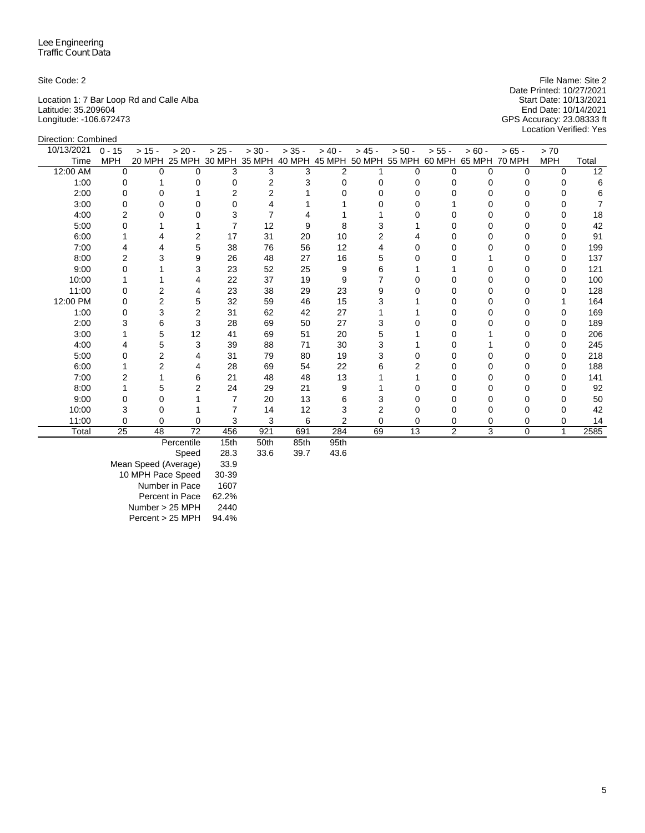Direction: Combined

Location 1: 7 Bar Loop Rd and Calle Alba Start Date: 10/13/2021 Latitude: 35.209604 End Date: 10/14/2021 Longitude: -106.672473 GPS Accuracy: 23.08333 ft

Site Code: 2 File Name: Site 2 File Name: Site 2 Date Printed: 10/27/2021<br>Start Date: 10/13/2021 Location Verified: Yes

| 10/13/2021 | $0 - 15$    | $> 15 -$ | $> 20 -$       | $> 25 -$ | $> 30 -$ | $> 35 -$ | $> 40 -$       | $> 45 -$ | $> 50 -$ | $> 55 -$       | $> 60 -$                                                              | $> 65 -$      | > 70       |       |
|------------|-------------|----------|----------------|----------|----------|----------|----------------|----------|----------|----------------|-----------------------------------------------------------------------|---------------|------------|-------|
| Time       | <b>MPH</b>  |          |                |          |          |          |                |          |          |                | 20 MPH 25 MPH 30 MPH 35 MPH 40 MPH 45 MPH 50 MPH 55 MPH 60 MPH 65 MPH | <b>70 MPH</b> | <b>MPH</b> | Total |
| 12:00 AM   | $\mathbf 0$ | U        | U              | 3        | 3        | 3        | $\overline{2}$ |          | 0        | 0              | 0                                                                     | $\Omega$      | $\Omega$   | 12    |
| 1:00       | 0           |          |                |          | 2        | 3        |                | O        |          |                | U                                                                     |               |            | 6     |
| 2:00       | 0           |          |                |          |          |          |                |          |          |                | ი                                                                     |               |            | 6     |
| 3:00       | 0           |          |                | Ω        |          |          |                |          |          |                |                                                                       |               |            |       |
| 4:00       |             |          |                | 3        |          |          |                |          |          |                |                                                                       |               |            | 18    |
| 5:00       | O           |          |                |          | 12       | я        |                |          |          |                |                                                                       |               |            | 42    |
| 6:00       |             |          | 2              | 17       | 31       | 20       | 10             | 2        |          |                | U                                                                     |               |            | 91    |
| 7:00       |             |          | 5              | 38       | 76       | 56       | 12             |          |          |                |                                                                       |               |            | 199   |
| 8:00       |             |          | 9              | 26       | 48       | 27       | 16             | 5        |          |                |                                                                       |               |            | 137   |
| 9:00       |             |          | 3              | 23       | 52       | 25       | 9              | 6        |          |                |                                                                       |               | O          | 121   |
| 10:00      |             |          |                | 22       | 37       | 19       | 9              |          |          |                |                                                                       |               |            | 100   |
| 11:00      | 0           |          |                | 23       | 38       | 29       | 23             | 9        |          |                |                                                                       |               |            | 128   |
| 12:00 PM   | 0           |          | 5              | 32       | 59       | 46       | 15             | 3        |          |                | U                                                                     |               |            | 164   |
| 1:00       | 0           |          | 2              | 31       | 62       | 42       | 27             |          |          |                |                                                                       |               |            | 169   |
| 2:00       |             | 6        | 3              | 28       | 69       | 50       | 27             | 3        |          |                |                                                                       |               |            | 189   |
| 3:00       |             | 5        | 12             | 41       | 69       | 51       | 20             | 5        |          |                |                                                                       |               |            | 206   |
| 4:00       |             |          | 3              | 39       | 88       | 71       | 30             | 3        |          |                |                                                                       |               |            | 245   |
| 5:00       |             |          |                | 31       | 79       | 80       | 19             | 3        |          |                |                                                                       |               |            | 218   |
| 6:00       |             |          |                | 28       | 69       | 54       | 22             | 6        |          |                |                                                                       |               |            | 188   |
| 7:00       |             |          | 6              | 21       | 48       | 48       | 13             |          |          |                |                                                                       |               | O          | 141   |
| 8:00       |             |          | $\overline{2}$ | 24       | 29       | 21       | 9              |          |          |                |                                                                       |               |            | 92    |
| 9:00       |             |          |                | 7        | 20       | 13       |                |          |          |                |                                                                       |               |            | 50    |
| 10:00      | 3           |          |                |          | 14       | 12       |                |          |          |                | ი                                                                     |               |            | 42    |
| 11:00      | 0           | 0        | 0              | 3        | 3        | 6        |                | 0        |          | 0              | 0                                                                     | 0             | 0          | 14    |
| Total      | 25          | 48       | 72             | 456      | 921      | 691      | 284            | 69       | 13       | $\overline{2}$ | 3                                                                     | 0             | 1          | 2585  |
|            |             |          | Percentile     | 15th     | 50th     | 85th     | 95th           |          |          |                |                                                                       |               |            |       |

Percentile 15th 50th 85th 95th

Speed

Mean Speed (Average) 33.9 10 MPH Pace Speed 30-39 Number in Pace 1607 Percent in Pace 62.2% Number > 25 MPH 2440 Percent > 25 MPH 94.4%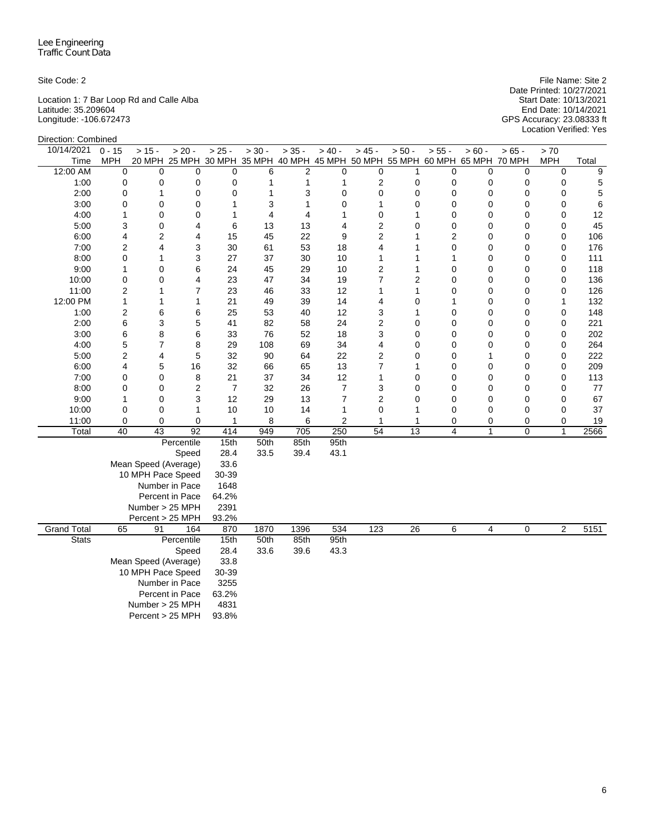Location 1: 7 Bar Loop Rd and Calle Alba Start Date: 10/13/2021 Latitude: 35.209604 End Date: 10/14/2021 Longitude: -106.672473 GPS Accuracy: 23.08333 ft

Site Code: 2 File Name: Site 2 Date Printed: 10/27/2021 Location Verified: Yes

| Direction: Combined |                  |                      |                 |                |          |                |                |                 |                 |                |                                                                              |          |              |             |
|---------------------|------------------|----------------------|-----------------|----------------|----------|----------------|----------------|-----------------|-----------------|----------------|------------------------------------------------------------------------------|----------|--------------|-------------|
| 10/14/2021          | $0 - 15$         | $> 15 -$             | $> 20 -$        | $> 25 -$       | $> 30 -$ | $> 35 -$       | $> 40 -$       | $> 45 -$        | $> 50 -$        | $> 55 -$       | $> 60 -$                                                                     | $> 65 -$ | $>70$        |             |
| Time                | <b>MPH</b>       |                      |                 |                |          |                |                |                 |                 |                | 20 MPH 25 MPH 30 MPH 35 MPH 40 MPH 45 MPH 50 MPH 55 MPH 60 MPH 65 MPH 70 MPH |          | <b>MPH</b>   | Total       |
| 12:00 AM            | $\boldsymbol{0}$ | 0                    | 0               | $\mathbf 0$    | 6        | $\overline{2}$ | 0              | 0               | 1               | $\mathbf 0$    | 0                                                                            | 0        | 0            | 9           |
| 1:00                | $\mathbf 0$      | 0                    | 0               | $\mathbf 0$    | 1        | $\mathbf{1}$   | $\mathbf{1}$   | $\overline{2}$  | $\mathbf 0$     | $\mathbf 0$    | 0                                                                            | 0        | 0            | 5           |
| 2:00                | 0                | 1                    | 0               | 0              | 1        | 3              | $\mathbf 0$    | $\mathbf 0$     | $\mathbf 0$     | $\mathbf 0$    | 0                                                                            | 0        | $\mathbf 0$  | $\mathbf 5$ |
| 3:00                | 0                | 0                    | 0               | $\mathbf{1}$   | 3        | $\mathbf{1}$   | 0              | 1               | $\mathbf 0$     | $\mathbf 0$    | 0                                                                            | 0        | 0            | $\,6$       |
| 4:00                | 1                | 0                    | $\mathbf 0$     | $\mathbf{1}$   | 4        | 4              | $\mathbf{1}$   | 0               | $\mathbf{1}$    | $\mathbf 0$    | $\mathbf 0$                                                                  | 0        | 0            | 12          |
| 5:00                | 3                | 0                    | 4               | 6              | 13       | 13             | $\overline{4}$ | $\overline{c}$  | $\mathbf 0$     | $\mathbf 0$    | 0                                                                            | 0        | 0            | 45          |
| 6:00                | 4                | $\overline{c}$       | $\overline{4}$  | 15             | 45       | 22             | 9              | $\overline{c}$  | $\mathbf{1}$    | $\overline{c}$ | $\mathbf 0$                                                                  | 0        | 0            | 106         |
| 7:00                | $\overline{2}$   | 4                    | 3               | 30             | 61       | 53             | 18             | 4               | 1               | $\mathbf 0$    | 0                                                                            | 0        | 0            | 176         |
| 8:00                | 0                | 1                    | 3               | 27             | 37       | 30             | 10             | 1               | 1               | 1              | 0                                                                            | 0        | 0            | 111         |
| 9:00                | 1                | 0                    | 6               | 24             | 45       | 29             | 10             | $\overline{2}$  | 1               | $\mathbf 0$    | $\mathbf 0$                                                                  | 0        | 0            | 118         |
| 10:00               | 0                | 0                    | 4               | 23             | 47       | 34             | 19             | $\overline{7}$  | $\overline{2}$  | $\mathbf 0$    | $\Omega$                                                                     | 0        | 0            | 136         |
| 11:00               | $\overline{c}$   | 1                    | 7               | 23             | 46       | 33             | 12             | 1               | $\mathbf{1}$    | $\mathbf 0$    | $\mathbf 0$                                                                  | 0        | 0            | 126         |
| 12:00 PM            | 1                | 1                    | 1               | 21             | 49       | 39             | 14             | 4               | $\mathbf 0$     | 1              | $\mathbf 0$                                                                  | 0        | 1            | 132         |
| 1:00                | 2                | 6                    | 6               | 25             | 53       | 40             | 12             | 3               | 1               | 0              | $\Omega$                                                                     | 0        | 0            | 148         |
| 2:00                | 6                | 3                    | 5               | 41             | 82       | 58             | 24             | $\mathbf 2$     | 0               | 0              | 0                                                                            | 0        | 0            | 221         |
| 3:00                | 6                | 8                    | 6               | 33             | 76       | 52             | 18             | 3               | 0               | 0              | 0                                                                            | 0        | 0            | 202         |
| 4:00                | 5                | $\overline{7}$       | 8               | 29             | 108      | 69             | 34             | 4               | 0               | $\mathbf 0$    | 0                                                                            | 0        | 0            | 264         |
| 5:00                | $\overline{2}$   | 4                    | 5               | 32             | 90       | 64             | 22             | $\overline{2}$  | 0               | 0              | 1                                                                            | 0        | 0            | 222         |
| 6:00                | 4                | 5                    | 16              | 32             | 66       | 65             | 13             | $\overline{7}$  | $\mathbf{1}$    | 0              | 0                                                                            | 0        | 0            | 209         |
| 7:00                | 0                | 0                    | 8               | 21             | 37       | 34             | 12             | 1               | $\mathbf 0$     | $\mathbf 0$    | $\Omega$                                                                     | 0        | $\mathbf 0$  | 113         |
| 8:00                | 0                | 0                    | $\overline{c}$  | $\overline{7}$ | 32       | 26             | $\overline{7}$ | 3               | 0               | 0              | 0                                                                            | 0        | 0            | 77          |
| 9:00                | 1                | 0                    | 3               | 12             | 29       | 13             | $\overline{7}$ | $\overline{2}$  | 0               | $\mathbf 0$    | 0                                                                            | 0        | 0            | 67          |
| 10:00               | $\mathbf 0$      | 0                    | $\mathbf{1}$    | 10             | 10       | 14             | $\mathbf{1}$   | $\mathbf 0$     | 1               | $\mathbf 0$    | $\mathbf 0$                                                                  | 0        | 0            | 37          |
| 11:00               | 0                | 0                    | 0               | $\mathbf{1}$   | 8        | 6              | $\overline{c}$ | 1               | 1               | 0              | 0                                                                            | 0        | 0            | 19          |
| Total               | 40               | $\overline{43}$      | $\overline{92}$ | 414            | 949      | 705            | 250            | $\overline{54}$ | $\overline{13}$ | 4              | $\mathbf{1}$                                                                 | 0        | $\mathbf{1}$ | 2566        |
|                     |                  |                      | Percentile      | 15th           | 50th     | 85th           | 95th           |                 |                 |                |                                                                              |          |              |             |
|                     |                  |                      | Speed           | 28.4           | 33.5     | 39.4           | 43.1           |                 |                 |                |                                                                              |          |              |             |
|                     |                  | Mean Speed (Average) |                 | 33.6           |          |                |                |                 |                 |                |                                                                              |          |              |             |
|                     |                  | 10 MPH Pace Speed    |                 | 30-39          |          |                |                |                 |                 |                |                                                                              |          |              |             |
|                     |                  |                      | Number in Pace  | 1648           |          |                |                |                 |                 |                |                                                                              |          |              |             |
|                     |                  |                      | Percent in Pace | 64.2%          |          |                |                |                 |                 |                |                                                                              |          |              |             |
|                     |                  | Number > 25 MPH      |                 | 2391           |          |                |                |                 |                 |                |                                                                              |          |              |             |
|                     |                  | Percent > 25 MPH     |                 | 93.2%          |          |                |                |                 |                 |                |                                                                              |          |              |             |
| <b>Grand Total</b>  | 65               | 91                   | 164             | 870            | 1870     | 1396           | 534            | 123             | $\overline{26}$ | 6              | 4                                                                            | 0        | 2            | 5151        |
| <b>Stats</b>        |                  |                      | Percentile      | 15th           | 50th     | 85th           | 95th           |                 |                 |                |                                                                              |          |              |             |
|                     |                  |                      | Speed           | 28.4           | 33.6     | 39.6           | 43.3           |                 |                 |                |                                                                              |          |              |             |
|                     |                  | Mean Speed (Average) |                 | 33.8           |          |                |                |                 |                 |                |                                                                              |          |              |             |
|                     |                  | 10 MPH Pace Speed    |                 | 30-39          |          |                |                |                 |                 |                |                                                                              |          |              |             |
|                     |                  |                      | Number in Pace  | 3255           |          |                |                |                 |                 |                |                                                                              |          |              |             |
|                     |                  |                      | Percent in Pace | 63.2%          |          |                |                |                 |                 |                |                                                                              |          |              |             |
|                     |                  | Number > 25 MPH      |                 | 4831           |          |                |                |                 |                 |                |                                                                              |          |              |             |
|                     |                  | Percent > 25 MPH     |                 | 93.8%          |          |                |                |                 |                 |                |                                                                              |          |              |             |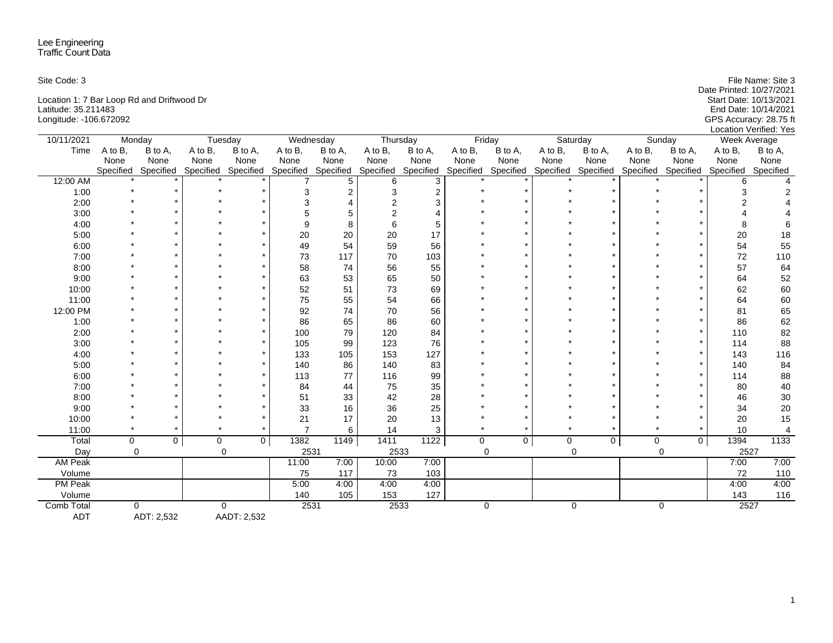| Site Code: 3                               | File Name: Site 3        |
|--------------------------------------------|--------------------------|
|                                            | Date Printed: 10/27/2021 |
| Location 1: 7 Bar Loop Rd and Driftwood Dr | Start Date: 10/13/2021   |
| Latitude: 35.211483                        | End Date: 10/14/2021     |
| Longitude: -106.672092                     | GPS Accuracy: 28.75 ft   |
|                                            | Location Verified: Yes   |

| 10/11/2021     | Monday    |              |           | Tuesday             | Wednesday      |                | Thursday            |                |             | Friday              |         | Saturday       |         | Sunday              | <b>Week Average</b> |                |
|----------------|-----------|--------------|-----------|---------------------|----------------|----------------|---------------------|----------------|-------------|---------------------|---------|----------------|---------|---------------------|---------------------|----------------|
| Time           | A to B.   | B to A,      | A to B,   | B to A,             | A to B,        | B to A,        | A to B,             | B to A,        | A to B,     | B to A,             | A to B, | B to A,        | A to B, | B to A,             | A to B,             | B to A,        |
|                | None      | None         | None      | None                | None           | None           | None                | None           | None        | None                | None    | None           | None    | None                | None                | None           |
|                | Specified | Specified    |           | Specified Specified | Specified      | Specified      | Specified Specified |                | Specified   | Specified Specified |         | Specified      |         | Specified Specified | Specified           | Specified      |
| 12:00 AM       |           |              |           |                     |                | 5              | 6                   | 3              |             |                     |         |                |         |                     |                     |                |
| 1:00           |           |              |           |                     | 3              | $\overline{2}$ |                     | $\overline{2}$ |             |                     |         |                |         |                     |                     |                |
| 2:00           |           |              |           |                     |                |                | 2                   | 3              |             |                     |         |                |         |                     |                     |                |
| 3:00           |           |              |           |                     |                | 5              |                     |                |             |                     |         |                |         |                     |                     |                |
| 4:00           |           |              |           |                     | 9              | 8              |                     | 5              |             |                     |         |                |         |                     | 8                   |                |
| 5:00           |           |              |           |                     | 20             | 20             | 20                  | 17             |             |                     |         |                |         |                     | 20                  | 18             |
| 6:00           |           |              |           |                     | 49             | 54             | 59                  | 56             |             |                     |         |                |         |                     | 54                  | 55             |
| 7:00           |           |              |           |                     | 73             | 117            | 70                  | 103            |             |                     |         |                |         |                     | 72                  | 110            |
| 8:00           |           |              |           |                     | 58             | 74             | 56                  | 55             |             |                     |         |                |         |                     | 57                  | 64             |
| 9:00           |           |              |           |                     | 63             | 53             | 65                  | 50             |             |                     |         |                |         |                     | 64                  | 52             |
| 10:00          |           |              |           |                     | 52             | 51             | 73                  | 69             |             |                     |         |                |         |                     | 62                  | 60             |
| 11:00          |           |              |           |                     | 75             | 55             | 54                  | 66             |             |                     |         |                |         |                     | 64                  | 60             |
| 12:00 PM       |           |              |           |                     | 92             | 74             | 70                  | 56             |             |                     |         |                |         |                     | 81                  | 65             |
| 1:00           |           |              |           |                     | 86             | 65             | 86                  | 60             |             |                     |         |                |         |                     | 86                  | 62             |
| 2:00           |           |              |           |                     | 100            | 79             | 120                 | 84             |             |                     |         |                |         |                     | 110                 | 82             |
| 3:00           |           |              |           |                     | 105            | 99             | 123                 | 76             |             |                     |         |                |         |                     | 114                 | 88             |
| 4:00           |           |              |           |                     | 133            | 105            | 153                 | 127            |             |                     |         |                |         |                     | 143                 | 116            |
| 5:00           |           |              |           |                     | 140            | 86             | 140                 | 83             |             |                     |         |                |         |                     | 140                 | 84             |
| 6:00           |           |              |           |                     | 113            | 77             | 116                 | 99             |             |                     |         |                |         |                     | 114                 | 88             |
| 7:00           |           |              |           |                     | 84             | 44             | 75                  | 35             |             |                     |         |                |         |                     | 80                  | 40             |
| 8:00           |           |              |           |                     | 51             | 33             | 42                  | 28             |             |                     |         |                |         |                     | 46                  | $30\,$         |
| 9:00           |           |              |           |                     | 33             | 16             | 36                  | 25             |             |                     |         |                |         |                     | 34                  | $20\,$         |
| 10:00          |           |              |           |                     | 21             | 17             | 20                  | 13             |             |                     |         |                |         |                     | 20                  | 15             |
| 11:00          |           |              |           | $\star$             | $\overline{7}$ | 6              | 14                  | 3              |             |                     |         |                |         |                     | 10                  | $\overline{4}$ |
| Total          | $\Omega$  | $\mathbf{0}$ | $\pmb{0}$ | $\mathsf{O}$        | 1382           | 1149           | 1411                | $1122$         | $\mathbf 0$ | $\overline{0}$      | 0       | 0 <sup>1</sup> | 0       | $\mathbf 0$         | 1394                | 1133           |
| Day            | $\Omega$  |              |           | $\Omega$            | 2531           |                | 2533                |                |             | $\Omega$            |         | $\Omega$       |         | $\Omega$            | 2527                |                |
| <b>AM Peak</b> |           |              |           |                     | 11:00          | 7:00           | 10:00               | 7:00           |             |                     |         |                |         |                     | 7:00                | 7:00           |
| Volume         |           |              |           |                     | 75             | 117            | 73                  | 103            |             |                     |         |                |         |                     | 72                  | 110            |
| <b>PM Peak</b> |           |              |           |                     | 5:00           | 4:00           | 4:00                | 4:00           |             |                     |         |                |         |                     | 4:00                | 4:00           |
| Volume         |           |              |           |                     | 140            | 105            | 153                 | 127            |             |                     |         |                |         |                     | 143                 | 116            |
| Comb Total     | $\Omega$  |              |           | $\Omega$            | 2531           |                | 2533                |                |             | 0                   |         | $\mathbf 0$    |         | $\mathbf 0$         | 2527                |                |
| <b>ADT</b>     |           | ADT: 2,532   |           | AADT: 2,532         |                |                |                     |                |             |                     |         |                |         |                     |                     |                |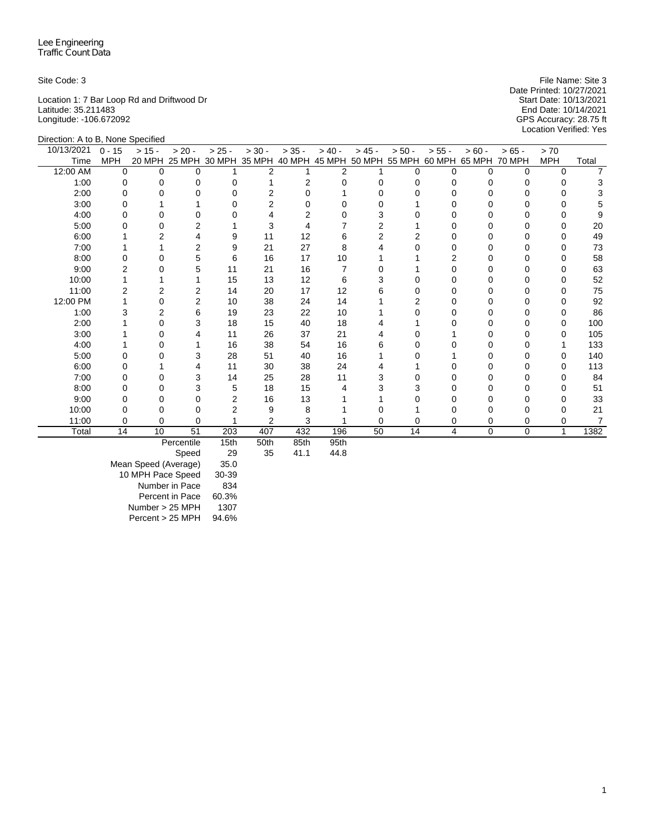Location 1: 7 Bar Loop Rd and Driftwood Dr Start Date: 10/13/2021 Latitude: 35.211483 End Date: 10/14/2021 Longitude: -106.672092 GPS Accuracy: 28.75 ft

Site Code: 3 File Name: Site 3 File Name: Site 3 Date Printed: 10/27/2021<br>Start Date: 10/13/2021 Location Verified: Yes

| Direction: A to B, None Specified |            |          |                |                |                             |                |                |          |                                    |              |               |             |            |       |
|-----------------------------------|------------|----------|----------------|----------------|-----------------------------|----------------|----------------|----------|------------------------------------|--------------|---------------|-------------|------------|-------|
| 10/13/2021                        | $0 - 15$   | $> 15 -$ | $> 20 -$       | $> 25 -$       | $> 30 -$                    | $> 35 -$       | $> 40 -$       | $> 45 -$ | $> 50 -$                           | $> 55 -$     | $> 60 -$      | $>65 -$     | > 70       |       |
| Time                              | <b>MPH</b> |          |                |                | 20 MPH 25 MPH 30 MPH 35 MPH |                |                |          | 40 MPH 45 MPH 50 MPH 55 MPH 60 MPH |              | 65 MPH 70 MPH |             | <b>MPH</b> | Total |
| 12:00 AM                          | $\Omega$   | $\Omega$ | 0              |                | 2                           |                | $\overline{2}$ |          | $\Omega$                           | $\Omega$     | $\Omega$      | $\Omega$    | $\Omega$   |       |
| 1:00                              | 0          | 0        | $\Omega$       | 0              |                             | $\overline{2}$ | 0              | 0        | O                                  | 0            | 0             | 0           | 0          |       |
| 2:00                              | O          |          | $\Omega$       |                | 2                           | U              |                | 0        |                                    | U            |               | $\Omega$    |            |       |
| 3:00                              |            |          |                |                | 2                           |                |                |          |                                    | Ω            |               | 0           | 0          |       |
| 4:00                              |            |          | <sup>0</sup>   |                |                             | 2              |                | 3        |                                    | 0            |               | 0           |            |       |
| 5:00                              | 0          |          | 2              |                | 3                           |                |                | 2        |                                    | 0            |               | 0           | O          | 20    |
| 6:00                              |            |          | 4              | 9              | 11                          | 12             | 6              | 2        |                                    | 0            |               | 0           | 0          | 49    |
| 7:00                              |            |          | $\overline{2}$ | 9              | 21                          | 27             | 8              | 4        |                                    | <sup>0</sup> | 0             | 0           | 0          | 73    |
| 8:00                              | 0          | 0        | 5              | 6              | 16                          | 17             | 10             |          |                                    | 2            |               | 0           | 0          | 58    |
| 9:00                              |            |          | 5              | 11             | 21                          | 16             |                | O        |                                    | U            |               | O           | O          | 63    |
| 10:00                             |            |          |                | 15             | 13                          | 12             | 6              | 3        |                                    | 0            |               | 0           | O          | 52    |
| 11:00                             |            |          | 2              | 14             | 20                          | 17             | 12             | 6        |                                    | U            |               | 0           |            | 75    |
| 12:00 PM                          |            | 0        | 2              | 10             | 38                          | 24             | 14             |          |                                    | U            |               | 0           |            | 92    |
| 1:00                              | 3          | 2        | 6              | 19             | 23                          | 22             | 10             |          |                                    | 0            |               | 0           |            | 86    |
| 2:00                              |            | 0        | 3              | 18             | 15                          | 40             | 18             |          |                                    | U            | O             | $\Omega$    | 0          | 100   |
| 3:00                              |            |          |                | 11             | 26                          | 37             | 21             |          |                                    |              |               | 0           |            | 105   |
| 4:00                              |            |          |                | 16             | 38                          | 54             | 16             | 6        |                                    |              |               | 0           |            | 133   |
| 5:00                              | 0          | 0        | 3              | 28             | 51                          | 40             | 16             |          |                                    |              | 0             | 0           | 0          | 140   |
| 6:00                              | 0          |          | 4              | 11             | 30                          | 38             | 24             |          |                                    | 0            |               | 0           | 0          | 113   |
| 7:00                              | O          | O        | 3              | 14             | 25                          | 28             | 11             | 3        |                                    | U            |               | $\Omega$    | O          | 84    |
| 8:00                              | 0          | 0        | 3              | 5              | 18                          | 15             |                | 3        |                                    |              |               | 0           | 0          | 51    |
| 9:00                              | O          | U        | $\Omega$       | $\overline{2}$ | 16                          | 13             |                |          |                                    | U            |               | $\Omega$    | ∩          | 33    |
| 10:00                             |            | 0        | 0              |                | 9                           | 8              |                |          |                                    |              |               | 0           |            | 21    |
| 11:00                             | 0          | $\Omega$ | $\Omega$       |                | $\overline{2}$              | 3              |                | 0        | 0                                  | 0            | 0             | $\Omega$    | 0          | 7     |
| Total                             | 14         | 10       | 51             | 203            | 407                         | 432            | 196            | 50       | 14                                 | 4            | 0             | $\mathbf 0$ | 1          | 1382  |
|                                   |            |          | Percentile     | 15th           | 50th                        | 85th           | 95th           |          |                                    |              |               |             |            |       |

Speed 29 35 41.1 44.8

Mean Speed (Average) 35.0 10 MPH Pace Speed 30-39 Number in Pace 834 Percent in Pace 60.3% Number > 25 MPH 1307 Percent > 25 MPH 94.6%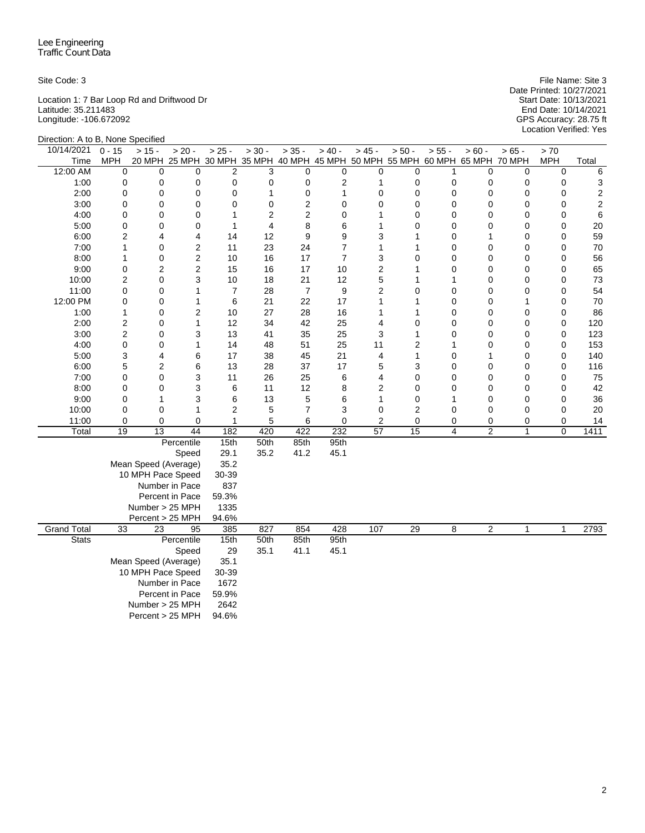Location 1: 7 Bar Loop Rd and Driftwood Dr Start Date: 10/13/2021 Latitude: 35.211483 End Date: 10/14/2021 Longitude: -106.672092 GPS Accuracy: 28.75 ft

Site Code: 3 File Name: Site 3 Date Printed: 10/27/2021 Start Date: 10/13/2021<br>End Date: 10/14/2021<br>GPS Accuracy: 28.75 ft<br>Location Verified: Yes

| Direction: A to B, None Specified |                                |                      |                                                                              |                |                |                |                       |                 |                 |              |                |                  |                            |                         |
|-----------------------------------|--------------------------------|----------------------|------------------------------------------------------------------------------|----------------|----------------|----------------|-----------------------|-----------------|-----------------|--------------|----------------|------------------|----------------------------|-------------------------|
| 10/14/2021                        | $0 - 15$                       | $> 15 -$             | $> 20 -$                                                                     | $> 25 -$       | $> 30 -$       | $> 35 -$       | $> 40 -$              | $> 45 -$        | $> 50 -$        | $> 55 -$     | $> 60 -$       | $> 65 -$         | > 70                       |                         |
| Time                              | <b>MPH</b>                     |                      | 20 MPH 25 MPH 30 MPH 35 MPH 40 MPH 45 MPH 50 MPH 55 MPH 60 MPH 65 MPH 70 MPH |                |                |                |                       |                 |                 |              |                |                  | <b>MPH</b>                 | Total                   |
| 12:00 AM                          | 0                              | $\Omega$             | $\Omega$                                                                     | $\overline{2}$ | 3              | $\Omega$       | 0                     | 0               | 0               | 1            | $\Omega$       | $\mathbf 0$      | $\mathbf 0$                | 6                       |
| 1:00                              | 0                              | 0                    | 0                                                                            | 0              | 0              | 0              | 2                     | 1               | 0               | 0            | 0              | 0                | 0                          | 3                       |
| 2:00                              | 0                              | 0                    | 0                                                                            | 0              | $\mathbf{1}$   | 0              | 1                     | 0               | 0               | 0            | 0              | 0                | $\mathbf 0$                | $\overline{c}$          |
| 3:00                              | 0                              | 0                    | 0                                                                            | 0              | $\mathbf 0$    | 2              | 0                     | 0               | 0               | 0            | 0              | $\mathbf 0$      | $\mathbf 0$                | $\overline{\mathbf{c}}$ |
| 4:00                              | 0                              | 0                    | 0                                                                            | 1              | 2              | 2              | 0                     | 1               | 0               | 0            | 0              | $\mathbf 0$      | $\mathbf 0$                | 6                       |
| 5:00                              | 0                              | 0                    | 0                                                                            | $\mathbf{1}$   | $\overline{4}$ | 8              | 6                     | 1               | 0               | 0            | 0              | 0                | $\mathbf 0$                | 20                      |
| 6:00                              | $\overline{c}$<br>$\mathbf{1}$ | 4                    | 4                                                                            | 14<br>11       | 12             | 9              | 9                     | 3<br>1          | 1               | 0<br>0       | 1<br>0         | $\mathbf 0$      | $\mathbf 0$<br>$\mathbf 0$ | 59                      |
| 7:00<br>8:00                      | 1                              | 0<br>0               | $\overline{2}$<br>$\overline{2}$                                             | 10             | 23<br>16       | 24<br>17       | 7<br>$\boldsymbol{7}$ | 3               | 1<br>0          | 0            | 0              | $\mathbf 0$      | $\mathbf 0$                | 70<br>56                |
| 9:00                              | $\mathsf 0$                    | $\overline{c}$       | $\overline{c}$                                                               | 15             | 16             | 17             | 10                    | $\overline{c}$  | 1               | 0            | 0              | 0<br>$\mathbf 0$ | $\mathbf 0$                | 65                      |
| 10:00                             | $\overline{c}$                 | 0                    | 3                                                                            | 10             | 18             | 21             | 12                    | 5               | 1               | $\mathbf{1}$ | 0              | $\mathbf 0$      | $\mathbf 0$                | 73                      |
| 11:00                             | $\mathsf 0$                    | 0                    | $\mathbf{1}$                                                                 | $\overline{7}$ | 28             | $\overline{7}$ | 9                     | $\overline{2}$  | 0               | 0            | 0              | 0                | $\mathbf 0$                | 54                      |
| 12:00 PM                          | 0                              | 0                    | $\mathbf{1}$                                                                 | 6              | 21             | 22             | 17                    | $\mathbf{1}$    | 1               | 0            | 0              | $\mathbf{1}$     | $\mathbf 0$                | 70                      |
| 1:00                              | $\mathbf{1}$                   | 0                    | $\overline{2}$                                                               | 10             | 27             | 28             | 16                    | 1               | 1               | $\mathbf 0$  | 0              | $\mathbf 0$      | $\mathbf 0$                | 86                      |
| 2:00                              | $\overline{\mathbf{c}}$        | 0                    | $\mathbf{1}$                                                                 | 12             | 34             | 42             | 25                    | 4               | 0               | 0            | 0              | 0                | $\mathbf 0$                | 120                     |
| 3:00                              | $\overline{c}$                 | 0                    | 3                                                                            | 13             | 41             | 35             | 25                    | 3               | 1               | 0            | 0              | $\mathbf 0$      | $\mathbf 0$                | 123                     |
| 4:00                              | 0                              | 0                    | $\mathbf{1}$                                                                 | 14             | 48             | 51             | 25                    | 11              | 2               | 1            | 0              | 0                | $\mathbf 0$                | 153                     |
| 5:00                              | 3                              | 4                    | 6                                                                            | 17             | 38             | 45             | 21                    | 4               | 1               | 0            | 1              | $\mathbf 0$      | $\mathbf 0$                | 140                     |
| 6:00                              | 5                              | 2                    | 6                                                                            | 13             | 28             | 37             | 17                    | 5               | 3               | 0            | 0              | 0                | $\mathbf 0$                | 116                     |
| 7:00                              | 0                              | 0                    | 3                                                                            | 11             | 26             | 25             | 6                     | 4               | 0               | 0            | 0              | 0                | 0                          | 75                      |
| 8:00                              | 0                              | 0                    | 3                                                                            | 6              | 11             | 12             | 8                     | 2               | 0               | 0            | 0              | 0                | 0                          | 42                      |
| 9:00                              | 0                              | 1                    | 3                                                                            | 6              | 13             | 5              | 6                     | 1               | 0               | 1            | 0              | 0                | $\mathbf 0$                | 36                      |
| 10:00                             | 0                              | 0                    | $\mathbf{1}$                                                                 | $\overline{2}$ | 5              | $\overline{7}$ | 3                     | 0               | 2               | 0            | 0              | 0                | 0                          | 20                      |
| 11:00                             | 0                              | 0                    | 0                                                                            | $\mathbf{1}$   | 5              | 6              | $\pmb{0}$             | 2               | 0               | 0            | 0              | 0                | 0                          | 14                      |
| Total                             | 19                             | $\overline{13}$      | 44                                                                           | 182            | 420            | 422            | 232                   | $\overline{57}$ | $\overline{15}$ | 4            | $\overline{2}$ | $\mathbf{1}$     | $\mathbf 0$                | 1411                    |
|                                   |                                |                      | Percentile                                                                   | 15th           | 50th           | 85th           | 95th                  |                 |                 |              |                |                  |                            |                         |
|                                   |                                |                      | Speed                                                                        | 29.1           | 35.2           | 41.2           | 45.1                  |                 |                 |              |                |                  |                            |                         |
|                                   |                                | Mean Speed (Average) |                                                                              | 35.2           |                |                |                       |                 |                 |              |                |                  |                            |                         |
|                                   |                                | 10 MPH Pace Speed    |                                                                              | 30-39          |                |                |                       |                 |                 |              |                |                  |                            |                         |
|                                   |                                |                      | Number in Pace                                                               | 837            |                |                |                       |                 |                 |              |                |                  |                            |                         |
|                                   |                                |                      | Percent in Pace                                                              | 59.3%          |                |                |                       |                 |                 |              |                |                  |                            |                         |
|                                   |                                | Number > 25 MPH      |                                                                              | 1335           |                |                |                       |                 |                 |              |                |                  |                            |                         |
|                                   |                                | Percent > 25 MPH     |                                                                              | 94.6%          |                |                |                       |                 |                 |              |                |                  |                            |                         |
| <b>Grand Total</b>                | $\overline{33}$                | 23                   | 95                                                                           | 385            | 827            | 854            | 428                   | 107             | 29              | 8            | $\overline{c}$ | 1                | $\mathbf{1}$               | 2793                    |
| <b>Stats</b>                      |                                |                      | Percentile<br>Speed                                                          | 15th<br>29     | 50th<br>35.1   | 85th<br>41.1   | 95th<br>45.1          |                 |                 |              |                |                  |                            |                         |
|                                   |                                | Mean Speed (Average) |                                                                              | 35.1           |                |                |                       |                 |                 |              |                |                  |                            |                         |
|                                   |                                | 10 MPH Pace Speed    |                                                                              | 30-39          |                |                |                       |                 |                 |              |                |                  |                            |                         |
|                                   |                                |                      | Number in Pace                                                               | 1672           |                |                |                       |                 |                 |              |                |                  |                            |                         |
|                                   |                                |                      | Percent in Pace                                                              | 59.9%          |                |                |                       |                 |                 |              |                |                  |                            |                         |
|                                   |                                | Number > 25 MPH      |                                                                              | 2642           |                |                |                       |                 |                 |              |                |                  |                            |                         |
|                                   |                                | Percent > 25 MPH     |                                                                              | 94.6%          |                |                |                       |                 |                 |              |                |                  |                            |                         |
|                                   |                                |                      |                                                                              |                |                |                |                       |                 |                 |              |                |                  |                            |                         |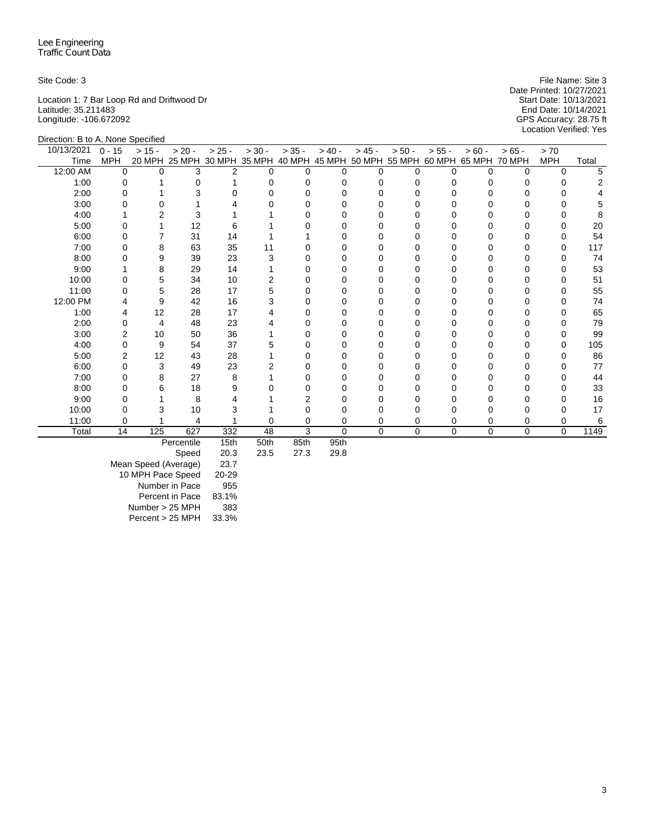Location 1: 7 Bar Loop Rd and Driftwood Dr Start Date: 10/13/2021 Latitude: 35.211483 End Date: 10/14/2021 Longitude: -106.672092 GPS Accuracy: 28.75 ft

Direction: B to A, None Specified

Site Code: 3 File Name: Site 3 File Name: Site 3 Date Printed: 10/27/2021<br>Start Date: 10/13/2021 Location Verified: Yes

| 10/13/2021 | $0 - 15$   | $> 15 -$ | $> 20 -$                                                                     | $> 25 -$ | $> 30 -$ | $> 35 -$  | $> 40 -$    | $> 45 -$ | $> 50 -$ | $> 55 -$ | $> 60 -$     | $> 65 -$ | > 70       |       |
|------------|------------|----------|------------------------------------------------------------------------------|----------|----------|-----------|-------------|----------|----------|----------|--------------|----------|------------|-------|
| Time       | <b>MPH</b> |          | 20 MPH 25 MPH 30 MPH 35 MPH 40 MPH 45 MPH 50 MPH 55 MPH 60 MPH 65 MPH 70 MPH |          |          |           |             |          |          |          |              |          | <b>MPH</b> | Total |
| 12:00 AM   | $\Omega$   | U        | 3                                                                            | 2        |          | U         | O           | U        |          |          | <sup>n</sup> | 0        | $\Omega$   |       |
| 1:00       |            |          |                                                                              |          |          |           |             |          |          |          |              |          |            |       |
| 2:00       |            |          |                                                                              |          |          |           |             |          |          |          |              |          |            |       |
| 3:00       |            |          |                                                                              |          |          |           |             |          |          |          |              |          |            |       |
| 4:00       |            |          |                                                                              |          |          |           |             |          |          |          |              |          |            |       |
| 5:00       |            |          | 12                                                                           |          |          |           |             |          |          |          |              |          |            | 20    |
| 6:00       |            |          | 31                                                                           | 14       |          |           |             |          |          |          |              |          |            | 54    |
| 7:00       |            |          | 63                                                                           | 35       | 11       |           |             |          |          |          |              |          |            | 117   |
| 8:00       |            |          | 39                                                                           | 23       |          |           |             |          |          |          |              |          |            | 74    |
| 9:00       |            |          | 29                                                                           | 14       |          |           |             |          |          |          |              |          |            | 53    |
| 10:00      |            |          | 34                                                                           | 10       |          |           |             |          |          |          |              |          |            | 51    |
| 11:00      |            | 5        | 28                                                                           | 17       |          |           |             |          |          |          |              |          |            | 55    |
| 12:00 PM   |            | 9        | 42                                                                           | 16       |          |           |             |          |          |          |              |          |            | 74    |
| 1:00       |            | 12       | 28                                                                           | 17       |          |           |             |          |          |          |              |          |            | 65    |
| 2:00       |            | 4        | 48                                                                           | 23       |          |           |             |          |          |          |              |          |            | 79    |
| 3:00       |            | 10       | 50                                                                           | 36       |          |           |             |          |          |          |              |          |            | 99    |
| 4:00       |            | 9        | 54                                                                           | 37       |          |           |             |          |          |          |              |          |            | 105   |
| 5:00       |            | 12       | 43                                                                           | 28       |          |           |             |          |          |          |              |          |            | 86    |
| 6:00       |            | 3        | 49                                                                           | 23       |          |           |             |          |          |          |              |          |            | 77    |
| 7:00       |            | 8        | 27                                                                           | 8        |          |           |             |          |          |          |              |          |            | 44    |
| 8:00       |            |          | 18                                                                           |          |          |           |             |          |          |          |              |          |            | 33    |
| 9:00       |            |          | 8                                                                            |          |          |           |             |          |          |          |              |          |            | 16    |
| 10:00      |            |          | 10                                                                           |          |          |           |             |          |          |          |              |          |            | 17    |
| 11:00      |            |          |                                                                              |          |          |           | 0           |          | 0        |          | 0            |          |            |       |
| Total      | 14         | 125      | 627                                                                          | 332      | 48       | 3         | $\mathbf 0$ | $\Omega$ | $\Omega$ | 0        | $\Omega$     | $\Omega$ | $\Omega$   | 1149  |
|            |            |          |                                                                              |          | $ -$     | $\sim -1$ |             |          |          |          |              |          |            |       |

Percentile 15th 50th 85th 95th

Speed Mean Speed (Average) 23.7 10 MPH Pace Speed 20-29 Number in Pace 955 Percent in Pace 83.1% Number > 25 MPH 383 Percent > 25 MPH 33.3%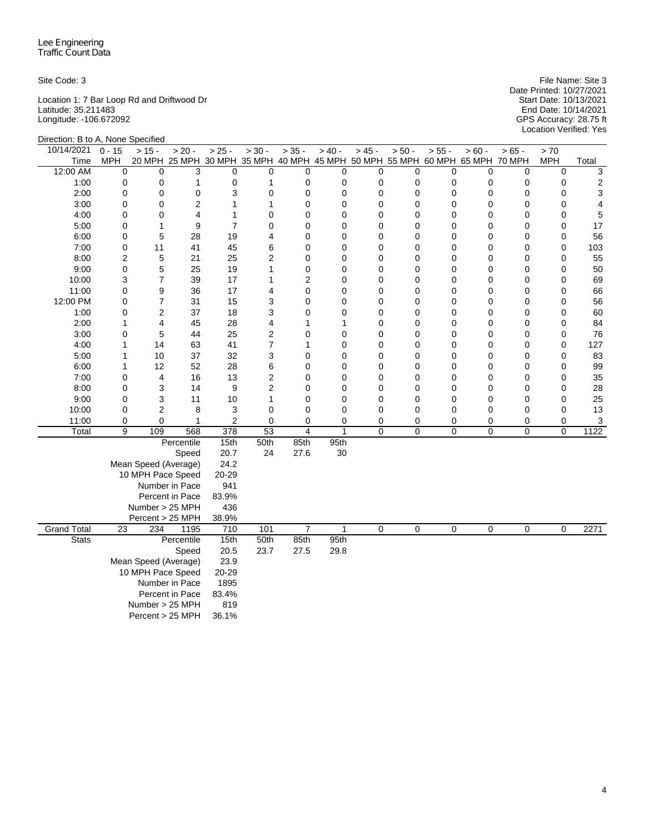Location 1: 7 Bar Loop Rd and Driftwood Dr Start Date: 10/13/2021 Latitude: 35.211483 End Date: 10/14/2021 Longitude: -106.672092 GPS Accuracy: 28.75 ft

Site Code: 3 File Name: Site 3 Date Printed: 10/27/2021 Start Date: 10/13/2021<br>End Date: 10/14/2021<br>GPS Accuracy: 28.75 ft<br>Location Verified: Yes

| Direction: B to A, None Specified |                 |                      |                                                                              |                |                 |                     |                |                |          |             |               |             |                  |                |
|-----------------------------------|-----------------|----------------------|------------------------------------------------------------------------------|----------------|-----------------|---------------------|----------------|----------------|----------|-------------|---------------|-------------|------------------|----------------|
| 10/14/2021                        | $0 - 15$        | $> 15 -$             | $> 20 -$                                                                     | $> 25 -$       | $> 30 -$        | $> 35 -$            | $> 40 -$       | $> 45 -$       | $> 50 -$ | $> 55 -$    | $> 60 -$      | $> 65 -$    | > 70             |                |
| Time                              | <b>MPH</b>      |                      | 20 MPH 25 MPH 30 MPH 35 MPH 40 MPH 45 MPH 50 MPH 55 MPH 60 MPH 65 MPH 70 MPH |                |                 |                     |                |                |          |             |               |             | <b>MPH</b>       | Total          |
| 12:00 AM                          | 0               | 0                    | 3                                                                            | 0              | 0               | $\Omega$            | 0              | 0              | 0        | 0           | 0             | $\mathbf 0$ | $\mathbf 0$      | 3              |
| 1:00                              | 0               | 0                    | $\mathbf{1}$                                                                 | $\pmb{0}$      | $\mathbf{1}$    | $\mathbf 0$         | 0              | 0              | 0        | $\mathbf 0$ | 0             | $\mathbf 0$ | $\mathbf 0$      | $\overline{c}$ |
| 2:00                              | 0               | 0                    | 0                                                                            | 3              | $\mathbf 0$     | $\mathbf 0$         | $\mathbf 0$    | 0              | 0        | $\mathbf 0$ | 0             | $\mathbf 0$ | $\mathbf 0$      | 3              |
| 3:00                              | 0               | 0                    | $\overline{2}$                                                               | $\mathbf{1}$   | $\mathbf{1}$    | 0                   | 0              | $\overline{0}$ | 0        | 0           | 0             | $\mathbf 0$ | $\mathbf 0$      | 4              |
| 4:00                              | 0               | 0                    | $\overline{4}$                                                               | $\mathbf{1}$   | $\mathbf 0$     | 0                   | 0              | $\overline{0}$ | 0        | 0           | 0             | $\mathbf 0$ | 0                | 5              |
| 5:00                              | 0               | 1                    | 9                                                                            | $\overline{7}$ | 0               | $\mathbf 0$         | 0              | 0              | 0        | 0           | 0             | 0           | $\mathbf 0$      | 17             |
| 6:00                              | 0               | 5                    | 28                                                                           | 19             | $\overline{4}$  | 0                   | 0              | 0              | 0        | 0           | 0             | 0           | $\mathbf 0$      | 56             |
| 7:00                              | 0               | 11                   | 41                                                                           | 45             | 6               | 0                   | 0              | 0              | 0        | 0           | 0             | $\mathbf 0$ | $\mathbf 0$      | 103            |
| 8:00                              | $\overline{c}$  | 5                    | 21                                                                           | 25<br>19       | $\overline{c}$  | 0                   | 0              | 0              | 0        | 0           | 0             | 0           | 0                | 55             |
| 9:00                              | 0               | 5                    | 25                                                                           |                | $\mathbf{1}$    | $\mathbf 0$         | 0              | 0              | 0        | 0           | 0             | $\mathbf 0$ | $\mathbf 0$      | 50             |
| 10:00<br>11:00                    | 3<br>0          | $\overline{7}$       | 39<br>36                                                                     | 17<br>17       | 1               | $\overline{2}$<br>0 | 0              | 0<br>0         | 0<br>0   | 0           | $\Omega$<br>0 | $\mathbf 0$ | 0<br>$\mathbf 0$ | 69<br>66       |
| 12:00 PM                          | 0               | 9<br>7               | 31                                                                           | 15             | 4<br>3          | 0                   | 0<br>0         | 0              | 0        | 0<br>0      | 0             | 0<br>0      | $\mathbf 0$      | 56             |
| 1:00                              | 0               | 2                    | 37                                                                           | 18             | 3               | 0                   | 0              | 0              | 0        | 0           | 0             | $\mathbf 0$ | 0                | 60             |
| 2:00                              | 1               | 4                    | 45                                                                           | 28             | $\overline{4}$  | 1                   | 1              | 0              | 0        | $\mathbf 0$ | 0             | 0           | $\mathbf 0$      | 84             |
| 3:00                              | $\mathsf 0$     | 5                    | 44                                                                           | 25             | $\overline{c}$  | 0                   | 0              | $\overline{0}$ | 0        | 0           | 0             | $\mathbf 0$ | $\mathbf 0$      | 76             |
| 4:00                              | $\mathbf{1}$    | 14                   | 63                                                                           | 41             | $\overline{7}$  | 1                   | 0              | 0              | 0        | $\mathbf 0$ | 0             | $\mathbf 0$ | $\mathbf 0$      | 127            |
| 5:00                              | $\mathbf{1}$    | 10                   | 37                                                                           | 32             | 3               | $\mathbf 0$         | $\mathbf 0$    | 0              | 0        | 0           | 0             | 0           | $\mathbf 0$      | 83             |
| 6:00                              | $\mathbf{1}$    | 12                   | 52                                                                           | 28             | 6               | $\mathbf 0$         | $\overline{0}$ | $\overline{0}$ | 0        | 0           | 0             | $\mathbf 0$ | $\mathbf 0$      | 99             |
| 7:00                              | 0               | 4                    | 16                                                                           | 13             | $\overline{2}$  | $\mathbf 0$         | 0              | 0              | 0        | $\mathbf 0$ | 0             | 0           | $\mathbf 0$      | 35             |
| 8:00                              | 0               | 3                    | 14                                                                           | 9              | $\overline{c}$  | $\mathbf 0$         | $\mathbf 0$    | 0              | 0        | 0           | 0             | $\mathbf 0$ | $\mathbf 0$      | 28             |
| 9:00                              | 0               | 3                    | 11                                                                           | 10             | $\mathbf{1}$    | $\mathbf 0$         | 0              | 0              | 0        | 0           | 0             | 0           | $\mathbf 0$      | 25             |
| 10:00                             | 0               | 2                    | 8                                                                            | 3              | 0               | 0                   | 0              | 0              | 0        | 0           | 0             | 0           | 0                | 13             |
| 11:00                             | 0               | 0                    | $\mathbf{1}$                                                                 | $\overline{2}$ | $\mathbf 0$     | 0                   | $\mathbf 0$    | 0              | 0        | 0           | 0             | 0           | 0                | 3              |
| Total                             | 9               | 109                  | 568                                                                          | 378            | $\overline{53}$ | $\overline{4}$      | $\mathbf{1}$   | $\overline{0}$ | 0        | $\mathbf 0$ | 0             | $\mathbf 0$ | $\mathbf 0$      | 1122           |
|                                   |                 |                      | Percentile                                                                   | 15th           | 50th            | 85th                | 95th           |                |          |             |               |             |                  |                |
|                                   |                 |                      | Speed                                                                        | 20.7           | 24              | 27.6                | 30             |                |          |             |               |             |                  |                |
|                                   |                 | Mean Speed (Average) |                                                                              | 24.2           |                 |                     |                |                |          |             |               |             |                  |                |
|                                   |                 | 10 MPH Pace Speed    |                                                                              | 20-29          |                 |                     |                |                |          |             |               |             |                  |                |
|                                   |                 |                      | Number in Pace                                                               | 941            |                 |                     |                |                |          |             |               |             |                  |                |
|                                   |                 |                      | Percent in Pace                                                              | 83.9%          |                 |                     |                |                |          |             |               |             |                  |                |
|                                   |                 | Number > 25 MPH      |                                                                              | 436            |                 |                     |                |                |          |             |               |             |                  |                |
|                                   |                 | Percent > 25 MPH     |                                                                              | 38.9%          |                 |                     |                |                |          |             |               |             |                  |                |
| <b>Grand Total</b>                | $\overline{23}$ | 234                  | 1195                                                                         | 710            | 101             | $\overline{7}$      | 1              | 0              | 0        | 0           | 0             | 0           | $\mathbf 0$      | 2271           |
| <b>Stats</b>                      |                 |                      | Percentile                                                                   | 15th           | 50th            | 85th                | 95th           |                |          |             |               |             |                  |                |
|                                   |                 |                      | Speed                                                                        | 20.5           | 23.7            | 27.5                | 29.8           |                |          |             |               |             |                  |                |
|                                   |                 | Mean Speed (Average) |                                                                              | 23.9           |                 |                     |                |                |          |             |               |             |                  |                |
|                                   |                 | 10 MPH Pace Speed    |                                                                              | 20-29          |                 |                     |                |                |          |             |               |             |                  |                |
|                                   |                 |                      | Number in Pace                                                               | 1895           |                 |                     |                |                |          |             |               |             |                  |                |
|                                   |                 |                      | Percent in Pace                                                              | 83.4%          |                 |                     |                |                |          |             |               |             |                  |                |
|                                   |                 | Number > 25 MPH      |                                                                              | 819            |                 |                     |                |                |          |             |               |             |                  |                |
|                                   |                 | Percent > 25 MPH     |                                                                              | 36.1%          |                 |                     |                |                |          |             |               |             |                  |                |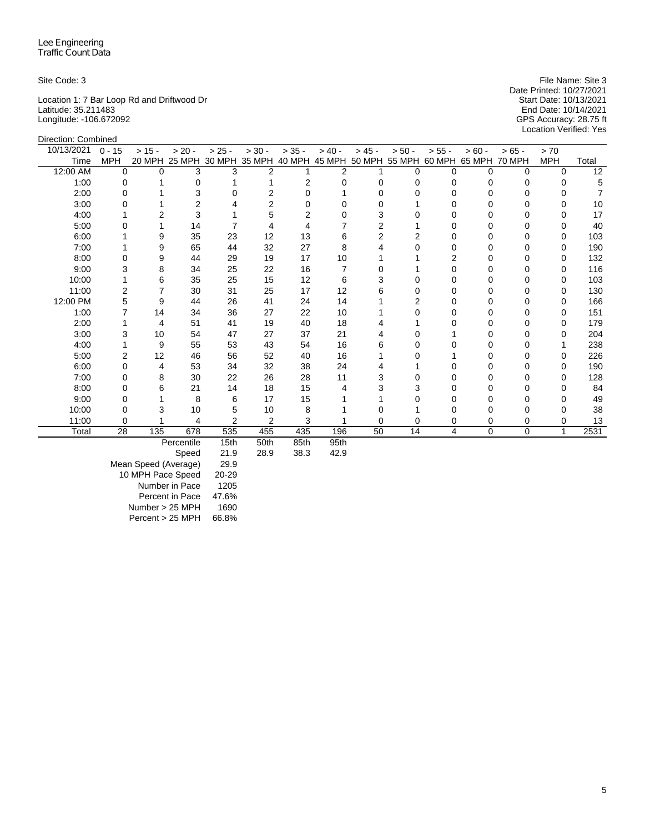Direction: Combined

Location 1: 7 Bar Loop Rd and Driftwood Dr Start Date: 10/13/2021 Latitude: 35.211483 End Date: 10/14/2021 Longitude: -106.672092 GPS Accuracy: 28.75 ft

Site Code: 3 File Name: Site 3 File Name: Site 3 Date Printed: 10/27/2021<br>Start Date: 10/13/2021 Location Verified: Yes

| 10/13/2021 | $0 - 15$    | $> 15 -$ | $> 20 -$                                                | $> 25 -$       | $> 30 -$       | $> 35 -$ | $> 40 -$       | $> 45 -$ | $> 50 -$ | $> 55 -$ | $> 60 -$      | $>65 -$       | > 70       |       |
|------------|-------------|----------|---------------------------------------------------------|----------------|----------------|----------|----------------|----------|----------|----------|---------------|---------------|------------|-------|
| Time       | <b>MPH</b>  |          | 20 MPH 25 MPH 30 MPH 35 MPH 40 MPH 45 MPH 50 MPH 55 MPH |                |                |          |                |          |          |          | 60 MPH 65 MPH | <b>70 MPH</b> | <b>MPH</b> | Total |
| 12:00 AM   | $\mathbf 0$ | $\Omega$ | 3                                                       | 3              | $\overline{2}$ |          | $\overline{2}$ |          | 0        | 0        | $\Omega$      | 0             | $\Omega$   | 12    |
| 1:00       | 0           |          | 0                                                       |                |                | 2        |                | 0        |          | O        | 0             | O             | O          | 5     |
| 2:00       | $\Omega$    |          | 3                                                       |                | 2              |          |                |          |          |          | ი             |               |            |       |
| 3:00       | 0           |          | 2                                                       |                | 2              | 0        |                |          |          |          | 0             |               |            | 10    |
| 4:00       |             |          | 3                                                       |                | 5              |          |                | 3        |          |          |               |               |            | 17    |
| 5:00       | 0           |          | 14                                                      |                |                |          |                | 2        |          |          |               |               |            | 40    |
| 6:00       |             | 9        | 35                                                      | 23             | 12             | 13       | 6              | 2        | 2        |          | 0             |               | 0          | 103   |
| 7:00       |             | 9        | 65                                                      | 44             | 32             | 27       | 8              |          |          |          |               | ი             | 0          | 190   |
| 8:00       | 0           | 9        | 44                                                      | 29             | 19             | 17       | 10             |          |          |          | O             | O             | 0          | 132   |
| 9:00       | 3           | 8        | 34                                                      | 25             | 22             | 16       |                |          |          |          | 0             |               | 0          | 116   |
| 10:00      |             | 6        | 35                                                      | 25             | 15             | 12       | 6              | 3        |          |          |               |               | 0          | 103   |
| 11:00      | 2           |          | 30                                                      | 31             | 25             | 17       | 12             | 6        |          | U        | U             | O             | 0          | 130   |
| 12:00 PM   | 5           | 9        | 44                                                      | 26             | 41             | 24       | 14             |          | 2        |          | 0             |               | 0          | 166   |
| 1:00       |             | 14       | 34                                                      | 36             | 27             | 22       | 10             |          |          |          |               |               | 0          | 151   |
| 2:00       |             | 4        | 51                                                      | 41             | 19             | 40       | 18             |          |          |          | O             |               | 0          | 179   |
| 3:00       | 3           | 10       | 54                                                      | 47             | 27             | 37       | 21             |          |          |          | 0             |               | O          | 204   |
| 4:00       |             | 9        | 55                                                      | 53             | 43             | 54       | 16             | 6        |          |          |               |               |            | 238   |
| 5:00       | 2           | 12       | 46                                                      | 56             | 52             | 40       | 16             |          |          |          |               |               |            | 226   |
| 6:00       | 0           | 4        | 53                                                      | 34             | 32             | 38       | 24             |          |          |          | o             |               | 0          | 190   |
| 7:00       | 0           | 8        | 30                                                      | 22             | 26             | 28       | 11             | 3        |          |          |               |               | 0          | 128   |
| 8:00       | 0           | 6        | 21                                                      | 14             | 18             | 15       |                | 3        |          |          |               |               |            | 84    |
| 9:00       | 0           |          | 8                                                       | 6              | 17             | 15       |                |          |          |          | o             |               |            | 49    |
| 10:00      | 0           |          | 10                                                      | 5              | 10             | 8        |                |          |          |          | 0             | 0             |            | 38    |
| 11:00      | 0           |          | 4                                                       | $\overline{2}$ | $\overline{2}$ | 3        |                | 0        | 0        | 0        | 0             | 0             | 0          | 13    |
| Total      | 28          | 135      | 678                                                     | 535            | 455            | 435      | 196            | 50       | 14       | 4        | $\mathbf 0$   | $\mathbf 0$   | 1          | 2531  |
|            |             |          | Percentile                                              | 15th           | 50th           | 85th     | 95th           |          |          |          |               |               |            |       |

Speed 21.9 28.9 38.3 42.9

Mean Speed (Average) 29.9 10 MPH Pace Speed 20-29 Number in Pace 1205 Percent in Pace 47.6%<br>umber > 25 MPH 1690 Number > 25 MPH 1690<br>Percent > 25 MPH 66.8%  $Percent > 25 MPH$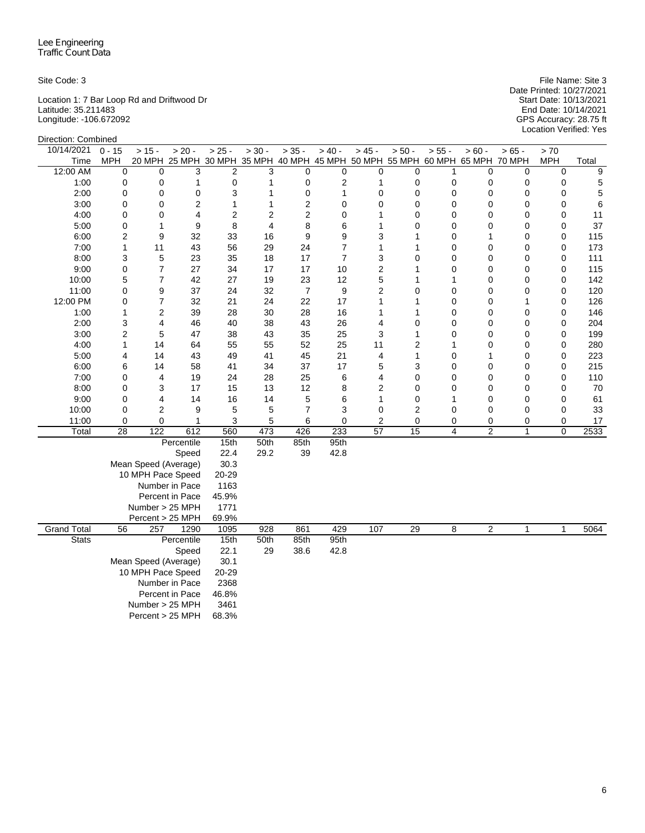Location 1: 7 Bar Loop Rd and Driftwood Dr Start Date: 10/13/2021 Latitude: 35.211483 End Date: 10/14/2021 Longitude: -106.672092 GPS Accuracy: 28.75 ft

Site Code: 3 File Name: Site 3 Date Printed: 10/27/2021 Start Date: 10/13/2021<br>End Date: 10/14/2021<br>GPS Accuracy: 28.75 ft<br>Location Verified: Yes

| Direction: Combined |                                |                      |                                                                              |                |                |                |                     |                 |                         |                         |                |          |                  |            |
|---------------------|--------------------------------|----------------------|------------------------------------------------------------------------------|----------------|----------------|----------------|---------------------|-----------------|-------------------------|-------------------------|----------------|----------|------------------|------------|
| 10/14/2021          | $0 - 15$                       | $> 15 -$             | $> 20 -$                                                                     | $> 25 -$       | $> 30 -$       | $> 35 -$       | $> 40 -$            | $> 45 -$        | $> 50 -$                | $> 55 -$                | $> 60 -$       | $> 65 -$ | $>70$            |            |
| Time                | <b>MPH</b>                     |                      | 20 MPH 25 MPH 30 MPH 35 MPH 40 MPH 45 MPH 50 MPH 55 MPH 60 MPH 65 MPH 70 MPH |                |                |                |                     |                 |                         |                         |                |          | <b>MPH</b>       | Total      |
| 12:00 AM            | 0                              | $\Omega$             | 3                                                                            | $\overline{2}$ | 3              | $\Omega$       | $\mathbf 0$         | 0               | $\Omega$                | 1                       | $\Omega$       | 0        | 0                | 9          |
| 1:00                | 0                              | 0                    | 1                                                                            | 0              | 1              | 0              | $\overline{2}$      | 1               | 0                       | 0                       | 0              | 0        | 0                | 5          |
| 2:00                | 0                              | 0                    | 0                                                                            | 3              | $\mathbf{1}$   | 0              | 1                   | 0               | $\mathbf 0$             | 0                       | 0              | 0        | 0                | 5          |
| 3:00                | 0                              | 0                    | $\overline{2}$                                                               | 1              | $\mathbf{1}$   | $\overline{2}$ | $\mathbf 0$         | 0               | 0                       | 0                       | 0              | 0        | 0                | 6          |
| 4:00                | 0                              | 0                    | 4                                                                            | $\overline{2}$ | $\overline{2}$ | $\overline{2}$ | 0                   | 1               | 0                       | 0                       | $\Omega$       | 0        | 0                | 11         |
| 5:00                | 0                              | 1                    | 9                                                                            | 8              | 4              | 8              | 6                   | 1               | $\mathbf 0$             | 0                       | 0              | 0        | 0                | 37         |
| 6:00                | $\overline{c}$<br>$\mathbf{1}$ | 9                    | 32                                                                           | 33<br>56       | 16             | 9              | 9                   | 3<br>1          | 1<br>1                  | 0<br>0                  | 1<br>0         | 0<br>0   | 0<br>$\mathbf 0$ | 115        |
| 7:00<br>8:00        | 3                              | 11<br>5              | 43<br>23                                                                     | 35             | 29<br>18       | 24<br>17       | 7<br>$\overline{7}$ | 3               | $\mathbf 0$             | 0                       | 0              | 0        |                  | 173<br>111 |
| 9:00                | $\mathsf 0$                    | $\overline{7}$       | 27                                                                           | 34             | 17             | 17             | 10                  | $\overline{c}$  | 1                       | 0                       | 0              | 0        | 0<br>0           | 115        |
| 10:00               | 5                              | 7                    | 42                                                                           | 27             | 19             | 23             | 12                  | 5               | 1                       | $\mathbf{1}$            | $\Omega$       | 0        | 0                | 142        |
| 11:00               | $\mathsf 0$                    | 9                    | 37                                                                           | 24             | 32             | $\overline{7}$ | 9                   | $\overline{2}$  | $\mathbf 0$             | 0                       | 0              | 0        | 0                | 120        |
| 12:00 PM            | 0                              | 7                    | 32                                                                           | 21             | 24             | 22             | 17                  | $\mathbf{1}$    | 1                       | 0                       | 0              | 1        | 0                | 126        |
| 1:00                | $\mathbf{1}$                   | 2                    | 39                                                                           | 28             | 30             | 28             | 16                  | 1               | 1                       | 0                       | $\Omega$       | 0        | 0                | 146        |
| 2:00                | 3                              | 4                    | 46                                                                           | 40             | 38             | 43             | 26                  | 4               | 0                       | 0                       | 0              | 0        | 0                | 204        |
| 3:00                | $\overline{2}$                 | 5                    | 47                                                                           | 38             | 43             | 35             | 25                  | 3               | 1                       | 0                       | 0              | 0        | 0                | 199        |
| 4:00                | 1                              | 14                   | 64                                                                           | 55             | 55             | 52             | 25                  | 11              | $\overline{2}$          | 1                       | 0              | 0        | 0                | 280        |
| 5:00                | 4                              | 14                   | 43                                                                           | 49             | 41             | 45             | 21                  | 4               | $\mathbf{1}$            | 0                       | 1              | 0        | 0                | 223        |
| 6:00                | 6                              | 14                   | 58                                                                           | 41             | 34             | 37             | 17                  | 5               | 3                       | 0                       | 0              | 0        | 0                | 215        |
| 7:00                | 0                              | 4                    | 19                                                                           | 24             | 28             | 25             | 6                   | 4               | 0                       | 0                       | 0              | 0        | 0                | 110        |
| 8:00                | 0                              | 3                    | 17                                                                           | 15             | 13             | 12             | 8                   | $\overline{c}$  | 0                       | 0                       | 0              | 0        | 0                | 70         |
| 9:00                | 0                              | 4                    | 14                                                                           | 16             | 14             | 5              | 6                   | 1               | 0                       | 1                       | 0              | 0        | 0                | 61         |
| 10:00               | 0                              | 2                    | 9                                                                            | 5              | 5              | 7              | 3                   | 0               | $\overline{\mathbf{c}}$ | 0                       | 0              | 0        | 0                | 33         |
| 11:00               | 0                              | 0                    | 1                                                                            | 3              | 5              | 6              | 0                   | 2               | 0                       | 0                       | 0              | 0        | 0                | 17         |
| Total               | $\overline{28}$                | 122                  | 612                                                                          | 560            | 473            | 426            | 233                 | $\overline{57}$ | $\overline{15}$         | $\overline{\mathbf{4}}$ | $\overline{2}$ | 1        | 0                | 2533       |
|                     |                                |                      | Percentile                                                                   | 15th           | 50th           | 85th           | 95th                |                 |                         |                         |                |          |                  |            |
|                     |                                |                      | Speed                                                                        | 22.4           | 29.2           | 39             | 42.8                |                 |                         |                         |                |          |                  |            |
|                     |                                | Mean Speed (Average) |                                                                              | 30.3           |                |                |                     |                 |                         |                         |                |          |                  |            |
|                     |                                | 10 MPH Pace Speed    |                                                                              | 20-29          |                |                |                     |                 |                         |                         |                |          |                  |            |
|                     |                                |                      | Number in Pace                                                               | 1163           |                |                |                     |                 |                         |                         |                |          |                  |            |
|                     |                                |                      | Percent in Pace                                                              | 45.9%          |                |                |                     |                 |                         |                         |                |          |                  |            |
|                     |                                | Number > 25 MPH      |                                                                              | 1771           |                |                |                     |                 |                         |                         |                |          |                  |            |
|                     |                                | Percent > 25 MPH     |                                                                              | 69.9%          |                |                |                     |                 |                         |                         |                |          |                  | 5064       |
| <b>Grand Total</b>  | 56                             | 257                  | 1290                                                                         | 1095           | 928            | 861            | 429                 | 107             | 29                      | 8                       | 2              | 1        | 1                |            |
| <b>Stats</b>        |                                |                      | Percentile<br>Speed                                                          | 15th<br>22.1   | 50th<br>29     | 85th<br>38.6   | 95th<br>42.8        |                 |                         |                         |                |          |                  |            |
|                     |                                | Mean Speed (Average) |                                                                              | 30.1           |                |                |                     |                 |                         |                         |                |          |                  |            |
|                     |                                | 10 MPH Pace Speed    |                                                                              | 20-29          |                |                |                     |                 |                         |                         |                |          |                  |            |
|                     |                                |                      | Number in Pace                                                               | 2368           |                |                |                     |                 |                         |                         |                |          |                  |            |
|                     |                                |                      | Percent in Pace                                                              | 46.8%          |                |                |                     |                 |                         |                         |                |          |                  |            |
|                     |                                | Number > 25 MPH      |                                                                              | 3461           |                |                |                     |                 |                         |                         |                |          |                  |            |
|                     |                                | Percent > 25 MPH     |                                                                              | 68.3%          |                |                |                     |                 |                         |                         |                |          |                  |            |
|                     |                                |                      |                                                                              |                |                |                |                     |                 |                         |                         |                |          |                  |            |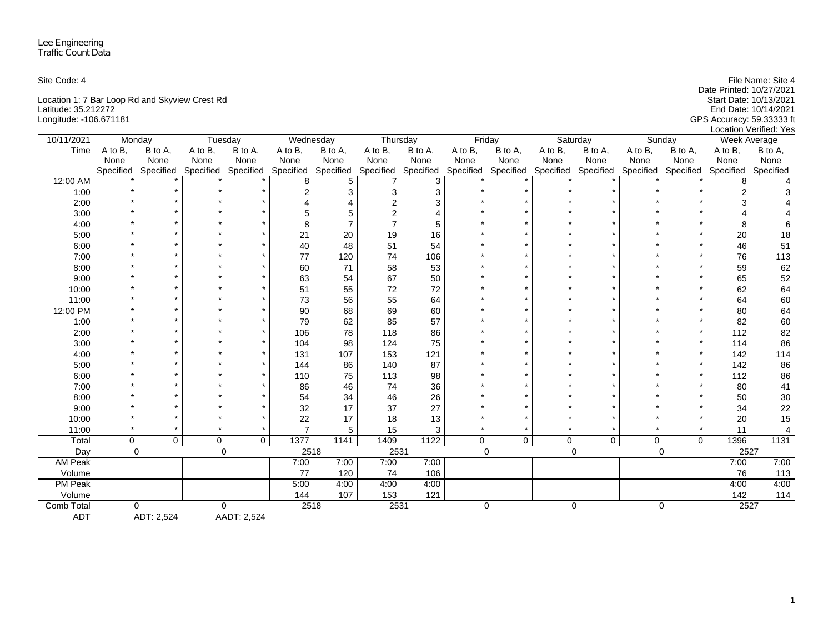| Site Code: 4                                   | File Name: Site 4          |
|------------------------------------------------|----------------------------|
|                                                | Date Printed: 10/27/2021   |
| Location 1: 7 Bar Loop Rd and Skyview Crest Rd | Start Date: 10/13/2021     |
| Latitude: 35.212272                            | End Date: 10/14/2021       |
| Longitude: -106.671181                         | GPS Accuracy: 59.333333 ft |
|                                                | Location Verified: Yes     |

| 10/11/2021     | Monday    |                |         | Tuesday             |                | Wednesday      | Thursday            |                   |             | Friday                        |         | Saturday    |             | Sunday              | <b>Week Average</b> |                |
|----------------|-----------|----------------|---------|---------------------|----------------|----------------|---------------------|-------------------|-------------|-------------------------------|---------|-------------|-------------|---------------------|---------------------|----------------|
| Time           | A to B,   | B to A,        | A to B, | B to A,             | A to B,        | B to A,        | A to B,             | B to A,           | A to B,     | B to A,                       | A to B, | B to A,     | A to B,     | B to A.             | A to B,             | B to A,        |
|                | None      | None           | None    | None                | None           | None           | None                | None              | None        | None                          | None    | None        | None        | None                | None                | None           |
|                | Specified | Specified      |         | Specified Specified | Specified      | Specified      | Specified Specified |                   |             | Specified Specified Specified |         | Specified   |             | Specified Specified | Specified           | Specified      |
| 12:00 AM       |           |                |         |                     | 8              | 5              |                     | 3                 |             |                               |         |             |             |                     | 8                   |                |
| 1:00           |           |                |         |                     | 2              | 3              | 3                   | 3                 |             |                               |         |             |             |                     |                     |                |
| 2:00           |           |                |         |                     |                |                |                     | 3                 |             |                               |         |             |             |                     |                     |                |
| 3:00           |           |                |         |                     |                | 5              |                     |                   |             |                               |         |             |             |                     |                     |                |
| 4:00           |           |                |         |                     | 8              | $\overline{7}$ |                     |                   |             |                               |         |             |             |                     |                     |                |
| 5:00           |           |                |         |                     | 21             | 20             | 19                  | 16                |             |                               |         |             |             |                     | 20                  | 18             |
| 6:00           |           |                |         |                     | 40             | 48             | 51                  | 54                |             |                               |         |             |             |                     | 46                  | 51             |
| 7:00           |           |                |         |                     | 77             | 120            | 74                  | 106               |             |                               |         |             |             |                     | 76                  | 113            |
| 8:00           |           |                |         |                     | 60             | 71             | 58                  | 53                |             |                               |         |             |             |                     | 59                  | 62             |
| 9:00           |           |                |         |                     | 63             | 54             | 67                  | 50                |             |                               |         |             |             |                     | 65                  | 52             |
| 10:00          |           |                |         |                     | 51             | 55             | 72                  | 72                |             |                               |         |             |             |                     | 62                  | 64             |
| 11:00          |           |                |         |                     | 73             | 56             | 55                  | 64                |             |                               |         |             |             |                     | 64                  | 60             |
| 12:00 PM       |           |                |         |                     | 90             | 68             | 69                  | 60                |             |                               |         |             |             |                     | 80                  | 64             |
| 1:00           |           |                |         |                     | 79             | 62             | 85                  | 57                |             |                               |         |             |             |                     | 82                  | 60             |
| 2:00           |           |                |         |                     | 106            | 78             | 118                 | 86                |             |                               |         |             |             |                     | 112                 | 82             |
| 3:00           |           |                |         |                     | 104            | 98             | 124                 | 75                |             |                               |         |             |             |                     | 114                 | 86             |
| 4:00           |           |                |         |                     | 131            | 107            | 153                 | 121               |             |                               |         |             |             |                     | 142                 | 114            |
| 5:00           |           |                |         |                     | 144            | 86             | 140                 | 87                |             |                               |         |             |             |                     | 142                 | 86             |
| 6:00           |           |                |         |                     | 110            | 75             | 113                 | 98                |             |                               |         |             |             |                     | 112                 | 86             |
| 7:00           |           |                |         |                     | 86             | 46             | 74                  | 36                |             |                               |         |             |             |                     | 80                  | 41             |
| 8:00           |           |                |         |                     | 54             | 34             | 46                  | 26                |             |                               |         |             |             |                     | 50                  | $30\,$         |
| 9:00           |           |                |         |                     | 32             | 17             | 37                  | 27                |             |                               |         |             |             |                     | 34                  | 22             |
| 10:00          |           |                |         |                     | 22             | 17             | 18                  | 13                |             |                               |         |             |             |                     | 20                  | 15             |
| 11:00          |           |                |         |                     | $\overline{7}$ | 5              | 15                  | 3                 |             |                               |         |             |             |                     | 11                  | $\overline{4}$ |
| Total          | $\Omega$  | $\overline{0}$ | 0       | $\overline{0}$      | 1377           | 1141           | 1409                | $\overline{1122}$ | $\mathbf 0$ | $\mathbf 0$                   | 0       | $\mathbf 0$ | $\mathbf 0$ | $\mathbf 0$         | 1396                | 1131           |
| Day            | $\Omega$  |                |         | $\mathbf 0$         |                | 2518           | 2531                |                   |             | $\mathbf 0$                   |         | $\Omega$    |             | $\mathbf 0$         | 2527                |                |
| <b>AM Peak</b> |           |                |         |                     | 7:00           | 7:00           | 7:00                | 7:00              |             |                               |         |             |             |                     | 7:00                | 7:00           |
| Volume         |           |                |         |                     | 77             | 120            | 74                  | 106               |             |                               |         |             |             |                     | 76                  | 113            |
| <b>PM Peak</b> |           |                |         |                     | 5:00           | 4:00           | 4:00                | 4:00              |             |                               |         |             |             |                     | 4:00                | 4:00           |
| Volume         |           |                |         |                     | 144            | 107            | 153                 | 121               |             |                               |         |             |             |                     | 142                 | 114            |
| Comb Total     |           | $\Omega$       |         | 0                   |                | 2518           | 2531                |                   |             | 0                             |         | $\mathbf 0$ |             | 0                   | 2527                |                |
| <b>ADT</b>     |           | ADT: 2,524     |         | AADT: 2,524         |                |                |                     |                   |             |                               |         |             |             |                     |                     |                |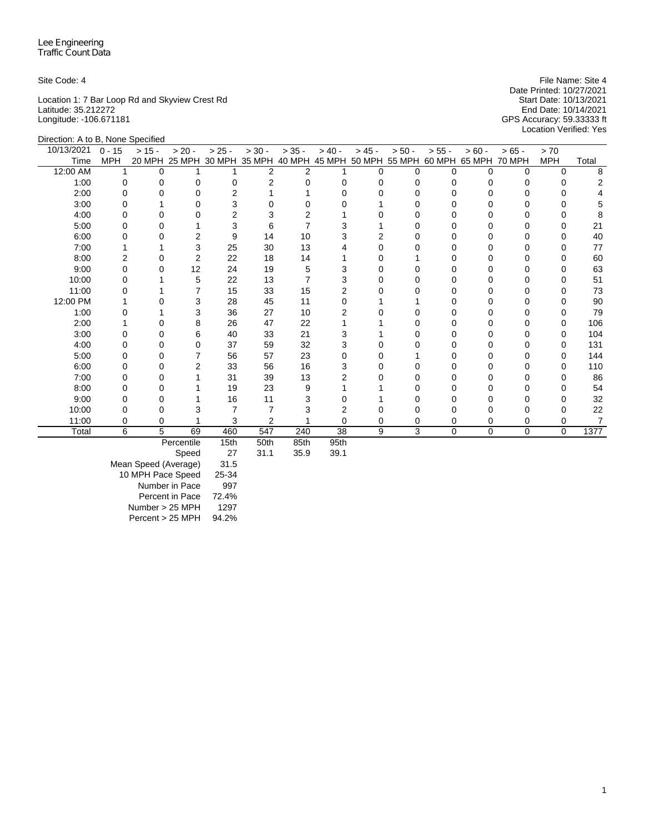Location 1: 7 Bar Loop Rd and Skyview Crest Rd Start Date: 10/13/2021 Latitude: 35.212272 End Date: 10/14/2021 Longitude: -106.671181 GPS Accuracy: 59.33333 ft

Site Code: 4 File Name: Site 4 File Name: Site 4 Date Printed: 10/27/2021<br>Start Date: 10/13/2021 Location Verified: Yes

| Direction: A to B, None Specified |            |          |                      |                |          |                |                  |          |                      |          |               |          |            |       |
|-----------------------------------|------------|----------|----------------------|----------------|----------|----------------|------------------|----------|----------------------|----------|---------------|----------|------------|-------|
| 10/13/2021                        | $0 - 15$   | $> 15 -$ | $> 20 -$             | $> 25 -$       | $> 30 -$ | $> 35 -$       | $> 40 -$         | $> 45 -$ | $> 50 -$             | $> 55 -$ | $> 60 -$      | $> 65 -$ | > 70       |       |
| Time                              | <b>MPH</b> |          | 20 MPH 25 MPH 30 MPH |                | 35 MPH   |                | 40 MPH 45 MPH    |          | 50 MPH 55 MPH 60 MPH |          | 65 MPH 70 MPH |          | <b>MPH</b> | Total |
| 12:00 AM                          | 1          | $\Omega$ |                      |                | 2        | $\overline{2}$ |                  | $\Omega$ | O                    | $\Omega$ | $\Omega$      | 0        | $\Omega$   | 8     |
| 1:00                              | $\Omega$   |          | 0                    | 0              | 2        | 0              |                  | 0        |                      | 0        |               | 0        | 0          |       |
| 2:00                              | 0          |          | O                    | $\overline{2}$ |          |                |                  | U        |                      |          |               |          | O          |       |
| 3:00                              | O          |          | 0                    | 3              |          |                |                  |          |                      |          |               | O        | 0          | 5     |
| 4:00                              |            |          | O                    | $\overline{2}$ |          |                |                  |          |                      |          |               |          | O          |       |
| 5:00                              | 0          |          |                      | 3              | 6        |                |                  |          |                      | U        |               | O        | 0          | 21    |
| 6:00                              | 0          |          | $\overline{2}$       | 9              | 14       | 10             | 3                | 2        |                      |          |               | 0        | $\Omega$   | 40    |
| 7:00                              |            |          | 3                    | 25             | 30       | 13             |                  | $\Omega$ |                      |          |               | O        | O          | 77    |
| 8:00                              |            |          | $\overline{2}$       | 22             | 18       | 14             |                  | O        |                      |          |               | 0        | 0          | 60    |
| 9:00                              | 0          |          | 12                   | 24             | 19       | 5              |                  | U        |                      |          |               | 0        | 0          | 63    |
| 10:00                             |            |          | 5                    | 22             | 13       | 7              |                  | O        |                      |          |               | U        | 0          | 51    |
| 11:00                             |            |          |                      | 15             | 33       | 15             | 2                |          |                      |          |               |          | 0          | 73    |
| 12:00 PM                          |            |          | 3                    | 28             | 45       | 11             |                  |          |                      |          |               |          | O          | 90    |
| 1:00                              |            |          | 3                    | 36             | 27       | 10             |                  |          |                      |          |               | U        | 0          | 79    |
| 2:00                              |            |          | 8                    | 26             | 47       | 22             |                  |          |                      |          |               | 0        | 0          | 106   |
| 3:00                              |            |          | 6                    | 40             | 33       | 21             |                  |          |                      |          |               |          | 0          | 104   |
| 4:00                              |            |          | 0                    | 37             | 59       | 32             | 3                |          |                      |          |               | 0        | 0          | 131   |
| 5:00                              |            | Ω        |                      | 56             | 57       | 23             |                  |          |                      |          |               | O        | 0          | 144   |
| 6:00                              | O          |          | $\overline{2}$       | 33             | 56       | 16             |                  | O        |                      |          |               | O        | 0          | 110   |
| 7:00                              | 0          |          |                      | 31             | 39       | 13             |                  | O        |                      |          |               | 0        | 0          | 86    |
| 8:00                              | O          | ი        |                      | 19             | 23       | 9              |                  |          |                      |          |               | U        | 0          | 54    |
| 9:00                              |            |          |                      | 16             | 11       |                |                  |          |                      |          |               |          | O          | 32    |
| 10:00                             |            |          | З                    |                | 7        |                |                  |          |                      |          |               | 0        | 0          | 22    |
| 11:00                             | ი          | 0        |                      | 3              | 2        |                | 0                | 0        | 0                    | 0        | 0             | 0        | 0          | 7     |
| Total                             | 6          | 5        | 69                   | 460            | 547      | 240            | 38               | 9        | 3                    | $\Omega$ | 0             | 0        | $\Omega$   | 1377  |
|                                   |            |          | Percentile           | 15th           | 50th     | 85th           | Q <sub>5th</sub> |          |                      |          |               |          |            |       |

Percentile 15th 50th 85th 95th

Speed

Mean Speed (Average) 31.5 10 MPH Pace Speed 25-34 Number in Pace 997 Percent in Pace 72.4% Number > 25 MPH 1297 Percent > 25 MPH 94.2%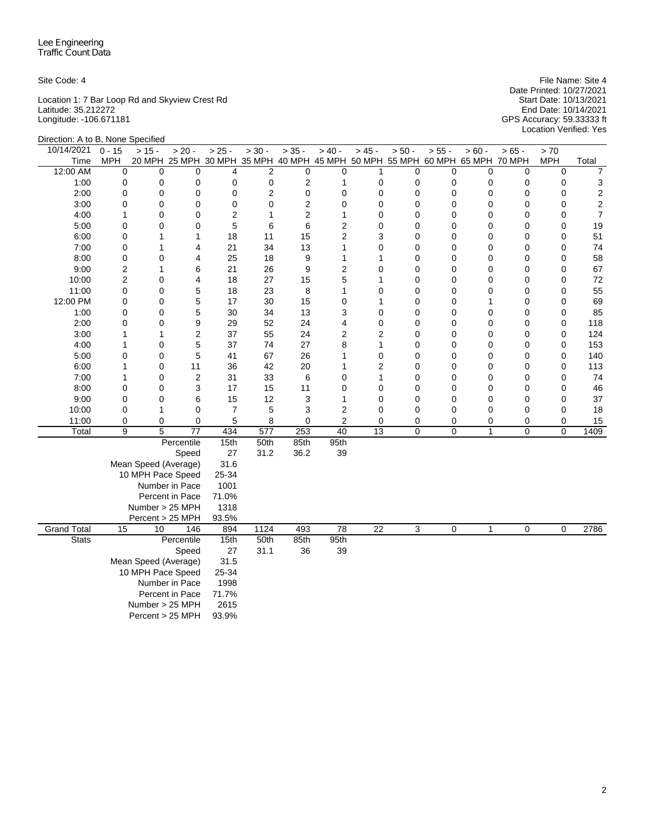Location 1: 7 Bar Loop Rd and Skyview Crest Rd Start Date: 10/13/2021 Latitude: 35.212272 End Date: 10/14/2021 Longitude: -106.671181 GPS Accuracy: 59.33333 ft

Site Code: 4 File Name: Site 4 File Name: Site 4 File Name: Site 4 File Name: Site 4 Date Printed: 10/27/2021 Location Verified: Yes

| Direction: A to B, None Specified |                     |                      |                 |                |                |                |                 |                 |                                                                              |                |              |                |                |                  |
|-----------------------------------|---------------------|----------------------|-----------------|----------------|----------------|----------------|-----------------|-----------------|------------------------------------------------------------------------------|----------------|--------------|----------------|----------------|------------------|
| 10/14/2021                        | $\overline{0}$ - 15 | $> 15 -$             | $> 20 -$        | $> 25 -$       | $> 30 -$       | $> 35 -$       | $> 40 -$        | $> 45 -$        | $> 50 -$                                                                     | $> 55 -$       | $> 60 -$     | $> 65 -$       | > 70           |                  |
| Time                              | <b>MPH</b>          |                      |                 |                |                |                |                 |                 | 20 MPH 25 MPH 30 MPH 35 MPH 40 MPH 45 MPH 50 MPH 55 MPH 60 MPH 65 MPH 70 MPH |                |              |                | <b>MPH</b>     | Total            |
| 12:00 AM                          | 0                   | 0                    | 0               | 4              | 2              | $\mathbf 0$    | 0               | 1               | 0                                                                            | $\mathbf 0$    | 0            | 0              | $\mathbf 0$    | 7                |
| 1:00                              | 0                   | 0                    | 0               | 0              | 0              | 2              | 1               | 0               | 0                                                                            | 0              | 0            | 0              | 0              | 3                |
| 2:00                              | 0                   | 0                    | 0               | 0              | $\overline{2}$ | $\mathbf 0$    | 0               | 0               | 0                                                                            | $\mathbf 0$    | $\mathbf 0$  | $\mathbf 0$    | 0              | $\boldsymbol{2}$ |
| 3:00                              | 0                   | 0                    | 0               | 0              | $\Omega$       | $\overline{c}$ | 0               | 0               | 0                                                                            | $\mathbf 0$    | 0            | 0              | 0              | $\boldsymbol{2}$ |
| 4:00                              | 1                   | 0                    | 0               | $\overline{2}$ | 1              | $\overline{c}$ | 1               | 0               | 0                                                                            | 0              | 0            | 0              | 0              | $\overline{7}$   |
| 5:00                              | 0                   | 0                    | $\mathbf 0$     | 5              | 6              | 6              | 2               | 0               | 0                                                                            | 0              | 0            | 0              | 0              | 19               |
| 6:00                              | 0                   | 1                    | $\mathbf{1}$    | 18             | 11             | 15             | 2               | 3               | 0                                                                            | 0              | 0            | 0              | 0              | 51               |
| 7:00                              | 0                   | 1                    | 4               | 21             | 34             | 13             | 1               | 0               | 0                                                                            | 0              | 0            | 0              | 0              | 74               |
| 8:00                              | 0                   | 0                    | 4               | 25             | 18             | 9              | 1               | 1               | 0                                                                            | 0              | 0            | 0              | 0              | 58               |
| 9:00                              | $\overline{c}$      | 1                    | 6               | 21             | 26             | 9              | 2               | 0               | 0                                                                            | $\mathbf 0$    | 0            | 0              | 0              | 67               |
| 10:00                             | 2                   | 0                    | 4               | 18             | 27             | 15             | 5               | 1               | 0                                                                            | $\mathbf 0$    | 0            | 0              | 0              | 72               |
| 11:00                             | 0                   | 0                    | 5               | 18             | 23             | 8              | 1               | 0               | 0                                                                            | 0              | 0            | 0              | 0              | 55               |
| 12:00 PM                          | 0                   | 0                    | 5               | 17             | 30             | 15             | 0               | 1               | 0                                                                            | 0              | 1            | 0              | 0              | 69               |
| 1:00                              | 0                   | 0                    | 5               | 30             | 34             | 13             | 3               | 0               | 0                                                                            | 0              | 0            | 0              | 0              | 85               |
| 2:00                              | 0                   | 0                    | 9               | 29             | 52             | 24             | 4               | 0               | 0                                                                            | 0              | 0            | 0              | 0              | 118              |
| 3:00                              | 1                   | 1                    | $\overline{c}$  | 37             | 55             | 24             | 2               | $\overline{2}$  | 0                                                                            | $\mathbf 0$    | 0            | 0              | 0              | 124              |
| 4:00                              | 1                   | 0                    | 5               | 37             | 74             | 27             | 8               | 1               | 0                                                                            | $\mathbf 0$    | 0            | 0              | 0              | 153              |
| 5:00                              | 0                   | 0                    | 5               | 41             | 67             | 26             | 1               | 0               | 0                                                                            | 0              | 0            | 0              | 0              | 140              |
| 6:00                              | 1                   | 0                    | 11              | 36             | 42             | 20             | 1               | $\overline{2}$  | 0                                                                            | 0              | 0            | 0              | 0              | 113              |
| 7:00                              | 1                   | 0                    | 2               | 31             | 33             | 6              | 0               | $\mathbf{1}$    | 0                                                                            | $\mathbf 0$    | 0            | 0              | 0              | 74               |
| 8:00                              | 0                   | 0                    | 3               | 17             | 15             | 11             | 0               | 0               | 0                                                                            | 0              | 0            | 0              | 0              | 46               |
| 9:00                              | 0                   | 0                    | 6               | 15             | 12             | 3              | 1               | 0               | 0                                                                            | $\mathbf 0$    | 0            | $\mathbf 0$    | 0              | 37               |
| 10:00                             | 0                   | 1                    | 0               | $\overline{7}$ | 5              | 3              | 2               | 0               | 0                                                                            | $\mathbf 0$    | 0            | $\mathbf 0$    | 0              | 18               |
| 11:00                             | 0                   | 0                    | 0               | 5              | 8              | $\mathbf 0$    | $\overline{2}$  | 0               | 0                                                                            | 0              | 0            | 0              | 0              | 15               |
| Total                             | 9                   | $\overline{5}$       | $\overline{77}$ | 434            | 577            | 253            | 40              | $\overline{13}$ | 0                                                                            | $\overline{0}$ | $\mathbf{1}$ | $\overline{0}$ | $\overline{0}$ | 1409             |
|                                   |                     |                      | Percentile      | 15th           | 50th           | 85th           | 95th            |                 |                                                                              |                |              |                |                |                  |
|                                   |                     |                      | Speed           | 27             | 31.2           | 36.2           | 39              |                 |                                                                              |                |              |                |                |                  |
|                                   |                     | Mean Speed (Average) |                 | 31.6           |                |                |                 |                 |                                                                              |                |              |                |                |                  |
|                                   |                     | 10 MPH Pace Speed    |                 | 25-34          |                |                |                 |                 |                                                                              |                |              |                |                |                  |
|                                   |                     |                      | Number in Pace  | 1001           |                |                |                 |                 |                                                                              |                |              |                |                |                  |
|                                   |                     |                      | Percent in Pace | 71.0%          |                |                |                 |                 |                                                                              |                |              |                |                |                  |
|                                   |                     | Number > 25 MPH      |                 | 1318           |                |                |                 |                 |                                                                              |                |              |                |                |                  |
|                                   |                     | Percent > 25 MPH     |                 | 93.5%          |                |                |                 |                 |                                                                              |                |              |                |                |                  |
| <b>Grand Total</b>                | 15                  | 10                   | 146             | 894            | 1124           | 493            | $\overline{78}$ | $\overline{22}$ | 3                                                                            | 0              | $\mathbf{1}$ | 0              | 0              | 2786             |
| <b>Stats</b>                      | Percentile          |                      |                 | 15th           | 50th           | 85th           | 95th            |                 |                                                                              |                |              |                |                |                  |
|                                   | Speed               |                      |                 |                | 31.1           | 36             | 39              |                 |                                                                              |                |              |                |                |                  |
|                                   |                     | Mean Speed (Average) |                 | 31.5           |                |                |                 |                 |                                                                              |                |              |                |                |                  |
|                                   |                     | 10 MPH Pace Speed    |                 | 25-34          |                |                |                 |                 |                                                                              |                |              |                |                |                  |
|                                   |                     |                      | Number in Pace  | 1998<br>71.7%  |                |                |                 |                 |                                                                              |                |              |                |                |                  |
|                                   | Percent in Pace     |                      |                 |                |                |                |                 |                 |                                                                              |                |              |                |                |                  |
|                                   | Number > 25 MPH     |                      |                 |                |                |                |                 |                 |                                                                              |                |              |                |                |                  |
|                                   |                     | Percent > 25 MPH     |                 | 93.9%          |                |                |                 |                 |                                                                              |                |              |                |                |                  |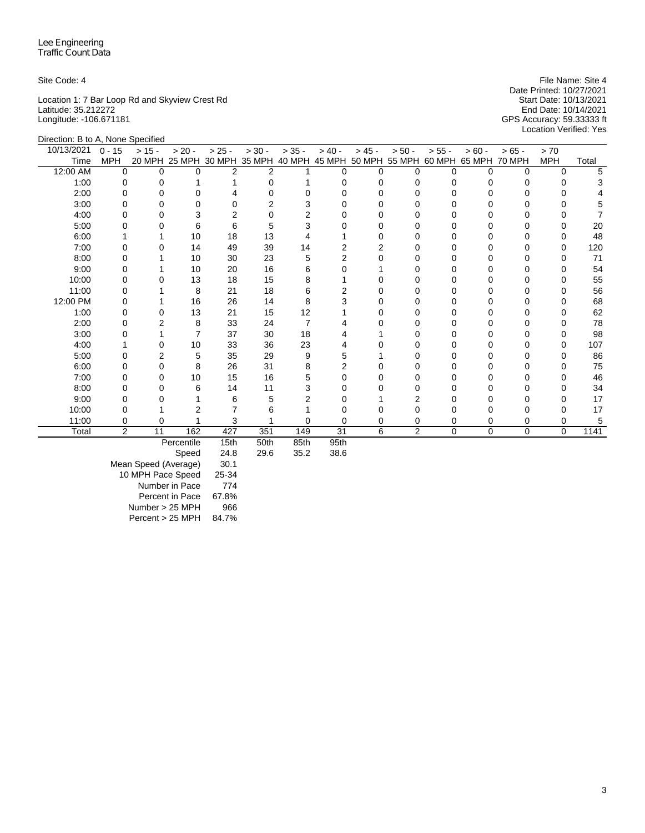Location 1: 7 Bar Loop Rd and Skyview Crest Rd Start Date: 10/13/2021 Latitude: 35.212272 End Date: 10/14/2021 Longitude: -106.671181 GPS Accuracy: 59.33333 ft

Site Code: 4 **File Name: Site 4** File Name: Site 4 Date Printed: 10/27/2021<br>Start Date: 10/13/2021 Location Verified: Yes

| Direction: B to A, None Specified |                |              |            |                |                             |          |                                    |          |                |              |               |          |            |       |
|-----------------------------------|----------------|--------------|------------|----------------|-----------------------------|----------|------------------------------------|----------|----------------|--------------|---------------|----------|------------|-------|
| 10/13/2021                        | $0 - 15$       | $> 15 -$     | $> 20 -$   | $> 25 -$       | $> 30 -$                    | $> 35 -$ | $> 40 -$                           | $> 45 -$ | $> 50 -$       | $> 55 -$     | $> 60 -$      | $>65 -$  | > 70       |       |
| Time                              | <b>MPH</b>     |              |            |                | 20 MPH 25 MPH 30 MPH 35 MPH |          | 40 MPH 45 MPH 50 MPH 55 MPH 60 MPH |          |                |              | 65 MPH 70 MPH |          | <b>MPH</b> | Total |
| 12:00 AM                          | $\Omega$       | $\Omega$     | $\Omega$   | $\overline{2}$ | $\overline{2}$              |          | $\Omega$                           | $\Omega$ | 0              | $\Omega$     | $\Omega$      | $\Omega$ | $\Omega$   | 5     |
| 1:00                              | 0              | $\Omega$     |            |                | $\Omega$                    |          | $\Omega$                           | $\Omega$ |                | 0            |               | 0        | 0          |       |
| 2:00                              | 0              | 0            | 0          |                | U                           | O        | n                                  | $\Omega$ |                | n            |               | 0        |            |       |
| 3:00                              | 0              | 0            | 0          | 0              | 2                           | 3        |                                    | 0        |                |              |               | 0        | 0          |       |
| 4:00                              | O              | U            | 3          | 2              | 0                           | 2        |                                    | O        |                |              |               |          |            |       |
| 5:00                              |                | 0            | 6          | 6              | 5                           | 3        |                                    | O        |                | Ω            |               | 0        |            | 20    |
| 6:00                              |                |              | 10         | 18             | 13                          |          |                                    | $\Omega$ |                | Ω            |               | 0        |            | 48    |
| 7:00                              | 0              | <sup>0</sup> | 14         | 49             | 39                          | 14       | 2                                  | 2        |                | <sup>0</sup> | O             | 0        | $\Omega$   | 120   |
| 8:00                              | 0              |              | 10         | 30             | 23                          | 5        | 2                                  | 0        |                |              |               | 0        | $\Omega$   | 71    |
| 9:00                              | ი              |              | 10         | 20             | 16                          | 6        |                                    |          |                | n            |               |          | O          | 54    |
| 10:00                             |                |              | 13         | 18             | 15                          | 8        |                                    | 0        |                | Ω            |               | 0        | O          | 55    |
| 11:00                             |                |              | 8          | 21             | 18                          | 6        |                                    | O        |                | Ω            |               | U        |            | 56    |
| 12:00 PM                          | ი              |              | 16         | 26             | 14                          | 8        |                                    | O        |                | Ω            |               | 0        |            | 68    |
| 1:00                              | 0              | 0            | 13         | 21             | 15                          | 12       |                                    | $\Omega$ |                | 0            |               | 0        | 0          | 62    |
| 2:00                              | 0              |              | 8          | 33             | 24                          | 7        |                                    | O        |                | 0            |               | 0        | 0          | 78    |
| 3:00                              |                |              | 7          | 37             | 30                          | 18       |                                    |          |                |              |               | 0        |            | 98    |
| 4:00                              |                | 0            | 10         | 33             | 36                          | 23       |                                    | O        |                |              |               | 0        | 0          | 107   |
| 5:00                              | 0              | 2            | 5          | 35             | 29                          | 9        | 5                                  |          |                | 0            | O             | 0        | 0          | 86    |
| 6:00                              | 0              | 0            | 8          | 26             | 31                          | 8        | 2                                  | $\Omega$ |                | 0            |               | 0        |            | 75    |
| 7:00                              | 0              | 0            | 10         | 15             | 16                          | 5        | 0                                  | O        |                | <sup>0</sup> |               | 0        | O          | 46    |
| 8:00                              | 0              | 0            | 6          | 14             | 11                          | 3        | 0                                  | 0        |                |              |               | 0        | 0          | 34    |
| 9:00                              | ი              |              |            | 6              | 5                           | 2        | O                                  |          | 2              |              |               | 0        | ∩          | 17    |
| 10:00                             |                |              |            |                | 6                           |          |                                    |          |                |              |               | 0        |            | 17    |
| 11:00                             | 0              | 0            |            | 3              |                             | 0        | 0                                  | $\Omega$ | 0              | 0            | $\Omega$      | 0        | 0          | 5     |
| Total                             | $\overline{2}$ | 11           | 162        | 427            | 351                         | 149      | 31                                 | 6        | $\overline{c}$ | $\Omega$     | 0             | $\Omega$ | $\Omega$   | 1141  |
|                                   |                |              | Percentile | 15th           | 50th                        | 85th     | 95th                               |          |                |              |               |          |            |       |

Speed 24.8 29.6 35.2 38.6

Mean Speed (Average) 30.1 10 MPH Pace Speed 25-34 Number in Pace 774 Percent in Pace 67.8% Number > 25 MPH 966 Percent > 25 MPH 84.7%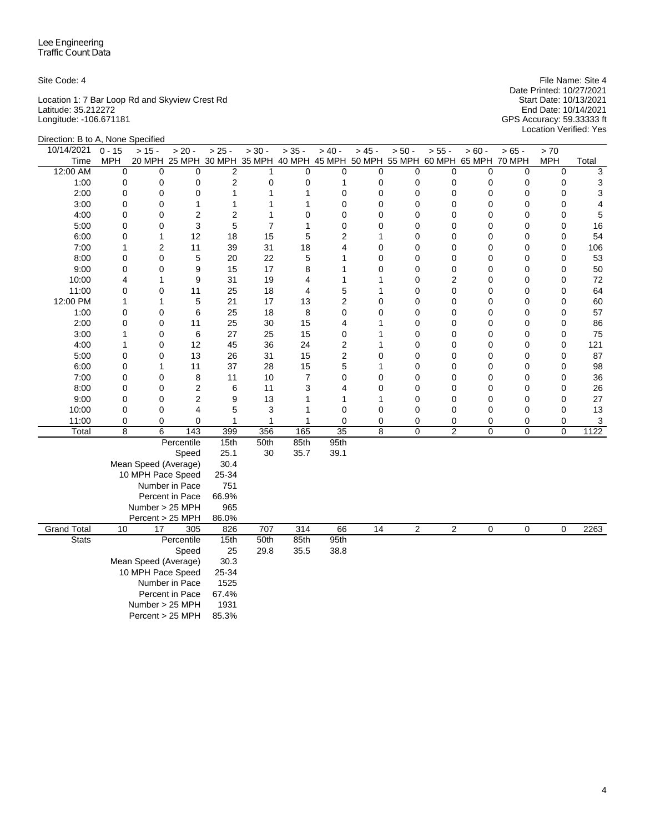Location 1: 7 Bar Loop Rd and Skyview Crest Rd Start Date: 10/13/2021 Latitude: 35.212272 End Date: 10/14/2021 Longitude: -106.671181 GPS Accuracy: 59.33333 ft

Site Code: 4 File Name: Site 4 File Name: Site 4 File Name: Site 4 File Name: Site 4 Date Printed: 10/27/2021 Location Verified: Yes

| Direction: B to A, None Specified |             |                      |                                                                              |                         |                |                |                     |                |                |                |             |                  |                            |          |
|-----------------------------------|-------------|----------------------|------------------------------------------------------------------------------|-------------------------|----------------|----------------|---------------------|----------------|----------------|----------------|-------------|------------------|----------------------------|----------|
| 10/14/2021                        | $0 - 15$    | $> 15 -$             | $> 20 -$                                                                     | $> 25 -$                | $> 30 -$       | $> 35 -$       | $> 40 -$            | $> 45 -$       | $> 50 -$       | $> 55 -$       | $> 60 -$    | $> 65 -$         | > 70                       |          |
| Time                              | MPH         |                      | 20 MPH 25 MPH 30 MPH 35 MPH 40 MPH 45 MPH 50 MPH 55 MPH 60 MPH 65 MPH 70 MPH |                         |                |                |                     |                |                |                |             |                  | <b>MPH</b>                 | Total    |
| 12:00 AM                          | 0           | $\mathbf 0$          | $\Omega$                                                                     | $\overline{2}$          | $\mathbf{1}$   | $\mathbf 0$    | 0                   | 0              | 0              | $\mathbf 0$    | 0           | $\mathbf 0$      | $\mathbf 0$                | 3        |
| 1:00                              | 0           | 0                    | 0                                                                            | $\overline{c}$          | $\mathbf 0$    | 0              | 1                   | 0              | 0              | 0              | 0           | 0                | 0                          | 3        |
| 2:00                              | 0           | 0                    | 0                                                                            | $\mathbf{1}$            | $\mathbf{1}$   | 1              | 0                   | 0              | 0              | $\mathbf 0$    | 0           | $\mathbf 0$      | $\mathbf 0$                | 3        |
| 3:00                              | 0           | 0                    | $\mathbf{1}$                                                                 | 1                       | $\mathbf{1}$   | 1              | 0                   | 0              | 0              | 0              | 0           | 0                | 0                          | 4        |
| 4:00                              | 0           | 0                    | $\overline{2}$                                                               | $\overline{\mathbf{c}}$ | 1              | 0              | 0                   | $\Omega$       | 0              | 0              | 0           | 0                | 0                          | 5        |
| 5:00                              | 0           | 0                    | 3                                                                            | 5                       | $\overline{7}$ | 1              | $\mathbf 0$         | 0              | 0              | $\mathbf 0$    | 0           | 0                | $\mathbf 0$                | 16       |
| 6:00                              | 0           | 1                    | 12                                                                           | 18                      | 15             | 5              | 2                   | 1              | 0              | 0              | 0           | $\mathbf 0$      | $\mathbf 0$                | 54       |
| 7:00                              | 1           | 2                    | 11                                                                           | 39                      | 31             | 18             | 4                   | 0              | 0              | 0              | 0           | 0                | $\mathbf 0$                | 106      |
| 8:00                              | 0           | 0                    | 5                                                                            | 20                      | 22             | 5              | 1                   | $\overline{0}$ | 0              | $\mathbf 0$    | 0           | $\mathbf 0$      | $\mathbf 0$                | 53       |
| 9:00                              | $\mathsf 0$ | 0                    | 9                                                                            | 15                      | 17             | 8              | 1                   | $\overline{0}$ | 0              | 0              | 0           | $\mathbf 0$      | $\mathbf 0$                | 50       |
| 10:00                             | 4           | 1                    | 9                                                                            | 31                      | 19             | 4              | 1                   | 1              | 0              | $\overline{c}$ | 0           | $\mathbf 0$      | $\mathbf 0$                | 72       |
| 11:00                             | 0<br>1      | 0<br>1               | 11<br>5                                                                      | 25<br>21                | 18<br>17       | 4<br>13        | 5<br>$\overline{c}$ | 1<br>0         | 0<br>0         | 0<br>0         | 0<br>0      | 0<br>$\mathbf 0$ | $\mathbf 0$<br>$\mathbf 0$ | 64       |
| 12:00 PM                          | 0           | 0                    |                                                                              |                         | 18             | 8              | 0                   | $\Omega$       | 0              | 0              | 0           | $\mathbf 0$      | $\mathbf 0$                | 60<br>57 |
| 1:00<br>2:00                      | 0           | 0                    | 6<br>11                                                                      | 25<br>25                | 30             | 15             | 4                   | 1              | 0              | 0              | 0           | 0                | $\mathbf 0$                | 86       |
| 3:00                              | 1           | 0                    | 6                                                                            | 27                      | 25             | 15             | 0                   | 1              | 0              | $\mathbf 0$    | 0           | 0                | $\mathbf 0$                | 75       |
| 4:00                              | 1           | 0                    | 12                                                                           | 45                      | 36             | 24             | 2                   | 1              | 0              | 0              | 0           | 0                | $\mathbf 0$                | 121      |
| 5:00                              | 0           | 0                    | 13                                                                           | 26                      | 31             | 15             | 2                   | $\overline{0}$ | 0              | 0              | 0           | 0                | $\mathbf 0$                | 87       |
| 6:00                              | 0           | 1                    | 11                                                                           | 37                      | 28             | 15             | 5                   | 1              | 0              | 0              | 0           | $\mathbf 0$      | $\mathbf 0$                | 98       |
| 7:00                              | 0           | 0                    | 8                                                                            | 11                      | 10             | $\overline{7}$ | 0                   | 0              | 0              | 0              | 0           | $\mathbf 0$      | $\mathbf 0$                | 36       |
| 8:00                              | 0           | 0                    | $\overline{c}$                                                               | 6                       | 11             | 3              | 4                   | 0              | 0              | 0              | 0           | 0                | $\mathbf 0$                | 26       |
| 9:00                              | 0           | 0                    | $\overline{2}$                                                               | 9                       | 13             | 1              | 1                   | 1              | 0              | 0              | 0           | $\pmb{0}$        | 0                          | 27       |
| 10:00                             | 0           | 0                    | 4                                                                            | 5                       | 3              | 1              | 0                   | 0              | 0              | $\mathbf 0$    | 0           | 0                | $\mathbf 0$                | 13       |
| 11:00                             | 0           | 0                    | 0                                                                            | 1                       | $\mathbf 1$    | 1              | $\mathbf 0$         | 0              | 0              | 0              | 0           | 0                | $\mathbf 0$                | 3        |
| Total                             | 8           | 6                    | 143                                                                          | 399                     | 356            | 165            | 35                  | 8              | 0              | $\overline{c}$ | 0           | $\mathbf 0$      | 0                          | 1122     |
|                                   |             |                      | Percentile                                                                   | 15th                    | 50th           | 85th           | 95th                |                |                |                |             |                  |                            |          |
|                                   |             |                      | Speed                                                                        | 25.1                    | 30             | 35.7           | 39.1                |                |                |                |             |                  |                            |          |
|                                   |             | Mean Speed (Average) |                                                                              | 30.4                    |                |                |                     |                |                |                |             |                  |                            |          |
|                                   |             | 10 MPH Pace Speed    |                                                                              | 25-34                   |                |                |                     |                |                |                |             |                  |                            |          |
|                                   |             |                      | Number in Pace                                                               | 751                     |                |                |                     |                |                |                |             |                  |                            |          |
|                                   |             |                      | Percent in Pace                                                              | 66.9%                   |                |                |                     |                |                |                |             |                  |                            |          |
|                                   |             | Number > 25 MPH      |                                                                              | 965                     |                |                |                     |                |                |                |             |                  |                            |          |
|                                   |             | Percent > 25 MPH     |                                                                              | 86.0%                   |                |                |                     |                |                |                |             |                  |                            |          |
| <b>Grand Total</b>                | 10          | 17                   | 305                                                                          | 826                     | 707            | 314            | 66                  | 14             | $\overline{2}$ | $\overline{2}$ | $\mathbf 0$ | 0                | $\mathbf 0$                | 2263     |
| <b>Stats</b>                      |             |                      | Percentile                                                                   | 15th                    | 50th           | 85th           | 95th                |                |                |                |             |                  |                            |          |
|                                   |             |                      | Speed                                                                        | 25                      | 29.8           | 35.5           | 38.8                |                |                |                |             |                  |                            |          |
|                                   |             | Mean Speed (Average) |                                                                              | 30.3                    |                |                |                     |                |                |                |             |                  |                            |          |
|                                   |             | 10 MPH Pace Speed    |                                                                              | 25-34                   |                |                |                     |                |                |                |             |                  |                            |          |
|                                   |             |                      | Number in Pace                                                               | 1525                    |                |                |                     |                |                |                |             |                  |                            |          |
|                                   |             |                      | Percent in Pace                                                              | 67.4%                   |                |                |                     |                |                |                |             |                  |                            |          |
|                                   |             | Number > 25 MPH      |                                                                              | 1931                    |                |                |                     |                |                |                |             |                  |                            |          |
|                                   |             | Percent > 25 MPH     |                                                                              | 85.3%                   |                |                |                     |                |                |                |             |                  |                            |          |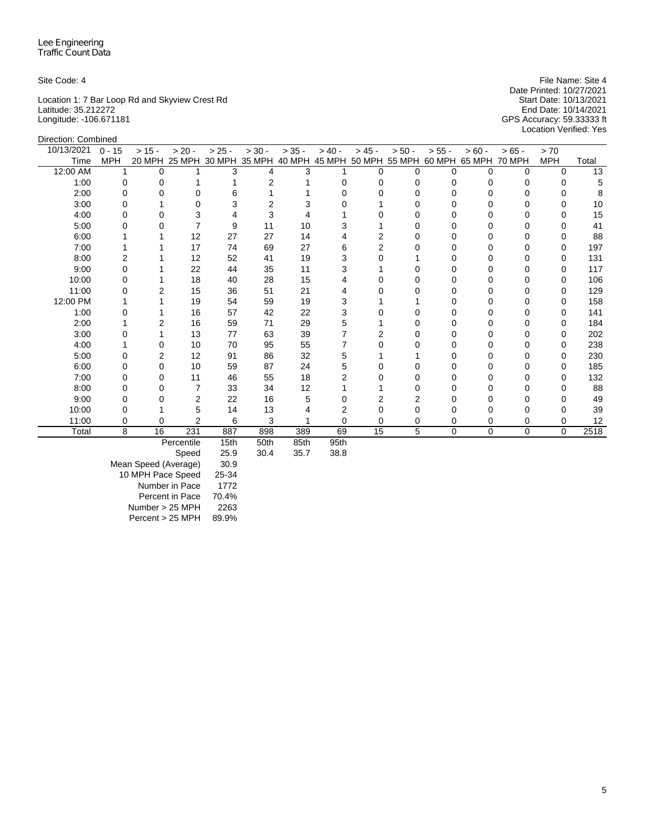Direction: Combined

Location 1: 7 Bar Loop Rd and Skyview Crest Rd Start Date: 10/13/2021 Latitude: 35.212272 End Date: 10/14/2021 Longitude: -106.671181 GPS Accuracy: 59.33333 ft

Site Code: 4 **File Name: Site 4** File Name: Site 4 Date Printed: 10/27/2021<br>Start Date: 10/13/2021 Location Verified: Yes

| 10/13/2021 | $0 - 15$   | $> 15 -$ | $> 20 -$       | $> 25 -$ | $> 30 -$ | $> 35 -$ | $> 40 -$ | $> 45 -$ | $> 50 -$                                                                     | $> 55 -$ | $> 60 -$    | $>65 -$  | > 70         |                 |
|------------|------------|----------|----------------|----------|----------|----------|----------|----------|------------------------------------------------------------------------------|----------|-------------|----------|--------------|-----------------|
| Time       | <b>MPH</b> |          |                |          |          |          |          |          | 20 MPH 25 MPH 30 MPH 35 MPH 40 MPH 45 MPH 50 MPH 55 MPH 60 MPH 65 MPH 70 MPH |          |             |          | <b>MPH</b>   | Total           |
| 12:00 AM   |            | 0        |                | 3        | 4        | 3        |          | $\Omega$ | <sup>n</sup>                                                                 | 0        | $\Omega$    | $\Omega$ | $\Omega$     | $\overline{13}$ |
| 1:00       |            |          |                |          |          |          |          |          |                                                                              |          |             |          |              |                 |
| 2:00       |            |          | O              | ห        |          |          |          |          |                                                                              |          |             |          |              |                 |
| 3:00       |            |          | 0              | 3        |          |          |          |          |                                                                              |          |             |          | 0            | 10              |
| 4:00       |            |          |                |          |          |          |          |          |                                                                              |          |             |          |              | 15              |
| 5:00       |            |          |                | 9        | 11       | 10       |          |          |                                                                              |          |             |          |              | 41              |
| 6:00       |            |          | 12             | 27       | 27       | 14       |          |          |                                                                              |          |             |          |              | 88              |
| 7:00       |            |          | 17             | 74       | 69       | 27       | 6        |          |                                                                              |          |             |          |              | 197             |
| 8:00       |            |          | 12             | 52       | 41       | 19       |          |          |                                                                              |          |             |          |              | 131             |
| 9:00       |            |          | 22             | 44       | 35       | 11       |          |          |                                                                              | Ω        |             |          | <sup>0</sup> | 117             |
| 10:00      |            |          | 18             | 40       | 28       | 15       |          |          |                                                                              |          |             |          |              | 106             |
| 11:00      |            |          | 15             | 36       | 51       | 21       |          |          |                                                                              |          |             |          |              | 129             |
| 12:00 PM   |            |          | 19             | 54       | 59       | 19       |          |          |                                                                              | Ω        |             |          | <sup>0</sup> | 158             |
| 1:00       |            |          | 16             | 57       | 42       | 22       | 3        |          |                                                                              |          |             |          |              | 141             |
| 2:00       |            |          | 16             | 59       | 71       | 29       | 5        |          |                                                                              |          |             |          |              | 184             |
| 3:00       |            |          | 13             | 77       | 63       | 39       |          |          |                                                                              |          |             |          |              | 202             |
| 4:00       |            |          | 10             | 70       | 95       | 55       |          |          |                                                                              |          |             |          |              | 238             |
| 5:00       |            | 2        | 12             | 91       | 86       | 32       | 5        |          |                                                                              |          |             |          |              | 230             |
| 6:00       |            | 0        | 10             | 59       | 87       | 24       |          |          |                                                                              |          |             |          |              | 185             |
| 7:00       |            | U        | 11             | 46       | 55       | 18       |          |          |                                                                              |          |             |          | <sup>0</sup> | 132             |
| 8:00       |            |          | 7              | 33       | 34       | 12       |          |          |                                                                              |          |             |          |              | 88              |
| 9:00       |            |          | 2              | 22       | 16       |          |          |          |                                                                              |          |             |          |              | 49              |
| 10:00      |            |          | 5              | 14       | 13       |          |          |          |                                                                              |          |             |          |              | 39              |
| 11:00      |            | 0        | $\overline{2}$ | 6        | 3        |          | ი        | 0        |                                                                              | 0        | 0           | 0        | 0            | 12              |
| Total      | 8          | 16       | 231            | 887      | 898      | 389      | 69       | 15       | 5                                                                            | $\Omega$ | $\mathbf 0$ | $\Omega$ | $\Omega$     | 2518            |
|            |            |          | Percentile     | 15th     | 50th     | 85th     | 95th     |          |                                                                              |          |             |          |              |                 |

Percentile 15th 50th 85th 95th

Speed

Mean Speed (Average) 30.9 10 MPH Pace Speed 25-34 Number in Pace 1772 Percent in Pace 70.4% Number > 25 MPH 2263 Percent > 25 MPH 89.9%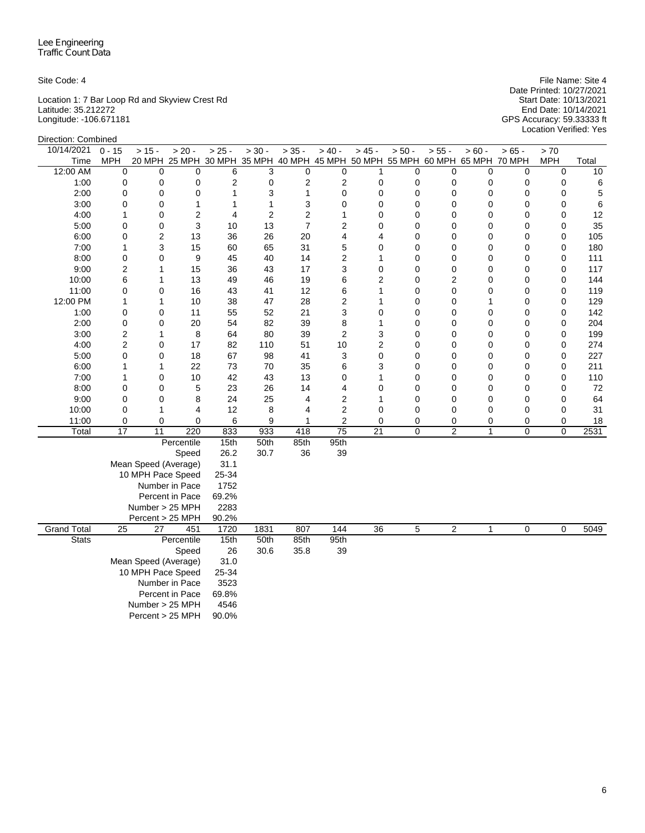Location 1: 7 Bar Loop Rd and Skyview Crest Rd Start Date: 10/13/2021 Latitude: 35.212272 End Date: 10/14/2021 Longitude: -106.671181 GPS Accuracy: 59.33333 ft

Site Code: 4 File Name: Site 4 File Name: Site 4 File Name: Site 4 File Name: Site 4 Date Printed: 10/27/2021 Location Verified: Yes

| Direction: Combined |                         |                      |                 |                    |          |                |                 |                 |                                                                              |                |              |                |                |       |
|---------------------|-------------------------|----------------------|-----------------|--------------------|----------|----------------|-----------------|-----------------|------------------------------------------------------------------------------|----------------|--------------|----------------|----------------|-------|
| 10/14/2021          | $0 - 15$                | $> 15 -$             | $> 20 -$        | $\frac{-}{2}$ 25 - | $> 30 -$ | $> 35 -$       | $> 40 -$        | $> 45 -$        | $> 50 -$                                                                     | $> 55 -$       | $> 60 -$     | $> 65 -$       | > 70           |       |
| Time                | <b>MPH</b>              |                      |                 |                    |          |                |                 |                 | 20 MPH 25 MPH 30 MPH 35 MPH 40 MPH 45 MPH 50 MPH 55 MPH 60 MPH 65 MPH 70 MPH |                |              |                | <b>MPH</b>     | Total |
| 12:00 AM            | 0                       | 0                    | 0               | 6                  | 3        | $\mathbf 0$    | 0               | 1               | 0                                                                            | $\mathbf 0$    | 0            | 0              | $\mathbf 0$    | 10    |
| 1:00                | 0                       | 0                    | 0               | $\overline{c}$     | 0        | 2              | 2               | 0               | 0                                                                            | 0              | 0            | 0              | 0              | 6     |
| 2:00                | 0                       | 0                    | 0               | 1                  | 3        | 1              | 0               | 0               | 0                                                                            | $\mathbf 0$    | $\mathbf 0$  | $\mathbf 0$    | 0              | 5     |
| 3:00                | 0                       | 0                    | $\mathbf{1}$    | 1                  | 1        | 3              | 0               | 0               | 0                                                                            | $\mathbf 0$    | 0            | 0              | 0              | 6     |
| 4:00                | 1                       | 0                    | $\overline{2}$  | 4                  | 2        | $\overline{c}$ | 1               | 0               | 0                                                                            | 0              | 0            | 0              | 0              | 12    |
| 5:00                | 0                       | 0                    | 3               | 10                 | 13       | $\overline{7}$ | 2               | 0               | 0                                                                            | 0              | 0            | 0              | 0              | 35    |
| 6:00                | 0                       | $\overline{c}$       | 13              | 36                 | 26       | 20             | 4               | 4               | 0                                                                            | 0              | 0            | 0              | 0              | 105   |
| 7:00                | 1                       | 3                    | 15              | 60                 | 65       | 31             | 5               | 0               | 0                                                                            | 0              | 0            | 0              | 0              | 180   |
| 8:00                | 0                       | 0                    | 9               | 45                 | 40       | 14             | 2               | 1               | 0                                                                            | 0              | 0            | 0              | 0              | 111   |
| 9:00                | 2                       | 1                    | 15              | 36                 | 43       | 17             | 3               | 0               | 0                                                                            | $\mathbf 0$    | 0            | 0              | $\Omega$       | 117   |
| 10:00               | 6                       | 1                    | 13              | 49                 | 46       | 19             | 6               | $\overline{2}$  | 0                                                                            | $\overline{2}$ | 0            | 0              | 0              | 144   |
| 11:00               | 0                       | 0                    | 16              | 43                 | 41       | 12             | 6               | 1               | 0                                                                            | 0              | 0            | 0              | 0              | 119   |
| 12:00 PM            | 1                       | $\mathbf{1}$         | 10              | 38                 | 47       | 28             | $\overline{c}$  | 1               | 0                                                                            | 0              | 1            | 0              | 0              | 129   |
| 1:00                | 0                       | 0                    | 11              | 55                 | 52       | 21             | 3               | 0               | 0                                                                            | $\mathbf 0$    | 0            | 0              | 0              | 142   |
| 2:00                | 0                       | 0                    | 20              | 54                 | 82       | 39             | 8               | 1               | 0                                                                            | 0              | 0            | 0              | 0              | 204   |
| 3:00                | $\overline{\mathbf{c}}$ | 1                    | 8               | 64                 | 80       | 39             | 2               | 3               | 0                                                                            | $\mathbf 0$    | 0            | 0              | $\Omega$       | 199   |
| 4:00                | 2                       | 0                    | 17              | 82                 | 110      | 51             | 10              | $\overline{2}$  | 0                                                                            | $\mathbf 0$    | 0            | 0              | 0              | 274   |
| 5:00                | 0                       | 0                    | 18              | 67                 | 98       | 41             | 3               | 0               | 0                                                                            | 0              | 0            | 0              | 0              | 227   |
| 6:00                | 1                       | $\mathbf{1}$         | 22              | 73                 | 70       | 35             | 6               | 3               | 0                                                                            | 0              | 0            | 0              | 0              | 211   |
| 7:00                | 1                       | 0                    | 10              | 42                 | 43       | 13             | 0               | 1               | 0                                                                            | $\mathbf 0$    | 0            | 0              | 0              | 110   |
| 8:00                | 0                       | 0                    | 5               | 23                 | 26       | 14             | 4               | 0               | 0                                                                            | 0              | 0            | 0              | 0              | 72    |
| 9:00                | $\mathbf 0$             | 0                    | 8               | 24                 | 25       | 4              | $\overline{c}$  | 1               | 0                                                                            | $\mathbf 0$    | 0            | $\mathbf 0$    | 0              | 64    |
| 10:00               | 0                       | 1                    | 4               | 12                 | 8        | 4              | $\overline{c}$  | 0               | 0                                                                            | $\mathbf 0$    | 0            | $\mathbf 0$    | 0              | 31    |
| 11:00               | 0                       | $\Omega$             | 0               | 6                  | 9        | 1              | $\overline{2}$  | 0               | 0                                                                            | 0              | 0            | 0              | 0              | 18    |
| Total               | $\overline{17}$         | 11                   | 220             | 833                | 933      | 418            | $\overline{75}$ | $\overline{21}$ | 0                                                                            | $\overline{c}$ | $\mathbf{1}$ | $\overline{0}$ | $\overline{0}$ | 2531  |
|                     |                         |                      | Percentile      | 15th               | 50th     | 85th           | 95th            |                 |                                                                              |                |              |                |                |       |
|                     |                         |                      | Speed           | 26.2               | 30.7     | 36             | 39              |                 |                                                                              |                |              |                |                |       |
|                     |                         | Mean Speed (Average) |                 | 31.1               |          |                |                 |                 |                                                                              |                |              |                |                |       |
|                     |                         | 10 MPH Pace Speed    |                 | 25-34              |          |                |                 |                 |                                                                              |                |              |                |                |       |
|                     |                         |                      | Number in Pace  | 1752               |          |                |                 |                 |                                                                              |                |              |                |                |       |
|                     |                         |                      | Percent in Pace | 69.2%              |          |                |                 |                 |                                                                              |                |              |                |                |       |
|                     |                         | Number > 25 MPH      |                 | 2283               |          |                |                 |                 |                                                                              |                |              |                |                |       |
|                     |                         | Percent > 25 MPH     |                 | 90.2%              |          |                |                 |                 |                                                                              |                |              |                |                |       |
| <b>Grand Total</b>  | $\overline{25}$         | $\overline{27}$      | 451             | 1720               | 1831     | 807            | 144             | $\overline{36}$ | 5                                                                            | $\overline{2}$ | $\mathbf{1}$ | 0              | 0              | 5049  |
| <b>Stats</b>        |                         |                      | Percentile      | 15th               | 50th     | 85th           | 95th            |                 |                                                                              |                |              |                |                |       |
|                     | Speed                   |                      |                 |                    | 30.6     | 35.8           | 39              |                 |                                                                              |                |              |                |                |       |
|                     |                         | Mean Speed (Average) |                 | 31.0               |          |                |                 |                 |                                                                              |                |              |                |                |       |
|                     |                         | 10 MPH Pace Speed    |                 | 25-34              |          |                |                 |                 |                                                                              |                |              |                |                |       |
|                     |                         |                      | Number in Pace  | 3523               |          |                |                 |                 |                                                                              |                |              |                |                |       |
|                     |                         |                      | Percent in Pace | 69.8%              |          |                |                 |                 |                                                                              |                |              |                |                |       |
|                     | Number > 25 MPH         |                      |                 |                    |          |                |                 |                 |                                                                              |                |              |                |                |       |
|                     |                         | Percent > 25 MPH     |                 | 90.0%              |          |                |                 |                 |                                                                              |                |              |                |                |       |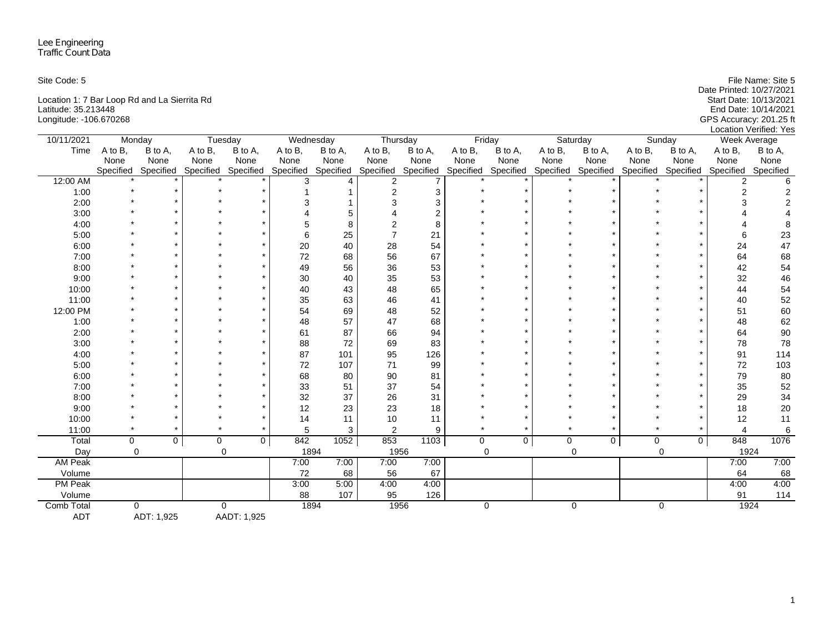| Site Code: 5                                 | File Name: Site 5        |
|----------------------------------------------|--------------------------|
|                                              | Date Printed: 10/27/2021 |
| Location 1: 7 Bar Loop Rd and La Sierrita Rd | Start Date: 10/13/2021   |
| Latitude: 35.213448                          | End Date: 10/14/2021     |
| Longitude: -106.670268                       | GPS Accuracy: 201.25 ft  |
|                                              | Location Verified: Yes   |

| 10/11/2021     | Monday    |             |           | Tuesday             |         | Wednesday | Thursday            |         |             | Friday              |             | Saturday    |             | Sunday              | Week Average |           |
|----------------|-----------|-------------|-----------|---------------------|---------|-----------|---------------------|---------|-------------|---------------------|-------------|-------------|-------------|---------------------|--------------|-----------|
| Time           | A to B,   | B to A,     | A to B,   | B to A,             | A to B, | B to A,   | A to B,             | B to A, | A to B,     | B to A,             | A to B,     | B to A,     | A to B,     | B to A,             | A to B,      | B to A,   |
|                | None      | None        | None      | None                | None    | None      | None                | None    | None        | None                | None        | None        | None        | None                | None         | None      |
|                | Specified | Specified   | Specified | Specified Specified |         | Specified | Specified Specified |         | Specified   | Specified Specified |             | Specified   |             | Specified Specified | Specified    | Specified |
| 12:00 AM       |           |             |           |                     |         |           | $\overline{2}$      |         |             |                     |             |             |             |                     |              | 6         |
| 1:00           |           |             |           |                     |         |           |                     | 3       |             |                     |             |             |             |                     |              | 2         |
| 2:00           |           |             |           |                     |         |           |                     |         |             |                     |             |             |             |                     |              |           |
| 3:00           |           |             |           |                     |         | 5         |                     |         |             |                     |             |             |             |                     |              |           |
| 4:00           |           |             |           |                     |         |           |                     |         |             |                     |             |             |             |                     |              | 8         |
| 5:00           |           |             |           |                     | 6       | 25        |                     | 21      |             |                     |             |             |             |                     | 6            | 23        |
| 6:00           |           |             |           |                     | 20      | 40        | 28                  | 54      |             |                     |             |             |             |                     | 24           | 47        |
| 7:00           |           |             |           |                     | 72      | 68        | 56                  | 67      |             |                     |             |             |             |                     | 64           | 68        |
| 8:00           |           |             |           |                     | 49      | 56        | 36                  | 53      |             |                     |             |             |             |                     | 42           | 54        |
| 9:00           |           |             |           |                     | 30      | 40        | 35                  | 53      |             |                     |             |             |             |                     | 32           | 46        |
| 10:00          |           |             |           |                     | 40      | 43        | 48                  | 65      |             |                     |             |             |             |                     | 44           | 54        |
| 11:00          |           |             |           |                     | 35      | 63        | 46                  | 41      |             |                     |             |             |             |                     | 40           | 52        |
| 12:00 PM       |           |             |           |                     | 54      | 69        | 48                  | 52      |             |                     |             |             |             |                     | 51           | 60        |
| 1:00           |           |             |           |                     | 48      | 57        | 47                  | 68      |             |                     |             |             |             |                     | 48           | 62        |
| 2:00           |           |             |           |                     | 61      | 87        | 66                  | 94      |             |                     |             |             |             |                     | 64           | 90        |
| 3:00           |           |             |           |                     | 88      | 72        | 69                  | 83      |             |                     |             |             |             |                     | 78           | 78        |
| 4:00           |           |             |           |                     | 87      | 101       | 95                  | 126     |             |                     |             |             |             |                     | 91           | 114       |
| 5:00           |           |             |           |                     | 72      | 107       | 71                  | 99      |             |                     |             |             |             |                     | 72           | 103       |
| 6:00           |           |             |           |                     | 68      | 80        | 90                  | 81      |             |                     |             |             |             |                     | 79           | 80        |
| 7:00           |           |             |           |                     | 33      | 51        | 37                  | 54      |             |                     |             |             |             |                     | 35           | 52        |
| 8:00           |           |             |           |                     | 32      | 37        | 26                  | 31      |             |                     |             |             |             |                     | 29           | 34        |
| 9:00           |           |             |           |                     | 12      | 23        | 23                  | 18      |             |                     |             |             |             |                     | 18           | $20\,$    |
| 10:00          |           |             |           |                     | 14      | 11        | 10                  | 11      |             |                     |             |             |             |                     | 12           | 11        |
| 11:00          |           |             |           |                     | 5       | 3         | 2                   | 9       |             |                     |             |             |             |                     | 4            | $\,6\,$   |
| Total          | 0         | $\mathbf 0$ | 0         | $\overline{0}$      | 842     | 1052      | 853                 | 1103    | $\mathbf 0$ | $\overline{0}$      | $\mathbf 0$ | $\mathbf 0$ | $\mathbf 0$ | $\mathbf 0$         | 848          | 1076      |
| Day            | $\Omega$  |             |           | $\mathbf 0$         |         | 1894      | 1956                |         |             | $\mathbf 0$         |             | $\mathbf 0$ |             | $\mathbf 0$         | 1924         |           |
| <b>AM Peak</b> |           |             |           |                     | 7:00    | 7:00      | 7:00                | 7:00    |             |                     |             |             |             |                     | 7:00         | 7:00      |
| Volume         |           |             |           |                     | 72      | 68        | 56                  | 67      |             |                     |             |             |             |                     | 64           | 68        |
| <b>PM Peak</b> |           |             |           |                     | 3:00    | 5:00      | 4:00                | 4:00    |             |                     |             |             |             |                     | 4:00         | 4:00      |
| Volume         |           |             |           |                     | 88      | 107       | 95                  | 126     |             |                     |             |             |             |                     | 91           | 114       |
| Comb Total     |           | $\Omega$    |           | $\mathbf 0$         |         | 1894      | 1956                |         |             | 0                   |             | 0           |             | 0                   | 1924         |           |
| <b>ADT</b>     |           | ADT: 1,925  |           | AADT: 1,925         |         |           |                     |         |             |                     |             |             |             |                     |              |           |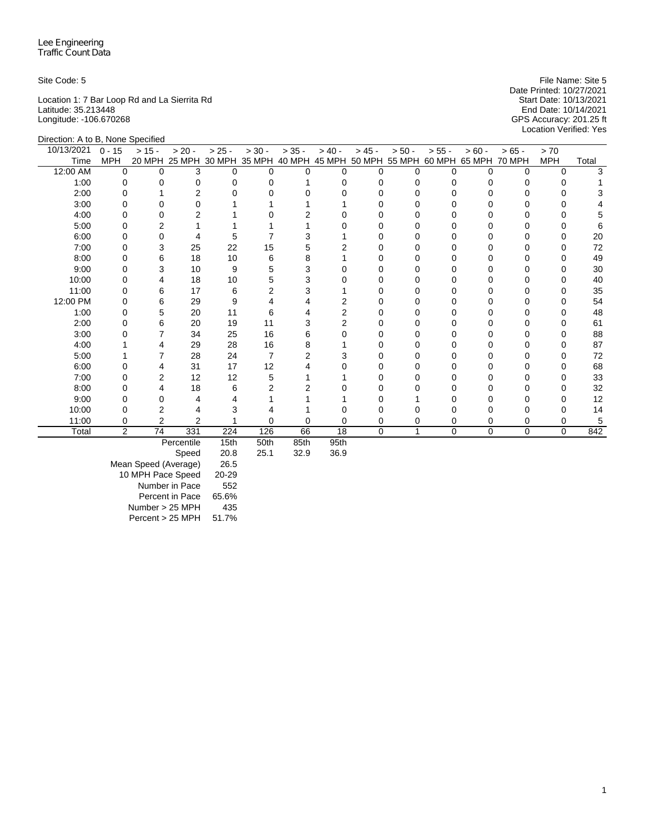Location 1: 7 Bar Loop Rd and La Sierrita Rd Start Date: 10/13/2021 Latitude: 35.213448 End Date: 10/14/2021 Longitude: -106.670268 GPS Accuracy: 201.25 ft

Site Code: 5 File Name: Site 5 Date Printed: 10/27/2021<br>Start Date: 10/13/2021 Location Verified: Yes

| Direction: A to B, None Specified |                |                |                   |          |          |                 |                   |          |                                                         |            |               |             |            |       |
|-----------------------------------|----------------|----------------|-------------------|----------|----------|-----------------|-------------------|----------|---------------------------------------------------------|------------|---------------|-------------|------------|-------|
| 10/13/2021                        | $0 - 15$       | $> 15 -$       | $> 20 -$          | $> 25 -$ | $> 30 -$ | $> 35 -$        | $> 40 -$          | $> 45 -$ | $> 50 -$                                                | $> 55 -$   | $> 60 -$      | $>65 -$     | > 70       |       |
| Time                              | <b>MPH</b>     | 20 MPH         |                   |          |          |                 |                   |          | 25 MPH 30 MPH 35 MPH 40 MPH 45 MPH 50 MPH 55 MPH 60 MPH |            | 65 MPH 70 MPH |             | <b>MPH</b> | Total |
| 12:00 AM                          | $\Omega$       | $\Omega$       | 3                 | U        | 0        | $\Omega$        | $\Omega$          | $\Omega$ | <sup>0</sup>                                            | $\Omega$   | $\Omega$      | $\Omega$    | 0          | 3     |
| 1:00                              | 0              |                | $\Omega$          |          |          |                 |                   | 0        |                                                         | 0          |               |             |            |       |
| 2:00                              |                |                | $\overline{2}$    |          |          |                 |                   | U        |                                                         |            |               |             |            |       |
| 3:00                              | O              |                | 0                 |          |          |                 |                   | O        |                                                         | Ω          |               | O           |            |       |
| 4:00                              |                |                | $\overline{2}$    |          |          |                 |                   |          |                                                         |            |               |             |            |       |
| 5:00                              |                |                |                   |          |          |                 |                   |          |                                                         |            |               |             |            |       |
| 6:00                              |                | ი              | 4                 | 5        |          |                 |                   | O        |                                                         | $^{\circ}$ |               | Ω           | O          | 20    |
| 7:00                              |                | 3              | 25                | 22       | 15       |                 |                   |          |                                                         |            |               |             |            | 72    |
| 8:00                              |                | 6              | 18                | 10       | 6        |                 |                   |          |                                                         | n          |               |             |            | 49    |
| 9:00                              |                | 3              | 10                | 9        | 5        | 3               |                   |          |                                                         |            |               |             |            | 30    |
| 10:00                             |                | 4              | 18                | 10       | 5        |                 |                   |          |                                                         | Ω          |               |             |            | 40    |
| 11:00                             |                | 6              | 17                | 6        | 2        |                 |                   |          |                                                         | Ω          |               |             |            | 35    |
| 12:00 PM                          |                | 6              | 29                | 9        |          |                 |                   |          |                                                         | O          |               |             |            | 54    |
| 1:00                              | O              | 5              | 20                | 11       | 6        |                 |                   | O        |                                                         | U          |               | O           | O          | 48    |
| 2:00                              |                | 6              | 20                | 19       | 11       |                 |                   |          |                                                         |            |               |             |            | 61    |
| 3:00                              |                |                | 34                | 25       | 16       |                 |                   |          |                                                         |            |               |             |            | 88    |
| 4:00                              |                |                | 29                | 28       | 16       | 8               |                   | O        |                                                         | O          |               | Ω           | O          | 87    |
| 5:00                              |                |                | 28                | 24       |          | 2               |                   |          |                                                         |            |               |             |            | 72    |
| 6:00                              |                |                | 31                | 17       | 12       |                 |                   |          |                                                         | Ω          |               |             | O          | 68    |
| 7:00                              |                | 2              | 12                | 12       | 5        |                 |                   |          |                                                         |            |               |             |            | 33    |
| 8:00                              |                | 4              | 18                | 6        |          |                 |                   |          |                                                         |            |               |             |            | 32    |
| 9:00                              |                |                | 4                 |          |          |                 |                   |          |                                                         |            |               |             |            | 12    |
| 10:00                             | 0              | 2              | 4                 |          |          |                 |                   |          |                                                         |            |               | 0           |            | 14    |
| 11:00                             | 0              | $\overline{2}$ | $\overline{2}$    |          | U        | 0               | 0                 | 0        | 0                                                       | 0          | 0             | 0           | 0          | 5     |
| Total                             | $\overline{2}$ | 74             | 331               | 224      | 126      | 66              | 18                | $\Omega$ | 1                                                       | $\Omega$   | $\mathbf 0$   | $\mathbf 0$ | $\Omega$   | 842   |
|                                   |                |                | <b>Percentile</b> | 15th     | $F$ Oth  | R <sub>th</sub> | Q <sub>5</sub> th |          |                                                         |            |               |             |            |       |

Percentile 15th 50th 85th 95th

Speed Mean Speed (Average) 26.5 10 MPH Pace Speed 20-29 Number in Pace 552 Percent in Pace 65.6% Number > 25 MPH 435 Percent > 25 MPH 51.7%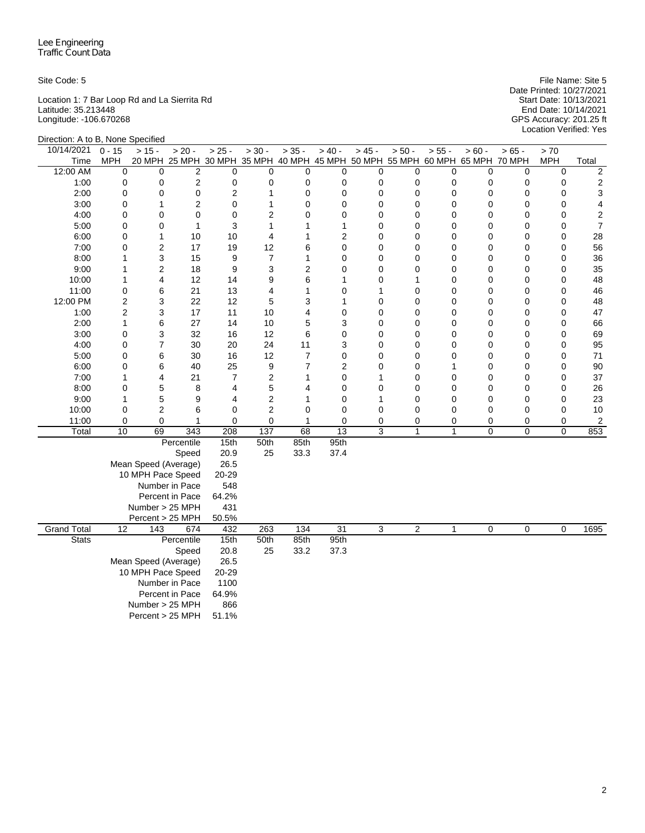Location 1: 7 Bar Loop Rd and La Sierrita Rd Start Date: 10/13/2021 Latitude: 35.213448 End Date: 10/14/2021 Longitude: -106.670268 GPS Accuracy: 201.25 ft

Site Code: 5 File Name: Site 5 Date Printed: 10/27/2021 Start Date: 10/13/2021<br>End Date: 10/14/2021<br>GPS Accuracy: 201.25 ft<br>Location Verified: Yes

| Direction: A to B, None Specified |                 |                      |                                                                              |                         |                  |                |                         |                |                |              |                  |             |             |                         |
|-----------------------------------|-----------------|----------------------|------------------------------------------------------------------------------|-------------------------|------------------|----------------|-------------------------|----------------|----------------|--------------|------------------|-------------|-------------|-------------------------|
| 10/14/2021                        | $0 - 15$        | $> 15 -$             | $> 20 -$                                                                     | $> 25 -$                | $> 30 -$         | $> 35 -$       | $> 40 -$                | $> 45 -$       | $> 50 -$       | $> 55 -$     | $> 60 -$         | $> 65 -$    | > 70        |                         |
| Time                              | <b>MPH</b>      |                      | 20 MPH 25 MPH 30 MPH 35 MPH 40 MPH 45 MPH 50 MPH 55 MPH 60 MPH 65 MPH 70 MPH |                         |                  |                |                         |                |                |              |                  |             | <b>MPH</b>  | Total                   |
| 12:00 AM                          | $\mathbf 0$     | $\mathbf 0$          | $\overline{2}$                                                               | $\mathbf 0$             | 0                | $\mathbf 0$    | $\mathbf 0$             | 0              | $\mathbf 0$    | 0            | $\mathbf 0$      | $\mathbf 0$ | $\mathbf 0$ | $\overline{\mathbf{c}}$ |
| 1:00                              | 0               | 0                    | 2                                                                            | 0                       | 0                | 0              | $\mathbf 0$             | 0              | 0              | 0            | 0                | 0           | 0           | $\boldsymbol{2}$        |
| 2:00                              | $\mathbf 0$     | $\mathbf 0$          | 0                                                                            | $\overline{\mathbf{c}}$ | $\mathbf{1}$     | $\mathbf 0$    | $\mathbf 0$             | $\mathbf 0$    | $\mathbf 0$    | 0            | 0                | 0           | $\mathbf 0$ | 3                       |
| 3:00                              | $\mathbf 0$     | 1                    | $\overline{2}$                                                               | $\mathbf 0$             | $\mathbf{1}$     | $\mathbf 0$    | $\mathbf 0$             | $\mathbf 0$    | 0              | $\mathbf 0$  | 0                | 0           | 0           | $\overline{4}$          |
| 4:00                              | 0               | $\mathbf 0$          | 0                                                                            | $\mathbf 0$             | 2                | $\mathbf 0$    | 0                       | $\mathbf 0$    | 0              | $\mathbf 0$  | 0                | 0           | $\mathbf 0$ | $\boldsymbol{2}$        |
| 5:00                              | $\mathbf 0$     | 0                    | $\mathbf{1}$                                                                 | 3                       | $\mathbf{1}$     | 1              | $\mathbf{1}$            | $\mathbf 0$    | $\mathbf 0$    | 0            | 0                | $\mathbf 0$ | $\mathbf 0$ | $\overline{7}$          |
| 6:00                              | $\mathbf 0$     | 1                    | 10                                                                           | 10                      | 4                | 1              | $\overline{\mathbf{c}}$ | $\mathbf 0$    | 0              | 0            | 0                | $\mathbf 0$ | $\mathbf 0$ | 28                      |
| 7:00                              | 0               | $\overline{c}$       | 17                                                                           | 19                      | 12               | 6              | $\mathbf 0$             | $\mathbf 0$    | 0              | 0            | 0                | $\mathbf 0$ | $\mathbf 0$ | 56                      |
| 8:00                              | 1               | 3                    | 15                                                                           | 9                       | 7                | 1              | $\mathbf 0$             | $\mathbf 0$    | 0              | 0            | 0                | 0           | 0           | 36                      |
| 9:00                              | 1               | $\overline{c}$       | 18                                                                           | 9                       | 3                | $\overline{2}$ | $\mathbf 0$             | 0              | $\mathbf 0$    | $\mathbf 0$  | 0                | 0           | $\mathbf 0$ | 35                      |
| 10:00                             | 1               | 4                    | 12                                                                           | 14                      | 9                | 6              | 1                       | 0              | 1              | $\mathbf 0$  | 0                | 0           | $\mathbf 0$ | 48                      |
| 11:00                             | 0               | 6                    | 21                                                                           | 13                      | 4                | 1              | 0                       | 1              | 0              | 0            | 0                | 0           | $\mathbf 0$ | 46                      |
| 12:00 PM                          | $\overline{c}$  | 3                    | 22                                                                           | 12                      | 5                | 3              | $\mathbf{1}$            | $\mathbf 0$    | 0              | $\mathbf 0$  | 0                | $\mathbf 0$ | $\mathbf 0$ | 48                      |
| 1:00                              | $\overline{c}$  | 3                    | 17                                                                           | 11                      | 10               | 4              | $\mathbf 0$             | $\mathbf 0$    | 0              | $\mathbf 0$  | 0                | $\mathbf 0$ | $\mathbf 0$ | 47                      |
| 2:00                              | 1               | 6                    | 27                                                                           | 14                      | 10               | 5              | 3                       | 0              | 0              | 0            | 0                | 0           | 0           | 66                      |
| 3:00                              | 0               | 3                    | 32                                                                           | 16                      | 12               | 6              | $\mathbf 0$             | $\mathbf 0$    | $\mathbf 0$    | $\mathbf 0$  | 0                | $\mathbf 0$ | $\mathbf 0$ | 69                      |
| 4:00                              | 0               | 7                    | 30                                                                           | 20                      | 24               | 11             | 3                       | 0              | $\mathbf 0$    | $\mathbf 0$  | 0                | $\mathbf 0$ | $\mathbf 0$ | 95                      |
| 5:00                              | $\mathbf 0$     | 6                    | 30                                                                           | 16                      | 12               | $\overline{7}$ | $\mathbf 0$             | $\mathbf 0$    | $\mathbf 0$    | 0            | 0                | 0           | $\mathbf 0$ | 71                      |
| 6:00                              | $\mathbf 0$     | 6                    | 40                                                                           | 25                      | 9                | $\overline{7}$ | $\overline{c}$          | $\mathbf 0$    | 0              | 1            | 0                | $\mathbf 0$ | $\mathbf 0$ | 90                      |
| 7:00                              | 1               | 4                    | 21                                                                           | $\overline{7}$          | $\boldsymbol{2}$ | 1              | $\mathbf 0$             | 1              | $\mathbf 0$    | 0            | 0                | 0           | $\mathbf 0$ | 37                      |
| 8:00                              | 0               | 5                    | 8                                                                            | 4                       | 5                | 4              | $\mathbf 0$             | $\mathbf 0$    | 0              | 0            | 0                | 0           | $\mathbf 0$ | 26                      |
| 9:00                              | 1               | 5                    | 9                                                                            | 4                       | $\overline{2}$   | 1              | $\mathbf 0$             | 1              | 0              | $\mathbf 0$  | 0                | $\mathbf 0$ | $\mathbf 0$ | 23                      |
| 10:00                             | $\mathbf 0$     | $\overline{2}$       | 6                                                                            | 0                       | $\overline{c}$   | $\mathbf 0$    | $\mathbf 0$             | $\mathbf 0$    | $\mathbf 0$    | $\mathbf 0$  | 0                | 0           | $\mathbf 0$ | 10                      |
| 11:00                             | $\Omega$        | 0                    | 1                                                                            | $\mathbf 0$             | $\mathbf 0$      | 1              | 0                       | $\mathbf 0$    | 0              | 0            | 0                | 0           | 0           | 2                       |
| Total                             | 10              | 69                   | 343                                                                          | 208                     | 137              | 68             | $\overline{13}$         | 3              | $\mathbf{1}$   | $\mathbf{1}$ | $\mathbf 0$      | $\mathbf 0$ | $\mathbf 0$ | 853                     |
|                                   |                 |                      | Percentile                                                                   | 15th                    | 50th             | 85th           | 95th                    |                |                |              |                  |             |             |                         |
|                                   |                 |                      | Speed                                                                        | 20.9                    | 25               | 33.3           | 37.4                    |                |                |              |                  |             |             |                         |
|                                   |                 | Mean Speed (Average) |                                                                              | 26.5                    |                  |                |                         |                |                |              |                  |             |             |                         |
|                                   |                 | 10 MPH Pace Speed    |                                                                              | 20-29                   |                  |                |                         |                |                |              |                  |             |             |                         |
|                                   |                 |                      | Number in Pace                                                               | 548                     |                  |                |                         |                |                |              |                  |             |             |                         |
|                                   |                 |                      | Percent in Pace                                                              | 64.2%                   |                  |                |                         |                |                |              |                  |             |             |                         |
|                                   |                 | Number > 25 MPH      |                                                                              | 431                     |                  |                |                         |                |                |              |                  |             |             |                         |
|                                   |                 | Percent > 25 MPH     |                                                                              | 50.5%                   |                  |                |                         |                |                |              |                  |             |             |                         |
| <b>Grand Total</b>                | $\overline{12}$ | 143                  | 674                                                                          | 432                     | 263              | 134            | $\overline{31}$         | $\overline{3}$ | $\overline{2}$ | $\mathbf{1}$ | $\boldsymbol{0}$ | 0           | $\mathbf 0$ | 1695                    |
| <b>Stats</b>                      |                 |                      | Percentile                                                                   | 15th                    | 50th             | 85th           | 95th                    |                |                |              |                  |             |             |                         |
|                                   |                 |                      | Speed                                                                        | 20.8                    | 25               | 33.2           | 37.3                    |                |                |              |                  |             |             |                         |
|                                   |                 | Mean Speed (Average) |                                                                              | 26.5                    |                  |                |                         |                |                |              |                  |             |             |                         |
|                                   |                 | 10 MPH Pace Speed    |                                                                              | 20-29                   |                  |                |                         |                |                |              |                  |             |             |                         |
|                                   |                 |                      | Number in Pace                                                               | 1100                    |                  |                |                         |                |                |              |                  |             |             |                         |
|                                   |                 |                      | Percent in Pace                                                              | 64.9%<br>866            |                  |                |                         |                |                |              |                  |             |             |                         |
|                                   | Number > 25 MPH |                      |                                                                              |                         |                  |                |                         |                |                |              |                  |             |             |                         |
|                                   |                 | Percent > 25 MPH     |                                                                              | 51.1%                   |                  |                |                         |                |                |              |                  |             |             |                         |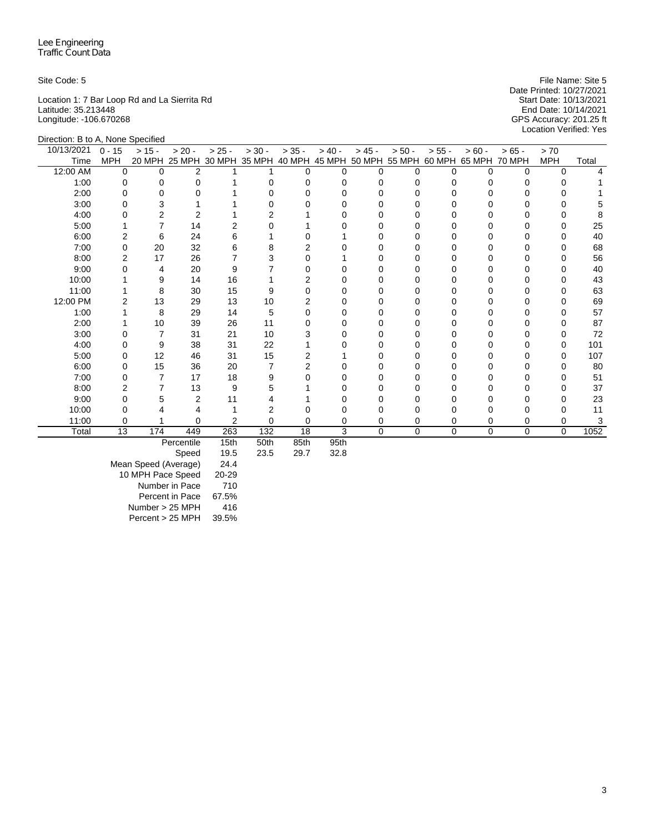Location 1: 7 Bar Loop Rd and La Sierrita Rd Start Date: 10/13/2021 Latitude: 35.213448 End Date: 10/14/2021 Longitude: -106.670268 GPS Accuracy: 201.25 ft

Site Code: 5 File Name: Site 5 Date Printed: 10/27/2021<br>Start Date: 10/13/2021 Location Verified: Yes

| Direction: B to A, None Specified |            |          |                   |               |                      |           |          |          |                             |          |          |               |            |       |
|-----------------------------------|------------|----------|-------------------|---------------|----------------------|-----------|----------|----------|-----------------------------|----------|----------|---------------|------------|-------|
| 10/13/2021                        | $0 - 15$   | $> 15 -$ | $> 20 -$          | $> 25 -$      | $> 30 -$             | $> 35 -$  | $> 40 -$ | $> 45 -$ | $> 50 -$                    | $> 55 -$ | $> 60 -$ | $>65 -$       | > 70       |       |
| Time                              | <b>MPH</b> | 20 MPH   |                   | 25 MPH 30 MPH | 35 MPH 40 MPH        |           |          |          | 45 MPH 50 MPH 55 MPH 60 MPH |          | 65 MPH   | <b>70 MPH</b> | <b>MPH</b> | Total |
| 12:00 AM                          | $\Omega$   | $\Omega$ | $\overline{2}$    |               |                      | $\Omega$  | $\Omega$ | $\Omega$ | U                           | 0        | $\Omega$ | $\Omega$      | $\Omega$   |       |
| 1:00                              |            |          | $\mathbf 0$       |               |                      |           |          | 0        |                             |          |          |               |            |       |
| 2:00                              |            |          | $\Omega$          |               |                      |           |          |          |                             |          |          |               |            |       |
| 3:00                              |            |          |                   |               |                      |           |          | 0        |                             |          |          | Ω             | O          |       |
| 4:00                              |            | 2        | 2                 |               |                      |           |          |          |                             |          |          |               |            |       |
| 5:00                              |            |          | 14                |               |                      |           |          | O        |                             |          |          |               |            | 25    |
| 6:00                              | 2          | 6        | 24                | 6             |                      |           |          | 0        |                             |          |          | n             | O          | 40    |
| 7:00                              | O          | 20       | 32                |               |                      |           |          |          |                             |          |          |               | O          | 68    |
| 8:00                              |            | 17       | 26                |               |                      |           |          | O        |                             |          |          |               | O          | 56    |
| 9:00                              |            | 4        | 20                | 9             |                      |           |          | 0        |                             |          |          |               |            | 40    |
| 10:00                             |            | 9        | 14                | 16            |                      |           |          | O        |                             |          |          |               | O          | 43    |
| 11:00                             |            | 8        | 30                | 15            |                      |           |          |          |                             |          |          |               | $\Omega$   | 63    |
| 12:00 PM                          |            | 13       | 29                | 13            | 10                   |           |          | $\Omega$ |                             |          |          |               |            | 69    |
| 1:00                              |            | 8        | 29                | 14            | 5                    |           |          | $\Omega$ |                             |          |          |               | 0          | 57    |
| 2:00                              |            | 10       | 39                | 26            | 11                   |           |          |          |                             |          |          |               |            | 87    |
| 3:00                              |            | 7        | 31                | 21            | 10                   |           |          | O        |                             |          |          |               |            | 72    |
| 4:00                              | O          | 9        | 38                | 31            | 22                   |           |          | O        |                             |          |          | Ω             | 0          | 101   |
| 5:00                              |            | 12       | 46                | 31            | 15                   |           |          |          |                             |          |          |               | 0          | 107   |
| 6:00                              |            | 15       | 36                | 20            |                      |           |          |          |                             |          |          |               |            | 80    |
| 7:00                              |            | 7        | 17                | 18            | 9                    |           |          | O        |                             |          |          |               | O          | 51    |
| 8:00                              |            |          | 13                | 9             |                      |           |          |          |                             |          |          |               |            | 37    |
| 9:00                              |            | 5        | $\overline{2}$    | 11            |                      |           |          |          |                             |          |          |               | O          | 23    |
| 10:00                             |            |          |                   |               | 2                    |           |          |          |                             |          |          | 0             |            | 11    |
| 11:00                             |            |          | 0                 | 2             | 0                    |           | 0        | 0        |                             |          | $\Omega$ | 0             | 0          | 3     |
| Total                             | 13         | 174      | 449               | 263           | 132                  | 18        | 3        | $\Omega$ | $\Omega$                    | $\Omega$ | $\Omega$ | $\Omega$      | $\Omega$   | 1052  |
|                                   |            |          | <b>Doroontilo</b> | $4E+h$        | $E$ O <sup>+</sup> h | $O E + h$ | $0E + h$ |          |                             |          |          |               |            |       |

Percentile 15th 50th 85th 95th

Speed Mean Speed (Average) 24.4 10 MPH Pace Speed 20-29 Number in Pace 710 Percent in Pace 67.5% Number > 25 MPH 416 Percent > 25 MPH 39.5%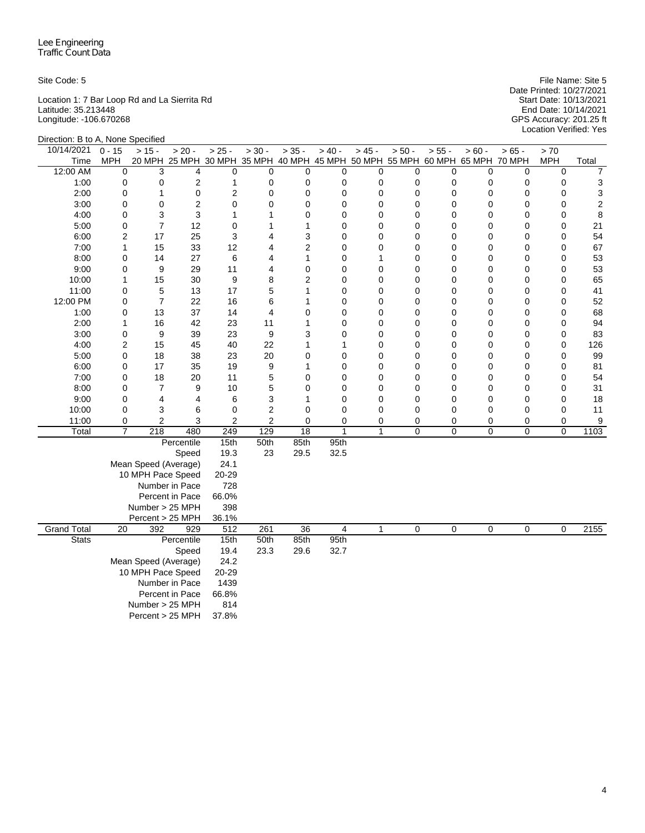Location 1: 7 Bar Loop Rd and La Sierrita Rd Start Date: 10/13/2021 Latitude: 35.213448 End Date: 10/14/2021 Longitude: -106.670268 GPS Accuracy: 201.25 ft

Site Code: 5 File Name: Site 5 Date Printed: 10/27/2021 Start Date: 10/13/2021<br>End Date: 10/14/2021<br>GPS Accuracy: 201.25 ft<br>Location Verified: Yes

|                    | Direction: B to A, None Specified |                      |                                                                              |                |                |                 |                |                |                |                |                |                |                |                  |
|--------------------|-----------------------------------|----------------------|------------------------------------------------------------------------------|----------------|----------------|-----------------|----------------|----------------|----------------|----------------|----------------|----------------|----------------|------------------|
| 10/14/2021         | $0 - 15$                          | $> 15 -$             | $> 20 -$                                                                     | $> 25 -$       | $> 30 -$       | $> 35 -$        | $> 40 -$       | $> 45 -$       | $> 50 -$       | $> 55 -$       | $> 60 -$       | $> 65 -$       | > 70           |                  |
| Time               | <b>MPH</b>                        |                      | 20 MPH 25 MPH 30 MPH 35 MPH 40 MPH 45 MPH 50 MPH 55 MPH 60 MPH 65 MPH 70 MPH |                |                |                 |                |                |                |                |                |                | <b>MPH</b>     | Total            |
| 12:00 AM           | 0                                 | 3                    | 4                                                                            | $\mathbf 0$    | 0              | $\mathbf 0$     | $\mathbf 0$    | $\mathbf 0$    | $\mathbf 0$    | 0              | $\mathbf 0$    | $\mathbf 0$    | $\mathbf 0$    | 7                |
| 1:00               | 0                                 | $\mathbf 0$          | 2                                                                            | 1              | 0              | 0               | 0              | $\mathbf 0$    | 0              | 0              | $\mathbf 0$    | 0              | 0              | 3                |
| 2:00               | 0                                 | 1                    | 0                                                                            | $\overline{2}$ | 0              | 0               | $\mathbf 0$    | $\mathbf 0$    | 0              | 0              | 0              | 0              | $\mathbf 0$    | 3                |
| 3:00               | 0                                 | 0                    | $\overline{c}$                                                               | $\pmb{0}$      | 0              | 0               | $\mathbf 0$    | $\mathbf 0$    | 0              | 0              | 0              | 0              | 0              | $\boldsymbol{2}$ |
| 4:00               | $\mathbf 0$                       | 3                    | 3                                                                            | $\mathbf{1}$   | 1              | $\mathbf 0$     | $\mathbf 0$    | $\mathbf 0$    | 0              | $\mathbf 0$    | 0              | $\mathbf 0$    | 0              | 8                |
| 5:00               | $\mathbf 0$                       | $\overline{7}$       | 12                                                                           | $\mathbf 0$    | $\mathbf{1}$   | $\mathbf{1}$    | $\mathbf 0$    | $\mathbf 0$    | 0              | 0              | 0              | $\mathbf 0$    | $\mathbf 0$    | 21               |
| 6:00               | $\overline{2}$                    | 17                   | 25                                                                           | 3              | 4              | 3               | $\mathbf 0$    | $\mathbf 0$    | 0              | 0              | 0              | 0              | 0              | 54               |
| 7:00               | 1                                 | 15                   | 33                                                                           | 12             | 4              | $\overline{2}$  | $\mathbf 0$    | 0              | 0              | $\mathbf 0$    | 0              | 0              | $\mathbf 0$    | 67               |
| 8:00               | 0                                 | 14                   | 27                                                                           | 6              | 4              | 1               | $\mathbf 0$    | 1              | 0              | 0              | 0              | 0              | $\mathbf 0$    | 53               |
| 9:00               | 0                                 | 9                    | 29                                                                           | 11             | 4              | $\mathbf 0$     | $\mathbf 0$    | $\mathbf 0$    | 0              | 0              | 0              | 0              | $\mathbf 0$    | 53               |
| 10:00              | 1                                 | 15                   | 30                                                                           | 9              | 8              | $\overline{2}$  | $\mathbf 0$    | $\mathbf 0$    | 0              | $\mathbf 0$    | 0              | 0              | 0              | 65               |
| 11:00              | 0                                 | 5                    | 13                                                                           | 17             | 5              | $\mathbf{1}$    | $\mathbf 0$    | $\mathbf 0$    | $\mathbf 0$    | $\mathbf 0$    | 0              | $\mathbf 0$    | $\mathbf 0$    | 41               |
| 12:00 PM           | 0                                 | $\overline{7}$       | 22                                                                           | 16             | 6              | 1               | $\mathbf 0$    | $\mathbf 0$    | 0              | $\mathbf 0$    | 0              | 0              | $\mathbf 0$    | 52               |
| 1:00               | $\mathbf 0$                       | 13                   | 37                                                                           | 14             | $\overline{4}$ | $\mathbf 0$     | 0              | $\mathbf 0$    | 0              | $\mathbf 0$    | 0              | $\mathbf 0$    | $\mathbf 0$    | 68               |
| 2:00               | $\mathbf{1}$                      | 16                   | 42                                                                           | 23             | 11             | $\mathbf{1}$    | $\mathbf 0$    | $\mathbf 0$    | 0              | 0              | 0              | $\mathbf 0$    | $\mathbf 0$    | 94               |
| 3:00               | 0                                 | 9                    | 39                                                                           | 23             | 9              | 3               | $\mathbf 0$    | $\mathbf 0$    | 0              | 0              | 0              | 0              | 0              | 83               |
| 4:00               | $\overline{2}$                    | 15                   | 45                                                                           | 40             | 22             | 1               | 1              | $\Omega$       | $\mathbf 0$    | $\mathbf 0$    | 0              | 0              | $\mathbf 0$    | 126              |
| 5:00               | 0                                 | 18                   | 38                                                                           | 23             | 20             | $\mathbf 0$     | $\mathbf 0$    | $\mathbf 0$    | $\mathbf 0$    | 0              | 0              | 0              | $\mathbf 0$    | 99               |
| 6:00               | $\mathbf 0$                       | 17                   | 35                                                                           | 19             | 9              | 1               | 0              | $\mathbf 0$    | 0              | 0              | 0              | $\mathbf 0$    | $\mathbf 0$    | 81               |
| 7:00               | $\mathbf 0$                       | 18                   | 20                                                                           | 11             | 5              | $\mathbf 0$     | 0              | $\mathbf 0$    | 0              | 0              | 0              | $\mathbf 0$    | $\mathbf 0$    | 54               |
| 8:00               | 0                                 | $\overline{7}$       | 9                                                                            | 10             | 5              | 0               | $\mathbf 0$    | $\mathbf 0$    | 0              | 0              | 0              | 0              | $\mathbf 0$    | 31               |
| 9:00               | 0                                 | 4                    | 4                                                                            | 6              | 3              | 1               | $\mathbf 0$    | $\mathbf 0$    | $\mathbf 0$    | $\mathbf 0$    | 0              | 0              | $\mathbf 0$    | 18               |
| 10:00              | 0                                 | 3                    | 6                                                                            | 0              | 2              | $\mathbf 0$     | 0              | $\mathbf 0$    | 0              | $\mathbf 0$    | 0              | 0              | $\mathbf 0$    | 11               |
| 11:00              | 0                                 | $\overline{c}$       | 3                                                                            | $\overline{2}$ | $\overline{c}$ | 0               | $\mathbf 0$    | $\mathbf 0$    | 0              | 0              | 0              | $\pmb{0}$      | 0              | 9                |
| Total              | $\overline{7}$                    | $\overline{218}$     | 480                                                                          | 249            | 129            | $\overline{18}$ | $\overline{1}$ | $\overline{1}$ | $\mathbf 0$    | $\mathbf 0$    | $\mathbf 0$    | $\mathbf 0$    | $\mathbf 0$    | 1103             |
|                    |                                   |                      | Percentile                                                                   | 15th           | 50th           | 85th            | 95th           |                |                |                |                |                |                |                  |
|                    |                                   |                      | Speed                                                                        | 19.3           | 23             | 29.5            | 32.5           |                |                |                |                |                |                |                  |
|                    |                                   | Mean Speed (Average) |                                                                              | 24.1           |                |                 |                |                |                |                |                |                |                |                  |
|                    |                                   | 10 MPH Pace Speed    |                                                                              | 20-29          |                |                 |                |                |                |                |                |                |                |                  |
|                    |                                   |                      | Number in Pace                                                               | 728            |                |                 |                |                |                |                |                |                |                |                  |
|                    |                                   |                      | Percent in Pace                                                              | 66.0%          |                |                 |                |                |                |                |                |                |                |                  |
|                    |                                   | Number > 25 MPH      |                                                                              | 398            |                |                 |                |                |                |                |                |                |                |                  |
|                    |                                   | Percent > 25 MPH     |                                                                              | 36.1%          |                |                 |                |                |                |                |                |                |                |                  |
| <b>Grand Total</b> | $\overline{20}$                   | 392                  | 929                                                                          | 512            | 261            | $\overline{36}$ | $\overline{4}$ | $\overline{1}$ | $\overline{0}$ | $\overline{0}$ | $\overline{0}$ | $\overline{0}$ | $\overline{0}$ | 2155             |
| <b>Stats</b>       |                                   |                      | Percentile                                                                   | 15th           | 50th           | 85th            | 95th           |                |                |                |                |                |                |                  |
|                    |                                   |                      | Speed                                                                        | 19.4           | 23.3           | 29.6            | 32.7           |                |                |                |                |                |                |                  |
|                    |                                   | Mean Speed (Average) |                                                                              | 24.2           |                |                 |                |                |                |                |                |                |                |                  |
|                    |                                   | 10 MPH Pace Speed    |                                                                              | 20-29          |                |                 |                |                |                |                |                |                |                |                  |
|                    |                                   |                      | Number in Pace                                                               | 1439           |                |                 |                |                |                |                |                |                |                |                  |
|                    |                                   |                      | Percent in Pace                                                              | 66.8%<br>814   |                |                 |                |                |                |                |                |                |                |                  |
|                    | Number > 25 MPH                   |                      |                                                                              |                |                |                 |                |                |                |                |                |                |                |                  |
|                    |                                   | Percent > 25 MPH     |                                                                              | 37.8%          |                |                 |                |                |                |                |                |                |                |                  |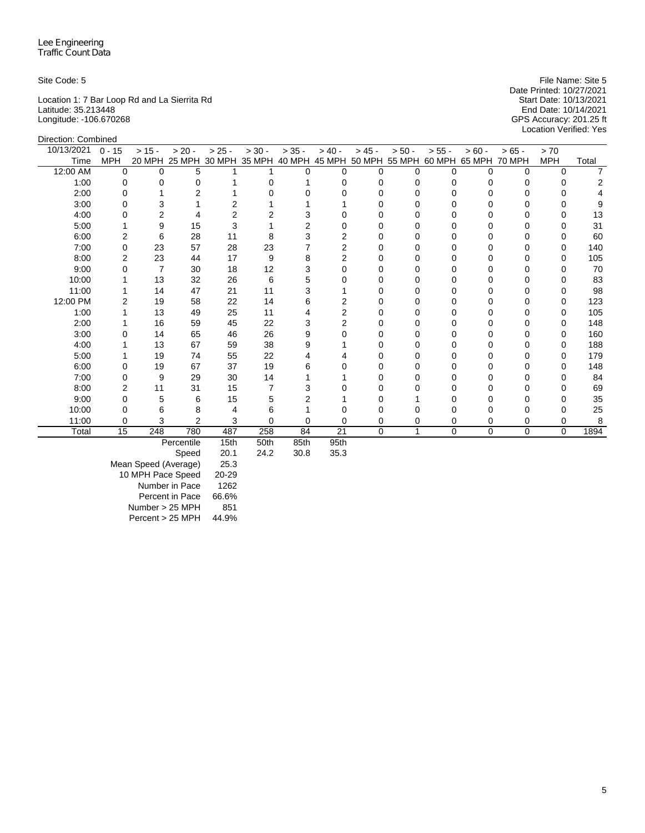Direction: Combined

Location 1: 7 Bar Loop Rd and La Sierrita Rd Start Date: 10/13/2021 Latitude: 35.213448 End Date: 10/14/2021 Longitude: -106.670268 GPS Accuracy: 201.25 ft

Site Code: 5 File Name: Site 5 Date Printed: 10/27/2021<br>Start Date: 10/13/2021 Location Verified: Yes

| 10/13/2021 | $0 - 15$   | $> 15 -$ | $> 20 -$   | $> 25 -$ | $> 30 -$                 | $> 35 -$ | $> 40 -$ | $> 45 -$ | $> 50 -$                                                                     | $> 55 -$ | $> 60 -$     | $>65 -$     | > 70       |       |
|------------|------------|----------|------------|----------|--------------------------|----------|----------|----------|------------------------------------------------------------------------------|----------|--------------|-------------|------------|-------|
| Time       | <b>MPH</b> |          |            |          |                          |          |          |          | 20 MPH 25 MPH 30 MPH 35 MPH 40 MPH 45 MPH 50 MPH 55 MPH 60 MPH 65 MPH 70 MPH |          |              |             | <b>MPH</b> | Total |
| 12:00 AM   | $\Omega$   | 0        | 5          |          |                          | O        | $\Omega$ | $\Omega$ | U                                                                            | U        | <sup>0</sup> | 0           | $\Omega$   |       |
| 1:00       |            |          | 0          |          |                          |          |          | $\Omega$ |                                                                              |          |              |             |            |       |
| 2:00       |            |          |            |          |                          |          |          |          |                                                                              |          |              |             |            |       |
| 3:00       |            |          |            |          |                          |          |          |          |                                                                              |          |              |             |            |       |
| 4:00       |            |          |            |          |                          |          |          |          |                                                                              |          |              |             |            | 13    |
| 5:00       |            | 9        | 15         | 3        |                          |          |          |          |                                                                              |          |              |             |            | 31    |
| 6:00       |            | 6        | 28         | 11       | 8                        |          |          | O        |                                                                              |          |              |             | O          | 60    |
| 7:00       |            | 23       | 57         | 28       | 23                       |          |          |          |                                                                              |          |              |             |            | 140   |
| 8:00       |            | 23       | 44         | 17       | 9                        |          |          |          |                                                                              |          |              |             |            | 105   |
| 9:00       |            |          | 30         | 18       | 12                       |          |          |          |                                                                              |          |              |             |            | 70    |
| 10:00      |            | 13       | 32         | 26       | 6                        |          |          |          |                                                                              |          |              |             |            | 83    |
| 11:00      |            | 14       | 47         | 21       | 11                       |          |          |          |                                                                              |          |              |             |            | 98    |
| 12:00 PM   |            | 19       | 58         | 22       | 14                       |          |          |          |                                                                              |          |              |             |            | 123   |
| 1:00       |            | 13       | 49         | 25       | 11                       |          |          |          |                                                                              |          |              |             |            | 105   |
| 2:00       |            | 16       | 59         | 45       | 22                       |          |          |          |                                                                              |          |              |             |            | 148   |
| 3:00       |            | 14       | 65         | 46       | 26                       |          |          |          |                                                                              |          |              |             |            | 160   |
| 4:00       |            | 13       | 67         | 59       | 38                       |          |          |          |                                                                              |          |              |             |            | 188   |
| 5:00       |            | 19       | 74         | 55       | 22                       |          |          | $\Omega$ |                                                                              |          |              |             | 0          | 179   |
| 6:00       |            | 19       | 67         | 37       | 19                       |          |          |          |                                                                              |          |              |             |            | 148   |
| 7:00       |            | 9        | 29         | 30       | 14                       |          |          |          |                                                                              |          |              |             |            | 84    |
| 8:00       |            | 11       | 31         | 15       |                          |          |          |          |                                                                              |          |              |             |            | 69    |
| 9:00       |            | 5        | 6          | 15       |                          |          |          |          |                                                                              |          |              |             |            | 35    |
| 10:00      |            | 6        | 8          |          | h                        |          |          |          |                                                                              |          |              |             |            | 25    |
| 11:00      | 0          | 3        | 2          | 3        | U                        |          | 0        | 0        |                                                                              | 0        |              | 0           | 0          |       |
| Total      | 15         | 248      | 780        | 487      | 258                      | 84       | 21       | 0        | 1                                                                            | $\Omega$ | $\mathbf 0$  | $\mathbf 0$ | $\Omega$   | 1894  |
|            |            |          | Deresstile | 4E4h     | $E$ $O$ <sup>+</sup> $h$ | 0Fth     | $OE + h$ |          |                                                                              |          |              |             |            |       |

Percentile 15th 50th 85th 95th

Speed Mean Speed (Average) 25.3 10 MPH Pace Speed 20-29 Number in Pace 1262 Percent in Pace 66.6% Number > 25 MPH 851 Percent > 25 MPH 44.9%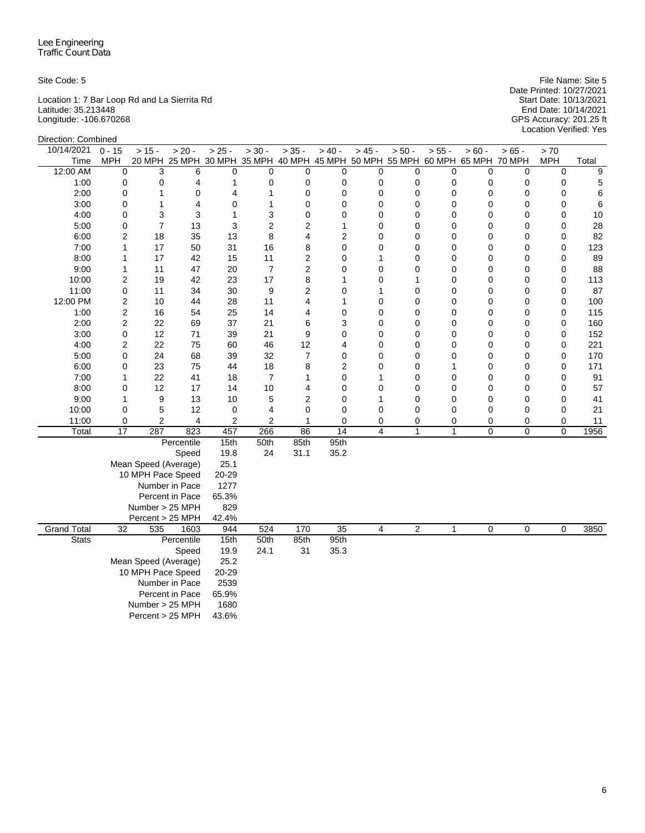Location 1: 7 Bar Loop Rd and La Sierrita Rd Start Date: 10/13/2021 Latitude: 35.213448 End Date: 10/14/2021 Longitude: -106.670268 GPS Accuracy: 201.25 ft

Site Code: 5 File Name: Site 5 Date Printed: 10/27/2021 Start Date: 10/13/2021<br>End Date: 10/14/2021<br>GPS Accuracy: 201.25 ft<br>Location Verified: Yes

| Direction: Combined |                 |                      |                                                                              |                |                |                |                 |                |                |              |                |                |                |       |
|---------------------|-----------------|----------------------|------------------------------------------------------------------------------|----------------|----------------|----------------|-----------------|----------------|----------------|--------------|----------------|----------------|----------------|-------|
| 10/14/2021          | $0 - 15$        | $> 15 -$             | $> 20 -$                                                                     | $> 25 -$       | $> 30 -$       | $> 35 -$       | $> 40 -$        | $> 45 -$       | $> 50 -$       | $> 55 -$     | $> 60 -$       | $> 65 -$       | $>70$          |       |
| Time                | <b>MPH</b>      |                      | 20 MPH 25 MPH 30 MPH 35 MPH 40 MPH 45 MPH 50 MPH 55 MPH 60 MPH 65 MPH 70 MPH |                |                |                |                 |                |                |              |                |                | <b>MPH</b>     | Total |
| 12:00 AM            | 0               | 3                    | 6                                                                            | 0              | 0              | $\mathbf 0$    | $\mathbf 0$     | 0              | 0              | 0            | $\mathbf 0$    | 0              | 0              | 9     |
| 1:00                | 0               | 0                    | 4                                                                            | 1              | 0              | 0              | 0               | 0              | $\mathbf 0$    | 0            | $\mathbf 0$    | 0              | 0              | 5     |
| 2:00                | 0               | 1                    | $\mathbf 0$                                                                  | 4              | $\mathbf{1}$   | $\mathbf 0$    | $\mathbf 0$     | $\mathbf 0$    | $\mathbf 0$    | 0            | 0              | 0              | 0              | 6     |
| 3:00                | 0               | 1                    | 4                                                                            | 0              | $\mathbf{1}$   | 0              | $\mathbf 0$     | 0              | 0              | 0            | 0              | 0              | 0              | 6     |
| 4:00                | 0               | 3                    | 3                                                                            | $\mathbf{1}$   | 3              | $\mathbf 0$    | $\mathbf 0$     | 0              | $\mathbf 0$    | $\mathbf 0$  | 0              | 0              | 0              | 10    |
| 5:00                | 0               | $\overline{7}$       | 13                                                                           | 3              | $\overline{2}$ | $\overline{2}$ | 1               | 0              | 0              | 0            | 0              | 0              | 0              | 28    |
| 6:00                | $\overline{2}$  | 18                   | 35                                                                           | 13             | 8              | 4              | $\overline{2}$  | 0              | 0              | 0            | 0              | 0              | 0              | 82    |
| 7:00                | $\mathbf{1}$    | 17                   | 50                                                                           | 31             | 16             | 8              | $\mathbf 0$     | 0              | 0              | 0            | 0              | 0              | 0              | 123   |
| 8:00                | 1               | 17                   | 42                                                                           | 15             | 11             | $\overline{c}$ | $\mathbf 0$     | 1              | $\mathbf 0$    | 0            | 0              | 0              | 0              | 89    |
| 9:00                | $\mathbf{1}$    | 11                   | 47                                                                           | 20             | $\overline{7}$ | $\overline{c}$ | $\mathbf 0$     | 0              | 0              | 0            | 0              | 0              | 0              | 88    |
| 10:00               | $\overline{2}$  | 19                   | 42                                                                           | 23             | 17             | 8              | 1               | 0              | 1              | 0            | 0              | 0              | 0              | 113   |
| 11:00               | 0               | 11                   | 34                                                                           | 30             | 9              | $\overline{2}$ | $\mathbf 0$     | 1              | $\mathbf 0$    | $\mathbf 0$  | 0              | 0              | 0              | 87    |
| 12:00 PM            | $\overline{2}$  | 10                   | 44                                                                           | 28             | 11             | 4              | 1               | 0              | 0              | 0            | 0              | 0              | 0              | 100   |
| 1:00                | $\overline{c}$  | 16                   | 54                                                                           | 25             | 14             | 4              | $\mathbf 0$     | 0              | 0              | 0            | 0              | 0              | 0              | 115   |
| 2:00                | $\overline{c}$  | 22                   | 69                                                                           | 37             | 21             | 6              | 3               | 0              | 0              | 0            | 0              | 0              | 0              | 160   |
| 3:00                | $\mathsf 0$     | 12                   | 71                                                                           | 39             | 21             | 9              | $\mathbf 0$     | 0              | 0              | 0            | 0              | 0              | 0              | 152   |
| 4:00                | $\overline{2}$  | 22                   | 75                                                                           | 60             | 46             | 12             | 4               | 0              | $\mathbf 0$    | 0            | 0              | 0              | 0              | 221   |
| 5:00                | 0               | 24                   | 68                                                                           | 39             | 32             | $\overline{7}$ | $\mathbf 0$     | 0              | $\mathbf 0$    | $\mathbf 0$  | 0              | 0              | 0              | 170   |
| 6:00                | 0               | 23                   | 75                                                                           | 44             | 18             | 8              | $\overline{2}$  | 0              | $\mathbf 0$    | 1            | 0              | 0              | 0              | 171   |
| 7:00                | $\mathbf{1}$    | 22                   | 41                                                                           | 18             | $\overline{7}$ | 1              | $\mathbf 0$     | 1              | $\mathbf 0$    | 0            | 0              | 0              | 0              | 91    |
| 8:00                | 0               | 12                   | 17                                                                           | 14             | 10             | 4              | $\mathbf 0$     | 0              | 0              | 0            | 0              | 0              | 0              | 57    |
| 9:00                | 1               | 9                    | 13                                                                           | 10             | 5              | $\overline{2}$ | $\mathbf 0$     | 1              | 0              | 0            | 0              | 0              | 0              | 41    |
| 10:00               | 0               | 5                    | 12                                                                           | 0              | 4              | 0              | 0               | 0              | 0              | $\mathbf 0$  | 0              | 0              | 0              | 21    |
| 11:00               | 0               | $\overline{c}$       | 4                                                                            | $\overline{2}$ | $\overline{2}$ | 1              | $\mathbf 0$     | 0              | 0              | 0            | 0              | 0              | 0              | 11    |
| Total               | $\overline{17}$ | 287                  | 823                                                                          | 457            | 266            | 86             | $\overline{14}$ | $\overline{4}$ | $\mathbf{1}$   | $\mathbf{1}$ | 0              | 0              | $\overline{0}$ | 1956  |
|                     |                 |                      | Percentile                                                                   | 15th           | 50th           | 85th           | 95th            |                |                |              |                |                |                |       |
|                     |                 |                      | Speed                                                                        | 19.8           | 24             | 31.1           | 35.2            |                |                |              |                |                |                |       |
|                     |                 | Mean Speed (Average) |                                                                              | 25.1           |                |                |                 |                |                |              |                |                |                |       |
|                     |                 | 10 MPH Pace Speed    |                                                                              | 20-29          |                |                |                 |                |                |              |                |                |                |       |
|                     |                 |                      | Number in Pace                                                               | 1277           |                |                |                 |                |                |              |                |                |                |       |
|                     |                 |                      | Percent in Pace                                                              | 65.3%          |                |                |                 |                |                |              |                |                |                |       |
|                     |                 | Number > 25 MPH      |                                                                              | 829            |                |                |                 |                |                |              |                |                |                |       |
|                     |                 | Percent > 25 MPH     |                                                                              | 42.4%          |                |                |                 |                |                |              |                |                |                |       |
| <b>Grand Total</b>  | $\overline{32}$ | 535                  | 1603                                                                         | 944            | 524            | 170            | $\overline{35}$ | $\overline{4}$ | $\overline{2}$ | $\mathbf{1}$ | $\overline{0}$ | $\overline{0}$ | $\overline{0}$ | 3850  |
| <b>Stats</b>        |                 |                      | Percentile                                                                   | 15th           | 50th           | 85th           | 95th            |                |                |              |                |                |                |       |
|                     |                 |                      | Speed                                                                        | 19.9           | 24.1           | 31             | 35.3            |                |                |              |                |                |                |       |
|                     |                 | Mean Speed (Average) |                                                                              | 25.2           |                |                |                 |                |                |              |                |                |                |       |
|                     |                 | 10 MPH Pace Speed    |                                                                              | 20-29          |                |                |                 |                |                |              |                |                |                |       |
|                     |                 |                      | Number in Pace                                                               | 2539           |                |                |                 |                |                |              |                |                |                |       |
|                     |                 |                      | Percent in Pace                                                              | 65.9%          |                |                |                 |                |                |              |                |                |                |       |
|                     |                 | Number > 25 MPH      |                                                                              | 1680           |                |                |                 |                |                |              |                |                |                |       |
|                     |                 | Percent > 25 MPH     |                                                                              | 43.6%          |                |                |                 |                |                |              |                |                |                |       |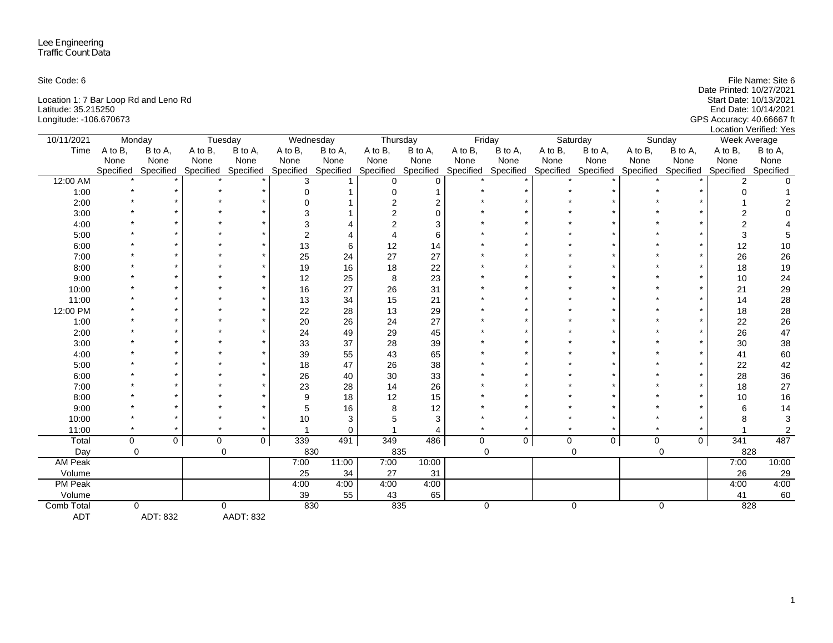| Site Code: 6                          | File Name: Site 6         |
|---------------------------------------|---------------------------|
|                                       | Date Printed: 10/27/2021  |
| Location 1: 7 Bar Loop Rd and Leno Rd | Start Date: 10/13/2021    |
| Latitude: 35.215250                   | End Date: 10/14/2021      |
| Longitude: -106.670673                | GPS Accuracy: 40.66667 ft |
|                                       | Location Verified: Yes    |

| 10/11/2021     | Monday    |             |           | Tuesday             |               | Wednesday | Thursday  |           |           | Friday              |         | Saturday    |             | Sunday              |           | Week Average     |
|----------------|-----------|-------------|-----------|---------------------|---------------|-----------|-----------|-----------|-----------|---------------------|---------|-------------|-------------|---------------------|-----------|------------------|
| Time           | A to B,   | B to A,     | A to B,   | B to A,             | A to B,       | B to A,   | A to B,   | B to A,   | A to B,   | B to A,             | A to B, | B to A,     | A to B,     | B to A,             | A to B,   | B to A,          |
|                | None      | None        | None      | None                | None          | None      | None      | None      | None      | None                | None    | None        | None        | None                | None      | None             |
|                | Specified | Specified   | Specified | Specified Specified |               | Specified | Specified | Specified | Specified | Specified Specified |         | Specified   |             | Specified Specified | Specified | Specified        |
| 12:00 AM       |           |             |           |                     | 3             |           | $\Omega$  | $\Omega$  |           |                     |         |             |             |                     |           |                  |
| 1:00           |           |             |           |                     | $\Omega$      |           | O         |           |           |                     |         |             |             |                     |           |                  |
| 2:00           |           |             |           |                     |               |           | 2         |           |           |                     |         |             |             |                     |           |                  |
| 3:00           |           |             |           |                     | 3             |           |           | $\Omega$  |           |                     |         |             |             |                     |           |                  |
| 4:00           |           |             |           |                     |               |           |           | 3         |           |                     |         |             |             |                     |           |                  |
| 5:00           |           |             |           |                     | $\mathcal{P}$ |           |           | 6         |           |                     |         |             |             |                     | 3         |                  |
| 6:00           |           |             |           |                     | 13            | 6         | 12        | 14        |           |                     |         |             |             |                     | 12        | 10               |
| 7:00           |           |             |           |                     | 25            | 24        | 27        | 27        |           |                     |         |             |             |                     | 26        | 26               |
| 8:00           |           |             |           |                     | 19            | 16        | 18        | 22        |           |                     |         |             |             |                     | 18        | 19               |
| 9:00           |           |             |           |                     | 12            | 25        | 8         | 23        |           |                     |         |             |             |                     | 10        | 24               |
| 10:00          |           |             |           |                     | 16            | 27        | 26        | 31        |           |                     |         |             |             |                     | 21        | 29               |
| 11:00          |           |             |           |                     | 13            | 34        | 15        | 21        |           |                     |         |             |             |                     | 14        | 28               |
| 12:00 PM       |           |             |           |                     | 22            | 28        | 13        | 29        |           |                     |         |             |             |                     | 18        | 28               |
| 1:00           |           |             |           |                     | 20            | 26        | 24        | 27        |           |                     |         |             |             |                     | 22        | 26               |
| 2:00           |           |             |           |                     | 24            | 49        | 29        | 45        |           |                     |         |             |             |                     | 26        | 47               |
| 3:00           |           |             |           |                     | 33            | 37        | 28        | 39        |           |                     |         |             |             |                     | 30        | 38               |
| 4:00           |           |             |           |                     | 39            | 55        | 43        | 65        |           |                     |         |             |             |                     | 41        | 60               |
| 5:00           |           |             |           |                     | 18            | 47        | 26        | 38        |           |                     |         |             |             |                     | 22        | 42               |
| 6:00           |           |             |           |                     | 26            | 40        | 30        | 33        |           |                     |         |             |             |                     | 28        | 36               |
| 7:00           |           |             |           |                     | 23            | 28        | 14        | 26        |           |                     |         |             |             |                     | 18        | 27               |
| 8:00           |           |             |           |                     | 9             | 18        | 12        | 15        |           |                     |         |             |             |                     | $10$      | 16               |
| 9:00           |           |             |           |                     | 5             | 16        | 8         | 12        |           |                     |         |             |             |                     | 6         | 14               |
| 10:00          |           |             |           |                     | 10            | 3         |           | 3         |           |                     |         |             |             |                     |           | 3                |
| 11:00          |           |             |           |                     |               | 0         |           |           |           |                     |         |             |             |                     |           | $\boldsymbol{2}$ |
| Total          | 0         | $\mathbf 0$ | 0         | $\overline{0}$      | 339           | 491       | 349       | 486       | 0         | $\mathbf 0$         | 0       | 0           | $\mathbf 0$ | $\mathbf 0$         | 341       | 487              |
| Day            | 0         |             |           | $\mathbf 0$         | 830           |           | 835       |           |           | 0                   |         | 0           |             | $\mathbf 0$         | 828       |                  |
| AM Peak        |           |             |           |                     | 7:00          | 11:00     | 7:00      | 10:00     |           |                     |         |             |             |                     | 7:00      | 10:00            |
| Volume         |           |             |           |                     | 25            | 34        | 27        | 31        |           |                     |         |             |             |                     | 26        | 29               |
| <b>PM Peak</b> |           |             |           |                     | 4:00          | 4:00      | 4:00      | 4:00      |           |                     |         |             |             |                     | 4:00      | 4:00             |
| Volume         |           |             |           |                     | 39            | 55        | 43        | 65        |           |                     |         |             |             |                     | 41        | 60               |
| Comb Total     | $\Omega$  |             |           | $\mathbf 0$         | 830           |           | 835       |           |           | $\mathbf 0$         |         | $\mathbf 0$ |             | 0                   | 828       |                  |
| <b>ADT</b>     |           | ADT: 832    |           | <b>AADT: 832</b>    |               |           |           |           |           |                     |         |             |             |                     |           |                  |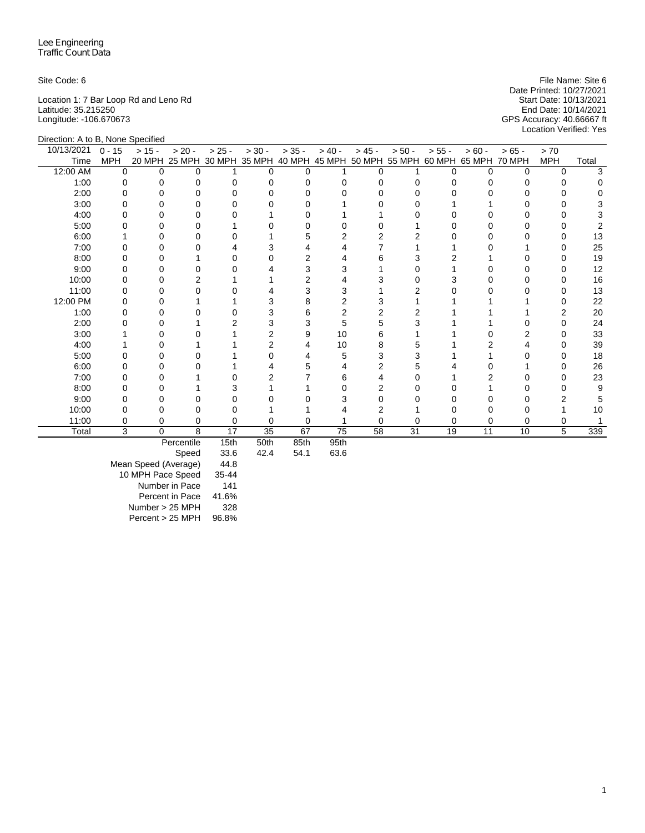Location 1: 7 Bar Loop Rd and Leno Rd Start Date: 10/13/2021 Latitude: 35.215250 End Date: 10/14/2021 Longitude: -106.670673 GPS Accuracy: 40.66667 ft

Site Code: 6 File Name: Site 6 File Name: Site 6 File Name: Site 6 File Name: Site 6 Date Printed: 10/27/2021<br>Start Date: 10/13/2021 Location Verified: Yes

| Direction: A to B, None Specified |            |          |            |          |                                                         |          |           |          |          |          |          |               |            |       |
|-----------------------------------|------------|----------|------------|----------|---------------------------------------------------------|----------|-----------|----------|----------|----------|----------|---------------|------------|-------|
| 10/13/2021                        | $0 - 15$   | $> 15 -$ | $> 20 -$   | $> 25 -$ | $> 30 -$                                                | $> 35 -$ | $> 40 -$  | $> 45 -$ | $> 50 -$ | $> 55 -$ | $> 60 -$ | $>65 -$       | > 70       |       |
| Time                              | <b>MPH</b> | 20 MPH   |            |          | 25 MPH 30 MPH 35 MPH 40 MPH 45 MPH 50 MPH 55 MPH 60 MPH |          |           |          |          |          | 65 MPH   | <b>70 MPH</b> | <b>MPH</b> | Total |
| 12:00 AM                          | $\Omega$   | $\Omega$ | $\Omega$   |          | U                                                       | $\Omega$ |           | $\Omega$ |          | ∩        | $\Omega$ | $\Omega$      | $\Omega$   |       |
| 1:00                              | O          |          | O          |          |                                                         |          |           |          |          |          |          |               |            |       |
| 2:00                              |            |          |            |          |                                                         |          |           |          |          |          |          |               |            |       |
| 3:00                              |            |          | O          |          |                                                         |          |           |          |          |          |          |               |            |       |
| 4:00                              |            |          |            |          |                                                         |          |           |          |          |          |          |               |            |       |
| 5:00                              |            |          |            |          |                                                         |          |           |          |          |          |          |               |            |       |
| 6:00                              |            |          | O          |          |                                                         |          |           |          |          |          |          |               |            | 13    |
| 7:00                              |            |          |            |          |                                                         |          |           |          |          |          |          |               |            | 25    |
| 8:00                              |            |          |            |          |                                                         |          |           | 6        |          |          |          |               |            | 19    |
| 9:00                              |            |          |            |          |                                                         |          |           |          |          |          |          |               |            | 12    |
| 10:00                             |            |          |            |          |                                                         |          |           |          |          |          |          |               |            | 16    |
| 11:00                             |            |          |            |          |                                                         |          |           |          |          |          |          |               |            | 13    |
| 12:00 PM                          |            |          |            |          |                                                         |          |           |          |          |          |          |               |            | 22    |
| 1:00                              |            |          |            |          |                                                         |          |           |          |          |          |          |               |            | 20    |
| 2:00                              |            |          |            |          |                                                         |          | 5         | 5        |          |          |          |               |            | 24    |
| 3:00                              |            |          |            |          |                                                         | 9        | 10        | 6        |          |          |          |               |            | 33    |
| 4:00                              |            |          |            |          |                                                         |          | 10        | 8        |          |          |          |               |            | 39    |
| 5:00                              |            |          |            |          |                                                         |          | 5         |          |          |          |          |               |            | 18    |
| 6:00                              |            |          |            |          |                                                         |          |           |          |          |          |          |               |            | 26    |
| 7:00                              |            |          |            |          |                                                         |          | h         |          |          |          |          |               |            | 23    |
| 8:00                              |            |          |            |          |                                                         |          |           |          |          |          |          |               |            | 9     |
| 9:00                              |            |          |            |          |                                                         |          |           |          |          |          |          |               |            |       |
| 10:00                             |            |          |            |          |                                                         |          |           |          |          |          |          |               |            | 10    |
| 11:00                             |            | 0        | 0          |          |                                                         |          |           |          |          |          |          | 0             |            |       |
| Total                             | 3          | 0        | 8          | 17       | $\overline{35}$                                         | 67       | 75        | 58       | 31       | 19       | 11       | 10            | 5          | 339   |
|                                   |            |          | Derooptile | 4E4h     | $E$ $O$ <sup>+</sup> $h$                                | 0Fth     | $O E + h$ |          |          |          |          |               |            |       |

Percentile 15th 50th 85th 95th

Speed Mean Speed (Average) 44.8 10 MPH Pace Speed 35-44 Number in Pace 141 Percent in Pace 41.6% Number > 25 MPH 328 Percent > 25 MPH 96.8%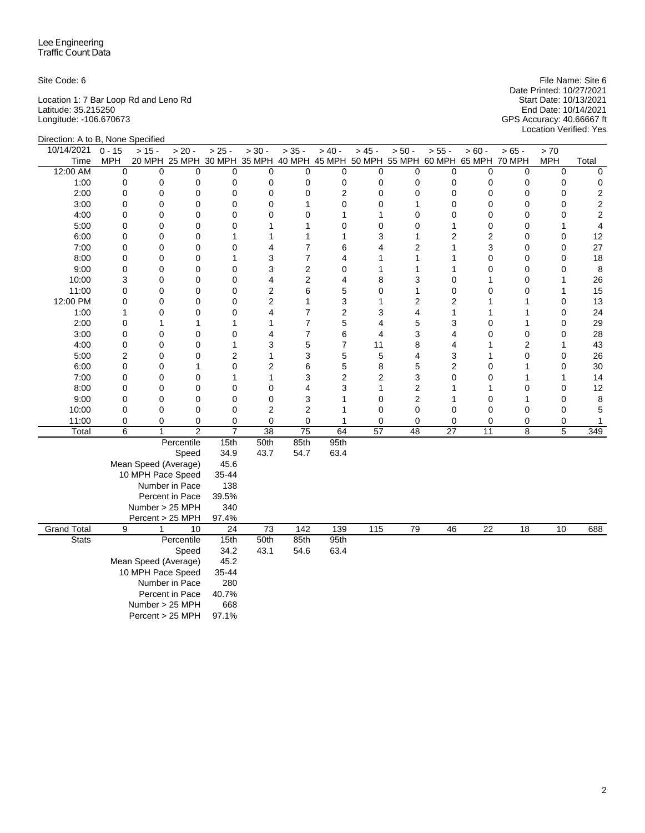Location 1: 7 Bar Loop Rd and Leno Rd Start Date: 10/13/2021 Latitude: 35.215250 End Date: 10/14/2021 Longitude: -106.670673 GPS Accuracy: 40.66667 ft

Direction: A to B, None Specified

Site Code: 6 File Name: Site 6 File Name: Site 6 File Name: Site 6 File Name: Site 6 File Name: Site 6 File Name: Site 6 File Name: Site 6 File Name: Site 6 File Name: Site 6 File Name: Site 6 File Name: Site 6 File Name: Date Printed: 10/27/2021 Location Verified: Yes

| Direction. A to D, indite opectified |                                   |                      |                                                                              |                          |                 |                 |                  |                         |                         |                 |                 |                 |            |                         |
|--------------------------------------|-----------------------------------|----------------------|------------------------------------------------------------------------------|--------------------------|-----------------|-----------------|------------------|-------------------------|-------------------------|-----------------|-----------------|-----------------|------------|-------------------------|
| 10/14/2021                           | $0 - 15$                          | $> 15 -$             | $> 20 -$                                                                     | $> 25 -$                 | $> 30 -$        | $> 35 -$        | $> 40 -$         | $> 45 -$                | $> 50 -$                | $> 55 -$        | $> 60 -$        | $> 65 -$        | $>70$      |                         |
| Time                                 | <b>MPH</b>                        |                      | 20 MPH 25 MPH 30 MPH 35 MPH 40 MPH 45 MPH 50 MPH 55 MPH 60 MPH 65 MPH 70 MPH |                          |                 |                 |                  |                         |                         |                 |                 |                 | <b>MPH</b> | Total                   |
| 12:00 AM                             | $\mathbf 0$                       | $\mathbf 0$          | $\Omega$                                                                     | $\mathbf 0$              | $\mathbf 0$     | 0               | $\mathbf 0$      | 0                       | $\mathbf 0$             | 0               | 0               | 0               | 0          | $\mathbf 0$             |
| 1:00                                 | 0                                 | 0                    | 0                                                                            | 0                        | 0               | 0               | 0                | 0                       | 0                       | 0               | 0               | 0               | 0          | 0                       |
| 2:00                                 | 0                                 | 0                    | 0                                                                            | 0                        | 0               | 0               | $\overline{2}$   | 0                       | 0                       | 0               | 0               | 0               | 0          | $\sqrt{2}$              |
| 3:00                                 | 0                                 | 0                    | 0                                                                            | 0                        | 0               | 1               | $\mathbf 0$      | $\mathbf 0$             | 1                       | 0               | 0               | 0               | 0          | $\sqrt{2}$              |
| 4:00                                 | 0                                 | $\mathbf 0$          | $\mathbf 0$                                                                  | 0                        | 0               | 0               | $\mathbf{1}$     | 1                       | 0                       | 0               | 0               | 0               | 0          | $\overline{\mathbf{c}}$ |
| 5:00                                 | 0                                 | $\mathbf 0$          | 0                                                                            | 0                        | 1               | 1               | $\mathbf 0$      | $\mathbf 0$             | 0                       | 1               | 0               | 0               | 1          | 4                       |
| 6:00                                 | 0                                 | 0                    | 0                                                                            | 1                        | 1               | 1               | 1                | 3                       | 1                       | $\overline{c}$  | $\overline{c}$  | 0               | 0          | 12                      |
| 7:00                                 | 0                                 | 0                    | $\mathbf 0$                                                                  | 0                        | 4               | 7               | 6                | 4                       | 2                       | 1               | 3               | 0               | 0          | 27                      |
| 8:00                                 | 0                                 | 0                    | 0                                                                            | 1                        | 3               | $\overline{7}$  | 4                | 1                       | 1                       | 1               | 0               | 0               | 0          | 18                      |
| 9:00                                 | 0                                 | 0                    | $\mathbf 0$                                                                  | 0                        | 3               | $\overline{2}$  | 0                | 1                       | 1                       | 1               | 0               | 0               | 0          | 8                       |
| 10:00                                | 3                                 | $\mathbf 0$          | $\mathbf 0$                                                                  | 0                        | 4               | $\overline{2}$  | $\overline{4}$   | 8                       | 3                       | 0               | 1               | 0               | 1          | 26                      |
| 11:00                                | 0                                 | 0                    | 0                                                                            | 0                        | $\mathbf 2$     | 6               | 5                | 0                       | 1                       | 0               | 0               | 0               | 1          | 15                      |
| 12:00 PM                             | 0                                 | 0                    | $\mathbf 0$                                                                  | $\mathbf 0$              | $\overline{c}$  | 1               | 3                | 1                       | $\overline{2}$          | 2               | 1               | 1               | 0          | 13                      |
| 1:00                                 | $\mathbf{1}$                      | 0                    | $\mathbf 0$                                                                  | 0                        | 4               | $\overline{7}$  | $\overline{c}$   | 3                       | 4                       | 1               | 1               | 1               | 0          | 24                      |
| 2:00                                 | 0                                 | 1                    | 1                                                                            | 1                        | 1               | 7               | 5                | 4                       | 5                       | 3               | 0               | 1               | 0          | 29                      |
| 3:00                                 | 0                                 | 0                    | $\mathbf 0$                                                                  | 0                        | 4               | $\overline{7}$  | 6                | $\overline{\mathbf{4}}$ | 3                       | 4               | 0               | 0               | 0          | 28                      |
| 4:00                                 | 0                                 | 0                    | 0                                                                            | 1                        | 3               | 5               | $\overline{7}$   | 11                      | 8                       | 4               | 1               | $\overline{c}$  | 1          | 43                      |
| 5:00                                 | $\overline{2}$                    | $\mathbf 0$          | 0                                                                            | $\overline{c}$           | 1               | 3               | 5                | 5                       | 4                       | 3               | 1               | 0               | 0          | 26                      |
| 6:00                                 | 0                                 | 0                    | 1                                                                            | 0                        | 2               | 6               | 5                | 8                       | 5                       | 2               | 0               | 1               | 0          | 30                      |
| 7:00                                 | 0                                 | $\mathbf 0$          | 0                                                                            | 1                        | 1               | 3               | $\boldsymbol{2}$ | $\overline{2}$          | 3                       | 0               | 0               | 1               | 1          | 14                      |
| 8:00                                 | 0                                 | 0                    | 0                                                                            | 0                        | $\mathbf 0$     | 4               | 3                | 1                       | $\overline{2}$          | 1               | 1               | 0               | 0          | 12                      |
| 9:00                                 | 0                                 | 0                    | $\mathbf 0$                                                                  | 0                        | 0               | 3               | 1                | 0                       | $\overline{\mathbf{c}}$ | 1               | 0               | 1               | 0          | 8                       |
| 10:00                                | 0                                 | $\mathbf 0$          | $\mathbf 0$                                                                  | 0                        | $\overline{2}$  | $\overline{2}$  | 1                | 0                       | 0                       | 0               | 0               | 0               | 0          | 5                       |
| 11:00                                | 0                                 | 0                    | $\mathbf 0$                                                                  | 0                        | 0               | 0               | 1                | 0                       | 0                       | 0               | 0               | 0               | 0          | 1                       |
| Total                                | 6                                 | $\mathbf{1}$         | $\overline{2}$                                                               | $\overline{7}$           | $\overline{38}$ | $\overline{75}$ | 64               | $\overline{57}$         | 48                      | $\overline{27}$ | 11              | 8               | 5          | 349                     |
|                                      |                                   |                      | Percentile                                                                   | 15th                     | 50th            | 85th            | 95th             |                         |                         |                 |                 |                 |            |                         |
|                                      |                                   |                      | Speed                                                                        | 34.9                     | 43.7            | 54.7            | 63.4             |                         |                         |                 |                 |                 |            |                         |
|                                      |                                   | Mean Speed (Average) |                                                                              | 45.6                     |                 |                 |                  |                         |                         |                 |                 |                 |            |                         |
|                                      |                                   | 10 MPH Pace Speed    |                                                                              | 35-44                    |                 |                 |                  |                         |                         |                 |                 |                 |            |                         |
|                                      |                                   |                      | Number in Pace                                                               | 138                      |                 |                 |                  |                         |                         |                 |                 |                 |            |                         |
|                                      |                                   |                      | Percent in Pace                                                              | 39.5%                    |                 |                 |                  |                         |                         |                 |                 |                 |            |                         |
|                                      |                                   | Number > 25 MPH      |                                                                              | 340                      |                 |                 |                  |                         |                         |                 |                 |                 |            |                         |
| <b>Grand Total</b>                   | 9                                 | Percent > 25 MPH     | 10                                                                           | 97.4%<br>$\overline{24}$ | $\overline{73}$ | 142             | 139              | 115                     | 79                      | 46              | $\overline{22}$ | $\overline{18}$ | 10         | 688                     |
| <b>Stats</b>                         |                                   |                      | Percentile                                                                   | 15th                     | 50th            | 85th            | 95th             |                         |                         |                 |                 |                 |            |                         |
|                                      |                                   |                      | Speed                                                                        | 34.2                     | 43.1            | 54.6            | 63.4             |                         |                         |                 |                 |                 |            |                         |
|                                      |                                   | Mean Speed (Average) |                                                                              | 45.2                     |                 |                 |                  |                         |                         |                 |                 |                 |            |                         |
|                                      |                                   |                      |                                                                              | 35-44                    |                 |                 |                  |                         |                         |                 |                 |                 |            |                         |
|                                      | 10 MPH Pace Speed                 |                      |                                                                              |                          |                 |                 |                  |                         |                         |                 |                 |                 |            |                         |
|                                      | Number in Pace<br>Percent in Pace |                      |                                                                              |                          |                 |                 |                  |                         |                         |                 |                 |                 |            |                         |
|                                      |                                   |                      |                                                                              | 40.7%                    |                 |                 |                  |                         |                         |                 |                 |                 |            |                         |
|                                      |                                   | Number > 25 MPH      |                                                                              | 668                      |                 |                 |                  |                         |                         |                 |                 |                 |            |                         |
|                                      |                                   | Percent > 25 MPH     |                                                                              | 97.1%                    |                 |                 |                  |                         |                         |                 |                 |                 |            |                         |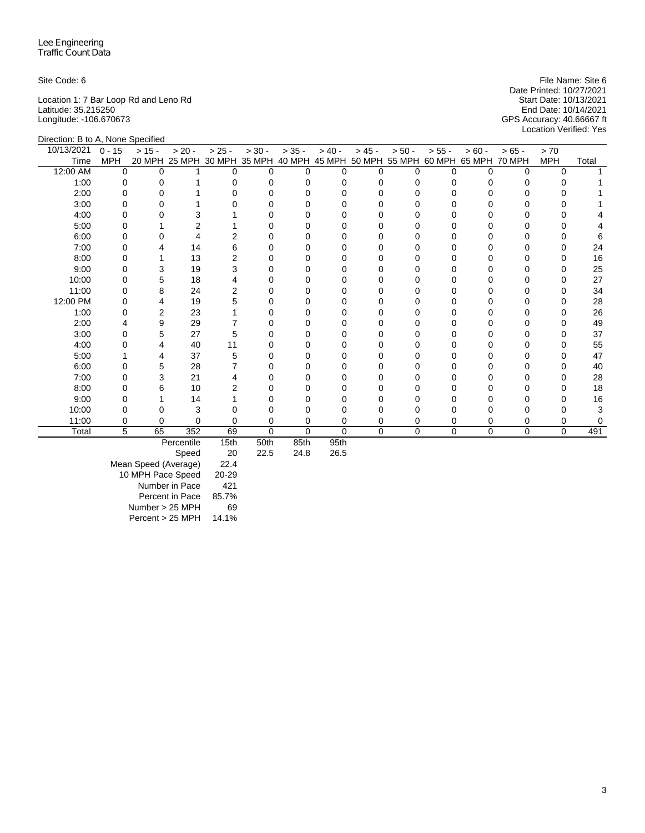Location 1: 7 Bar Loop Rd and Leno Rd Start Date: 10/13/2021 Latitude: 35.215250 End Date: 10/14/2021 Longitude: -106.670673 GPS Accuracy: 40.66667 ft

Direction: B to A, None Specified

Site Code: 6 File Name: Site 6 File Name: Site 6 File Name: Site 6 File Name: Site 6 File Name: Site 6 File Name: Site 6 File Name: Site 6 File Name: Site 6 File Name: Site 6 File Name: Site 6 File Name: Site 6 File Name: Date Printed: 10/27/2021 GPS Accuracy: 40.66667 ft<br>Location Verified: Yes

| 10/13/2021 | $0 - 15$   | $> 15 -$ | $> 20 -$                                                                     | $> 25 -$ | $> 30 -$ | $> 35 -$    | $> 40 -$     | $> 45 -$ | $> 50 -$ | $> 55 -$ | $> 60 -$    | $>65 -$     | > 70         |       |
|------------|------------|----------|------------------------------------------------------------------------------|----------|----------|-------------|--------------|----------|----------|----------|-------------|-------------|--------------|-------|
| Time       | <b>MPH</b> |          | 20 MPH 25 MPH 30 MPH 35 MPH 40 MPH 45 MPH 50 MPH 55 MPH 60 MPH 65 MPH 70 MPH |          |          |             |              |          |          |          |             |             | <b>MPH</b>   | Total |
| 12:00 AM   | $\Omega$   | ∩        |                                                                              |          | U        | 0           | <sup>n</sup> | U        |          |          | O           | 0           | $\Omega$     |       |
| 1:00       |            |          |                                                                              |          |          |             |              |          |          |          |             |             |              |       |
| 2:00       |            |          |                                                                              |          |          |             |              |          |          |          |             |             |              |       |
| 3:00       |            |          |                                                                              |          |          |             |              |          |          |          |             |             |              |       |
| 4:00       |            |          |                                                                              |          |          |             |              |          |          |          |             |             |              |       |
| 5:00       |            |          |                                                                              |          |          |             |              |          |          |          |             |             |              |       |
| 6:00       |            |          |                                                                              |          |          |             |              |          |          |          |             |             |              |       |
| 7:00       |            |          | 14                                                                           | 6        |          |             |              |          |          |          |             |             |              | 24    |
| 8:00       |            |          | 13                                                                           |          |          |             |              |          |          |          |             |             | O            | 16    |
| 9:00       |            |          | 19                                                                           |          |          |             |              |          |          |          |             |             |              | 25    |
| 10:00      |            |          | 18                                                                           |          |          |             |              |          |          |          |             |             |              | 27    |
| 11:00      |            |          | 24                                                                           |          |          |             |              |          |          |          |             |             |              | 34    |
| 12:00 PM   |            |          | 19                                                                           |          |          |             |              |          |          |          |             |             |              | 28    |
| 1:00       |            |          | 23                                                                           |          |          |             |              |          |          |          |             |             |              | 26    |
| 2:00       |            |          | 29                                                                           |          |          |             |              |          |          |          |             |             |              | 49    |
| 3:00       |            |          | 27                                                                           |          |          |             |              |          |          |          |             |             |              | 37    |
| 4:00       |            |          | 40                                                                           | 11       |          |             |              |          |          |          |             |             |              | 55    |
| 5:00       |            |          | 37                                                                           |          |          |             |              |          |          |          |             |             |              | 47    |
| 6:00       |            |          | 28                                                                           |          |          |             |              |          |          |          |             |             |              | 40    |
| 7:00       | O          |          | 21                                                                           |          |          |             |              |          |          |          |             |             | <sup>0</sup> | 28    |
| 8:00       |            |          | 10                                                                           |          |          |             |              |          |          |          |             |             |              | 18    |
| 9:00       |            |          | 14                                                                           |          |          |             |              |          |          |          |             |             |              | 16    |
| 10:00      |            |          | 3                                                                            |          |          |             |              |          |          |          |             |             |              |       |
| 11:00      | 0          | 0        | $\Omega$                                                                     |          | 0        | 0           | 0            | 0        | 0        |          |             |             | 0            |       |
| Total      | 5          | 65       | 352                                                                          | 69       | 0        | $\mathbf 0$ | 0            | 0        | $\Omega$ | $\Omega$ | $\mathbf 0$ | $\mathbf 0$ | $\Omega$     | 491   |

Percentile 15th 50th 85th 95th

 $24.8$ 

| <b>Speed</b>         | 20    |
|----------------------|-------|
| Mean Speed (Average) | 22.4  |
| 10 MPH Pace Speed    | 20-29 |
| Number in Pace       | 421   |
| Percent in Pace      | 85.7% |
| Number > 25 MPH      | 69    |
| Percent > 25 MPH     | 14.1% |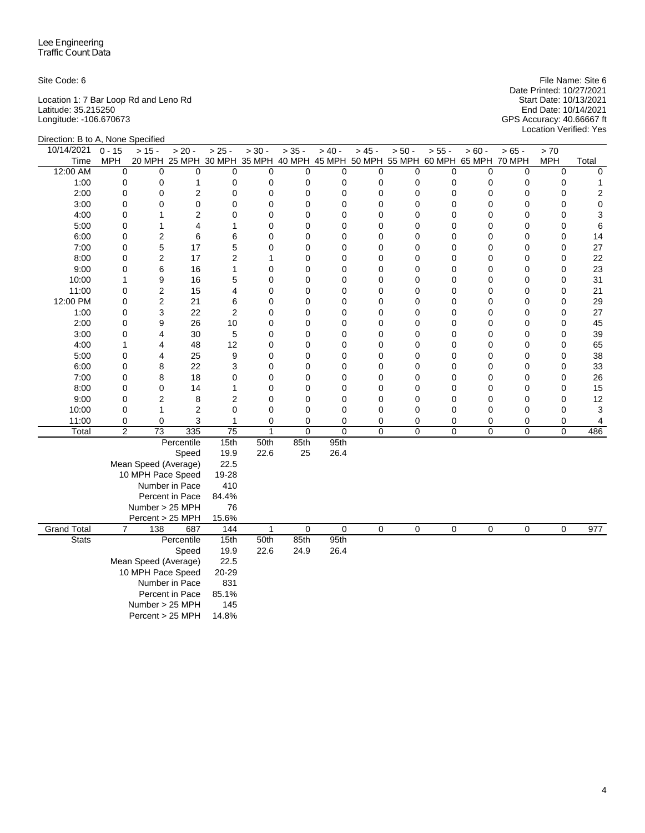Location 1: 7 Bar Loop Rd and Leno Rd Start Date: 10/13/2021 Latitude: 35.215250 End Date: 10/14/2021 Longitude: -106.670673 GPS Accuracy: 40.66667 ft

Site Code: 6 File Name: Site 6 File Name: Site 6 File Name: Site 6 File Name: Site 6 File Name: Site 6 File Name: Site 6 File Name: Site 6 File Name: Site 6 File Name: Site 6 File Name: Site 6 File Name: Site 6 File Name: Date Printed: 10/27/2021 Start Date: 10/13/2021<br>
Start Date: 10/13/2021<br>
End Date: 10/14/2021<br>
GPS Accuracy: 40.66667 ft<br>
Location Verified: Yes

|                    | Direction: B to A, None Specified |                      |                                                                              |                         |              |             |             |                |          |                |                  |                |             |                |
|--------------------|-----------------------------------|----------------------|------------------------------------------------------------------------------|-------------------------|--------------|-------------|-------------|----------------|----------|----------------|------------------|----------------|-------------|----------------|
| 10/14/2021         | $0 - 15$                          | $> 15 -$             | $> 20 -$                                                                     | $> 25 -$                | $> 30 -$     | $> 35 -$    | $> 40 -$    | $> 45 -$       | $> 50 -$ | $> 55 -$       | $> 60 -$         | $> 65 -$       | > 70        |                |
| Time               | <b>MPH</b>                        |                      | 20 MPH 25 MPH 30 MPH 35 MPH 40 MPH 45 MPH 50 MPH 55 MPH 60 MPH 65 MPH 70 MPH |                         |              |             |             |                |          |                |                  |                | <b>MPH</b>  | Total          |
| 12:00 AM           | 0                                 | $\mathbf 0$          | 0                                                                            | $\mathbf 0$             | $\mathbf 0$  | $\mathbf 0$ | 0           | 0              | 0        | 0              | 0                | $\mathbf 0$    | $\mathbf 0$ | $\mathbf 0$    |
| 1:00               | 0                                 | 0                    | 1                                                                            | 0                       | 0            | 0           | 0           | 0              | 0        | 0              | 0                | 0              | 0           | 1              |
| 2:00               | 0                                 | 0                    | $\overline{\mathbf{c}}$                                                      | $\mathbf 0$             | $\mathbf 0$  | $\mathbf 0$ | $\mathbf 0$ | 0              | 0        | 0              | 0                | 0              | $\mathbf 0$ | $\overline{c}$ |
| 3:00               | 0                                 | 0                    | 0                                                                            | 0                       | $\mathbf 0$  | $\mathbf 0$ | 0           | 0              | 0        | 0              | 0                | 0              | $\mathbf 0$ | $\mathbf 0$    |
| 4:00               | 0                                 | 1                    | $\overline{2}$                                                               | $\mathbf 0$             | 0            | $\mathbf 0$ | 0           | 0              | 0        | 0              | 0                | 0              | $\mathbf 0$ | 3              |
| 5:00               | 0                                 | 1                    | 4                                                                            | $\mathbf{1}$            | $\mathbf 0$  | $\mathbf 0$ | 0           | 0              | 0        | 0              | 0                | $\mathbf 0$    | $\mathbf 0$ | 6              |
| 6:00               | 0                                 | 2                    | 6                                                                            | 6                       | $\mathbf 0$  | $\mathbf 0$ | 0           | $\overline{0}$ | 0        | 0              | 0                | $\mathbf 0$    | $\mathbf 0$ | 14             |
| 7:00               | 0                                 | 5                    | 17                                                                           | 5                       | 0            | $\mathbf 0$ | 0           | 0              | 0        | 0              | 0                | $\mathbf 0$    | $\mathbf 0$ | 27             |
| 8:00               | 0                                 | 2                    | 17                                                                           | $\overline{\mathbf{c}}$ | $\mathbf{1}$ | 0           | 0           | 0              | 0        | 0              | 0                | 0              | 0           | 22             |
| 9:00               | 0                                 | 6                    | 16                                                                           | $\mathbf{1}$            | $\mathbf 0$  | 0           | 0           | 0              | 0        | 0              | 0                | $\mathbf 0$    | $\mathbf 0$ | 23             |
| 10:00              | 1                                 | 9                    | 16                                                                           | 5                       | $\mathbf 0$  | $\mathbf 0$ | $\mathbf 0$ | 0              | 0        | 0              | 0                | 0              | $\mathbf 0$ | 31             |
| 11:00              | 0                                 | 2                    | 15                                                                           | 4                       | 0            | $\mathbf 0$ | 0           | 0              | 0        | 0              | 0                | 0              | $\mathbf 0$ | 21             |
| 12:00 PM           | 0                                 | $\overline{c}$       | 21                                                                           | 6                       | 0            | $\mathbf 0$ | 0           | 0              | 0        | 0              | 0                | 0              | $\mathbf 0$ | 29             |
| 1:00               | 0                                 | 3                    | 22                                                                           | $\overline{2}$          | 0            | $\mathbf 0$ | 0           | 0              | 0        | 0              | 0                | $\mathbf 0$    | $\mathbf 0$ | 27             |
| 2:00               | 0                                 | 9                    | 26                                                                           | 10                      | 0            | 0           | 0           | 0              | 0        | 0              | 0                | 0              | 0           | 45             |
| 3:00               | 0                                 | 4                    | 30                                                                           | 5                       | $\mathbf 0$  | 0           | 0           | 0              | 0        | 0              | 0                | $\mathbf 0$    | $\mathbf 0$ | 39             |
| 4:00               | 1                                 | 4                    | 48                                                                           | 12                      | $\mathbf 0$  | 0           | 0           | 0              | 0        | 0              | 0                | $\mathbf 0$    | 0           | 65             |
| 5:00               | 0                                 | 4                    | 25                                                                           | 9                       | 0            | $\mathbf 0$ | 0           | 0              | 0        | 0              | 0                | 0              | $\mathbf 0$ | 38             |
| 6:00               | 0                                 | 8                    | 22                                                                           | 3                       | $\mathbf 0$  | $\mathbf 0$ | 0           | 0              | 0        | 0              | 0                | $\mathbf 0$    | $\mathbf 0$ | 33             |
| 7:00               | 0                                 | 8                    | 18                                                                           | $\mathbf 0$             | $\mathbf 0$  | $\mathbf 0$ | 0           | 0              | 0        | 0              | 0                | 0              | 0           | 26             |
| 8:00               | 0                                 | 0                    | 14                                                                           | 1                       | 0            | 0           | 0           | 0              | 0        | 0              | 0                | 0              | $\mathbf 0$ | 15             |
| 9:00               | 0                                 | $\overline{2}$       | 8                                                                            | $\overline{2}$          | $\mathbf 0$  | $\mathbf 0$ | $\mathbf 0$ | 0              | 0        | $\mathbf 0$    | 0                | $\mathbf 0$    | $\mathbf 0$ | 12             |
| 10:00              | 0                                 | 1                    | $\overline{2}$                                                               | $\mathbf 0$             | $\mathbf 0$  | $\mathbf 0$ | $\mathbf 0$ | 0              | 0        | 0              | 0                | 0              | $\mathbf 0$ | 3              |
| 11:00              | 0                                 | $\mathbf 0$          | 3                                                                            | 1                       | $\mathbf 0$  | $\Omega$    | 0           | 0              | 0        | 0              | 0                | 0              | 0           | 4              |
| Total              | $\overline{2}$                    | $\overline{73}$      | 335                                                                          | $\overline{75}$         | $\mathbf{1}$ | $\mathbf 0$ | $\mathbf 0$ | 0              | 0        | $\overline{0}$ | $\overline{0}$   | $\overline{0}$ | $\mathbf 0$ | 486            |
|                    |                                   |                      | Percentile                                                                   | 15th                    | 50th         | 85th        | 95th        |                |          |                |                  |                |             |                |
|                    |                                   |                      | Speed                                                                        | 19.9                    | 22.6         | 25          | 26.4        |                |          |                |                  |                |             |                |
|                    |                                   | Mean Speed (Average) |                                                                              | 22.5                    |              |             |             |                |          |                |                  |                |             |                |
|                    |                                   | 10 MPH Pace Speed    |                                                                              | 19-28                   |              |             |             |                |          |                |                  |                |             |                |
|                    |                                   |                      | Number in Pace                                                               | 410                     |              |             |             |                |          |                |                  |                |             |                |
|                    |                                   |                      | Percent in Pace                                                              | 84.4%                   |              |             |             |                |          |                |                  |                |             |                |
|                    |                                   | Number > 25 MPH      |                                                                              | 76                      |              |             |             |                |          |                |                  |                |             |                |
|                    |                                   | Percent > 25 MPH     |                                                                              | 15.6%                   |              |             |             |                |          |                |                  |                |             |                |
| <b>Grand Total</b> | $\overline{7}$                    | 138                  | 687                                                                          | 144                     | 1            | $\mathbf 0$ | $\mathbf 0$ | 0              | 0        | 0              | $\boldsymbol{0}$ | 0              | 0           | 977            |
| <b>Stats</b>       |                                   |                      | Percentile                                                                   | 15th                    | 50th         | 85th        | 95th        |                |          |                |                  |                |             |                |
|                    |                                   |                      | Speed                                                                        | 19.9                    | 22.6         | 24.9        | 26.4        |                |          |                |                  |                |             |                |
|                    |                                   | Mean Speed (Average) |                                                                              | 22.5                    |              |             |             |                |          |                |                  |                |             |                |
|                    |                                   | 10 MPH Pace Speed    |                                                                              | $20 - 29$               |              |             |             |                |          |                |                  |                |             |                |
|                    |                                   |                      | Number in Pace                                                               | 831                     |              |             |             |                |          |                |                  |                |             |                |
|                    |                                   |                      | Percent in Pace                                                              | 85.1%<br>145            |              |             |             |                |          |                |                  |                |             |                |
|                    | Number > 25 MPH                   |                      |                                                                              |                         |              |             |             |                |          |                |                  |                |             |                |
|                    |                                   | Percent > 25 MPH     |                                                                              | 14.8%                   |              |             |             |                |          |                |                  |                |             |                |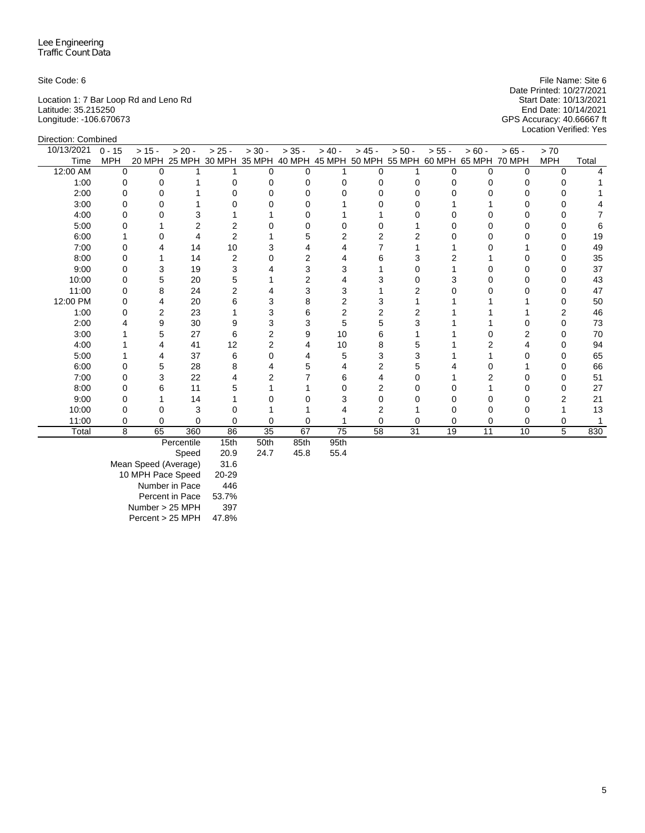Direction: Combined

Location 1: 7 Bar Loop Rd and Leno Rd Start Date: 10/13/2021 Latitude: 35.215250 End Date: 10/14/2021 Longitude: -106.670673 GPS Accuracy: 40.66667 ft

Site Code: 6 File Name: Site 6 File Name: Site 6 File Name: Site 6 File Name: Site 6 File Name: Site 6 File Name: Site 6 File Name: Site 6 File Name: Site 6 File Name: Site 6 File Name: Site 6 File Name: Site 6 File Name: Date Printed: 10/27/2021 Start Date: 10/13/2021<br>End Date: 10/14/2021<br>GPS Accuracy: 40.66667 ft<br>Location Verified: Yes

| <b>DIIGUIUII. UUIIIDIIIGU</b> |            |          |                                                                              |          |                      |           |          |          |          |          |          |         |            |       |
|-------------------------------|------------|----------|------------------------------------------------------------------------------|----------|----------------------|-----------|----------|----------|----------|----------|----------|---------|------------|-------|
| 10/13/2021                    | $0 - 15$   | $> 15 -$ | $> 20 -$                                                                     | $> 25 -$ | $> 30 -$             | $> 35 -$  | $> 40 -$ | $> 45 -$ | $> 50 -$ | $> 55 -$ | $> 60 -$ | $>65 -$ | > 70       |       |
| Time                          | <b>MPH</b> |          | 20 MPH 25 MPH 30 MPH 35 MPH 40 MPH 45 MPH 50 MPH 55 MPH 60 MPH 65 MPH 70 MPH |          |                      |           |          |          |          |          |          |         | <b>MPH</b> | Total |
| 12:00 AM                      | $\Omega$   | U        |                                                                              |          |                      | O         |          |          |          |          | O        |         | 0          |       |
| 1:00                          |            |          |                                                                              |          |                      |           |          |          |          |          |          |         |            |       |
| 2:00                          |            |          |                                                                              |          |                      |           |          |          |          |          |          |         |            |       |
| 3:00                          |            |          |                                                                              |          |                      |           |          |          |          |          |          |         |            |       |
| 4:00                          |            |          |                                                                              |          |                      |           |          |          |          |          |          |         |            |       |
| 5:00                          |            |          |                                                                              |          |                      |           |          |          |          |          |          |         |            |       |
| 6:00                          |            |          |                                                                              |          |                      | 5         |          |          |          |          |          |         |            | 19    |
| 7:00                          |            |          | 14                                                                           | 10       |                      |           |          |          |          |          |          |         |            | 49    |
| 8:00                          |            |          | 14                                                                           |          |                      | 2         |          | 6        |          |          |          |         | O          | 35    |
| 9:00                          |            |          | 19                                                                           |          |                      |           |          |          |          |          |          |         |            | 37    |
| 10:00                         |            |          | 20                                                                           |          |                      |           |          |          |          |          |          |         |            | 43    |
| 11:00                         | O          | 8        | 24                                                                           |          |                      | 3         |          |          |          |          |          |         | O          | 47    |
| 12:00 PM                      |            |          | 20                                                                           |          |                      | 8         |          |          |          |          |          |         |            | 50    |
| 1:00                          |            |          | 23                                                                           |          |                      | 6         |          |          |          |          |          |         |            | 46    |
| 2:00                          |            |          | 30                                                                           |          |                      | 3         | 5        | 5        |          |          |          |         | ი          | 73    |
| 3:00                          |            |          | 27                                                                           |          |                      | 9         | 10       | 6        |          |          |          |         |            | 70    |
| 4:00                          |            |          | 41                                                                           | 12       |                      |           | 10       |          |          |          |          |         |            | 94    |
| 5:00                          |            |          | 37                                                                           | 6        |                      |           |          | 3        |          |          |          |         |            | 65    |
| 6:00                          |            |          | 28                                                                           |          |                      |           |          |          |          |          |          |         |            | 66    |
| 7:00                          |            |          | 22                                                                           |          |                      |           |          |          |          |          |          |         |            | 51    |
| 8:00                          |            |          | 11                                                                           |          |                      |           |          |          |          |          |          |         |            | 27    |
| 9:00                          |            |          | 14                                                                           |          |                      |           |          |          |          |          |          |         |            | 21    |
| 10:00                         |            |          | 3                                                                            |          |                      |           |          |          |          |          |          |         |            | 13    |
| 11:00                         | 0          |          | n                                                                            |          |                      |           |          |          |          |          |          |         | ი          |       |
| Total                         | 8          | 65       | 360                                                                          | 86       | 35                   | 67        | 75       | 58       | 31       | 19       | 11       | 10      | 5          | 830   |
|                               |            |          | <b>Doroontilo</b>                                                            | $4E+h$   | $E$ O <sup>+</sup> h | $O E + h$ | $0F+h$   |          |          |          |          |         |            |       |

Percentile 15th 50th 85th 95th

| Speed                | 20.9  |
|----------------------|-------|
| Mean Speed (Average) | 31.6  |
| 10 MPH Pace Speed    | 20-29 |
| Number in Pace       | 446   |
| Percent in Pace      | 53.7% |
| Number > 25 MPH      | 397   |
| Percent > 25 MPH     | 47.8% |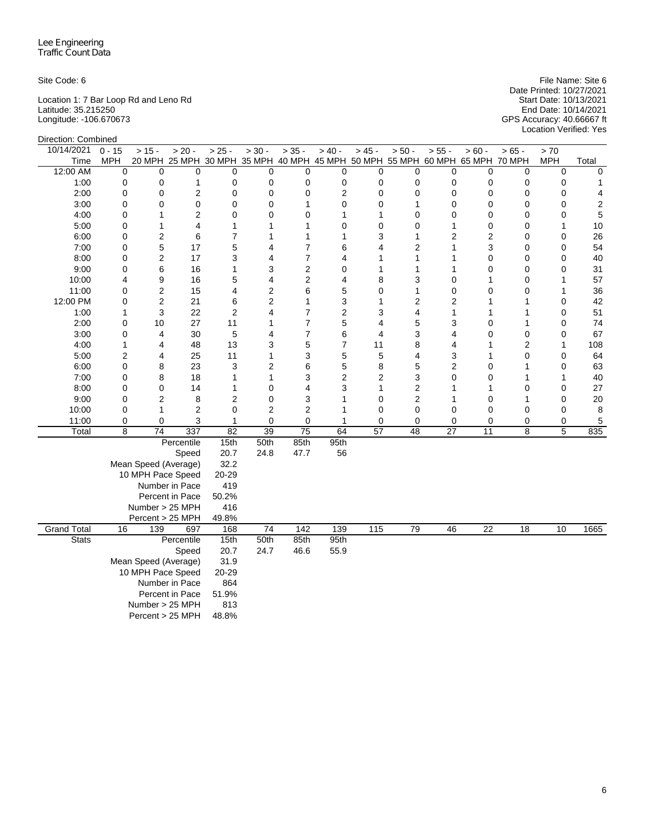| Site Code: 6                          | File Name: Site 6                                   |
|---------------------------------------|-----------------------------------------------------|
|                                       | Date Printed: 10/27/2021                            |
| Location 1: 7 Bar Loop Rd and Leno Rd | Start Date: 10/13/2021                              |
| Latitude: 35.215250                   | End Date: 10/14/2021                                |
| Longitude: -106.670673                | GPS Accuracy: 40.66667 ft<br>Location Verified: Yes |
| .                                     |                                                     |

| Direction: Combined |                |                      |                 |                |                 |                |                                                                              |                         |                         |                |                 |                 |             |                  |
|---------------------|----------------|----------------------|-----------------|----------------|-----------------|----------------|------------------------------------------------------------------------------|-------------------------|-------------------------|----------------|-----------------|-----------------|-------------|------------------|
| 10/14/2021          | $0 - 15$       | $> 15 -$             | $> 20 -$        | $> 25 -$       | $> 30 -$        | $> 35 -$       | $> 40 -$                                                                     | $> 45 -$                | $> 50 -$                | $> 55 -$       | $> 60 -$        | $> 65 -$        | $>70$       |                  |
| Time                | MPH            |                      |                 |                |                 |                | 20 MPH 25 MPH 30 MPH 35 MPH 40 MPH 45 MPH 50 MPH 55 MPH 60 MPH 65 MPH 70 MPH |                         |                         |                |                 |                 | <b>MPH</b>  | Total            |
| 12:00 AM            | $\mathbf 0$    | $\mathbf 0$          | 0               | 0              | 0               | 0              | 0                                                                            | $\mathbf 0$             | $\mathbf 0$             | 0              | 0               | 0               | $\mathbf 0$ | $\mathbf 0$      |
| 1:00                | $\mathbf 0$    | 0                    | 1               | 0              | 0               | 0              | 0                                                                            | $\mathbf 0$             | $\mathbf 0$             | 0              | 0               | 0               | 0           | 1                |
| 2:00                | $\mathbf 0$    | 0                    | 2               | 0              | 0               | 0              | $\overline{2}$                                                               | $\mathbf 0$             | $\mathbf 0$             | $\mathbf 0$    | 0               | 0               | 0           | 4                |
| 3:00                | $\mathbf 0$    | 0                    | 0               | 0              | 0               | $\mathbf{1}$   | $\mathbf 0$                                                                  | $\mathbf 0$             | $\mathbf{1}$            | 0              | $\mathbf 0$     | 0               | 0           | $\boldsymbol{2}$ |
| 4:00                | $\mathbf 0$    | 1                    | $\overline{c}$  | 0              | 0               | 0              | $\mathbf{1}$                                                                 | 1                       | $\mathbf 0$             | $\overline{0}$ | $\Omega$        | 0               | 0           | 5                |
| 5:00                | $\mathbf 0$    | 1                    | 4               | 1              | 1               | 1              | $\mathbf 0$                                                                  | 0                       | $\mathbf 0$             | 1              | 0               | 0               | 1           | 10               |
| 6:00                | $\mathbf 0$    | 2                    | 6               | $\overline{7}$ | 1               | $\mathbf{1}$   | $\mathbf{1}$                                                                 | 3                       | $\mathbf{1}$            | 2              | $\overline{c}$  | 0               | 0           | 26               |
| 7:00                | $\mathbf 0$    | 5                    | 17              | 5              | 4               | $\overline{7}$ | 6                                                                            | 4                       | $\overline{2}$          | 1              | 3               | 0               | 0           | 54               |
| 8:00                | $\mathbf 0$    | 2                    | 17              | 3              | 4               | $\overline{7}$ | $\overline{4}$                                                               | 1                       | $\mathbf{1}$            | 1              | 0               | 0               | 0           | 40               |
| 9:00                | 0              | 6                    | 16              | 1              | 3               | $\overline{2}$ | 0                                                                            | 1                       | 1                       | 1              | 0               | 0               | 0           | 31               |
| 10:00               | 4              | 9                    | 16              | 5              | 4               | $\overline{2}$ | $\overline{4}$                                                               | 8                       | 3                       | 0              | 1               | 0               | 1           | 57               |
| 11:00               | 0              | 2                    | 15              | 4              | $\overline{2}$  | 6              | 5                                                                            | $\mathbf 0$             | $\mathbf{1}$            | $\mathbf 0$    | 0               | 0               | 1           | 36               |
| 12:00 PM            | 0              | 2                    | 21              | 6              | $\overline{c}$  | $\mathbf{1}$   | 3                                                                            | $\mathbf{1}$            | $\overline{\mathbf{c}}$ | 2              | 1               | 1               | 0           | 42               |
| 1:00                | 1              | 3                    | 22              | $\overline{2}$ | 4               | $\overline{7}$ | $\overline{c}$                                                               | 3                       | $\overline{4}$          | 1              | 1               | 1               | $\mathbf 0$ | 51               |
| 2:00                | $\mathbf 0$    | 10                   | 27              | 11             | 1               | $\overline{7}$ | 5                                                                            | $\overline{\mathbf{4}}$ | 5                       | 3              | $\mathbf 0$     | 1               | 0           | 74               |
| 3:00                | $\mathbf 0$    | 4                    | 30              | 5              | 4               | $\overline{7}$ | 6                                                                            | $\overline{\mathbf{4}}$ | 3                       | 4              | $\mathbf 0$     | 0               | 0           | 67               |
| 4:00                | 1              | 4                    | 48              | 13             | 3               | 5              | $\overline{7}$                                                               | 11                      | 8                       | 4              | 1               | 2               | 1           | 108              |
| 5:00                | $\overline{2}$ | 4                    | 25              | 11             | 1               | 3              | 5                                                                            | 5                       | 4                       | 3              | 1               | 0               | 0           | 64               |
| 6:00                | $\mathbf 0$    | 8                    | 23              | 3              | $\overline{c}$  | 6              | 5                                                                            | 8                       | 5                       | 2              | $\mathbf 0$     | 1               | $\mathbf 0$ | 63               |
| 7:00                | $\mathbf 0$    | 8                    | 18              | 1              | 1               | 3              | $\overline{2}$                                                               | $\overline{2}$          | 3                       | $\Omega$       | 0               | 1               | 1           | 40               |
| 8:00                | $\mathbf 0$    | $\mathbf 0$          | 14              | $\mathbf{1}$   | 0               | 4              | 3                                                                            | $\mathbf{1}$            | $\overline{2}$          | 1              | 1               | 0               | 0           | 27               |
| 9:00                | $\mathbf 0$    | 2                    | 8               | 2              | 0               | 3              | $\mathbf{1}$                                                                 | $\mathbf 0$             | $\overline{2}$          | 1              | $\Omega$        | 1               | 0           | 20               |
| 10:00               | 0              | 1                    | $\overline{2}$  | 0              | $\overline{2}$  | $\overline{2}$ | $\mathbf{1}$                                                                 | 0                       | $\mathbf 0$             | 0              | 0               | 0               | 0           | 8                |
| 11:00               | 0              | 0                    | 3               | 1              | 0               | 0              | $\mathbf{1}$                                                                 | 0                       | $\mathbf 0$             | 0              | $\mathbf 0$     | 0               | 0           | $\mathbf 5$      |
| Total               | 8              | 74                   | 337             | 82             | $\overline{39}$ | 75             | 64                                                                           | 57                      | 48                      | 27             | 11              | 8               | 5           | 835              |
|                     |                |                      | Percentile      | 15th           | 50th            | 85th           | 95th                                                                         |                         |                         |                |                 |                 |             |                  |
|                     |                |                      | Speed           | 20.7           | 24.8            | 47.7           | 56                                                                           |                         |                         |                |                 |                 |             |                  |
|                     |                | Mean Speed (Average) |                 | 32.2           |                 |                |                                                                              |                         |                         |                |                 |                 |             |                  |
|                     |                | 10 MPH Pace Speed    |                 | 20-29          |                 |                |                                                                              |                         |                         |                |                 |                 |             |                  |
|                     |                |                      | Number in Pace  | 419            |                 |                |                                                                              |                         |                         |                |                 |                 |             |                  |
|                     |                |                      | Percent in Pace | 50.2%          |                 |                |                                                                              |                         |                         |                |                 |                 |             |                  |
|                     |                | Number > 25 MPH      |                 | 416            |                 |                |                                                                              |                         |                         |                |                 |                 |             |                  |
|                     |                | Percent > 25 MPH     |                 | 49.8%          |                 |                |                                                                              |                         |                         |                |                 |                 |             |                  |
| <b>Grand Total</b>  | 16             | 139                  | 697             | 168            | 74              | 142            | 139                                                                          | 115                     | 79                      | 46             | $\overline{22}$ | $\overline{18}$ | 10          | 1665             |
| <b>Stats</b>        |                |                      | Percentile      | 15th           | 50th            | 85th           | 95th                                                                         |                         |                         |                |                 |                 |             |                  |
|                     |                |                      | Speed           | 20.7           | 24.7            | 46.6           | 55.9                                                                         |                         |                         |                |                 |                 |             |                  |
|                     |                | Mean Speed (Average) |                 | 31.9           |                 |                |                                                                              |                         |                         |                |                 |                 |             |                  |
|                     |                | 10 MPH Pace Speed    |                 | 20-29          |                 |                |                                                                              |                         |                         |                |                 |                 |             |                  |
|                     |                |                      | Number in Pace  | 864            |                 |                |                                                                              |                         |                         |                |                 |                 |             |                  |
|                     |                |                      | Percent in Pace | 51.9%          |                 |                |                                                                              |                         |                         |                |                 |                 |             |                  |
|                     |                | Number > 25 MPH      |                 | 813            |                 |                |                                                                              |                         |                         |                |                 |                 |             |                  |
|                     |                | Percent > 25 MPH     |                 | 48.8%          |                 |                |                                                                              |                         |                         |                |                 |                 |             |                  |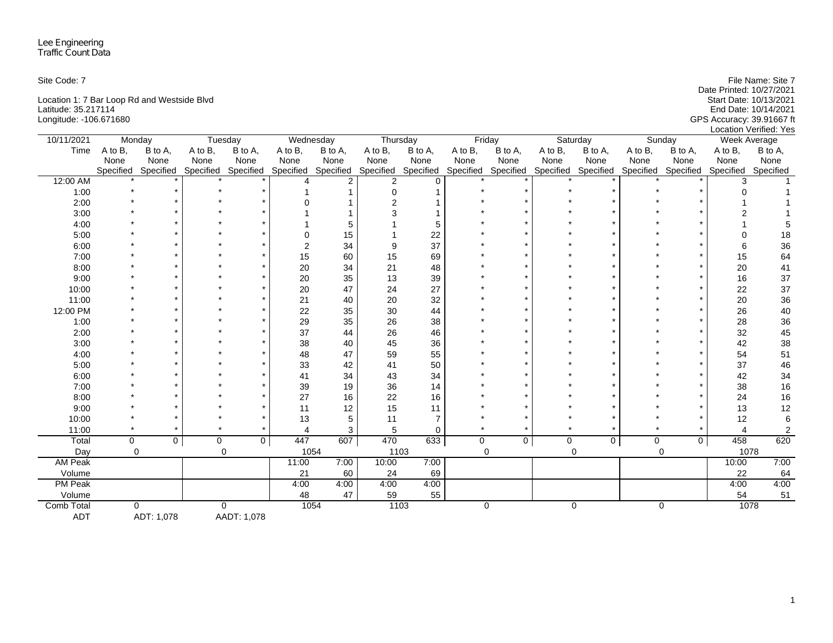| Site Code: 7                                | File Name: Site 7         |
|---------------------------------------------|---------------------------|
|                                             | Date Printed: 10/27/2021  |
| Location 1: 7 Bar Loop Rd and Westside Blvd | Start Date: 10/13/2021    |
| Latitude: 35.217114                         | End Date: 10/14/2021      |
| Longitude: -106.671680                      | GPS Accuracy: 39.91667 ft |
|                                             | Location Verified: Yes    |

| 10/11/2021     | Monday    |             |           | Tuesday             | Wednesday |                | Thursday            |                |             | Friday              |         | Saturday       |         | Sunday              | <b>Week Average</b> |                |
|----------------|-----------|-------------|-----------|---------------------|-----------|----------------|---------------------|----------------|-------------|---------------------|---------|----------------|---------|---------------------|---------------------|----------------|
| Time           | A to B.   | B to A,     | A to B,   | B to A,             | A to B,   | B to A,        | A to B,             | B to A,        | A to B,     | B to A,             | A to B, | B to A,        | A to B, | B to A,             | A to B,             | B to A,        |
|                | None      | None        | None      | None                | None      | None           | None                | None           | None        | None                | None    | None           | None    | None                | None                | None           |
|                | Specified | Specified   |           | Specified Specified | Specified | Specified      | Specified Specified |                | Specified   | Specified Specified |         | Specified      |         | Specified Specified | Specified           | Specified      |
| 12:00 AM       |           |             |           |                     |           | $\overline{2}$ | $\overline{2}$      | $\Omega$       |             |                     |         |                |         |                     |                     |                |
| 1:00           |           |             |           |                     |           |                |                     |                |             |                     |         |                |         |                     |                     |                |
| 2:00           |           |             |           |                     |           |                |                     |                |             |                     |         |                |         |                     |                     |                |
| 3:00           |           |             |           |                     |           |                |                     |                |             |                     |         |                |         |                     |                     |                |
| 4:00           |           |             |           |                     |           | 5              |                     | 5              |             |                     |         |                |         |                     |                     |                |
| 5:00           |           |             |           |                     |           | 15             |                     | 22             |             |                     |         |                |         |                     |                     | 18             |
| 6:00           |           |             |           |                     |           | 34             |                     | 37             |             |                     |         |                |         |                     |                     | 36             |
| 7:00           |           |             |           |                     | 15        | 60             | 15                  | 69             |             |                     |         |                |         |                     | 15                  | 64             |
| 8:00           |           |             |           |                     | 20        | 34             | 21                  | 48             |             |                     |         |                |         |                     | 20                  | 41             |
| 9:00           |           |             |           |                     | 20        | 35             | 13                  | 39             |             |                     |         |                |         |                     | 16                  | 37             |
| 10:00          |           |             |           |                     | 20        | 47             | 24                  | 27             |             |                     |         |                |         |                     | 22                  | 37             |
| 11:00          |           |             |           |                     | 21        | 40             | 20                  | 32             |             |                     |         |                |         |                     | 20                  | 36             |
| 12:00 PM       |           |             |           |                     | 22        | 35             | 30                  | 44             |             |                     |         |                |         |                     | 26                  | $40\,$         |
| 1:00           |           |             |           |                     | 29        | 35             | 26                  | 38             |             |                     |         |                |         |                     | 28                  | $36\,$         |
| 2:00           |           |             |           |                     | 37        | 44             | 26                  | 46             |             |                     |         |                |         |                     | 32                  | 45             |
| 3:00           |           |             |           |                     | 38        | 40             | 45                  | 36             |             |                     |         |                |         |                     | 42                  | 38             |
| 4:00           |           |             |           |                     | 48        | 47             | 59                  | 55             |             |                     |         |                |         |                     | 54                  | 51             |
| 5:00           |           |             |           |                     | 33        | 42             | 41                  | 50             |             |                     |         |                |         |                     | 37                  | 46             |
| 6:00           |           |             |           |                     | 41        | 34             | 43                  | 34             |             |                     |         |                |         |                     | 42                  | 34             |
| 7:00           |           |             |           |                     | 39        | 19             | 36                  | 14             |             |                     |         |                |         |                     | 38                  | 16             |
| 8:00           |           |             |           |                     | 27        | 16             | 22                  | 16             |             |                     |         |                |         |                     | 24                  | 16             |
| 9:00           |           |             |           |                     | 11        | 12             | 15                  | 11             |             |                     |         |                |         |                     | 13                  | 12             |
| 10:00          |           |             |           |                     | 13        | 5              | 11                  | $\overline{7}$ |             |                     |         |                |         |                     | 12                  | 6              |
| 11:00          |           |             |           |                     |           | 3              | 5                   | $\mathbf 0$    |             |                     |         |                |         |                     | 4                   | $\overline{c}$ |
| Total          | $\Omega$  | $\mathbf 0$ | $\pmb{0}$ | $\overline{0}$      | 447       | 607            | 470                 | 633            | $\mathbf 0$ | $\overline{0}$      | 0       | 0 <sup>1</sup> | 0       | $\mathbf{0}$        | 458                 | 620            |
| Day            | $\Omega$  |             |           | $\Omega$            |           | 1054           | 1103                |                |             | $\Omega$            |         | $\Omega$       |         | $\Omega$            | 1078                |                |
| <b>AM Peak</b> |           |             |           |                     | 11:00     | 7:00           | 10:00               | 7:00           |             |                     |         |                |         |                     | 10:00               | 7:00           |
| Volume         |           |             |           |                     | 21        | 60             | 24                  | 69             |             |                     |         |                |         |                     | 22                  | 64             |
| <b>PM Peak</b> |           |             |           |                     | 4:00      | 4:00           | 4:00                | 4:00           |             |                     |         |                |         |                     | 4:00                | 4:00           |
| Volume         |           |             |           |                     | 48        | 47             | 59                  | 55             |             |                     |         |                |         |                     | 54                  | 51             |
| Comb Total     | $\Omega$  |             |           | $\Omega$            | 1054      |                | 1103                |                |             | 0                   |         | $\mathbf 0$    |         | $\mathbf 0$         | 1078                |                |
| <b>ADT</b>     |           | ADT: 1,078  |           | AADT: 1,078         |           |                |                     |                |             |                     |         |                |         |                     |                     |                |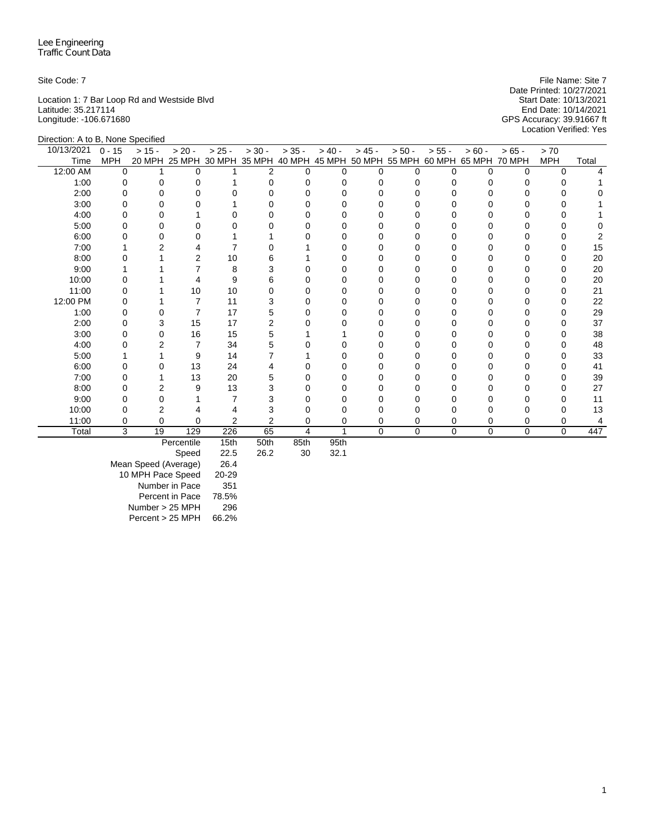Location 1: 7 Bar Loop Rd and Westside Blvd Start Date: 10/13/2021 Latitude: 35.217114 End Date: 10/14/2021 Longitude: -106.671680 GPS Accuracy: 39.91667 ft

Site Code: 7 File Name: Site 7 File Name: Site 7 File Name: Site 7 File Name: Site 7 Date Printed: 10/27/2021<br>Start Date: 10/13/2021 Location Verified: Yes

| Direction: A to B, None Specified |            |          |          |          |                      |          |          |          |                                    |             |               |          |            |       |
|-----------------------------------|------------|----------|----------|----------|----------------------|----------|----------|----------|------------------------------------|-------------|---------------|----------|------------|-------|
| 10/13/2021                        | $0 - 15$   | $> 15 -$ | $> 20 -$ | $> 25 -$ | $> 30 -$             | $> 35 -$ | $> 40 -$ | $> 45 -$ | $> 50 -$                           | $> 55 -$    | $> 60 -$      | $> 65 -$ | > 70       |       |
| Time                              | <b>MPH</b> | 20 MPH   |          |          | 25 MPH 30 MPH 35 MPH |          |          |          | 40 MPH 45 MPH 50 MPH 55 MPH 60 MPH |             | 65 MPH 70 MPH |          | <b>MPH</b> | Total |
| 12:00 AM                          | $\Omega$   |          | $\Omega$ |          | 2                    | 0        | U        | $\Omega$ | U                                  | U           | 0             | 0        | 0          |       |
| 1:00                              | 0          |          |          |          |                      |          |          | O        |                                    |             |               |          |            |       |
| 2:00                              |            |          | O        |          |                      |          |          | O        |                                    |             |               |          | O          |       |
| 3:00                              |            |          | O        |          |                      |          |          | O        |                                    |             |               |          | O          |       |
| 4:00                              |            |          |          |          |                      |          |          |          |                                    |             |               |          |            |       |
| 5:00                              |            |          |          |          |                      |          |          |          |                                    |             |               |          |            |       |
| 6:00                              |            |          | 0        |          |                      |          |          | 0        |                                    |             |               |          | 0          |       |
| 7:00                              |            |          |          |          |                      |          |          |          |                                    |             |               |          | 0          | 15    |
| 8:00                              |            |          | 2        | 10       |                      |          |          |          |                                    |             |               |          | 0          | 20    |
| 9:00                              |            |          |          | 8        |                      |          |          | O        |                                    |             |               |          | O          | 20    |
| 10:00                             |            |          |          | 9        | 6                    |          |          |          |                                    |             |               |          |            | 20    |
| 11:00                             |            |          | 10       | 10       |                      |          |          |          |                                    |             |               |          | O          | 21    |
| 12:00 PM                          |            |          | 7        | 11       |                      |          |          | $\Omega$ |                                    |             |               |          | 0          | 22    |
| 1:00                              |            |          | 7        | 17       | 5                    |          |          |          |                                    |             |               |          | 0          | 29    |
| 2:00                              |            |          | 15       | 17       | 2                    |          |          | U        |                                    |             |               |          | O          | 37    |
| 3:00                              |            |          | 16       | 15       | 5                    |          |          | O        |                                    |             |               |          | 0          | 38    |
| 4:00                              |            |          |          | 34       |                      |          |          |          |                                    |             |               |          | ∩          | 48    |
| 5:00                              |            |          | 9        | 14       |                      |          |          | O        |                                    |             |               |          | O          | 33    |
| 6:00                              |            |          | 13       | 24       |                      |          |          |          |                                    |             |               |          | O          | 41    |
| 7:00                              |            |          | 13       | 20       |                      |          |          |          |                                    |             |               |          | O          | 39    |
| 8:00                              |            |          | 9        | 13       | 3                    |          |          | O        |                                    |             |               |          | O          | 27    |
| 9:00                              |            |          |          |          |                      |          |          |          |                                    |             |               |          | 0          | 11    |
| 10:00                             |            |          |          |          |                      |          |          |          |                                    |             |               |          |            | 13    |
| 11:00                             | 0          | 0        | 0        | 2        | 2                    |          | O        | 0        | 0                                  |             |               | 0        | 0          | 4     |
| Total                             | 3          | 19       | 129      | 226      | 65                   | 4        |          | 0        | 0                                  | $\mathbf 0$ | 0             | 0        | 0          | 447   |

Percentile 15th 50th 85th 95th<br>Speed 22.5 26.2 30 32.1

Speed Mean Speed (Average) 26.4 10 MPH Pace Speed 20-29 Number in Pace 351 Percent in Pace 78.5% Number > 25 MPH 296 Percent > 25 MPH 66.2%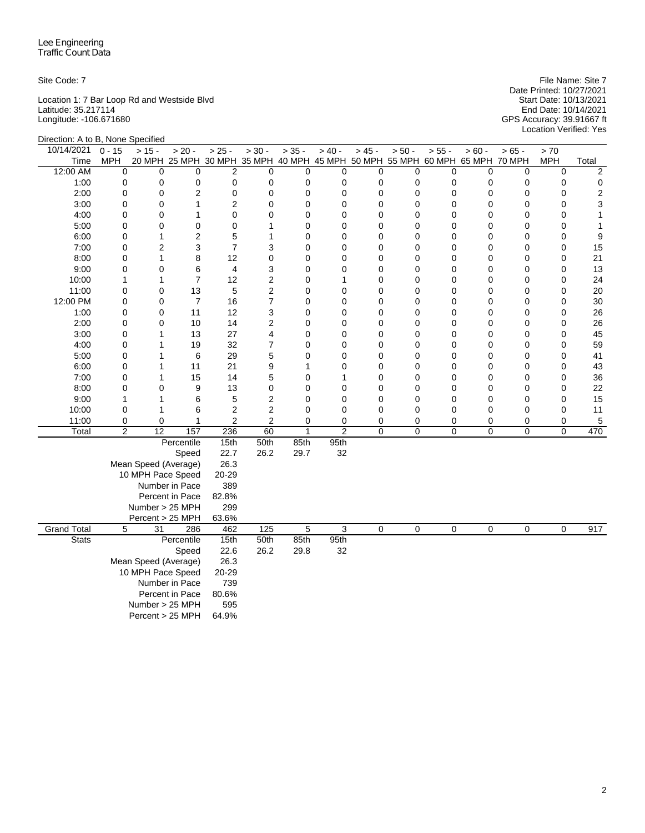Location 1: 7 Bar Loop Rd and Westside Blvd Start Date: 10/13/2021 Latitude: 35.217114 End Date: 10/14/2021 Longitude: -106.671680 GPS Accuracy: 39.91667 ft

Direction: A to B, None Specified

Site Code: 7 File Name: Site 7 Date Printed: 10/27/2021 Location Verified: Yes

| Direction. A to D, indite opecined |                |                      |                                                                              |                |                         |              |                |             |             |          |          |         |             |                         |
|------------------------------------|----------------|----------------------|------------------------------------------------------------------------------|----------------|-------------------------|--------------|----------------|-------------|-------------|----------|----------|---------|-------------|-------------------------|
| 10/14/2021                         | $0 - 15$       | $> 15 -$             | $> 20 -$                                                                     | $> 25 -$       | $> 30 -$                | $> 35 -$     | $> 40 -$       | $> 45 -$    | $> 50 -$    | $> 55 -$ | $> 60 -$ | $>65 -$ | > 70        |                         |
| Time                               | <b>MPH</b>     |                      | 20 MPH 25 MPH 30 MPH 35 MPH 40 MPH 45 MPH 50 MPH 55 MPH 60 MPH 65 MPH 70 MPH |                |                         |              |                |             |             |          |          |         | <b>MPH</b>  | Total                   |
| 12:00 AM                           | 0              | 0                    | 0                                                                            | 2              | 0                       | 0            | $\mathbf 0$    | 0           | 0           | 0        | 0        | 0       | $\mathbf 0$ | 2                       |
| 1:00                               | 0              | 0                    | 0                                                                            | 0              | 0                       | 0            | 0              | 0           | $\mathbf 0$ | 0        | 0        | 0       | 0           | $\mathbf 0$             |
| 2:00                               | $\mathbf 0$    | 0                    | $\overline{2}$                                                               | 0              | $\mathbf 0$             | 0            | 0              | 0           | 0           | 0        | 0        | 0       | 0           | $\overline{\mathbf{c}}$ |
| 3:00                               | $\mathbf 0$    | 0                    | 1                                                                            | $\overline{2}$ | $\mathbf 0$             | 0            | 0              | 0           | $\mathbf 0$ | 0        | 0        | 0       | $\mathbf 0$ | 3                       |
| 4:00                               | 0              | 0                    | 1                                                                            | 0              | 0                       | 0            | 0              | 0           | 0           | 0        | 0        | 0       | 0           | $\mathbf{1}$            |
| 5:00                               | 0              | 0                    | 0                                                                            | 0              | 1                       | 0            | 0              | 0           | 0           | 0        | 0        | 0       | 0           | 1                       |
| 6:00                               | 0              | 1                    | $\overline{2}$                                                               | 5              | 1                       | 0            | 0              | $\mathbf 0$ | $\mathbf 0$ | 0        | 0        | 0       | $\mathbf 0$ | 9                       |
| 7:00                               | 0              | 2                    | 3                                                                            | $\overline{7}$ | 3                       | 0            | 0              | 0           | 0           | 0        | 0        | 0       | 0           | 15                      |
| 8:00                               | 0              | 1                    | 8                                                                            | 12             | 0                       | 0            | $\mathbf 0$    | 0           | $\mathbf 0$ | 0        | 0        | 0       | $\mathbf 0$ | 21                      |
| 9:00                               | 0              | 0                    | 6                                                                            | 4              | 3                       | 0            | 0              | 0           | 0           | 0        | 0        | 0       | $\mathbf 0$ | 13                      |
| 10:00                              | 1              | 1                    | $\overline{7}$                                                               | 12             | $\overline{\mathbf{c}}$ | 0            | 1              | 0           | $\mathbf 0$ | 0        | 0        | 0       | 0           | 24                      |
| 11:00                              | $\mathbf 0$    | 0                    | 13                                                                           | 5              | $\overline{\mathbf{c}}$ | 0            | 0              | 0           | 0           | 0        | 0        | 0       | 0           | 20                      |
| 12:00 PM                           | 0              | 0                    | $\overline{7}$                                                               | 16             | 7                       | 0            | 0              | 0           | $\mathbf 0$ | 0        | 0        | 0       | $\mathbf 0$ | 30                      |
| 1:00                               | 0              | 0                    | 11                                                                           | 12             | 3                       | 0            | 0              | 0           | $\mathbf 0$ | 0        | 0        | 0       | $\mathbf 0$ | 26                      |
| 2:00                               | 0              | 0                    | 10                                                                           | 14             | 2                       | 0            | 0              | 0           | 0           | 0        | 0        | 0       | $\mathbf 0$ | 26                      |
| 3:00                               | 0              | 1                    | 13                                                                           | 27             | 4                       | $\Omega$     | $\mathbf 0$    | 0           | $\mathbf 0$ | 0        | 0        | 0       | $\mathbf 0$ | 45                      |
| 4:00                               | 0              | 1                    | 19                                                                           | 32             | $\overline{7}$          | 0            | 0              | 0           | $\mathbf 0$ | 0        | 0        | 0       | $\mathbf 0$ | 59                      |
| 5:00                               | 0              | 1                    | 6                                                                            | 29             | 5                       | 0            | $\mathbf 0$    | 0           | 0           | 0        | 0        | 0       | $\mathbf 0$ | 41                      |
| 6:00                               | 0              | 1                    | 11                                                                           | 21             | 9                       | 1            | 0              | 0           | $\mathbf 0$ | 0        | 0        | 0       | $\mathbf 0$ | 43                      |
| 7:00                               | 0              | 1                    | 15                                                                           | 14             | 5                       | 0            | 1              | 0           | 0           | 0        | 0        | 0       | $\mathbf 0$ | 36                      |
| 8:00                               | 0              | 0                    | 9                                                                            | 13             | 0                       | 0            | $\mathbf 0$    | 0           | $\mathbf 0$ | 0        | 0        | 0       | $\mathbf 0$ | 22                      |
| 9:00                               | 1              | 1                    | 6                                                                            | 5              | 2                       | 0            | 0              | 0           | 0           | 0        | 0        | 0       | 0           | 15                      |
| 10:00                              | $\mathbf 0$    | 1                    | 6                                                                            | $\overline{c}$ | $\overline{2}$          | 0            | 0              | $\mathbf 0$ | 0           | 0        | 0        | 0       | $\mathbf 0$ | 11                      |
| 11:00                              | 0              | 0                    | 1                                                                            | $\overline{c}$ | $\overline{c}$          | 0            | 0              | 0           | 0           | 0        | 0        | 0       | 0           | $\,$ 5 $\,$             |
| Total                              | $\overline{2}$ | $\overline{12}$      | 157                                                                          | 236            | 60                      | $\mathbf{1}$ | $\overline{c}$ | $\Omega$    | 0           | 0        | 0        | 0       | $\mathbf 0$ | 470                     |
|                                    |                |                      | Percentile                                                                   | 15th           | 50th                    | 85th         | 95th           |             |             |          |          |         |             |                         |
|                                    |                |                      | Speed                                                                        | 22.7           | 26.2                    | 29.7         | 32             |             |             |          |          |         |             |                         |
|                                    |                | Mean Speed (Average) |                                                                              | 26.3           |                         |              |                |             |             |          |          |         |             |                         |
|                                    |                | 10 MPH Pace Speed    |                                                                              | 20-29          |                         |              |                |             |             |          |          |         |             |                         |
|                                    |                |                      | Number in Pace                                                               | 389            |                         |              |                |             |             |          |          |         |             |                         |
|                                    |                |                      | Percent in Pace                                                              | 82.8%          |                         |              |                |             |             |          |          |         |             |                         |
|                                    |                | Number > 25 MPH      |                                                                              | 299            |                         |              |                |             |             |          |          |         |             |                         |
|                                    |                | Percent > 25 MPH     |                                                                              | 63.6%          |                         |              |                |             |             |          |          |         |             |                         |
| <b>Grand Total</b>                 | 5              | 31                   | 286                                                                          | 462            | 125                     | 5            | 3              | 0           | 0           | 0        | 0        | 0       | $\mathbf 0$ | 917                     |
| <b>Stats</b>                       |                |                      | Percentile                                                                   | 15th           | 50th                    | 85th         | 95th           |             |             |          |          |         |             |                         |
|                                    |                |                      | Speed                                                                        | 22.6           | 26.2                    | 29.8         | 32             |             |             |          |          |         |             |                         |
|                                    |                | Mean Speed (Average) |                                                                              | 26.3           |                         |              |                |             |             |          |          |         |             |                         |
|                                    |                | 10 MPH Pace Speed    |                                                                              | 20-29          |                         |              |                |             |             |          |          |         |             |                         |
|                                    |                |                      | Number in Pace                                                               | 739            |                         |              |                |             |             |          |          |         |             |                         |
|                                    |                |                      | Percent in Pace                                                              | 80.6%          |                         |              |                |             |             |          |          |         |             |                         |
|                                    |                | Number > 25 MPH      |                                                                              | 595            |                         |              |                |             |             |          |          |         |             |                         |
|                                    |                | Percent > 25 MPH     |                                                                              | 64.9%          |                         |              |                |             |             |          |          |         |             |                         |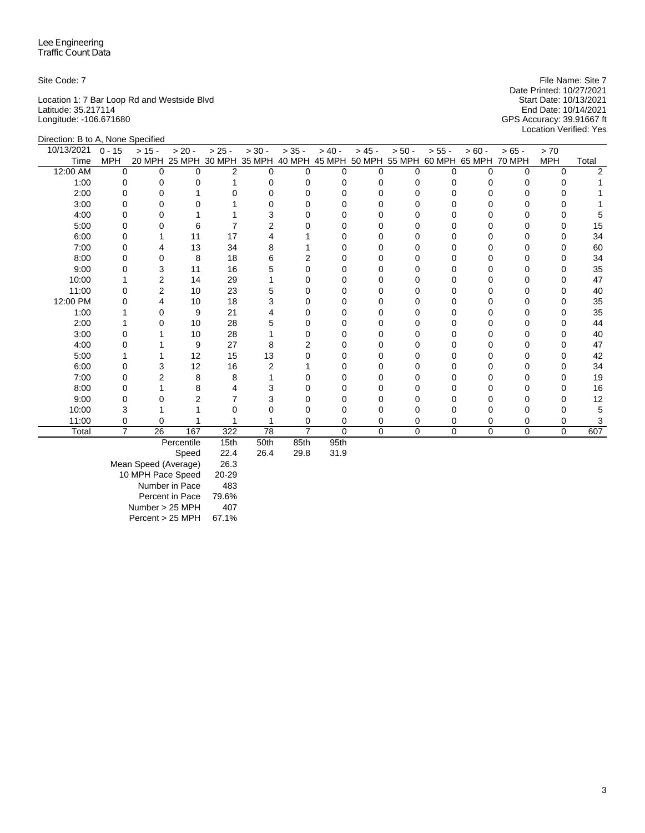Location 1: 7 Bar Loop Rd and Westside Blvd Start Date: 10/13/2021 Latitude: 35.217114 End Date: 10/14/2021 Longitude: -106.671680 GPS Accuracy: 39.91667 ft

Site Code: 7 File Name: Site 7 File Name: Site 7 File Name: Site 7 File Name: Site 7 Date Printed: 10/27/2021<br>Start Date: 10/13/2021 Location Verified: Yes

| Direction: B to A, None Specified |            |          |                |                |          |                |                |          |                             |              |          |               |            |       |
|-----------------------------------|------------|----------|----------------|----------------|----------|----------------|----------------|----------|-----------------------------|--------------|----------|---------------|------------|-------|
| 10/13/2021                        | $0 - 15$   | $> 15 -$ | $> 20 -$       | $> 25 -$       | $> 30 -$ | $> 35 -$       | $> 40 -$       | $> 45 -$ | $> 50 -$                    | $> 55 -$     | $> 60 -$ | $>65 -$       | > 70       |       |
| Time                              | <b>MPH</b> | 20 MPH   |                | 25 MPH 30 MPH  | 35 MPH   | 40 MPH         |                |          | 45 MPH 50 MPH 55 MPH 60 MPH |              | 65 MPH   | <b>70 MPH</b> | <b>MPH</b> | Total |
| 12:00 AM                          | $\Omega$   | 0        | $\Omega$       | $\overline{2}$ | 0        | 0              | <sup>0</sup>   | $\Omega$ | ∩                           | <sup>n</sup> | O        | $\Omega$      | $\Omega$   |       |
| 1:00                              | 0          |          |                |                |          |                |                | O        |                             |              |          |               |            |       |
| 2:00                              | 0          |          |                |                |          |                |                | O        |                             |              |          |               |            |       |
| 3:00                              | n          |          | U              |                |          |                |                | $\Omega$ |                             |              |          |               |            |       |
| 4:00                              |            |          |                |                |          |                |                |          |                             |              |          |               |            |       |
| 5:00                              | ი          |          | 6              |                | 2        |                |                |          |                             |              |          |               |            | 15    |
| 6:00                              | O          |          | 11             | 17             |          |                |                | $\Omega$ |                             | Ω            |          |               | O          | 34    |
| 7:00                              |            |          | 13             | 34             |          |                |                |          |                             |              |          |               |            | 60    |
| 8:00                              |            |          | 8              | 18             |          |                |                |          |                             |              |          |               |            | 34    |
| 9:00                              |            | 3        | 11             | 16             |          |                |                | 0        |                             |              |          |               | O          | 35    |
| 10:00                             |            | 2        | 14             | 29             |          |                |                | 0        |                             |              |          |               |            | 47    |
| 11:00                             |            | 2        | 10             | 23             |          |                |                |          |                             |              |          |               |            | 40    |
| 12:00 PM                          |            |          | 10             | 18             | 3        |                |                |          |                             |              |          |               |            | 35    |
| 1:00                              |            | O        | 9              | 21             |          |                |                |          |                             |              |          |               |            | 35    |
| 2:00                              |            |          | 10             | 28             | 5        |                |                |          |                             |              |          |               |            | 44    |
| 3:00                              |            |          | 10             | 28             |          |                |                |          |                             |              |          |               |            | 40    |
| 4:00                              |            |          | 9              | 27             | 8        |                |                |          |                             |              |          |               |            | 47    |
| 5:00                              |            |          | 12             | 15             | 13       |                |                | $\Omega$ |                             |              |          |               |            | 42    |
| 6:00                              | 0          |          | 12             | 16             | 2        |                |                |          |                             |              |          |               |            | 34    |
| 7:00                              | ი          |          | 8              | 8              |          |                |                | O        |                             |              |          |               |            | 19    |
| 8:00                              |            |          | 8              |                |          |                |                |          |                             |              |          |               |            | 16    |
| 9:00                              |            |          | $\overline{2}$ |                |          |                |                |          |                             |              |          |               |            | 12    |
| 10:00                             |            |          |                |                |          |                | ∩              | O        |                             |              |          |               |            |       |
| 11:00                             |            | 0        |                |                |          |                | 0              | 0        |                             |              |          | 0             |            |       |
| Total                             | 7          | 26       | 167            | 322            | 78       | $\overline{7}$ | $\mathbf 0$    | $\Omega$ | 0                           | $\Omega$     | $\Omega$ | $\Omega$      | $\Omega$   | 607   |
|                                   |            |          |                |                | $ -$     | $\sim -1$      | $\sim$ $ \sim$ |          |                             |              |          |               |            |       |

Percentile 15th 50th 85th 95th

Speed Mean Speed (Average) 26.3 10 MPH Pace Speed 20-29 Number in Pace 483 Percent in Pace 79.6% Number > 25 MPH 407 Percent > 25 MPH 67.1%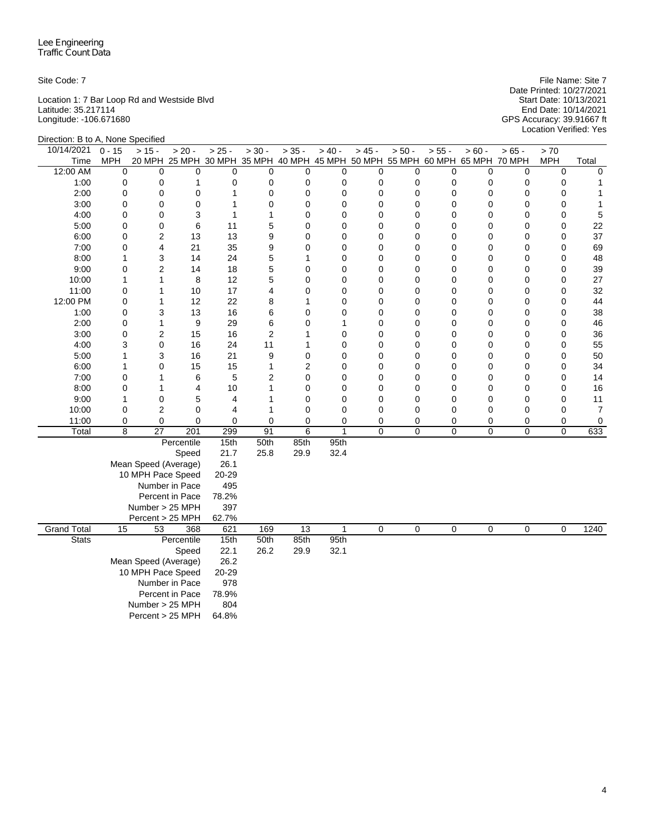Location 1: 7 Bar Loop Rd and Westside Blvd Start Date: 10/13/2021 Latitude: 35.217114 End Date: 10/14/2021 Longitude: -106.671680 GPS Accuracy: 39.91667 ft

Site Code: 7 File Name: Site 7 Date Printed: 10/27/2021 Start Date: 10/13/2021<br>
Start Date: 10/13/2021<br>
End Date: 10/14/2021<br>
GPS Accuracy: 39.91667 ft<br>
Location Verified: Yes

| Direction: B to A, None Specified |              |                      |                                                                              |              |                |                 |             |                |          |             |             |             |             |                |
|-----------------------------------|--------------|----------------------|------------------------------------------------------------------------------|--------------|----------------|-----------------|-------------|----------------|----------|-------------|-------------|-------------|-------------|----------------|
| 10/14/2021                        | $0 - 15$     | $> 15 -$             | $> 20 -$                                                                     | $> 25 -$     | $> 30 -$       | $> 35 -$        | $> 40 -$    | $> 45 -$       | $> 50 -$ | $> 55 -$    | $> 60 -$    | $> 65 -$    | > 70        |                |
| Time                              | <b>MPH</b>   |                      | 20 MPH 25 MPH 30 MPH 35 MPH 40 MPH 45 MPH 50 MPH 55 MPH 60 MPH 65 MPH 70 MPH |              |                |                 |             |                |          |             |             |             | <b>MPH</b>  | Total          |
| 12:00 AM                          | 0            | 0                    | 0                                                                            | $\mathbf 0$  | $\mathbf 0$    | $\mathbf 0$     | 0           | 0              | 0        | 0           | 0           | 0           | 0           | $\mathbf 0$    |
| 1:00                              | 0            | 0                    | 1                                                                            | $\mathbf 0$  | 0              | $\mathbf 0$     | 0           | 0              | 0        | 0           | 0           | 0           | $\mathbf 0$ | 1              |
| 2:00                              | 0            | 0                    | 0                                                                            | $\mathbf{1}$ | $\mathbf 0$    | 0               | 0           | 0              | 0        | 0           | 0           | 0           | $\mathbf 0$ | 1              |
| 3:00                              | 0            | 0                    | 0                                                                            | $\mathbf{1}$ | $\mathbf 0$    | $\mathbf 0$     | 0           | $\overline{0}$ | 0        | 0           | 0           | $\mathbf 0$ | 0           | $\mathbf{1}$   |
| 4:00                              | 0            | 0                    | 3                                                                            | 1            | 1              | $\mathbf 0$     | $\mathbf 0$ | 0              | 0        | 0           | 0           | 0           | 0           | 5              |
| 5:00                              | 0            | 0                    | 6                                                                            | 11           | 5              | $\mathbf 0$     | $\mathbf 0$ | 0              | 0        | $\mathbf 0$ | 0           | $\mathbf 0$ | $\mathbf 0$ | 22             |
| 6:00                              | 0            | 2                    | 13                                                                           | 13           | 9              | 0               | $\mathbf 0$ | 0              | 0        | 0           | 0           | 0           | 0           | 37             |
| 7:00                              | 0            | 4                    | 21                                                                           | 35           | 9              | $\mathbf 0$     | $\mathbf 0$ | 0              | 0        | 0           | 0           | 0           | $\mathbf 0$ | 69             |
| 8:00                              | $\mathbf{1}$ | 3                    | 14                                                                           | 24           | 5              | 1               | 0           | 0              | 0        | 0           | 0           | $\mathbf 0$ | 0           | 48             |
| 9:00                              | 0            | 2                    | 14                                                                           | 18           | 5              | 0               | 0           | 0              | 0        | 0           | 0           | 0           | 0           | 39             |
| 10:00                             | 1            | 1                    | 8                                                                            | 12           | 5              | $\mathbf 0$     | 0           | 0              | 0        | 0           | 0           | $\mathbf 0$ | $\mathbf 0$ | 27             |
| 11:00                             | 0            | 1                    | 10                                                                           | 17           | 4              | 0               | 0           | 0              | 0        | 0           | 0           | 0           | $\mathbf 0$ | 32             |
| 12:00 PM                          | 0            | 1                    | 12                                                                           | 22           | 8              | 1               | 0           | 0              | 0        | 0           | 0           | 0           | 0           | 44             |
| 1:00                              | 0            | 3                    | 13                                                                           | 16           | 6              | 0               | 0           | 0              | 0        | 0           | 0           | 0           | 0           | 38             |
| 2:00                              | 0            | $\mathbf{1}$         | 9                                                                            | 29           | 6              | 0               | 1           | 0              | 0        | 0           | 0           | 0           | $\mathbf 0$ | 46             |
| 3:00                              | 0            | 2                    | 15                                                                           | 16           | $\overline{2}$ | 1               | 0           | 0              | 0        | 0           | 0           | 0           | 0           | 36             |
| 4:00                              | 3            | 0                    | 16                                                                           | 24           | 11             | 1               | $\mathbf 0$ | 0              | 0        | 0           | 0           | 0           | $\mathbf 0$ | 55             |
| 5:00                              | $\mathbf{1}$ | 3                    | 16                                                                           | 21           | 9              | $\mathbf 0$     | 0           | 0              | 0        | 0           | 0           | 0           | $\mathbf 0$ | 50             |
| 6:00                              | 1            | 0                    | 15                                                                           | 15           | $\mathbf{1}$   | $\overline{c}$  | 0           | 0              | 0        | 0           | 0           | 0           | 0           | 34             |
| 7:00                              | 0            | 1                    | 6                                                                            | 5            | 2              | $\mathbf 0$     | 0           | 0              | 0        | 0           | 0           | $\mathbf 0$ | $\mathbf 0$ | 14             |
| 8:00                              | 0            | 1                    | 4                                                                            | 10           | 1              | $\mathbf 0$     | 0           | 0              | 0        | $\mathbf 0$ | 0           | 0           | $\mathbf 0$ | 16             |
| 9:00                              | 1            | 0                    | 5                                                                            | 4            | $\mathbf{1}$   | 0               | 0           | 0              | 0        | 0           | 0           | 0           | $\mathbf 0$ | 11             |
| 10:00                             | 0            | 2                    | 0                                                                            | 4            | 1              | $\mathbf 0$     | 0           | 0              | 0        | 0           | 0           | 0           | 0           | $\overline{7}$ |
| 11:00                             | 0            | 0                    | 0                                                                            | $\mathbf 0$  | $\mathbf 0$    | $\mathbf 0$     | $\mathbf 0$ | 0              | 0        | 0           | 0           | 0           | 0           | 0              |
| Total                             | 8            | 27                   | 201                                                                          | 299          | 91             | 6               | 1           | 0              | 0        | $\mathbf 0$ | 0           | $\mathbf 0$ | $\mathbf 0$ | 633            |
|                                   |              |                      | Percentile                                                                   | 15th         | 50th           | 85th            | 95th        |                |          |             |             |             |             |                |
|                                   |              |                      | Speed                                                                        | 21.7         | 25.8           | 29.9            | 32.4        |                |          |             |             |             |             |                |
|                                   |              | Mean Speed (Average) |                                                                              | 26.1         |                |                 |             |                |          |             |             |             |             |                |
|                                   |              | 10 MPH Pace Speed    |                                                                              | 20-29        |                |                 |             |                |          |             |             |             |             |                |
|                                   |              |                      | Number in Pace                                                               | 495          |                |                 |             |                |          |             |             |             |             |                |
|                                   |              |                      | Percent in Pace                                                              | 78.2%        |                |                 |             |                |          |             |             |             |             |                |
|                                   |              | Number > 25 MPH      |                                                                              | 397          |                |                 |             |                |          |             |             |             |             |                |
|                                   |              | Percent > 25 MPH     |                                                                              | 62.7%        |                |                 |             |                |          |             |             |             |             |                |
| <b>Grand Total</b>                | 15           | 53                   | 368                                                                          | 621          | 169            | $\overline{13}$ | 1           | 0              | 0        | $\mathbf 0$ | $\mathbf 0$ | $\mathbf 0$ | $\Omega$    | 1240           |
| <b>Stats</b>                      |              |                      | Percentile                                                                   | 15th         | 50th           | 85th            | 95th        |                |          |             |             |             |             |                |
|                                   |              |                      | Speed                                                                        | 22.1         | 26.2           | 29.9            | 32.1        |                |          |             |             |             |             |                |
|                                   |              | Mean Speed (Average) |                                                                              | 26.2         |                |                 |             |                |          |             |             |             |             |                |
|                                   |              | 10 MPH Pace Speed    |                                                                              | 20-29        |                |                 |             |                |          |             |             |             |             |                |
|                                   |              |                      | Number in Pace                                                               | 978          |                |                 |             |                |          |             |             |             |             |                |
|                                   |              |                      | Percent in Pace                                                              | 78.9%        |                |                 |             |                |          |             |             |             |             |                |
|                                   |              | Number > 25 MPH      |                                                                              | 804          |                |                 |             |                |          |             |             |             |             |                |
|                                   |              | Percent > 25 MPH     |                                                                              | 64.8%        |                |                 |             |                |          |             |             |             |             |                |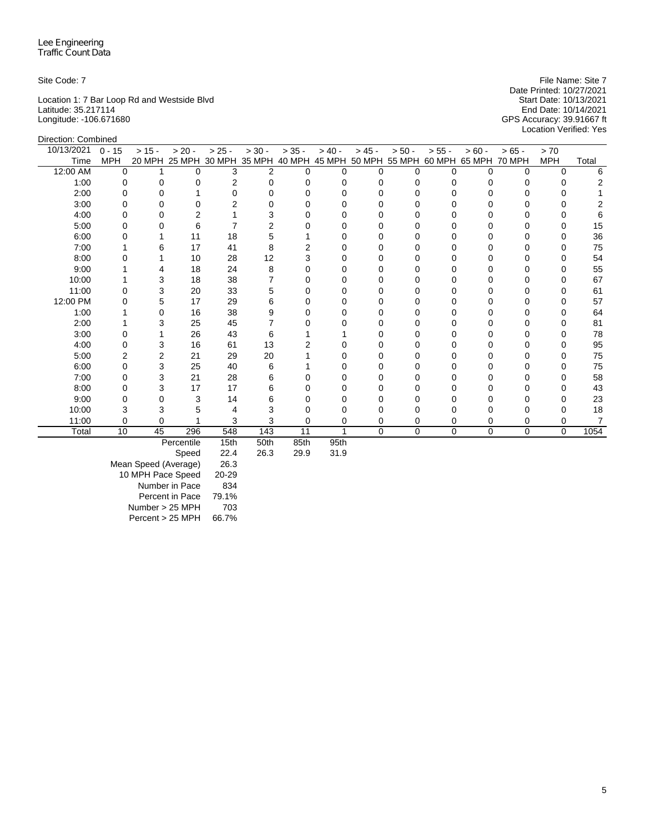Location 1: 7 Bar Loop Rd and Westside Blvd Start Date: 10/13/2021 Latitude: 35.217114 End Date: 10/14/2021 Longitude: -106.671680 GPS Accuracy: 39.91667 ft

Site Code: 7 File Name: Site 7 File Name: Site 7 File Name: Site 7 File Name: Site 7 Date Printed: 10/27/2021<br>Start Date: 10/13/2021 Location Verified: Yes

| Direction: Combined |            |          |          |               |                |          |          |          |                             |          |               |             |            |       |
|---------------------|------------|----------|----------|---------------|----------------|----------|----------|----------|-----------------------------|----------|---------------|-------------|------------|-------|
| 10/13/2021          | $0 - 15$   | $> 15 -$ | $> 20 -$ | $> 25 -$      | $> 30 -$       | $> 35 -$ | $> 40 -$ | $> 45 -$ | $> 50 -$                    | $> 55 -$ | $> 60 -$      | $> 65 -$    | > 70       |       |
| Time                | <b>MPH</b> | 20 MPH   |          | 25 MPH 30 MPH | 35 MPH         | 40 MPH   |          |          | 45 MPH 50 MPH 55 MPH 60 MPH |          | 65 MPH 70 MPH |             | <b>MPH</b> | Total |
| 12:00 AM            | $\Omega$   |          | $\Omega$ | 3             | $\overline{c}$ | $\Omega$ | $\Omega$ | $\Omega$ | O                           | 0        | $\Omega$      | 0           | $\Omega$   | 6     |
| 1:00                | 0          |          | 0        | 2             | $\Omega$       |          |          | 0        |                             |          |               | 0           | $\Omega$   |       |
| 2:00                | 0          |          |          | ∩             |                |          |          | $\Omega$ |                             |          |               | O           |            |       |
| 3:00                |            |          | $\Omega$ |               |                |          |          | $\Omega$ |                             |          |               |             | O          |       |
| 4:00                |            |          |          |               | 3              |          |          |          |                             |          |               |             |            |       |
| 5:00                |            |          | 6        |               | 2              |          |          | O        |                             |          |               |             |            | 15    |
| 6:00                |            |          | 11       | 18            | 5              |          |          | $\Omega$ |                             |          |               | U           | 0          | 36    |
| 7:00                |            | 6        | 17       | 41            | 8              |          |          |          |                             |          |               |             | O          | 75    |
| 8:00                |            |          | 10       | 28            | 12             |          |          | O        |                             |          |               |             |            | 54    |
| 9:00                |            |          | 18       | 24            | 8              |          | Ω        | O        |                             |          |               | n           | O          | 55    |
| 10:00               |            | 3        | 18       | 38            |                |          |          |          |                             |          |               |             |            | 67    |
| 11:00               |            | 3        | 20       | 33            | 5              |          |          | O        |                             |          |               |             |            | 61    |
| 12:00 PM            |            | 5        | 17       | 29            | 6              |          |          | $\Omega$ |                             |          |               | Ω           | 0          | 57    |
| 1:00                |            | 0        | 16       | 38            | 9              |          |          | 0        |                             |          |               |             | 0          | 64    |
| 2:00                |            | 3        | 25       | 45            |                |          |          |          |                             |          |               |             | 0          | 81    |
| 3:00                |            |          | 26       | 43            | 6              |          |          | 0        |                             |          |               | Ω           | 0          | 78    |
| 4:00                |            | 3        | 16       | 61            | 13             |          |          | 0        |                             |          |               | O           | 0          | 95    |
| 5:00                |            | 2        | 21       | 29            | 20             |          |          | O        |                             |          |               |             | 0          | 75    |
| 6:00                |            | 3        | 25       | 40            | 6              |          |          | 0        |                             |          |               | Ω           | 0          | 75    |
| 7:00                |            | 3        | 21       | 28            | 6              |          |          | O        |                             |          |               |             | O          | 58    |
| 8:00                | O          | 3        | 17       | 17            | 6              |          |          | O        |                             |          |               |             | O          | 43    |
| 9:00                |            |          | 3        | 14            | 6              |          |          |          |                             |          |               |             | 0          | 23    |
| 10:00               |            |          | 5        |               |                |          |          |          |                             |          |               | Ω           | O          | 18    |
| 11:00               | 0          | 0        |          | 3             | 3              | 0        | 0        | 0        | 0                           | 0        | 0             | 0           | 0          |       |
| Total               | 10         | 45       | 296      | 548           | 143            | 11       |          | $\Omega$ | 0                           | $\Omega$ | $\mathbf 0$   | $\mathbf 0$ | $\Omega$   | 1054  |

Percentile 15th 50th 85th 95th<br>Speed 22.4 26.3 29.9 31.9

Speed Mean Speed (Average) 26.3 10 MPH Pace Speed 20-29 Number in Pace 834 Percent in Pace 79.1% Number > 25 MPH 703 Percent > 25 MPH 66.7%